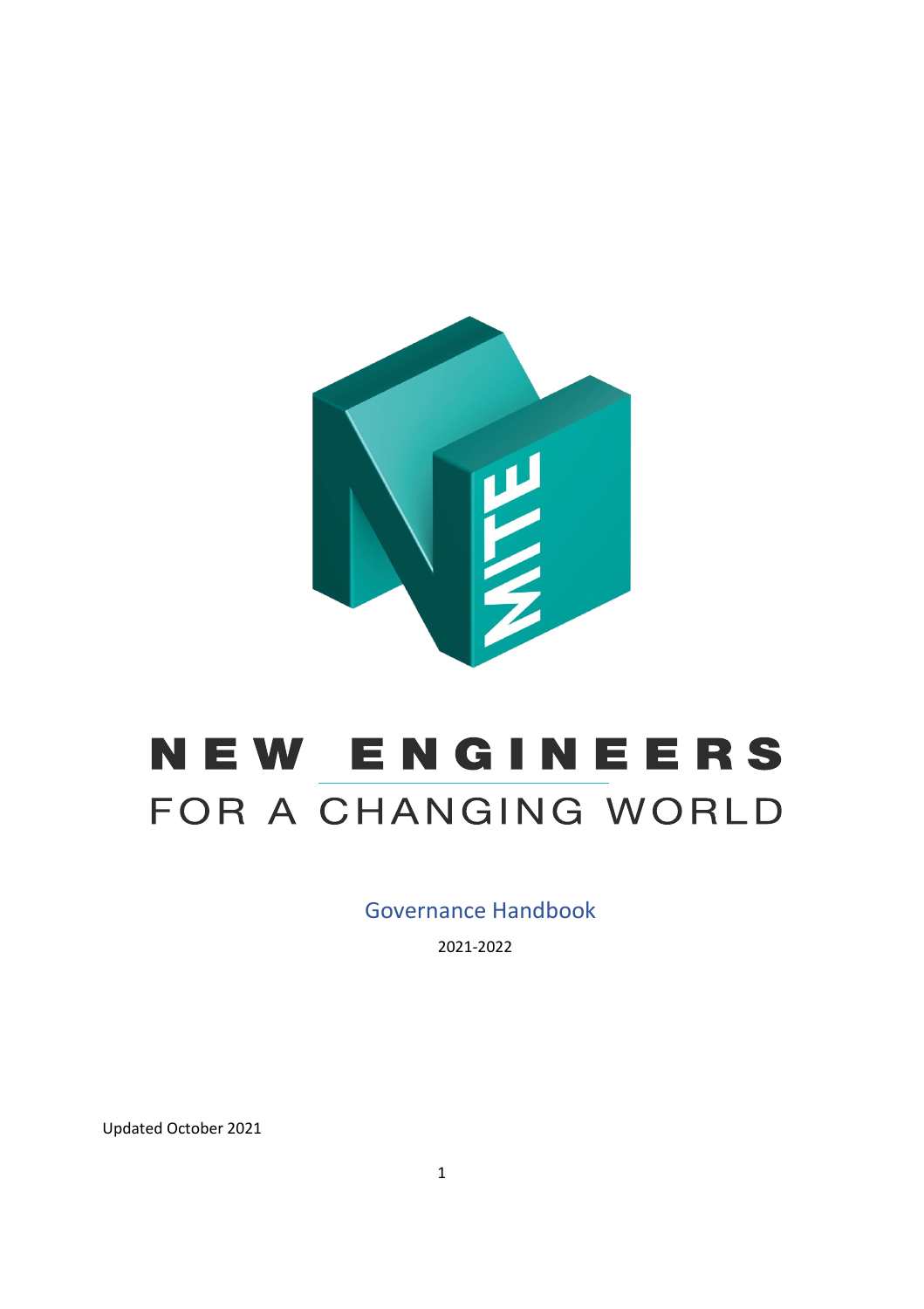

# NEW ENGINEERS FOR A CHANGING WORLD

#### Governance Handbook

2021-2022

Updated October 2021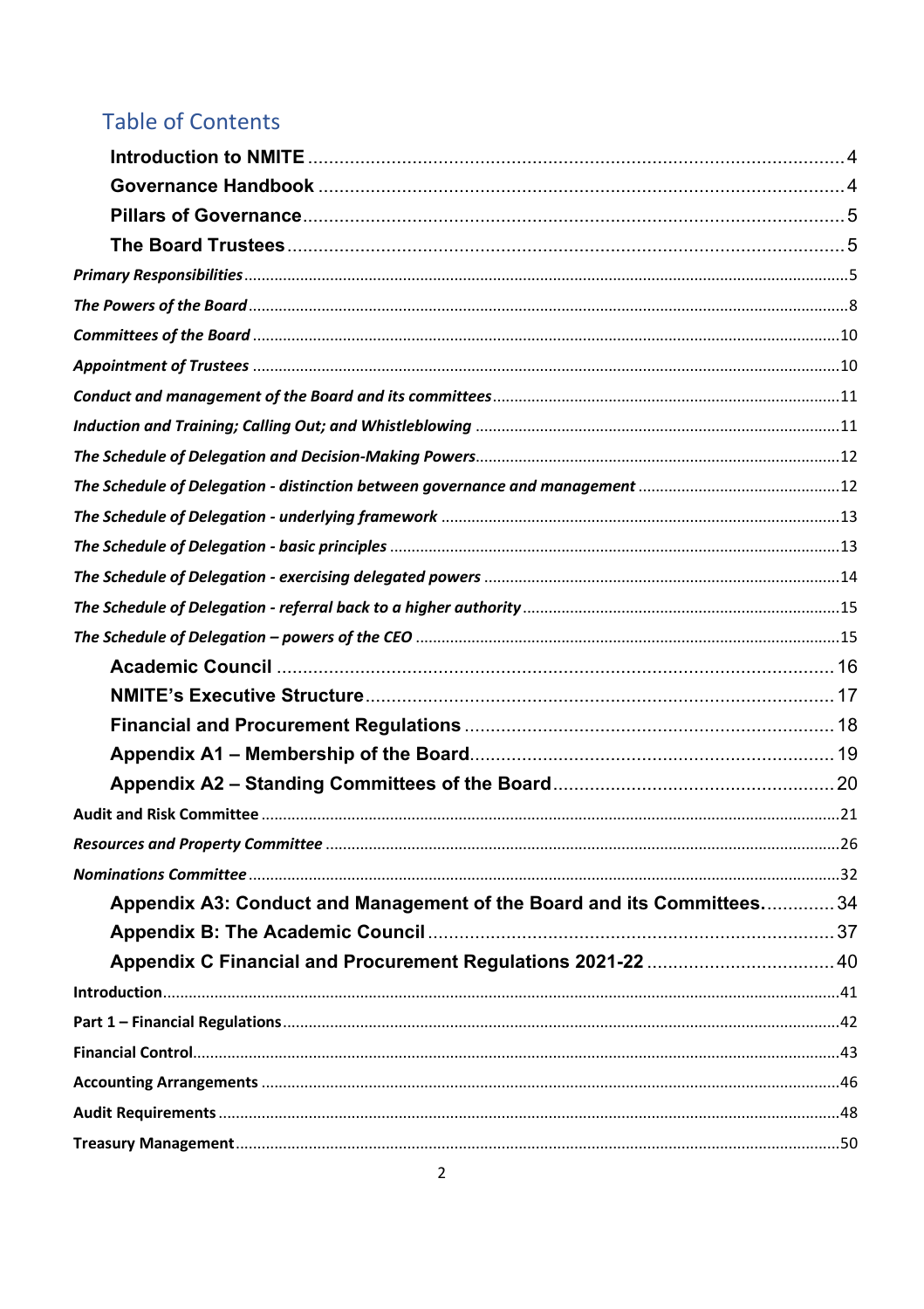## **Table of Contents**

| Appendix A3: Conduct and Management of the Board and its Committees 34 |  |
|------------------------------------------------------------------------|--|
|                                                                        |  |
|                                                                        |  |
|                                                                        |  |
|                                                                        |  |
|                                                                        |  |
|                                                                        |  |
|                                                                        |  |
|                                                                        |  |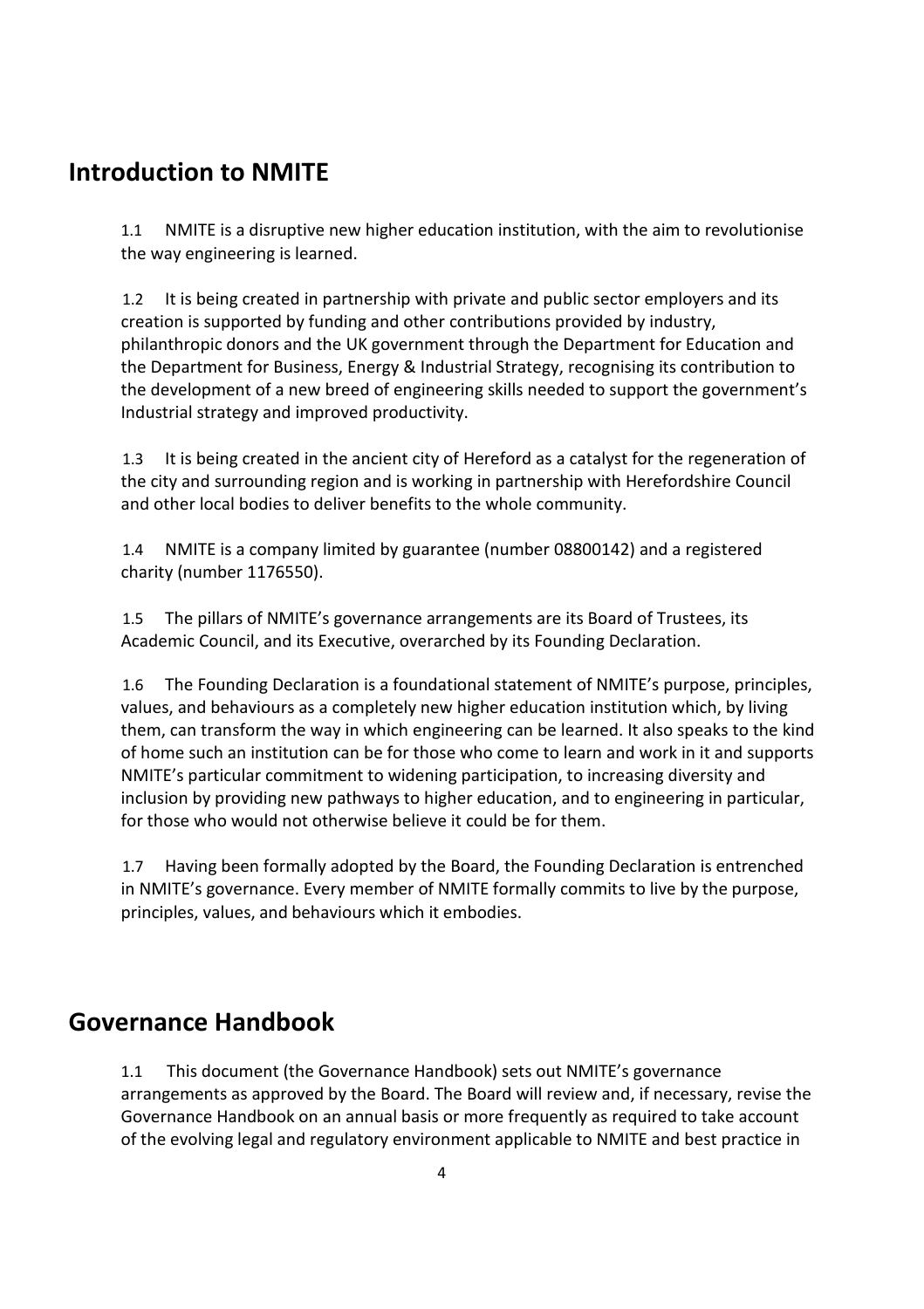## <span id="page-3-0"></span>**Introduction to NMITE**

1.1 NMITE is a disruptive new higher education institution, with the aim to revolutionise the way engineering is learned.

1.2 It is being created in partnership with private and public sector employers and its creation is supported by funding and other contributions provided by industry, philanthropic donors and the UK government through the Department for Education and the Department for Business, Energy & Industrial Strategy, recognising its contribution to the development of a new breed of engineering skills needed to support the government's Industrial strategy and improved productivity.

1.3 It is being created in the ancient city of Hereford as a catalyst for the regeneration of the city and surrounding region and is working in partnership with Herefordshire Council and other local bodies to deliver benefits to the whole community.

1.4 NMITE is a company limited by guarantee (number 08800142) and a registered charity (number 1176550).

1.5 The pillars of NMITE's governance arrangements are its Board of Trustees, its Academic Council, and its Executive, overarched by its Founding Declaration.

1.6 The Founding Declaration is a foundational statement of NMITE's purpose, principles, values, and behaviours as a completely new higher education institution which, by living them, can transform the way in which engineering can be learned. It also speaks to the kind of home such an institution can be for those who come to learn and work in it and supports NMITE's particular commitment to widening participation, to increasing diversity and inclusion by providing new pathways to higher education, and to engineering in particular, for those who would not otherwise believe it could be for them.

1.7 Having been formally adopted by the Board, the Founding Declaration is entrenched in NMITE's governance. Every member of NMITE formally commits to live by the purpose, principles, values, and behaviours which it embodies.

## <span id="page-3-1"></span>**Governance Handbook**

1.1 This document (the Governance Handbook) sets out NMITE's governance arrangements as approved by the Board. The Board will review and, if necessary, revise the Governance Handbook on an annual basis or more frequently as required to take account of the evolving legal and regulatory environment applicable to NMITE and best practice in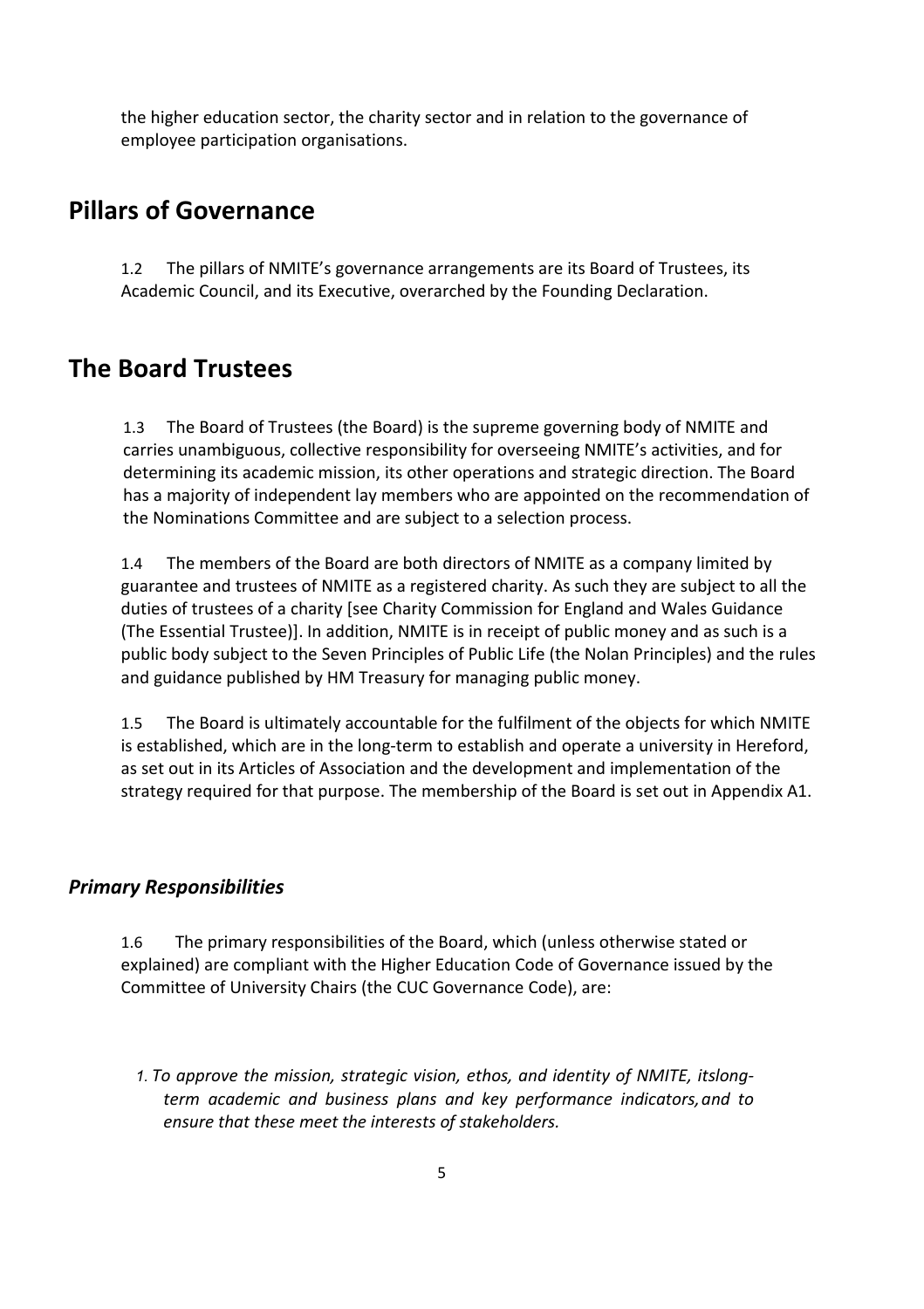the higher education sector, the charity sector and in relation to the governance of employee participation organisations.

## <span id="page-4-0"></span>**Pillars of Governance**

1.2 The pillars of NMITE's governance arrangements are its Board of Trustees, its Academic Council, and its Executive, overarched by the Founding Declaration.

## <span id="page-4-1"></span>**The Board Trustees**

1.3 The Board of Trustees (the Board) is the supreme governing body of NMITE and carries unambiguous, collective responsibility for overseeing NMITE's activities, and for determining its academic mission, its other operations and strategic direction. The Board has a majority of independent lay members who are appointed on the recommendation of the Nominations Committee and are subject to a selection process.

1.4 The members of the Board are both directors of NMITE as a company limited by guarantee and trustees of NMITE as a registered charity. As such they are subject to all the duties of trustees of a charity [see [Charity](https://assets.publishing.service.gov.uk/government/uploads/system/uploads/attachment_data/file/842041/CC3_may18.pdf) [Commission for England and Wales Guidance](https://assets.publishing.service.gov.uk/government/uploads/system/uploads/attachment_data/file/842041/CC3_may18.pdf)  [\(The Essential Trustee\)\]](https://assets.publishing.service.gov.uk/government/uploads/system/uploads/attachment_data/file/842041/CC3_may18.pdf). In addition, NMITE is in receipt of public money and as such is a public body subject to the Seven Principles of Public Life (the [Nolan Principles\)](https://www.gov.uk/government/publications/the-7-principles-of-public-life/the-7-principles-of-public-life--2) and the rules and guidance published by [HM Treasury for managing public money.](https://www.gov.uk/government/publications/managing-public-money)

1.5 The Board is ultimately accountable for the fulfilment of the objects for which NMITE is established, which are in the long-term to establish and operate a university in Hereford, as set out in its Articles of Association and the development and implementation of the strategy required for that purpose. The membership of the Board is set out in Appendix A1.

#### <span id="page-4-2"></span>*Primary Responsibilities*

1.6 The primary responsibilities of the Board, which (unless otherwise stated or explained) are compliant with the Higher Education Code of Governance issued by the Committee of University Chairs (the [CUC Governance Code\)](https://www.universitychairs.ac.uk/wp-content/uploads/2018/06/HE-Code-of-Governance-Updated-2018.pdf), are:

*1. To approve the mission, strategic vision, ethos, and identity of NMITE, itslongterm academic and business plans and key performance indicators,and to ensure that these meet the interests of stakeholders.*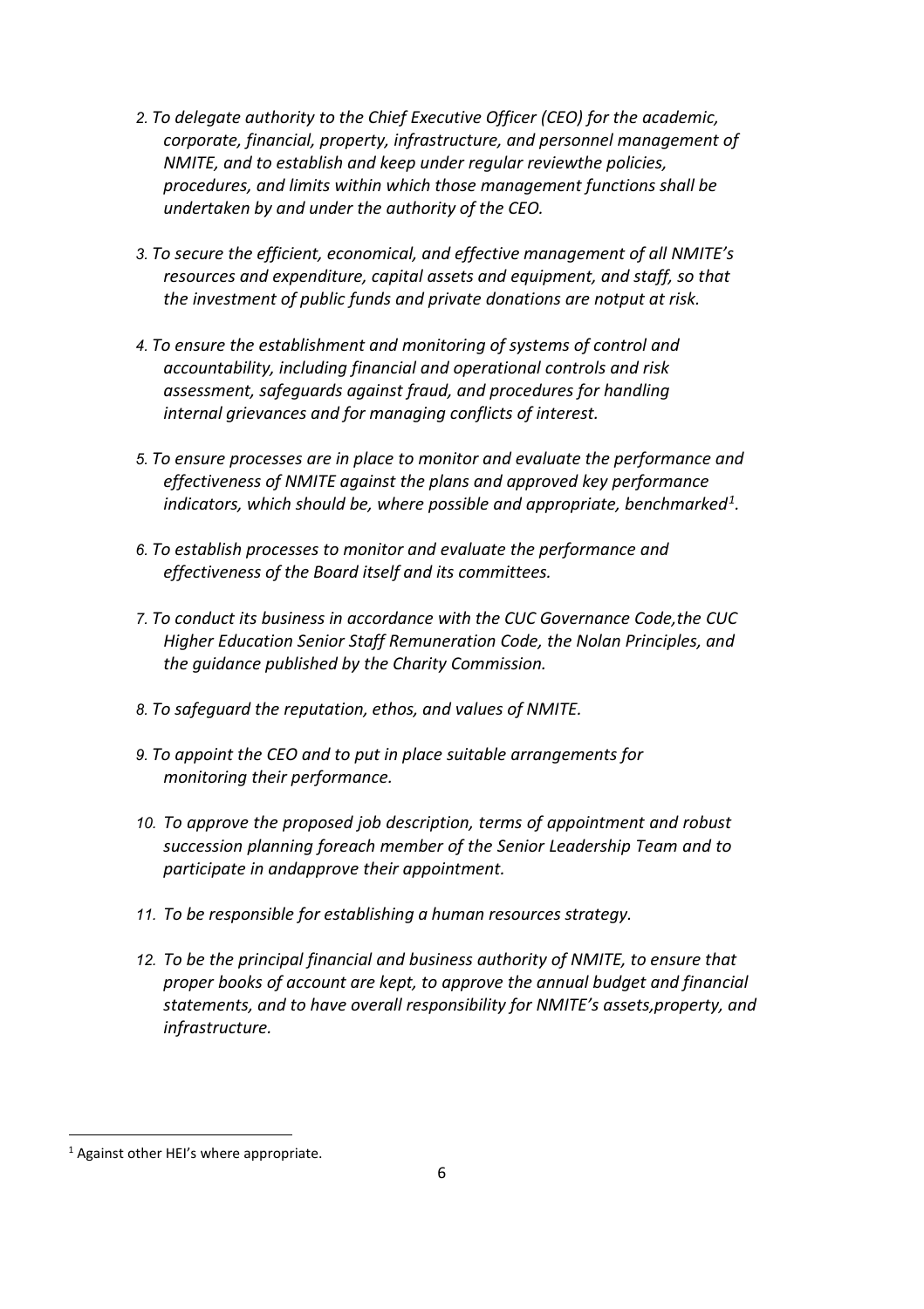- *2. To delegate authority to the Chief Executive Officer (CEO) for the academic, corporate, financial, property, infrastructure, and personnel management of NMITE, and to establish and keep under regular reviewthe policies, procedures, and limits within which those management functions shall be undertaken by and under the authority of the CEO.*
- *3. To secure the efficient, economical, and effective management of all NMITE's resources and expenditure, capital assets and equipment, and staff, so that the investment of public funds and private donations are notput at risk.*
- *4. To ensure the establishment and monitoring of systems of control and accountability, including financial and operational controls and risk assessment, safeguards against fraud, and procedures for handling internal grievances and for managing conflicts of interest.*
- *5. To ensure processes are in place to monitor and evaluate the performance and effectiveness of NMITE against the plans and approved key performance indicators, which should be, where possible and appropriate, benchmarked[1](#page-5-0).*
- *6. To establish processes to monitor and evaluate the performance and effectiveness of the Board itself and its committees.*
- *7. To conduct its business in accordance with the CUC Governance Code,the CUC Higher Education Senior Staff Remuneration Code, the Nolan Principles, and the guidance published by the Charity Commission.*
- *8. To safeguard the reputation, ethos, and values of NMITE.*
- *9. To appoint the CEO and to put in place suitable arrangements for monitoring their performance.*
- *10. To approve the proposed job description, terms of appointment and robust succession planning foreach member of the Senior Leadership Team and to participate in andapprove their appointment.*
- *11. To be responsible for establishing a human resources strategy.*
- *12. To be the principal financial and business authority of NMITE, to ensure that proper books of account are kept, to approve the annual budget and financial statements, and to have overall responsibility for NMITE's assets,property, and infrastructure.*

<span id="page-5-0"></span><sup>1</sup> Against other HEI's where appropriate.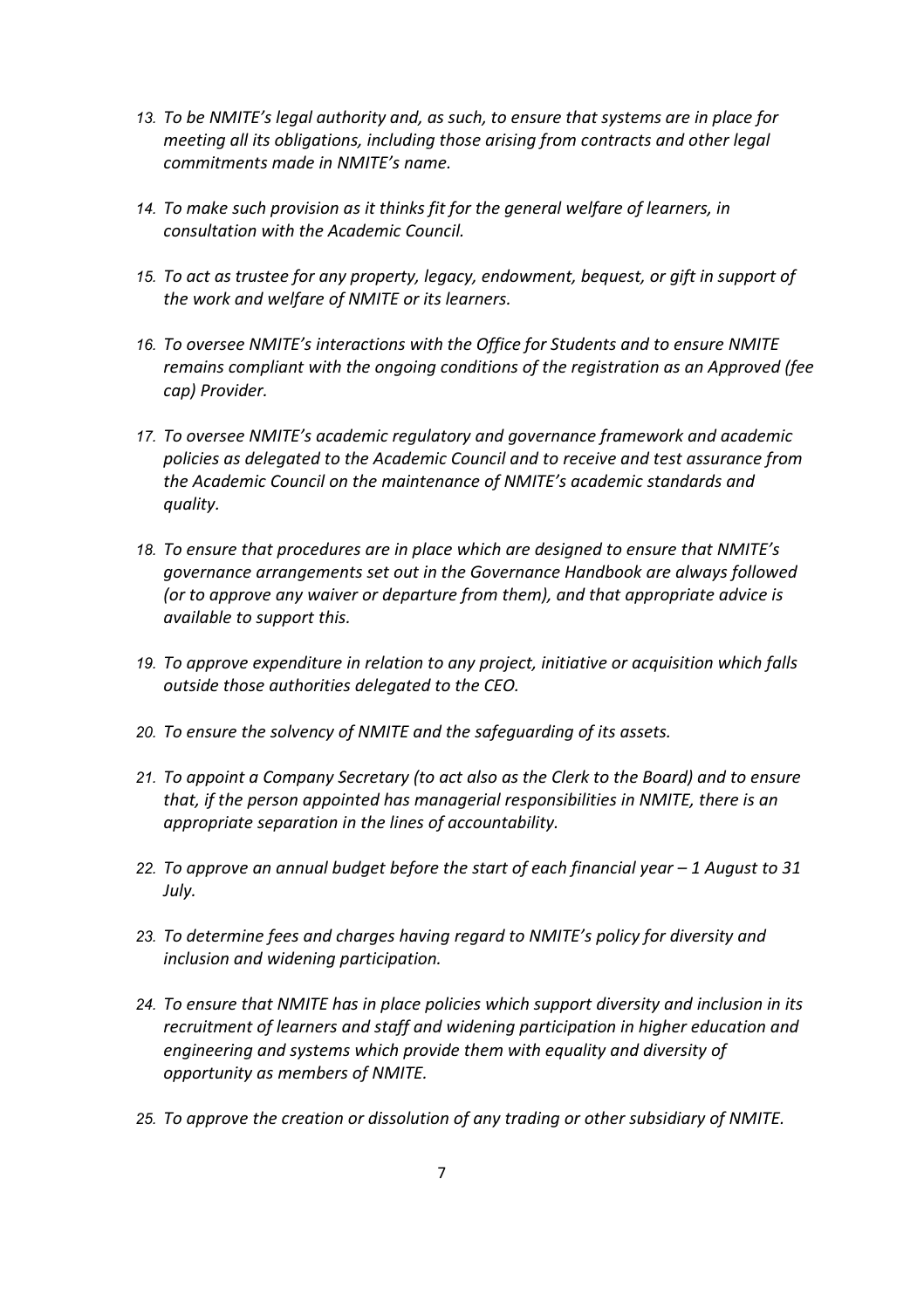- *13. To be NMITE's legal authority and, as such, to ensure that systems are in place for meeting all its obligations, including those arising from contracts and other legal commitments made in NMITE's name.*
- *14. To make such provision as it thinks fit for the general welfare of learners, in consultation with the Academic Council.*
- *15. To act as trustee for any property, legacy, endowment, bequest, or gift in support of the work and welfare of NMITE or its learners.*
- *16. To oversee NMITE's interactions with the Office for Students and to ensure NMITE remains compliant with the ongoing conditions of the registration as an Approved (fee cap) Provider.*
- *17. To oversee NMITE's academic regulatory and governance framework and academic policies as delegated to the Academic Council and to receive and test assurance from the Academic Council on the maintenance of NMITE's academic standards and quality.*
- *18. To ensure that procedures are in place which are designed to ensure that NMITE's governance arrangements set out in the Governance Handbook are always followed (or to approve any waiver or departure from them), and that appropriate advice is available to support this.*
- *19. To approve expenditure in relation to any project, initiative or acquisition which falls outside those authorities delegated to the CEO.*
- *20. To ensure the solvency of NMITE and the safeguarding of its assets.*
- *21. To appoint a Company Secretary (to act also as the Clerk to the Board) and to ensure that, if the person appointed has managerial responsibilities in NMITE, there is an appropriate separation in the lines of accountability.*
- *22. To approve an annual budget before the start of each financial year – 1 August to 31 July.*
- *23. To determine fees and charges having regard to NMITE's policy for diversity and inclusion and widening participation.*
- *24. To ensure that NMITE has in place policies which support diversity and inclusion in its recruitment of learners and staff and widening participation in higher education and engineering and systems which provide them with equality and diversity of opportunity as members of NMITE.*
- *25. To approve the creation or dissolution of any trading or other subsidiary of NMITE.*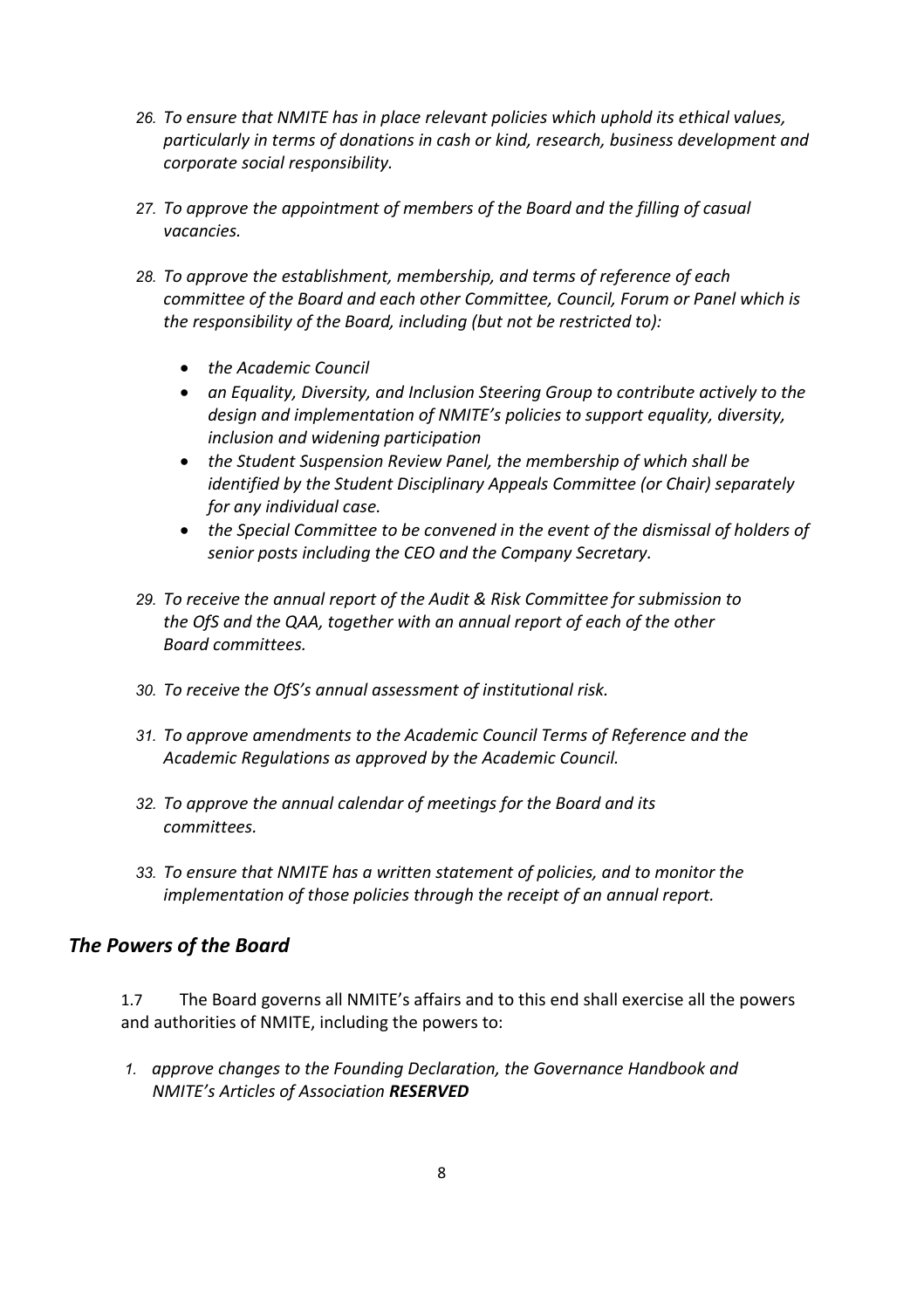- *26. To ensure that NMITE has in place relevant policies which uphold its ethical values, particularly in terms of donations in cash or kind, research, business development and corporate social responsibility.*
- *27. To approve the appointment of members of the Board and the filling of casual vacancies.*
- *28. To approve the establishment, membership, and terms of reference of each committee of the Board and each other Committee, Council, Forum or Panel which is the responsibility of the Board, including (but not be restricted to):*
	- *the Academic Council*
	- *an Equality, Diversity, and Inclusion Steering Group to contribute actively to the design and implementation of NMITE's policies to support equality, diversity, inclusion and widening participation*
	- *the Student Suspension Review Panel, the membership of which shall be identified by the Student Disciplinary Appeals Committee (or Chair) separately for any individual case.*
	- *the Special Committee to be convened in the event of the dismissal of holders of senior posts including the CEO and the Company Secretary.*
- *29. To receive the annual report of the Audit & Risk Committee for submission to the OfS and the QAA, together with an annual report of each of the other Board committees.*
- *30. To receive the OfS's annual assessment of institutional risk.*
- *31. To approve amendments to the Academic Council Terms of Reference and the Academic Regulations as approved by the Academic Council.*
- *32. To approve the annual calendar of meetings for the Board and its committees.*
- *33. To ensure that NMITE has a written statement of policies, and to monitor the implementation of those policies through the receipt of an annual report.*

#### <span id="page-7-0"></span>*The Powers of the Board*

1.7 The Board governs all NMITE's affairs and to this end shall exercise all the powers and authorities of NMITE, including the powers to:

*1. approve changes to the Founding Declaration, the Governance Handbook and NMITE's Articles of Association RESERVED*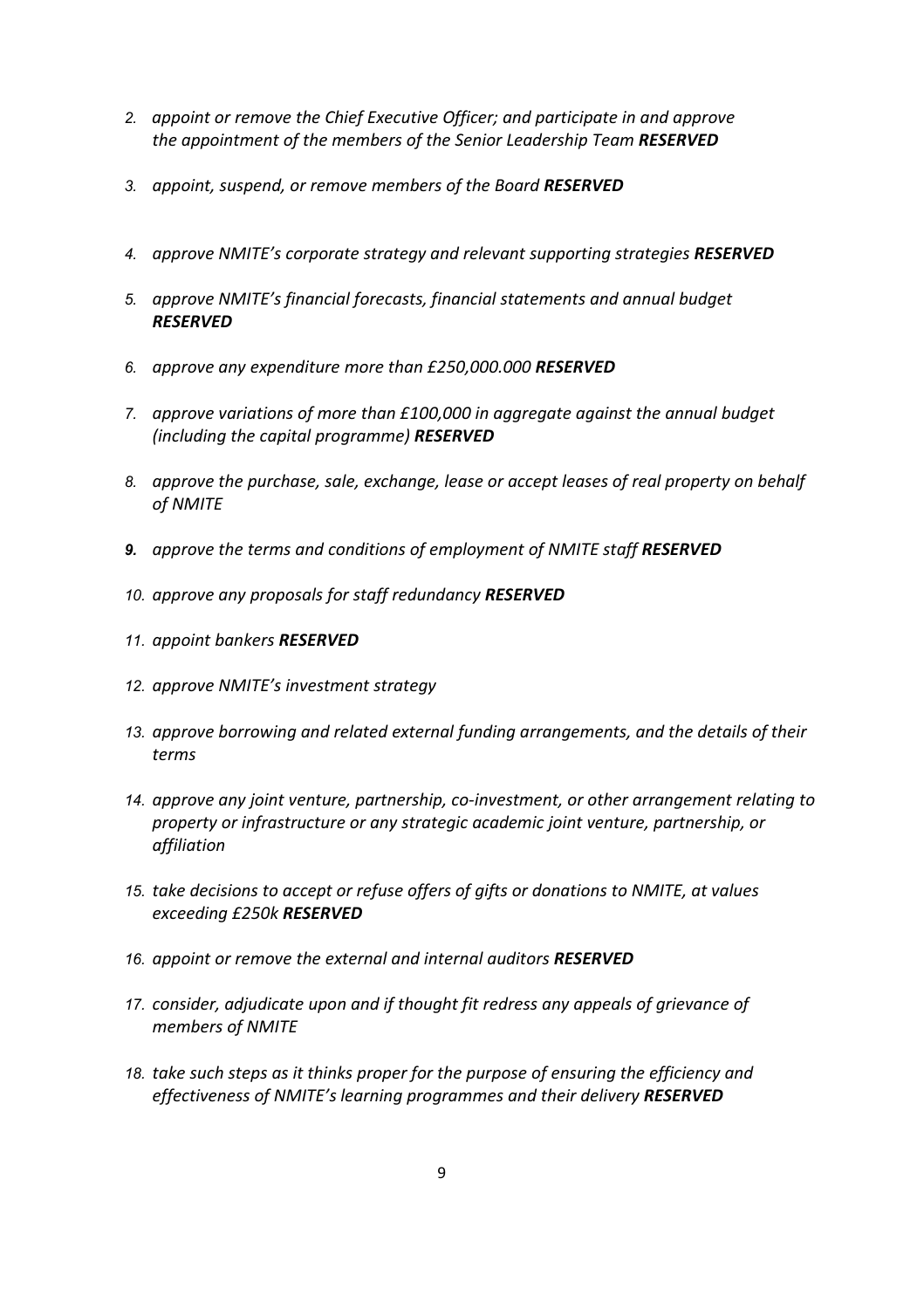- *2. appoint or remove the Chief Executive Officer; and participate in and approve the appointment of the members of the Senior Leadership Team RESERVED*
- *3. appoint, suspend, or remove members of the Board RESERVED*
- *4. approve NMITE's corporate strategy and relevant supporting strategies RESERVED*
- *5. approve NMITE's financial forecasts, financial statements and annual budget RESERVED*
- *6. approve any expenditure more than £250,000.000 RESERVED*
- *7. approve variations of more than £100,000 in aggregate against the annual budget (including the capital programme) RESERVED*
- *8. approve the purchase, sale, exchange, lease or accept leases of real property on behalf of NMITE*
- **9.** *approve the terms and conditions of employment of NMITE staff RESERVED*
- *10. approve any proposals for staff redundancy RESERVED*
- *11. appoint bankers RESERVED*
- *12. approve NMITE's investment strategy*
- *13. approve borrowing and related external funding arrangements, and the details of their terms*
- *14. approve any joint venture, partnership, co-investment, or other arrangement relating to property or infrastructure or any strategic academic joint venture, partnership, or affiliation*
- *15. take decisions to accept or refuse offers of gifts or donations to NMITE, at values exceeding £250k RESERVED*
- *16. appoint or remove the external and internal auditors RESERVED*
- *17. consider, adjudicate upon and if thought fit redress any appeals of grievance of members of NMITE*
- *18. take such steps as it thinks proper for the purpose of ensuring the efficiency and effectiveness of NMITE's learning programmes and their delivery RESERVED*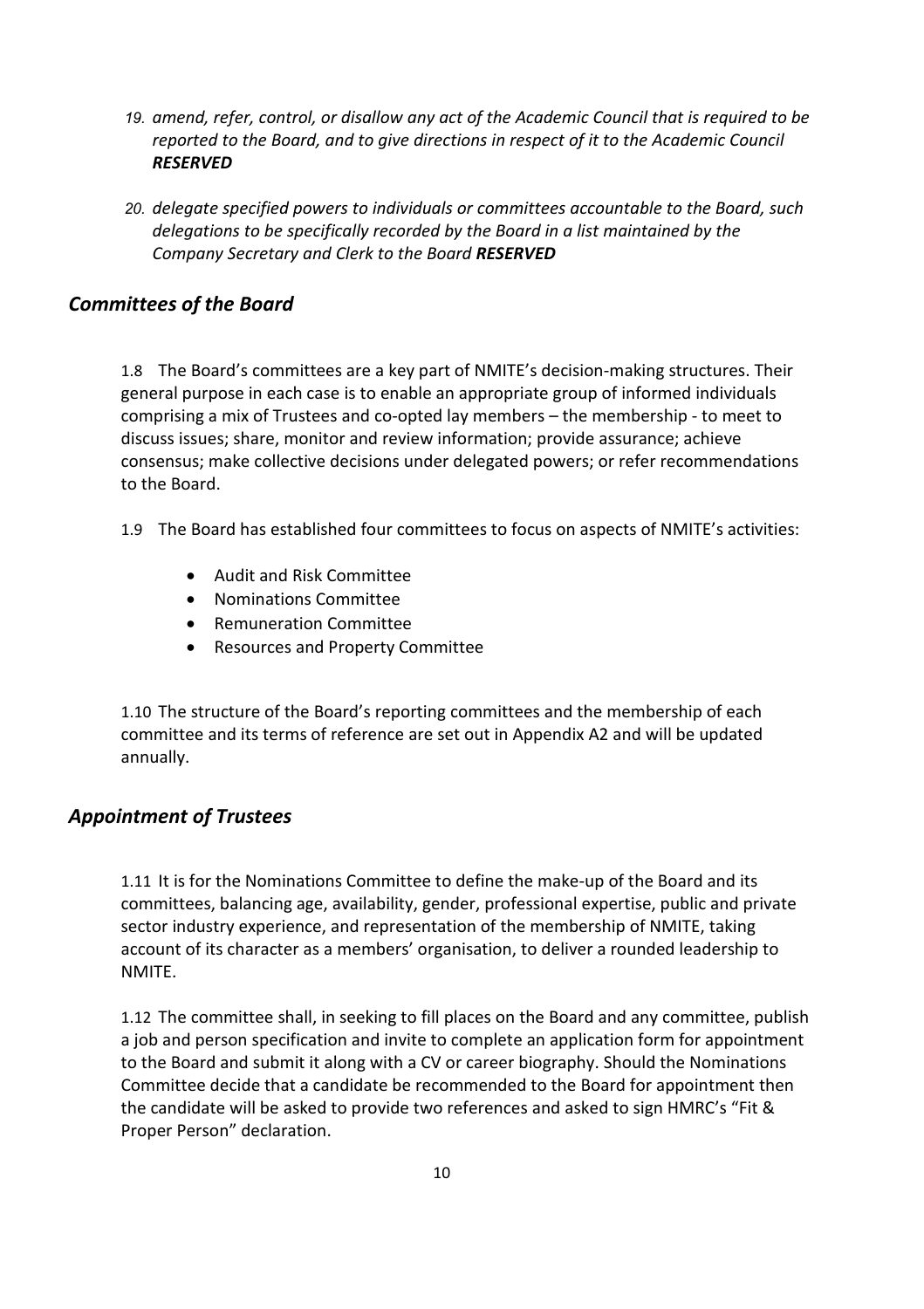- *19. amend, refer, control, or disallow any act of the Academic Council that is required to be reported to the Board, and to give directions in respect of it to the Academic Council RESERVED*
- *20. delegate specified powers to individuals or committees accountable to the Board, such delegations to be specifically recorded by the Board in a list maintained by the Company Secretary and Clerk to the Board RESERVED*

#### <span id="page-9-0"></span>*Committees of the Board*

1.8 The Board's committees are a key part of NMITE's decision-making structures. Their general purpose in each case is to enable an appropriate group of informed individuals comprising a mix of Trustees and co-opted lay members – the membership - to meet to discuss issues; share, monitor and review information; provide assurance; achieve consensus; make collective decisions under delegated powers; or refer recommendations to the Board.

- 1.9 The Board has established four committees to focus on aspects of NMITE's activities:
	- Audit and Risk Committee
	- Nominations Committee
	- Remuneration Committee
	- Resources and Property Committee

1.10 The structure of the Board's reporting committees and the membership of each committee and its terms of reference are set out in Appendix A2 and will be updated annually.

#### <span id="page-9-1"></span>*Appointment of Trustees*

1.11 It is for the Nominations Committee to define the make-up of the Board and its committees, balancing age, availability, gender, professional expertise, public and private sector industry experience, and representation of the membership of NMITE, taking account of its character as a members' organisation, to deliver a rounded leadership to NMITE.

1.12 The committee shall, in seeking to fill places on the Board and any committee, publish a job and person specification and invite to complete an application form for appointment to the Board and submit it along with a CV or career biography. Should the Nominations Committee decide that a candidate be recommended to the Board for appointment then the candidate will be asked to provide two references and asked to sign HMRC's "Fit & Proper Person" declaration.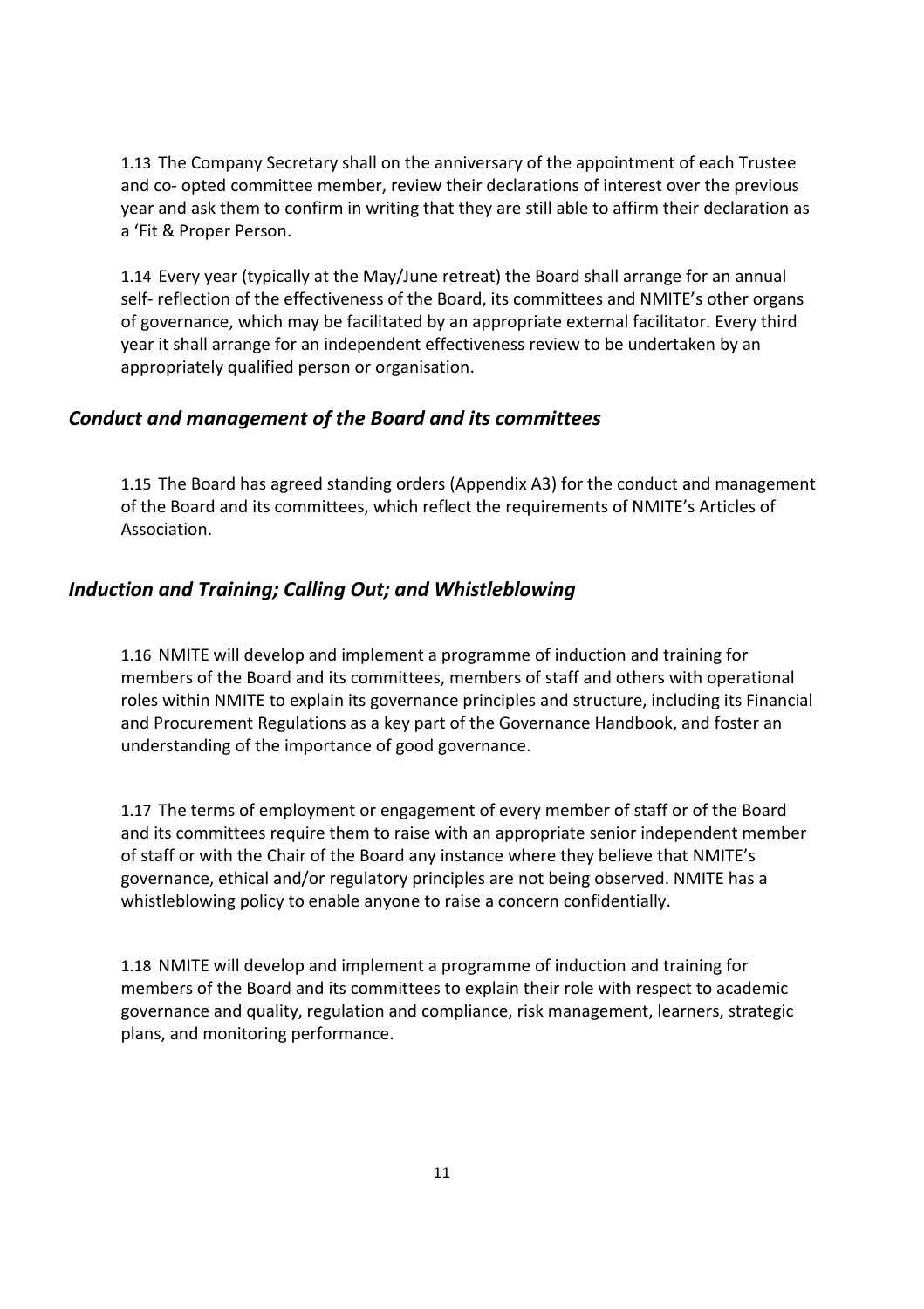1.13 The Company Secretary shall on the anniversary of the appointment of each Trustee and co- opted committee member, review their declarations of interest over the previous year and ask them to confirm in writing that they are still able to affirm their declaration as a 'Fit & Proper Person.

1.14 Every year (typically at the May/June retreat) the Board shall arrange for an annual self- reflection of the effectiveness of the Board, its committees and NMITE's other organs of governance, which may be facilitated by an appropriate external facilitator. Every third year it shall arrange for an independent effectiveness review to be undertaken by an appropriately qualified person or organisation.

#### <span id="page-10-0"></span>*Conduct and management of the Board and its committees*

1.15 The Board has agreed standing orders (Appendix A3) for the conduct and management of the Board and its committees, which reflect the requirements of NMITE's Articles of Association.

#### <span id="page-10-1"></span>*Induction and Training; Calling Out; and Whistleblowing*

1.16 NMITE will develop and implement a programme of induction and training for members of the Board and its committees, members of staff and others with operational roles within NMITE to explain its governance principles and structure, including its Financial and Procurement Regulations as a key part of the Governance Handbook, and foster an understanding of the importance of good governance.

1.17 The terms of employment or engagement of every member of staff or of the Board and its committees require them to raise with an appropriate senior independent member of staff or with the Chair of the Board any instance where they believe that NMITE's governance, ethical and/or regulatory principles are not being observed. NMITE has a whistleblowing policy to enable anyone to raise a concern confidentially.

1.18 NMITE will develop and implement a programme of induction and training for members of the Board and its committees to explain their role with respect to academic governance and quality, regulation and compliance, risk management, learners, strategic plans, and monitoring performance.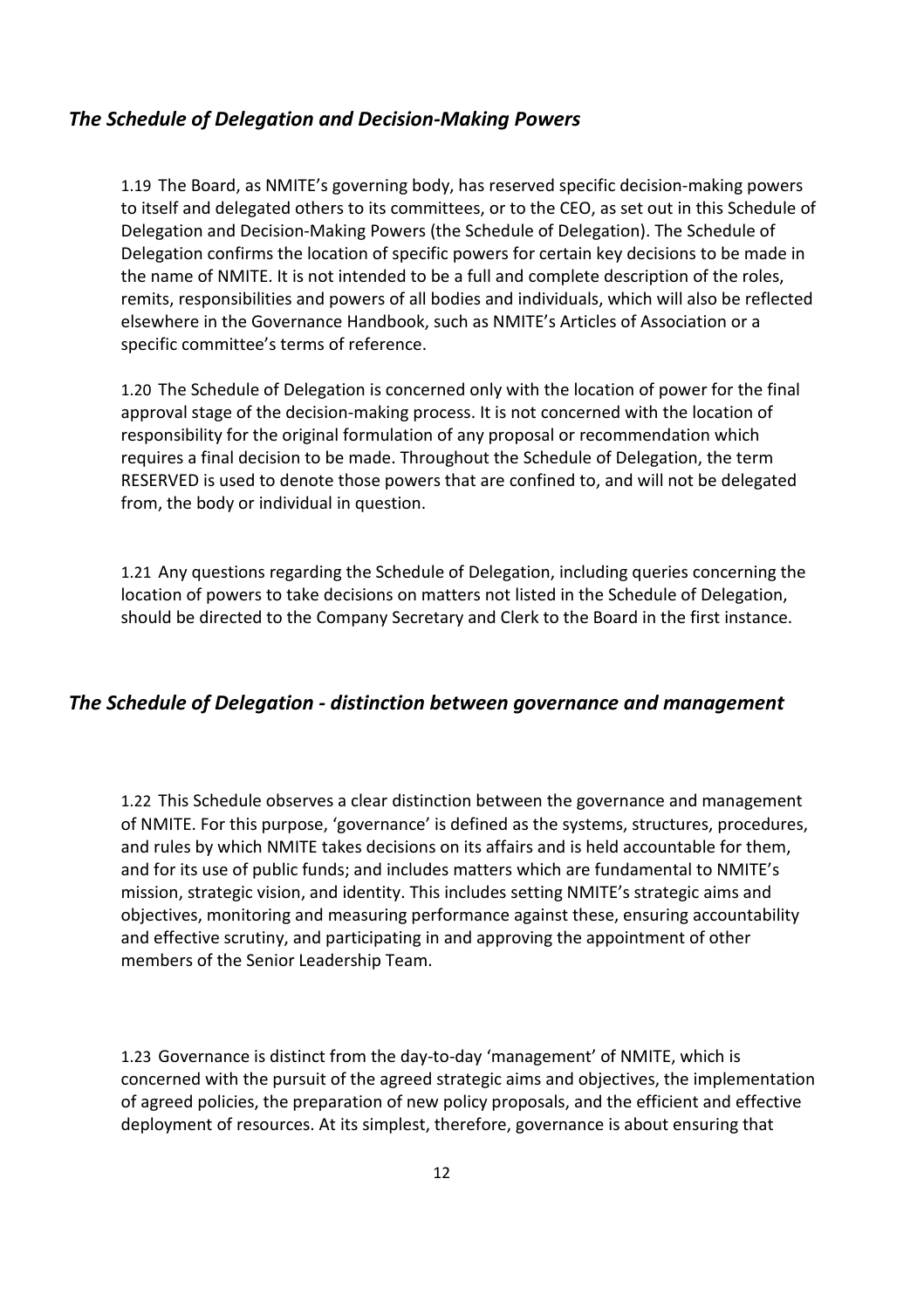#### <span id="page-11-0"></span>*The Schedule of Delegation and Decision-Making Powers*

1.19 The Board, as NMITE's governing body, has reserved specific decision-making powers to itself and delegated others to its committees, or to the CEO, as set out in this Schedule of Delegation and Decision-Making Powers (the Schedule of Delegation). The Schedule of Delegation confirms the location of specific powers for certain key decisions to be made in the name of NMITE. It is not intended to be a full and complete description of the roles, remits, responsibilities and powers of all bodies and individuals, which will also be reflected elsewhere in the Governance Handbook, such as NMITE's Articles of Association or a specific committee's terms of reference.

1.20 The Schedule of Delegation is concerned only with the location of power for the final approval stage of the decision-making process. It is not concerned with the location of responsibility for the original formulation of any proposal or recommendation which requires a final decision to be made. Throughout the Schedule of Delegation, the term RESERVED is used to denote those powers that are confined to, and will not be delegated from, the body or individual in question.

1.21 Any questions regarding the Schedule of Delegation, including queries concerning the location of powers to take decisions on matters not listed in the Schedule of Delegation, should be directed to the Company Secretary and Clerk to the Board in the first instance.

#### <span id="page-11-1"></span>*The Schedule of Delegation - distinction between governance and management*

1.22 This Schedule observes a clear distinction between the governance and management of NMITE. For this purpose, 'governance' is defined as the systems, structures, procedures, and rules by which NMITE takes decisions on its affairs and is held accountable for them, and for its use of public funds; and includes matters which are fundamental to NMITE's mission, strategic vision, and identity. This includes setting NMITE's strategic aims and objectives, monitoring and measuring performance against these, ensuring accountability and effective scrutiny, and participating in and approving the appointment of other members of the Senior Leadership Team.

1.23 Governance is distinct from the day-to-day 'management' of NMITE, which is concerned with the pursuit of the agreed strategic aims and objectives, the implementation of agreed policies, the preparation of new policy proposals, and the efficient and effective deployment of resources. At its simplest, therefore, governance is about ensuring that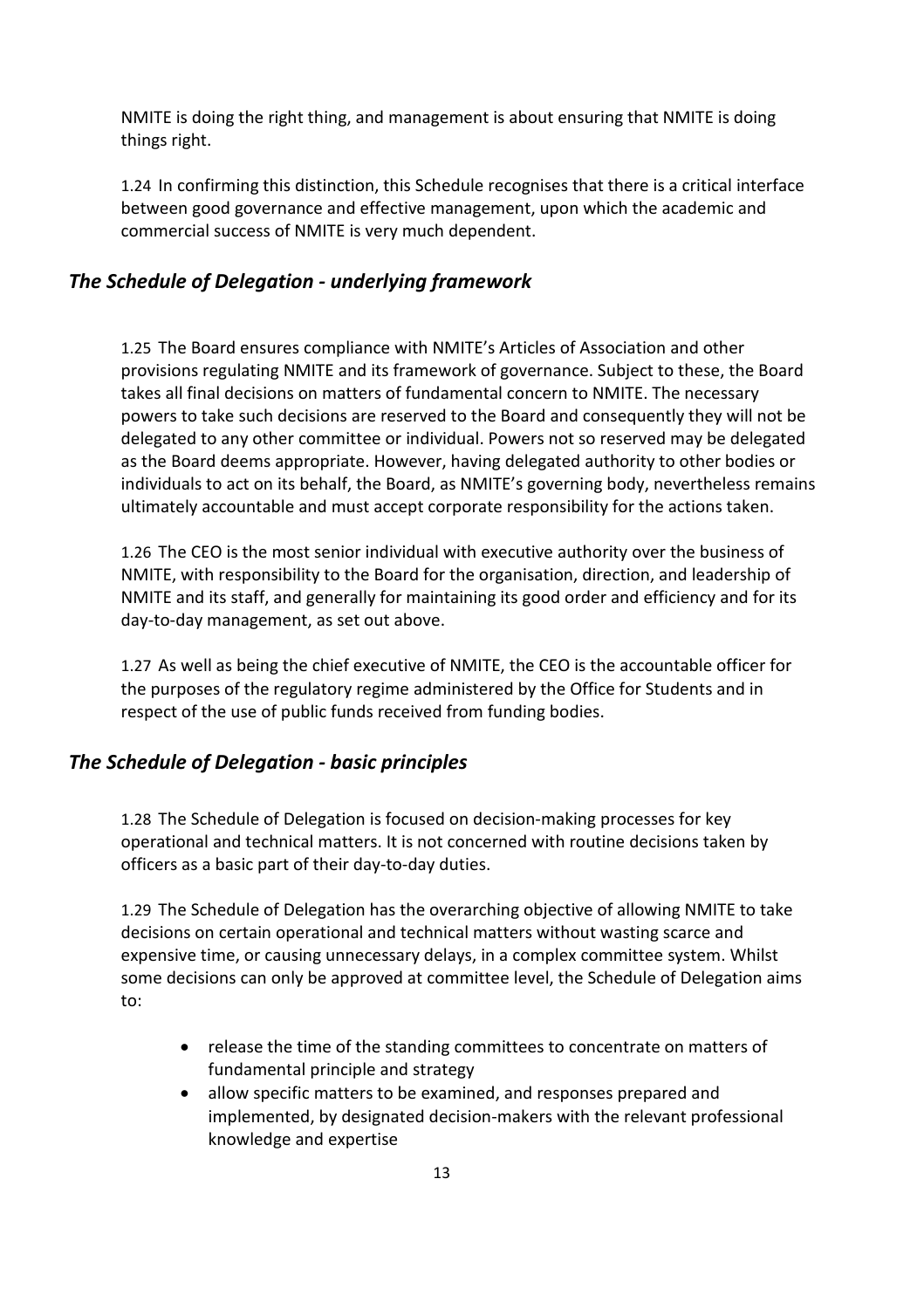NMITE is doing the right thing, and management is about ensuring that NMITE is doing things right.

1.24 In confirming this distinction, this Schedule recognises that there is a critical interface between good governance and effective management, upon which the academic and commercial success of NMITE is very much dependent.

#### <span id="page-12-0"></span>*The Schedule of Delegation - underlying framework*

1.25 The Board ensures compliance with NMITE's Articles of Association and other provisions regulating NMITE and its framework of governance. Subject to these, the Board takes all final decisions on matters of fundamental concern to NMITE. The necessary powers to take such decisions are reserved to the Board and consequently they will not be delegated to any other committee or individual. Powers not so reserved may be delegated as the Board deems appropriate. However, having delegated authority to other bodies or individuals to act on its behalf, the Board, as NMITE's governing body, nevertheless remains ultimately accountable and must accept corporate responsibility for the actions taken.

1.26 The CEO is the most senior individual with executive authority over the business of NMITE, with responsibility to the Board for the organisation, direction, and leadership of NMITE and its staff, and generally for maintaining its good order and efficiency and for its day-to-day management, as set out above.

1.27 As well as being the chief executive of NMITE, the CEO is the accountable officer for the purposes of the regulatory regime administered by the Office for Students and in respect of the use of public funds received from funding bodies.

#### <span id="page-12-1"></span>*The Schedule of Delegation - basic principles*

1.28 The Schedule of Delegation is focused on decision-making processes for key operational and technical matters. It is not concerned with routine decisions taken by officers as a basic part of their day-to-day duties.

1.29 The Schedule of Delegation has the overarching objective of allowing NMITE to take decisions on certain operational and technical matters without wasting scarce and expensive time, or causing unnecessary delays, in a complex committee system. Whilst some decisions can only be approved at committee level, the Schedule of Delegation aims to:

- release the time of the standing committees to concentrate on matters of fundamental principle and strategy
- allow specific matters to be examined, and responses prepared and implemented, by designated decision-makers with the relevant professional knowledge and expertise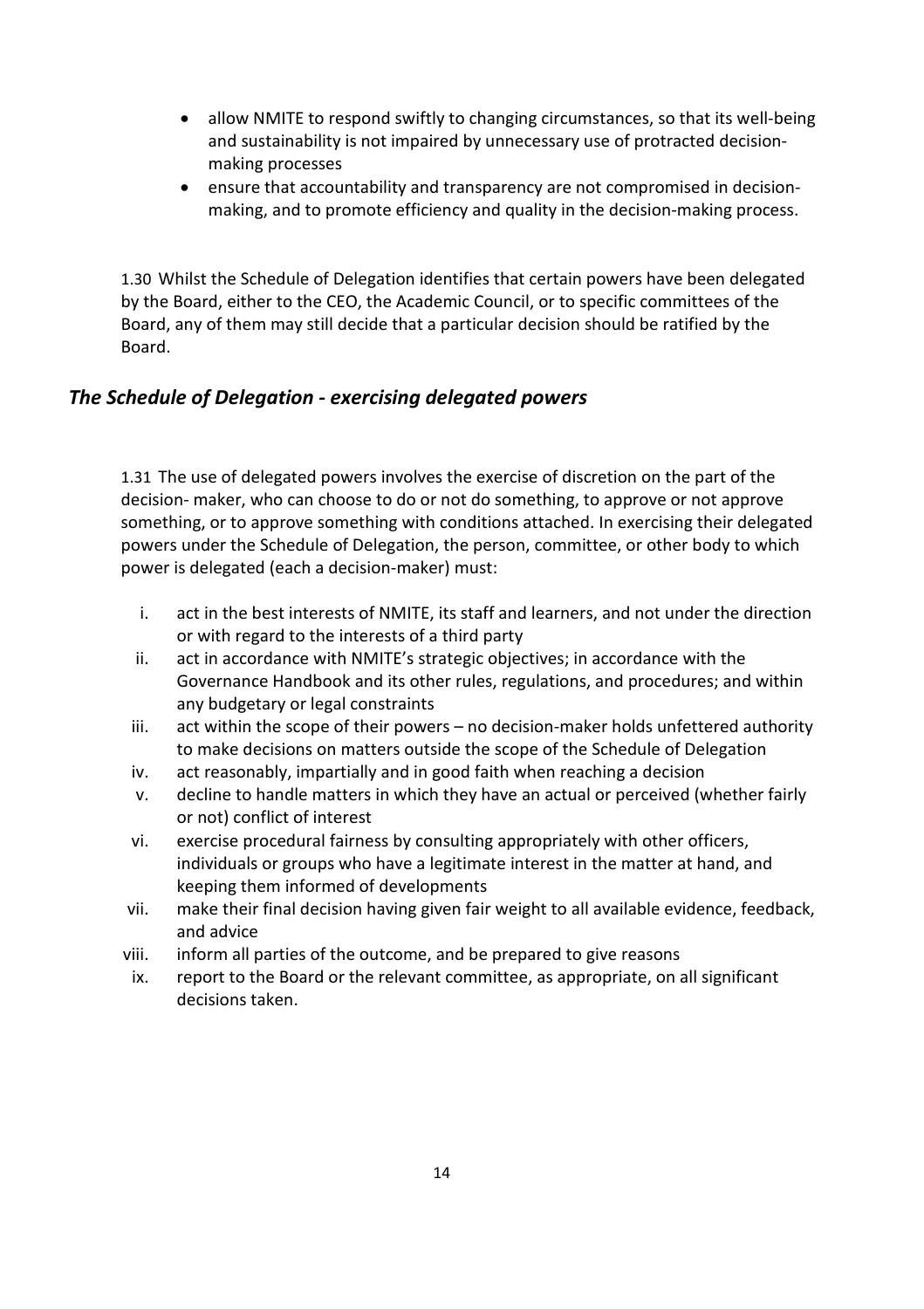- allow NMITE to respond swiftly to changing circumstances, so that its well-being and sustainability is not impaired by unnecessary use of protracted decisionmaking processes
- ensure that accountability and transparency are not compromised in decisionmaking, and to promote efficiency and quality in the decision-making process.

1.30 Whilst the Schedule of Delegation identifies that certain powers have been delegated by the Board, either to the CEO, the Academic Council, or to specific committees of the Board, any of them may still decide that a particular decision should be ratified by the Board.

#### <span id="page-13-0"></span>*The Schedule of Delegation - exercising delegated powers*

1.31 The use of delegated powers involves the exercise of discretion on the part of the decision- maker, who can choose to do or not do something, to approve or not approve something, or to approve something with conditions attached. In exercising their delegated powers under the Schedule of Delegation, the person, committee, or other body to which power is delegated (each a decision-maker) must:

- i. act in the best interests of NMITE, its staff and learners, and not under the direction or with regard to the interests of a third party
- ii. act in accordance with NMITE's strategic objectives; in accordance with the Governance Handbook and its other rules, regulations, and procedures; and within any budgetary or legal constraints
- iii. act within the scope of their powers no decision-maker holds unfettered authority to make decisions on matters outside the scope of the Schedule of Delegation
- iv. act reasonably, impartially and in good faith when reaching a decision
- v. decline to handle matters in which they have an actual or perceived (whether fairly or not) conflict of interest
- vi. exercise procedural fairness by consulting appropriately with other officers, individuals or groups who have a legitimate interest in the matter at hand, and keeping them informed of developments
- vii. make their final decision having given fair weight to all available evidence, feedback, and advice
- viii. inform all parties of the outcome, and be prepared to give reasons
- ix. report to the Board or the relevant committee, as appropriate, on all significant decisions taken.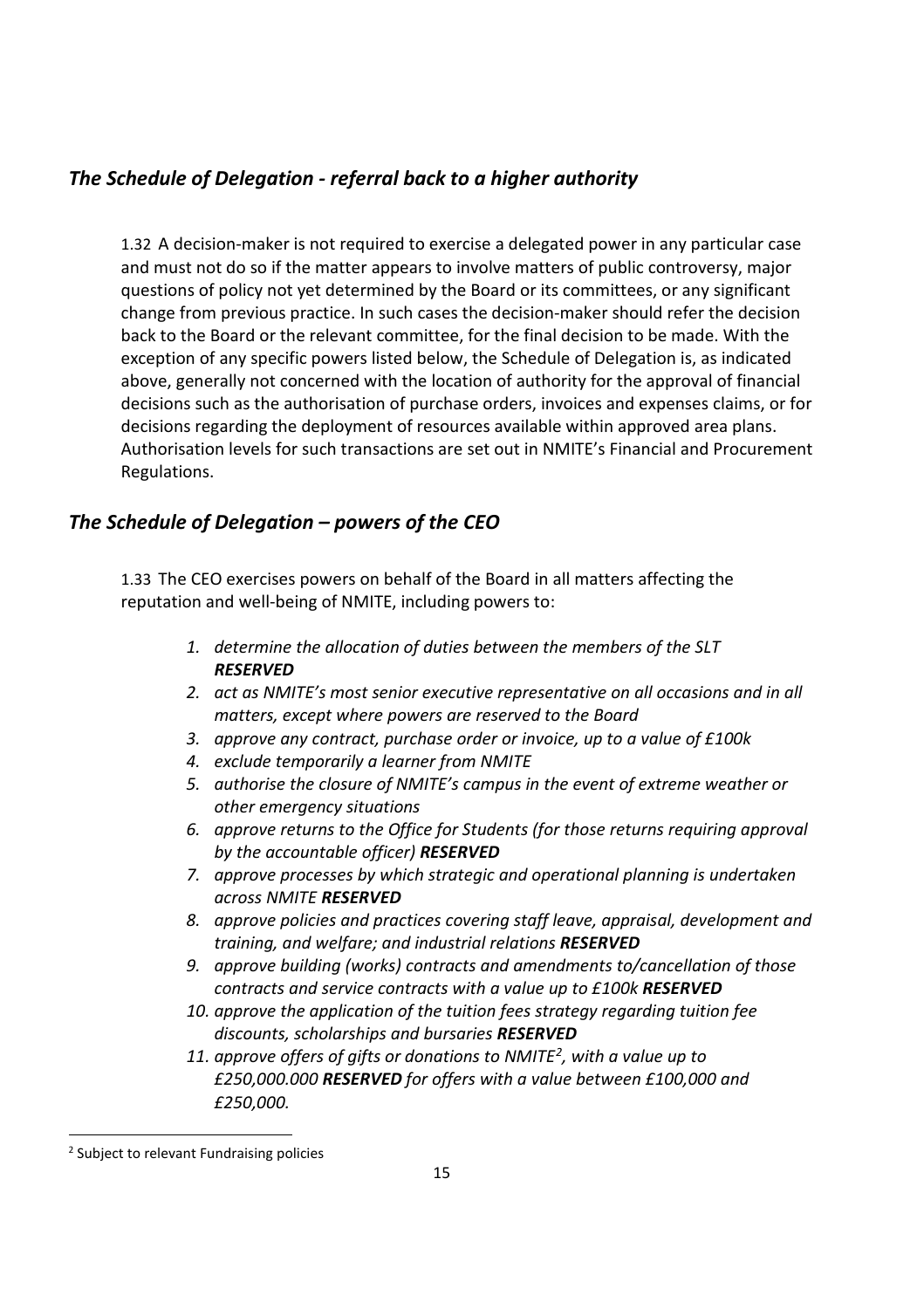#### <span id="page-14-0"></span>*The Schedule of Delegation - referral back to a higher authority*

1.32 A decision-maker is not required to exercise a delegated power in any particular case and must not do so if the matter appears to involve matters of public controversy, major questions of policy not yet determined by the Board or its committees, or any significant change from previous practice. In such cases the decision-maker should refer the decision back to the Board or the relevant committee, for the final decision to be made. With the exception of any specific powers listed below, the Schedule of Delegation is, as indicated above, generally not concerned with the location of authority for the approval of financial decisions such as the authorisation of purchase orders, invoices and expenses claims, or for decisions regarding the deployment of resources available within approved area plans. Authorisation levels for such transactions are set out in NMITE's Financial and Procurement Regulations.

#### <span id="page-14-1"></span>*The Schedule of Delegation – powers of the CEO*

1.33 The CEO exercises powers on behalf of the Board in all matters affecting the reputation and well-being of NMITE, including powers to:

- *1. determine the allocation of duties between the members of the SLT RESERVED*
- *2. act as NMITE's most senior executive representative on all occasions and in all matters, except where powers are reserved to the Board*
- *3. approve any contract, purchase order or invoice, up to a value of £100k*
- *4. exclude temporarily a learner from NMITE*
- *5. authorise the closure of NMITE's campus in the event of extreme weather or other emergency situations*
- *6. approve returns to the Office for Students (for those returns requiring approval by the accountable officer) RESERVED*
- *7. approve processes by which strategic and operational planning is undertaken across NMITE RESERVED*
- *8. approve policies and practices covering staff leave, appraisal, development and training, and welfare; and industrial relations RESERVED*
- *9. approve building (works) contracts and amendments to/cancellation of those contracts and service contracts with a value up to £100k RESERVED*
- *10. approve the application of the tuition fees strategy regarding tuition fee discounts, scholarships and bursaries RESERVED*
- *11. approve offers of gifts or donations to NMITE[2](#page-14-2), with a value up to £250,000.000 RESERVED for offers with a value between £100,000 and £250,000.*

<span id="page-14-2"></span><sup>2</sup> Subject to relevant Fundraising policies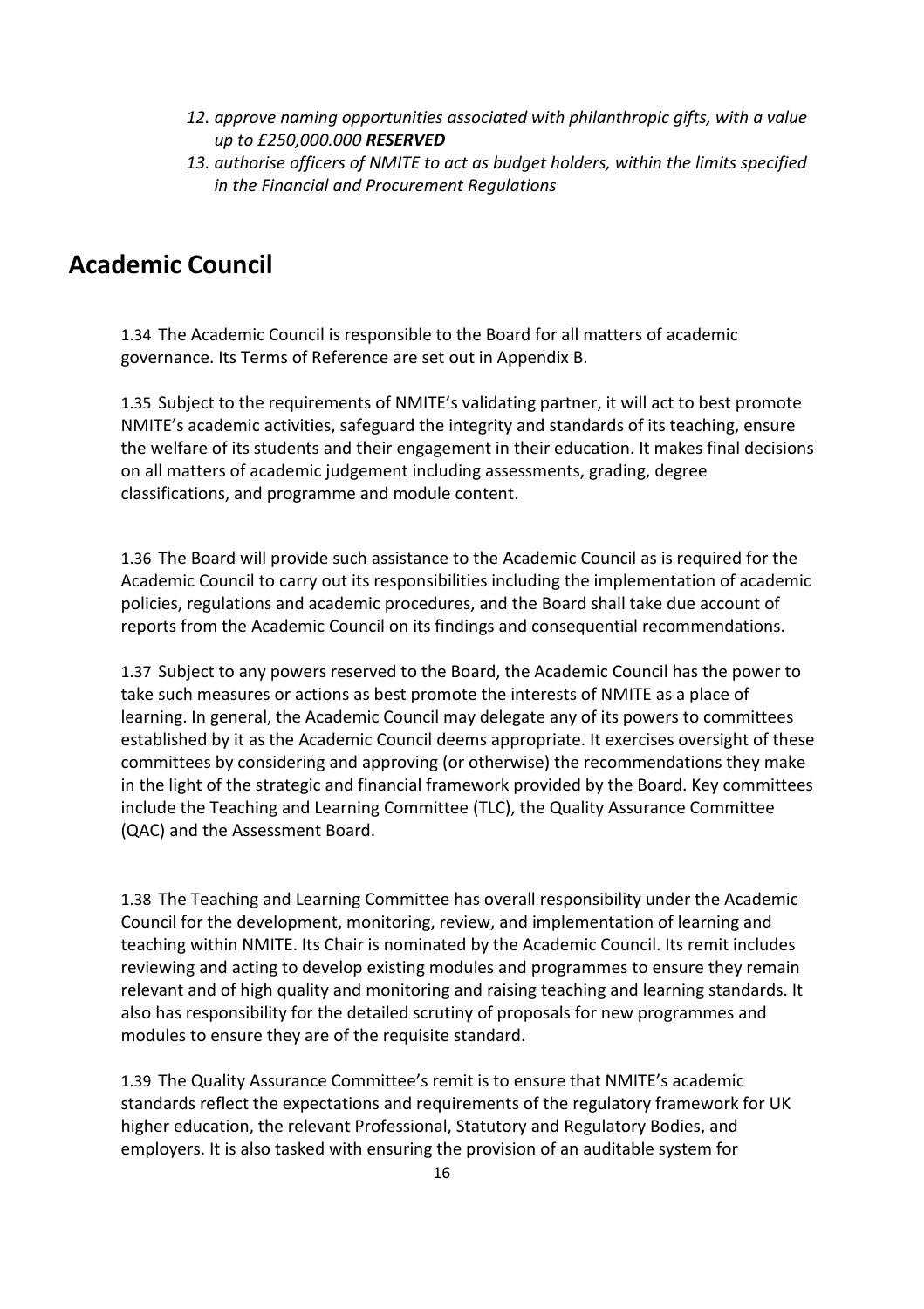- *12. approve naming opportunities associated with philanthropic gifts, with a value up to £250,000.000 RESERVED*
- *13. authorise officers of NMITE to act as budget holders, within the limits specified in the Financial and Procurement Regulations*

## <span id="page-15-0"></span>**Academic Council**

1.34 The Academic Council is responsible to the Board for all matters of academic governance. Its Terms of Reference are set out in Appendix B.

1.35 Subject to the requirements of NMITE's validating partner, it will act to best promote NMITE's academic activities, safeguard the integrity and standards of its teaching, ensure the welfare of its students and their engagement in their education. It makes final decisions on all matters of academic judgement including assessments, grading, degree classifications, and programme and module content.

1.36 The Board will provide such assistance to the Academic Council as is required for the Academic Council to carry out its responsibilities including the implementation of academic policies, regulations and academic procedures, and the Board shall take due account of reports from the Academic Council on its findings and consequential recommendations.

1.37 Subject to any powers reserved to the Board, the Academic Council has the power to take such measures or actions as best promote the interests of NMITE as a place of learning. In general, the Academic Council may delegate any of its powers to committees established by it as the Academic Council deems appropriate. It exercises oversight of these committees by considering and approving (or otherwise) the recommendations they make in the light of the strategic and financial framework provided by the Board. Key committees include the Teaching and Learning Committee (TLC), the Quality Assurance Committee (QAC) and the Assessment Board.

1.38 The Teaching and Learning Committee has overall responsibility under the Academic Council for the development, monitoring, review, and implementation of learning and teaching within NMITE. Its Chair is nominated by the Academic Council. Its remit includes reviewing and acting to develop existing modules and programmes to ensure they remain relevant and of high quality and monitoring and raising teaching and learning standards. It also has responsibility for the detailed scrutiny of proposals for new programmes and modules to ensure they are of the requisite standard.

1.39 The Quality Assurance Committee's remit is to ensure that NMITE's academic standards reflect the expectations and requirements of the regulatory framework for UK higher education, the relevant Professional, Statutory and Regulatory Bodies, and employers. It is also tasked with ensuring the provision of an auditable system for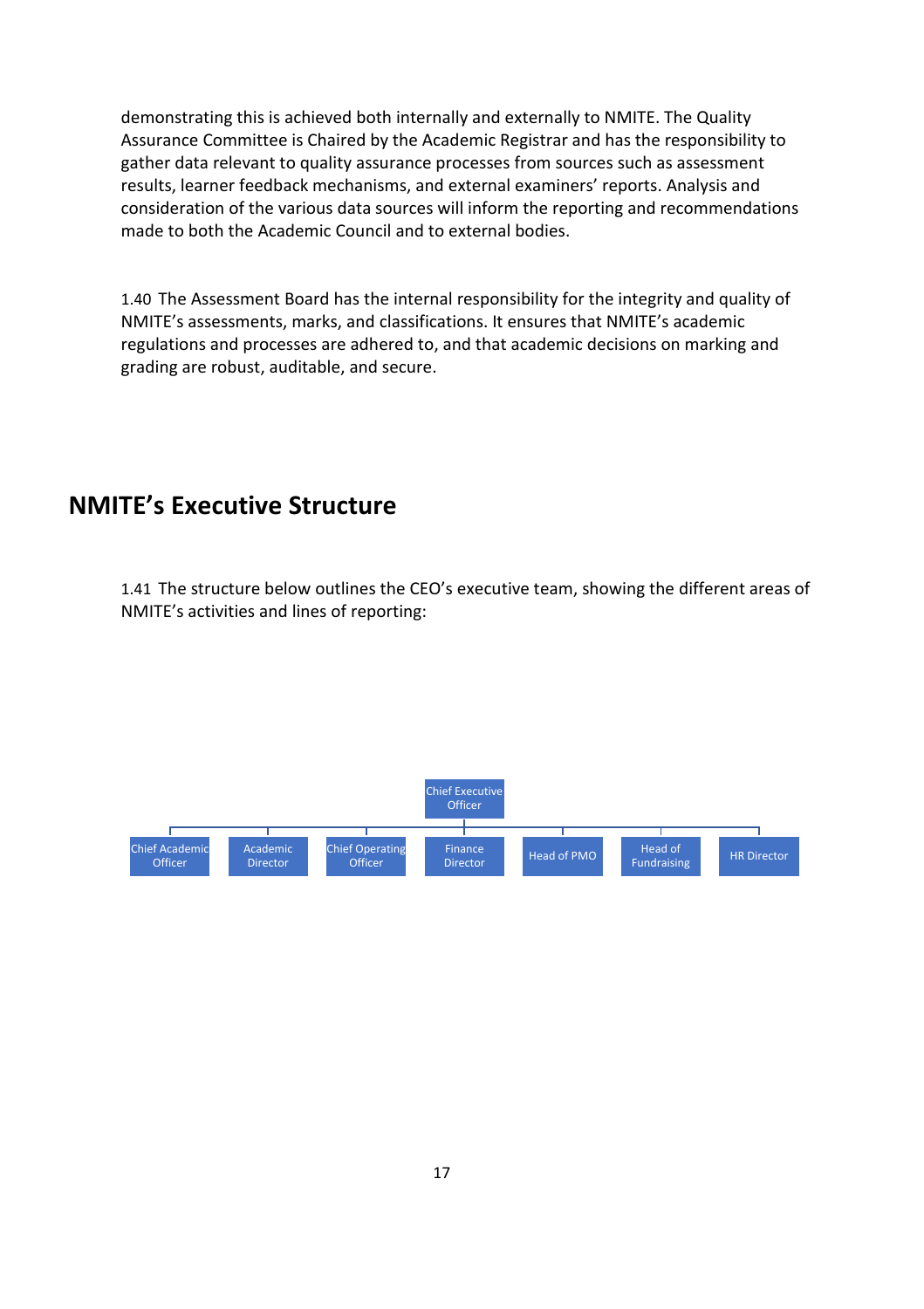demonstrating this is achieved both internally and externally to NMITE. The Quality Assurance Committee is Chaired by the Academic Registrar and has the responsibility to gather data relevant to quality assurance processes from sources such as assessment results, learner feedback mechanisms, and external examiners' reports. Analysis and consideration of the various data sources will inform the reporting and recommendations made to both the Academic Council and to external bodies.

1.40 The Assessment Board has the internal responsibility for the integrity and quality of NMITE's assessments, marks, and classifications. It ensures that NMITE's academic regulations and processes are adhered to, and that academic decisions on marking and grading are robust, auditable, and secure.

## <span id="page-16-0"></span>**NMITE's Executive Structure**

1.41 The structure below outlines the CEO's executive team, showing the different areas of NMITE's activities and lines of reporting:

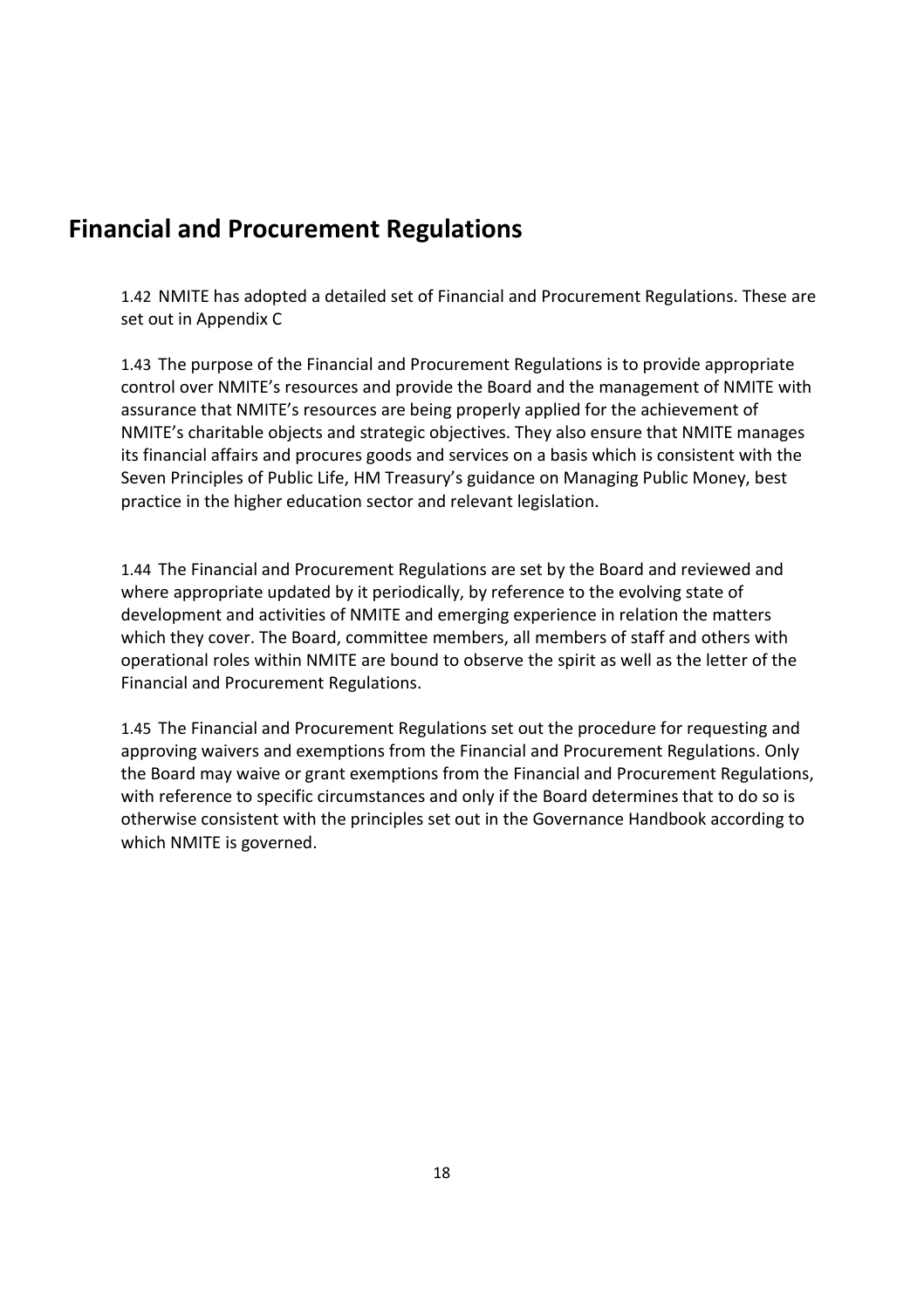## <span id="page-17-0"></span>**Financial and Procurement Regulations**

1.42 NMITE has adopted a detailed set of Financial and Procurement Regulations. These are set out in Appendix C

1.43 The purpose of the Financial and Procurement Regulations is to provide appropriate control over NMITE's resources and provide the Board and the management of NMITE with assurance that NMITE's resources are being properly applied for the achievement of NMITE's charitable objects and strategic objectives. They also ensure that NMITE manages its financial affairs and procures goods and services on a basis which is consistent with the Seven Principles of Public Life, HM Treasury's guidance on Managing Public Money, best practice in the higher education sector and relevant legislation.

1.44 The Financial and Procurement Regulations are set by the Board and reviewed and where appropriate updated by it periodically, by reference to the evolving state of development and activities of NMITE and emerging experience in relation the matters which they cover. The Board, committee members, all members of staff and others with operational roles within NMITE are bound to observe the spirit as well as the letter of the Financial and Procurement Regulations.

1.45 The Financial and Procurement Regulations set out the procedure for requesting and approving waivers and exemptions from the Financial and Procurement Regulations. Only the Board may waive or grant exemptions from the Financial and Procurement Regulations, with reference to specific circumstances and only if the Board determines that to do so is otherwise consistent with the principles set out in the Governance Handbook according to which NMITE is governed.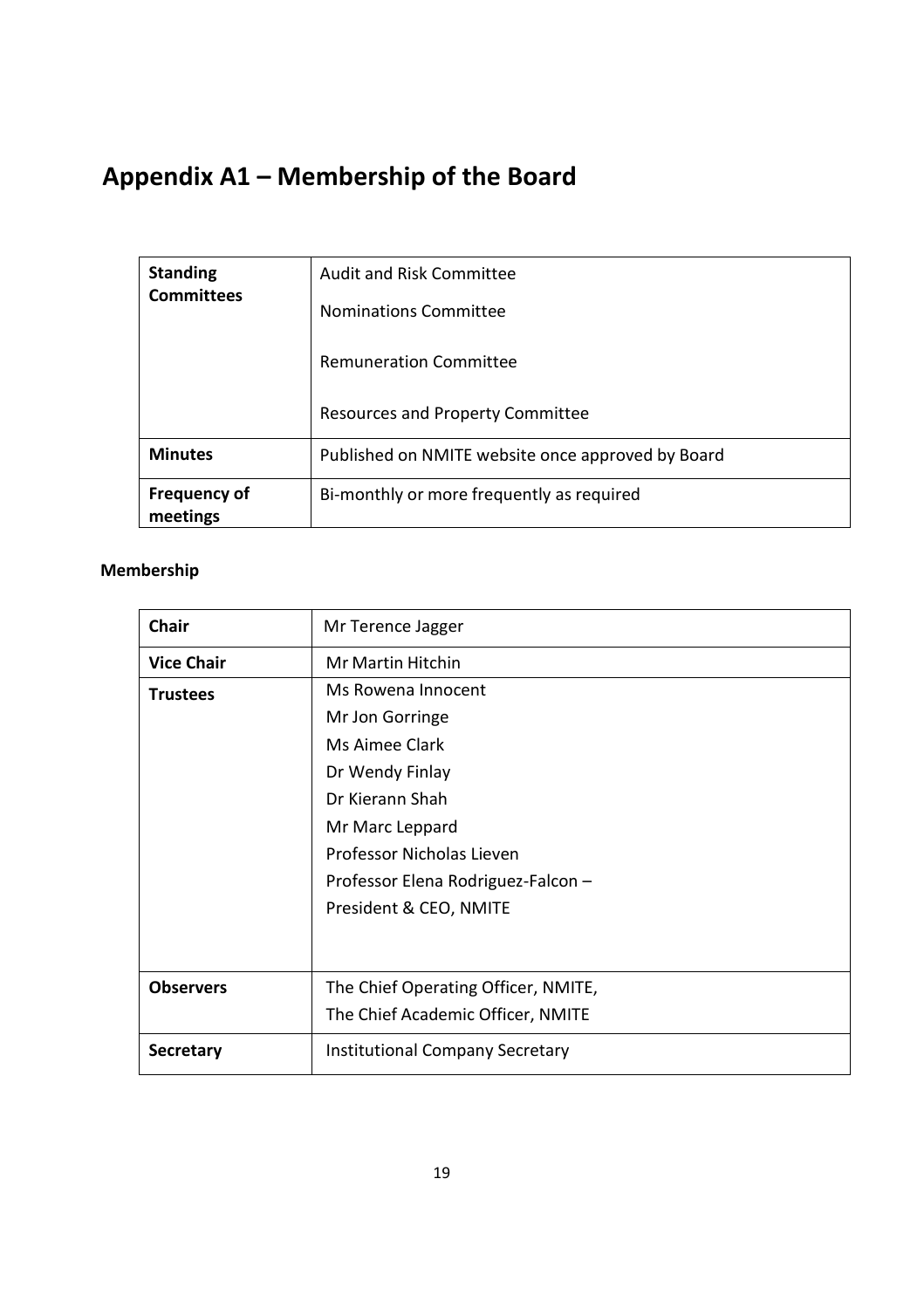## <span id="page-18-0"></span>**Appendix A1 – Membership of the Board**

| <b>Standing</b><br><b>Committees</b> | Audit and Risk Committee<br>Nominations Committee<br><b>Remuneration Committee</b> |
|--------------------------------------|------------------------------------------------------------------------------------|
|                                      | <b>Resources and Property Committee</b>                                            |
| <b>Minutes</b>                       | Published on NMITE website once approved by Board                                  |
| <b>Frequency of</b><br>meetings      | Bi-monthly or more frequently as required                                          |

### **Membership**

| <b>Chair</b>      | Mr Terence Jagger                      |  |
|-------------------|----------------------------------------|--|
| <b>Vice Chair</b> | Mr Martin Hitchin                      |  |
| <b>Trustees</b>   | Ms Rowena Innocent                     |  |
|                   | Mr Jon Gorringe                        |  |
|                   | Ms Aimee Clark                         |  |
|                   | Dr Wendy Finlay                        |  |
|                   | Dr Kierann Shah                        |  |
|                   | Mr Marc Leppard                        |  |
|                   | Professor Nicholas Lieven              |  |
|                   | Professor Elena Rodriguez-Falcon -     |  |
|                   | President & CEO, NMITE                 |  |
|                   |                                        |  |
|                   |                                        |  |
| <b>Observers</b>  | The Chief Operating Officer, NMITE,    |  |
|                   | The Chief Academic Officer, NMITE      |  |
| <b>Secretary</b>  | <b>Institutional Company Secretary</b> |  |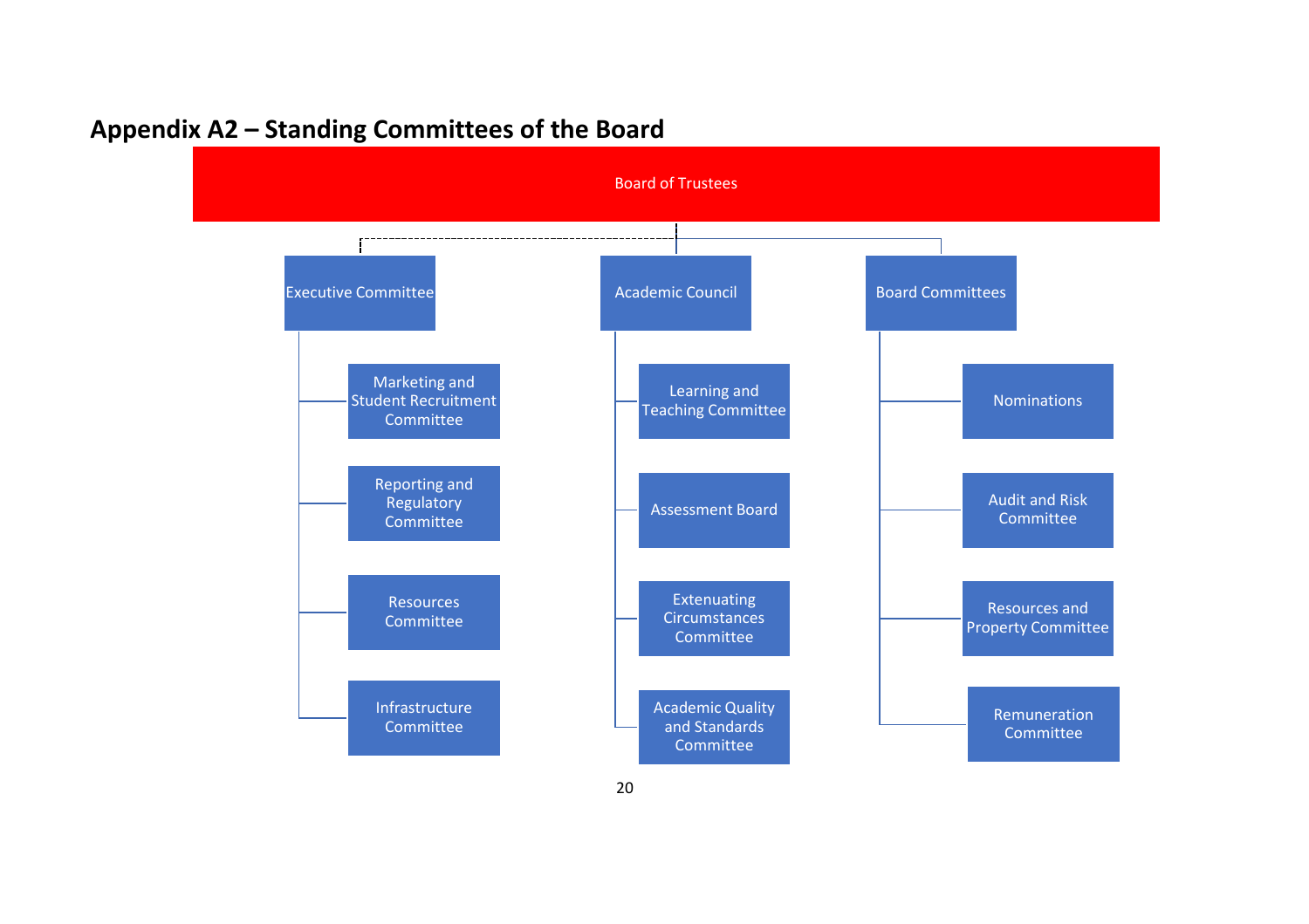<span id="page-19-0"></span>

## **Appendix A2 – Standing Committees of the Board**

20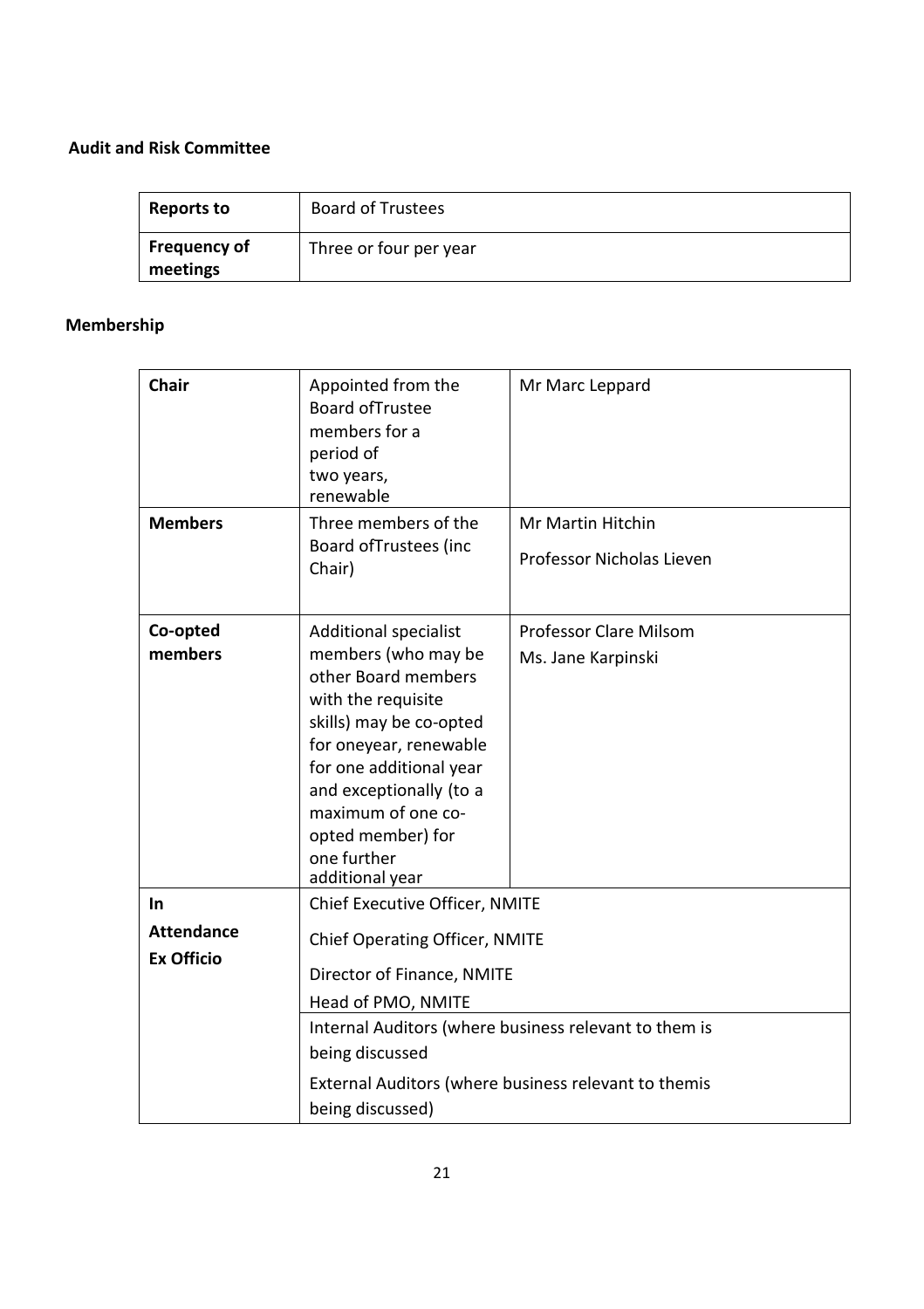#### <span id="page-20-0"></span>**Audit and Risk Committee**

| Reports to                      | <b>Board of Trustees</b> |
|---------------------------------|--------------------------|
| <b>Frequency of</b><br>meetings | Three or four per year   |

#### **Membership**

| <b>Chair</b>      | Appointed from the<br><b>Board ofTrustee</b><br>members for a<br>period of<br>two years,<br>renewable                                                                                                                                                    | Mr Marc Leppard                                |  |
|-------------------|----------------------------------------------------------------------------------------------------------------------------------------------------------------------------------------------------------------------------------------------------------|------------------------------------------------|--|
| <b>Members</b>    | Three members of the<br>Board ofTrustees (inc<br>Chair)                                                                                                                                                                                                  | Mr Martin Hitchin<br>Professor Nicholas Lieven |  |
| Co-opted          | <b>Additional specialist</b>                                                                                                                                                                                                                             | <b>Professor Clare Milsom</b>                  |  |
| members           | members (who may be<br>other Board members<br>with the requisite<br>skills) may be co-opted<br>for oneyear, renewable<br>for one additional year<br>and exceptionally (to a<br>maximum of one co-<br>opted member) for<br>one further<br>additional year | Ms. Jane Karpinski                             |  |
| In.               | Chief Executive Officer, NMITE                                                                                                                                                                                                                           |                                                |  |
| <b>Attendance</b> | <b>Chief Operating Officer, NMITE</b>                                                                                                                                                                                                                    |                                                |  |
| <b>Ex Officio</b> | Director of Finance, NMITE                                                                                                                                                                                                                               |                                                |  |
|                   | Head of PMO, NMITE                                                                                                                                                                                                                                       |                                                |  |
|                   | Internal Auditors (where business relevant to them is                                                                                                                                                                                                    |                                                |  |
|                   | being discussed                                                                                                                                                                                                                                          |                                                |  |
|                   | External Auditors (where business relevant to themis<br>being discussed)                                                                                                                                                                                 |                                                |  |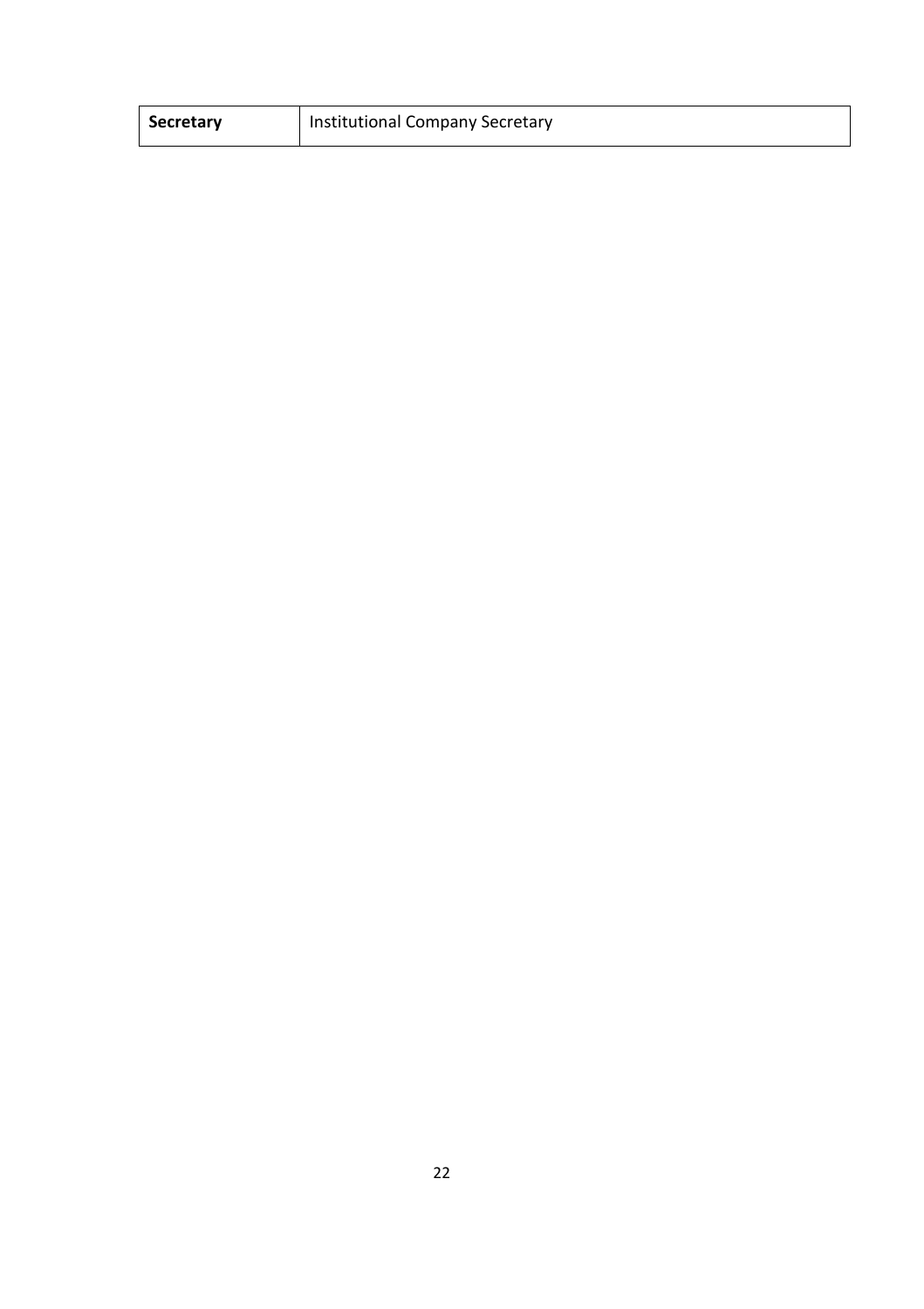| <b>Secretary</b> | Institutional Company Secretary |
|------------------|---------------------------------|
|------------------|---------------------------------|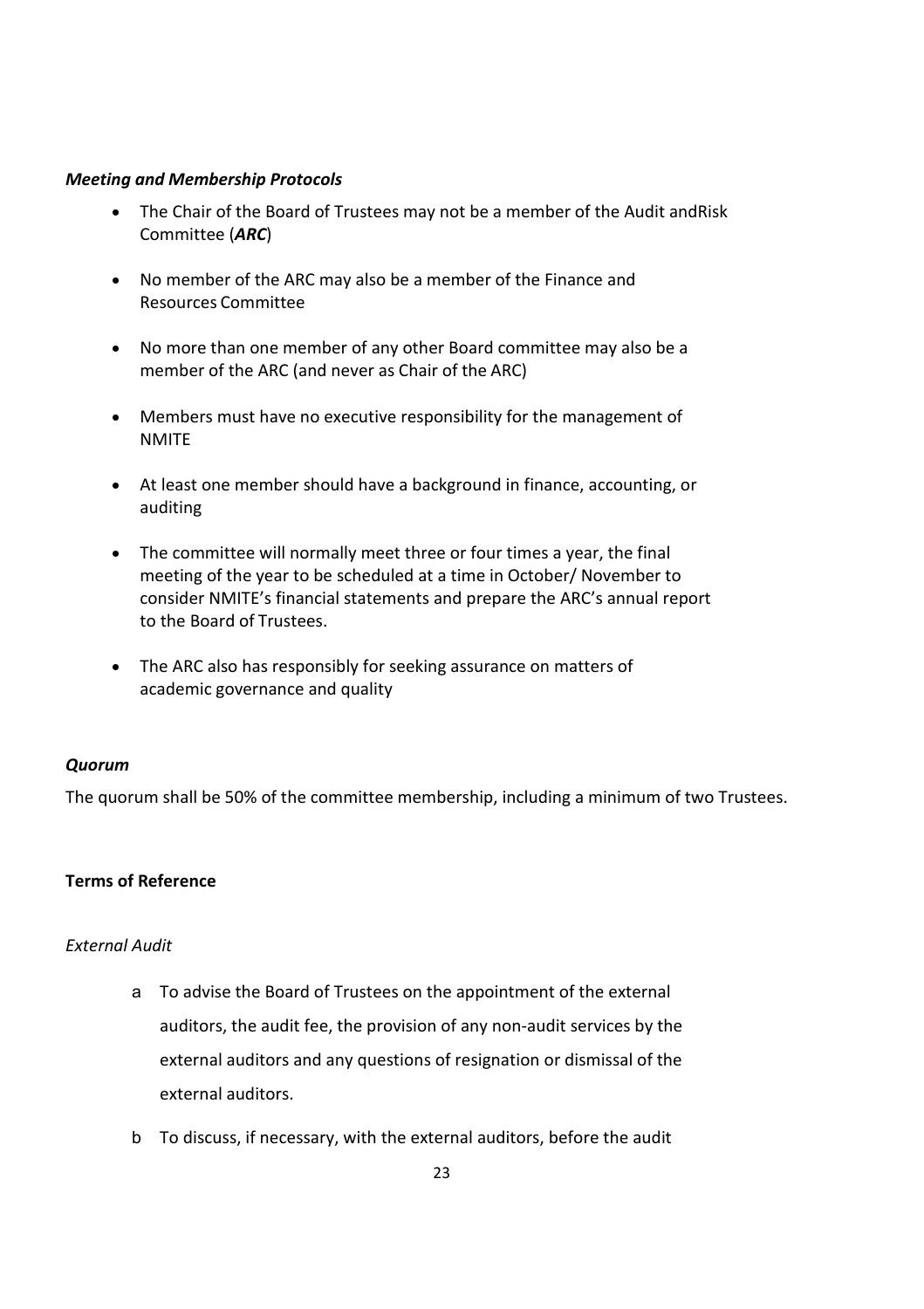#### *Meeting and Membership Protocols*

- The Chair of the Board of Trustees may not be a member of the Audit andRisk Committee (*ARC*)
- No member of the ARC may also be a member of the Finance and Resources Committee
- No more than one member of any other Board committee may also be a member of the ARC (and never as Chair of the ARC)
- Members must have no executive responsibility for the management of NMITE
- At least one member should have a background in finance, accounting, or auditing
- The committee will normally meet three or four times a year, the final meeting of the year to be scheduled at a time in October/ November to consider NMITE's financial statements and prepare the ARC's annual report to the Board of Trustees.
- The ARC also has responsibly for seeking assurance on matters of academic governance and quality

#### *Quorum*

The quorum shall be 50% of the committee membership, including a minimum of two Trustees.

#### **Terms of Reference**

#### *External Audit*

- a To advise the Board of Trustees on the appointment of the external auditors, the audit fee, the provision of any non-audit services by the external auditors and any questions of resignation or dismissal of the external auditors.
- b To discuss, if necessary, with the external auditors, before the audit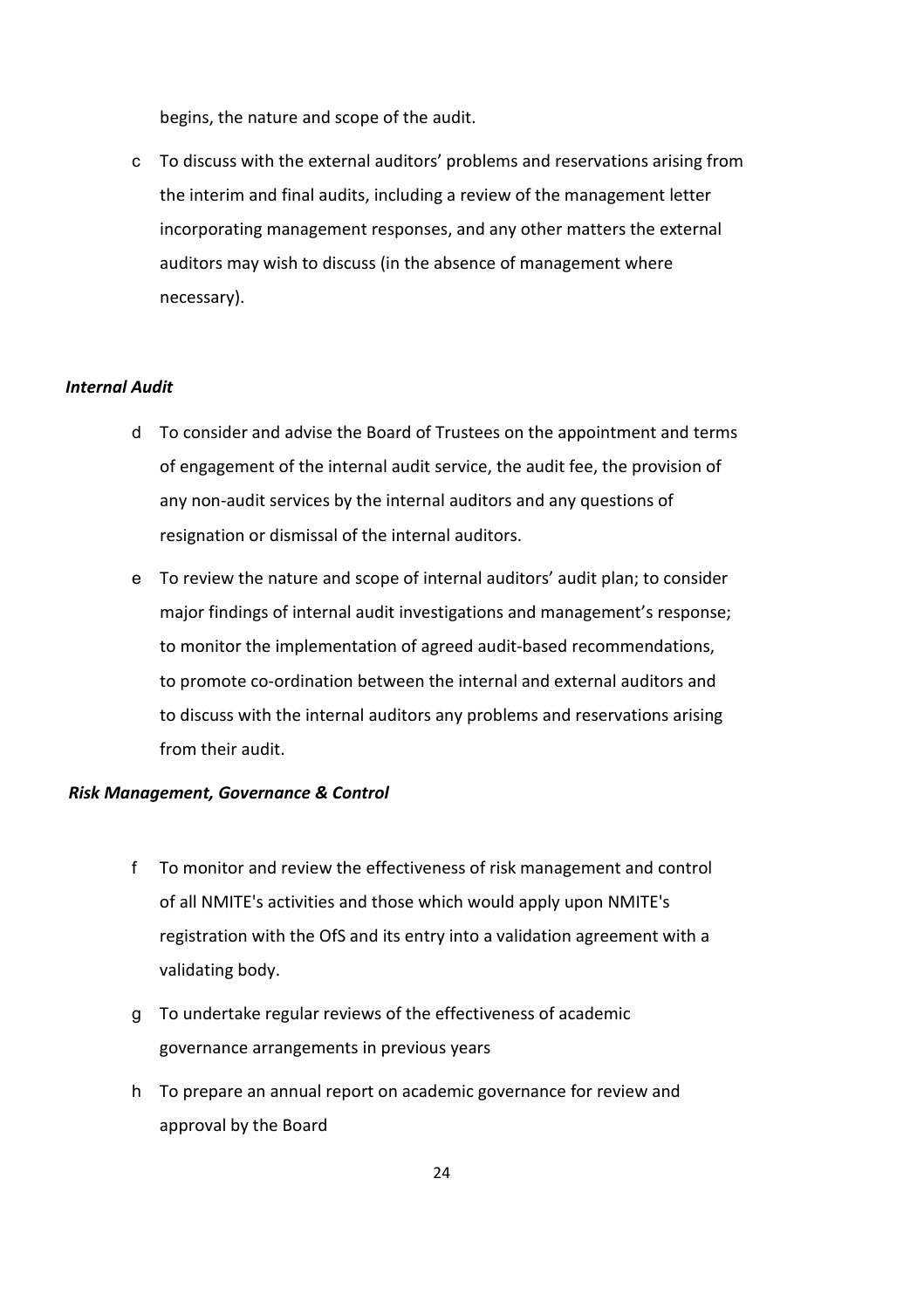begins, the nature and scope of the audit.

c To discuss with the external auditors' problems and reservations arising from the interim and final audits, including a review of the management letter incorporating management responses, and any other matters the external auditors may wish to discuss (in the absence of management where necessary).

#### *Internal Audit*

- d To consider and advise the Board of Trustees on the appointment and terms of engagement of the internal audit service, the audit fee, the provision of any non-audit services by the internal auditors and any questions of resignation or dismissal of the internal auditors.
- e To review the nature and scope of internal auditors' audit plan; to consider major findings of internal audit investigations and management's response; to monitor the implementation of agreed audit-based recommendations, to promote co-ordination between the internal and external auditors and to discuss with the internal auditors any problems and reservations arising from their audit.

#### *Risk Management, Governance & Control*

- f To monitor and review the effectiveness of risk management and control of all NMITE's activities and those which would apply upon NMITE's registration with the OfS and its entry into a validation agreement with a validating body.
- g To undertake regular reviews of the effectiveness of academic governance arrangements in previous years
- h To prepare an annual report on academic governance for review and approval by the Board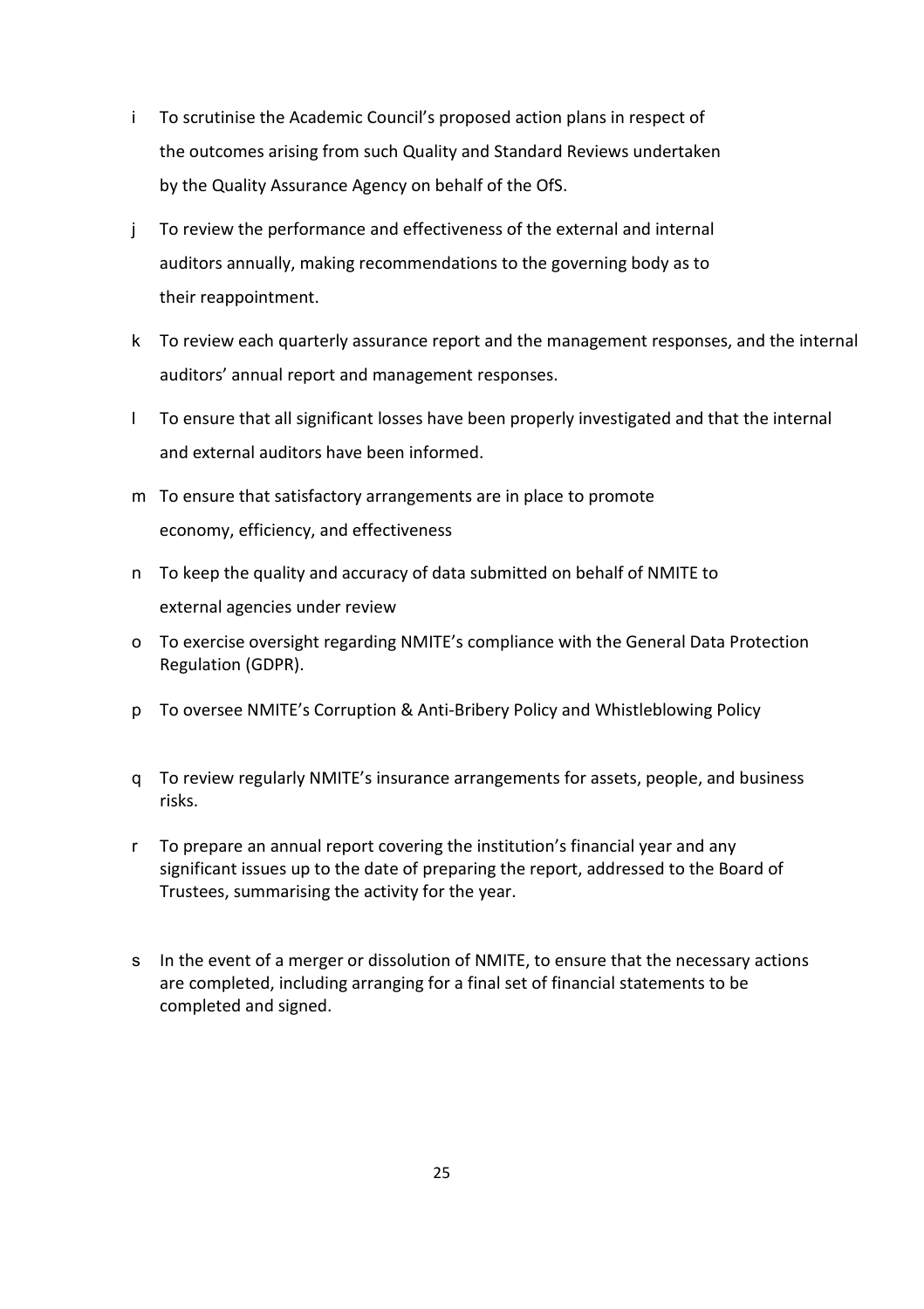- i To scrutinise the Academic Council's proposed action plans in respect of the outcomes arising from such Quality and Standard Reviews undertaken by the Quality Assurance Agency on behalf of the OfS.
- j To review the performance and effectiveness of the external and internal auditors annually, making recommendations to the governing body as to their reappointment.
- k To review each quarterly assurance report and the management responses, and the internal auditors' annual report and management responses.
- l To ensure that all significant losses have been properly investigated and that the internal and external auditors have been informed.
- m To ensure that satisfactory arrangements are in place to promote economy, efficiency, and effectiveness
- n To keep the quality and accuracy of data submitted on behalf of NMITE to external agencies under review
- o To exercise oversight regarding NMITE's compliance with the General Data Protection Regulation (GDPR).
- p To oversee NMITE's Corruption & Anti-Bribery Policy and Whistleblowing Policy
- q To review regularly NMITE's insurance arrangements for assets, people, and business risks.
- r To prepare an annual report covering the institution's financial year and any significant issues up to the date of preparing the report, addressed to the Board of Trustees, summarising the activity for the year.
- s In the event of a merger or dissolution of NMITE, to ensure that the necessary actions are completed, including arranging for a final set of financial statements to be completed and signed.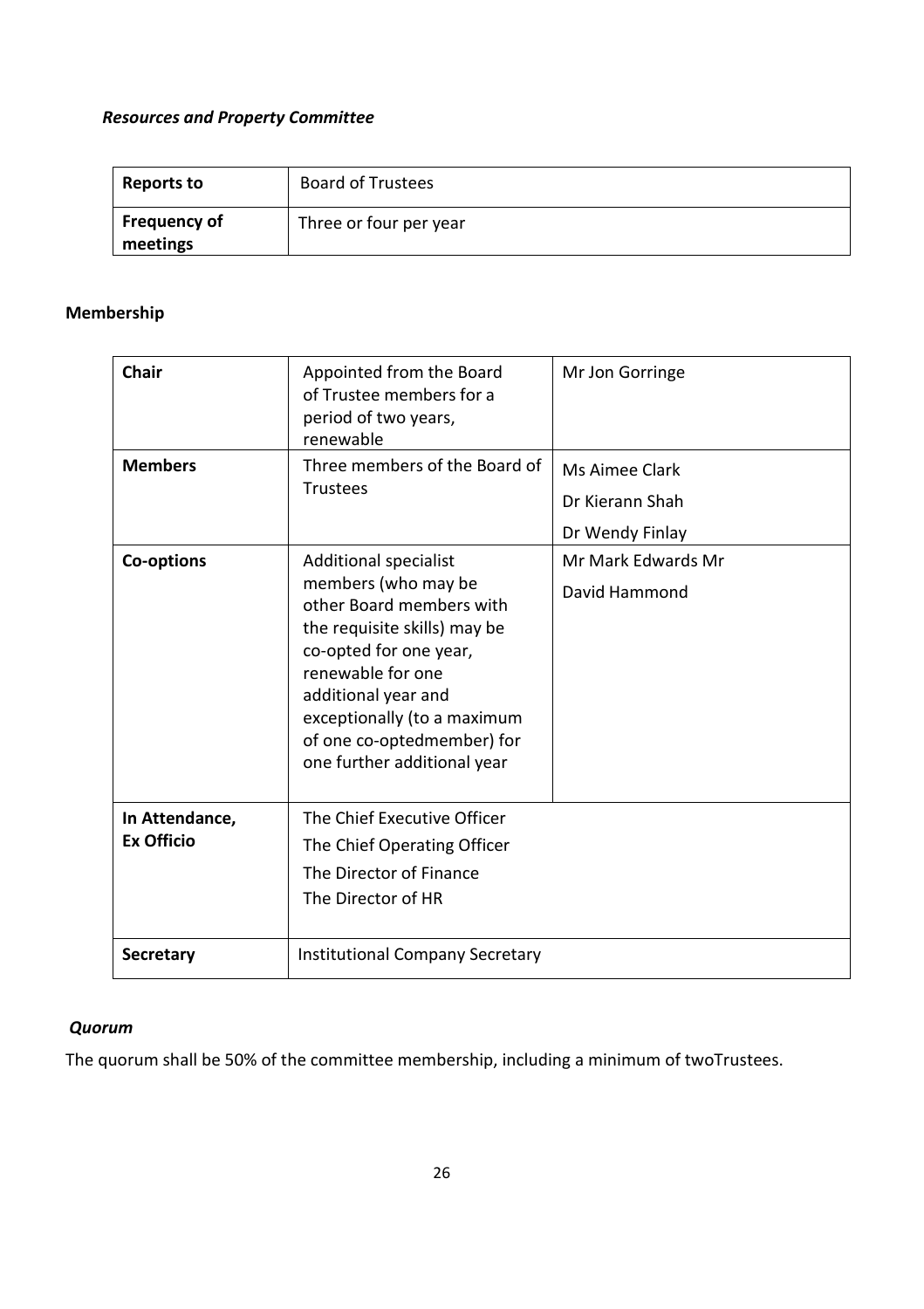#### <span id="page-25-0"></span>*Resources and Property Committee*

| <b>Reports to</b>               | <b>Board of Trustees</b> |
|---------------------------------|--------------------------|
| <b>Frequency of</b><br>meetings | Three or four per year   |

#### **Membership**

| <b>Chair</b><br><b>Members</b> | Appointed from the Board<br>of Trustee members for a<br>period of two years,<br>renewable<br>Three members of the Board of                                                                                                                        | Mr Jon Gorringe<br>Ms Aimee Clark  |
|--------------------------------|---------------------------------------------------------------------------------------------------------------------------------------------------------------------------------------------------------------------------------------------------|------------------------------------|
|                                | <b>Trustees</b>                                                                                                                                                                                                                                   | Dr Kierann Shah<br>Dr Wendy Finlay |
| <b>Co-options</b>              | <b>Additional specialist</b>                                                                                                                                                                                                                      | Mr Mark Edwards Mr                 |
|                                | members (who may be<br>other Board members with<br>the requisite skills) may be<br>co-opted for one year,<br>renewable for one<br>additional year and<br>exceptionally (to a maximum<br>of one co-optedmember) for<br>one further additional year | David Hammond                      |
| In Attendance,                 | The Chief Executive Officer                                                                                                                                                                                                                       |                                    |
| <b>Ex Officio</b>              | The Chief Operating Officer                                                                                                                                                                                                                       |                                    |
|                                | The Director of Finance                                                                                                                                                                                                                           |                                    |
|                                | The Director of HR                                                                                                                                                                                                                                |                                    |
| <b>Secretary</b>               | Institutional Company Secretary                                                                                                                                                                                                                   |                                    |

#### *Quorum*

The quorum shall be 50% of the committee membership, including a minimum of twoTrustees.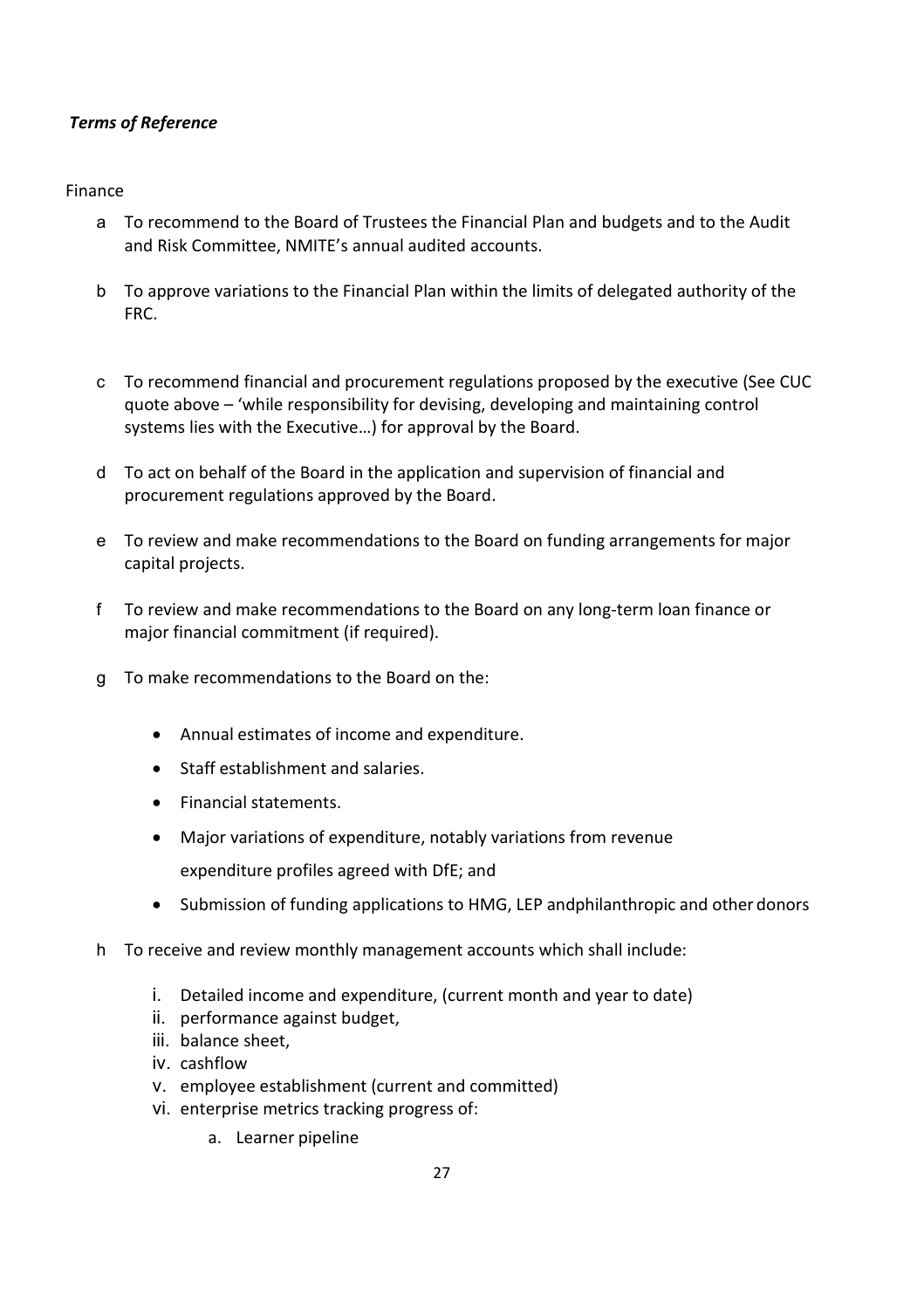#### *Terms of Reference*

Finance

- a To recommend to the Board of Trustees the Financial Plan and budgets and to the Audit and Risk Committee, NMITE's annual audited accounts.
- b To approve variations to the Financial Plan within the limits of delegated authority of the FRC.
- c To recommend financial and procurement regulations proposed by the executive (See CUC quote above – 'while responsibility for devising, developing and maintaining control systems lies with the Executive…) for approval by the Board.
- d To act on behalf of the Board in the application and supervision of financial and procurement regulations approved by the Board.
- e To review and make recommendations to the Board on funding arrangements for major capital projects.
- f To review and make recommendations to the Board on any long-term loan finance or major financial commitment (if required).
- g To make recommendations to the Board on the:
	- Annual estimates of income and expenditure.
	- Staff establishment and salaries.
	- Financial statements.
	- Major variations of expenditure, notably variations from revenue expenditure profiles agreed with DfE; and
	- Submission of funding applications to HMG, LEP andphilanthropic and other donors
- h To receive and review monthly management accounts which shall include:
	- i. Detailed income and expenditure, (current month and year to date)
	- ii. performance against budget,
	- iii. balance sheet,
	- iv. cashflow
	- v. employee establishment (current and committed)
	- vi. enterprise metrics tracking progress of:
		- a. Learner pipeline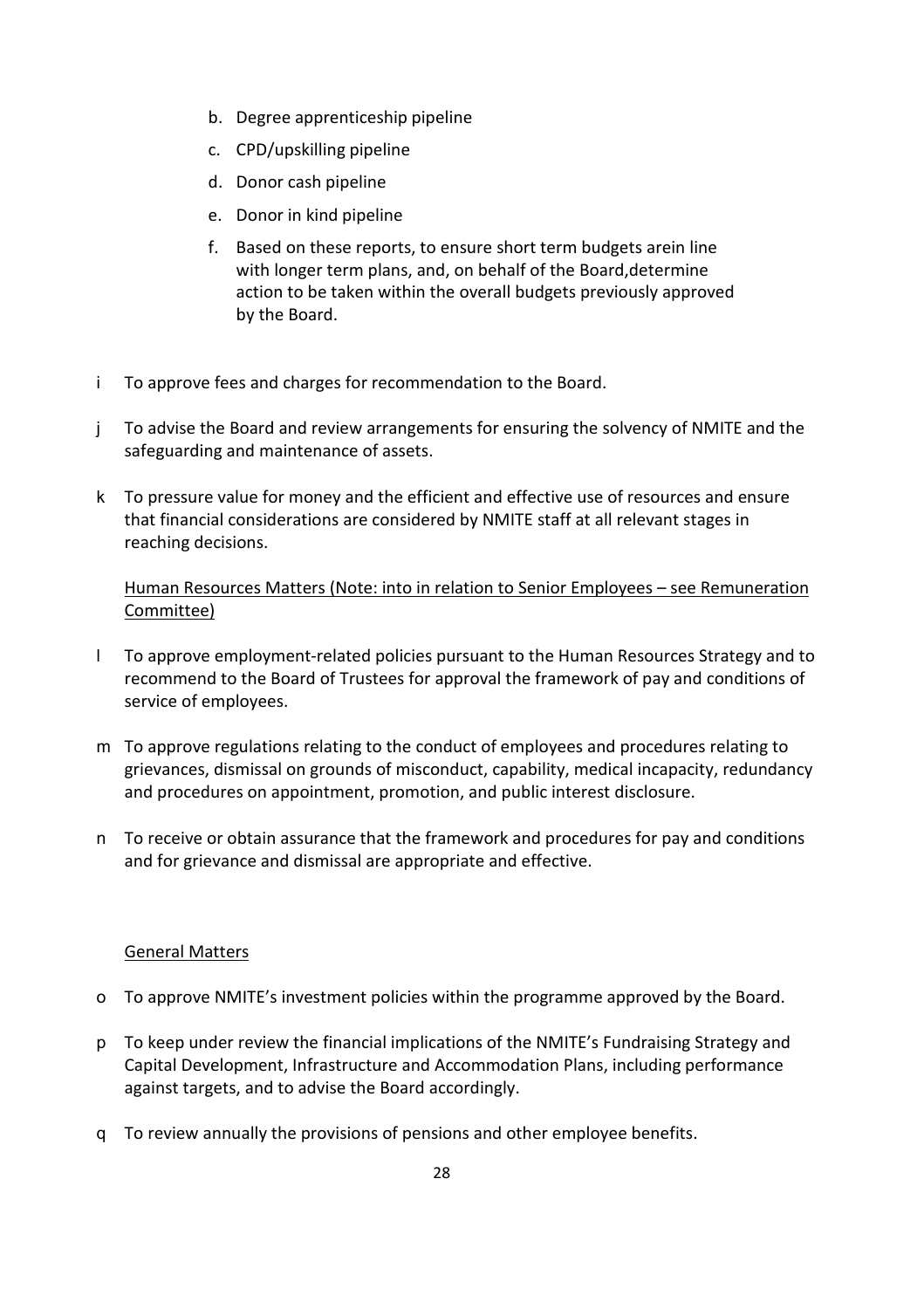- b. Degree apprenticeship pipeline
- c. CPD/upskilling pipeline
- d. Donor cash pipeline
- e. Donor in kind pipeline
- f. Based on these reports, to ensure short term budgets arein line with longer term plans, and, on behalf of the Board,determine action to be taken within the overall budgets previously approved by the Board.
- i To approve fees and charges for recommendation to the Board.
- j To advise the Board and review arrangements for ensuring the solvency of NMITE and the safeguarding and maintenance of assets.
- k To pressure value for money and the efficient and effective use of resources and ensure that financial considerations are considered by NMITE staff at all relevant stages in reaching decisions.

#### Human Resources Matters (Note: into in relation to Senior Employees – see Remuneration Committee)

- l To approve employment-related policies pursuant to the Human Resources Strategy and to recommend to the Board of Trustees for approval the framework of pay and conditions of service of employees.
- m To approve regulations relating to the conduct of employees and procedures relating to grievances, dismissal on grounds of misconduct, capability, medical incapacity, redundancy and procedures on appointment, promotion, and public interest disclosure.
- n To receive or obtain assurance that the framework and procedures for pay and conditions and for grievance and dismissal are appropriate and effective.

#### General Matters

- o To approve NMITE's investment policies within the programme approved by the Board.
- p To keep under review the financial implications of the NMITE's Fundraising Strategy and Capital Development, Infrastructure and Accommodation Plans, including performance against targets, and to advise the Board accordingly.
- q To review annually the provisions of pensions and other employee benefits.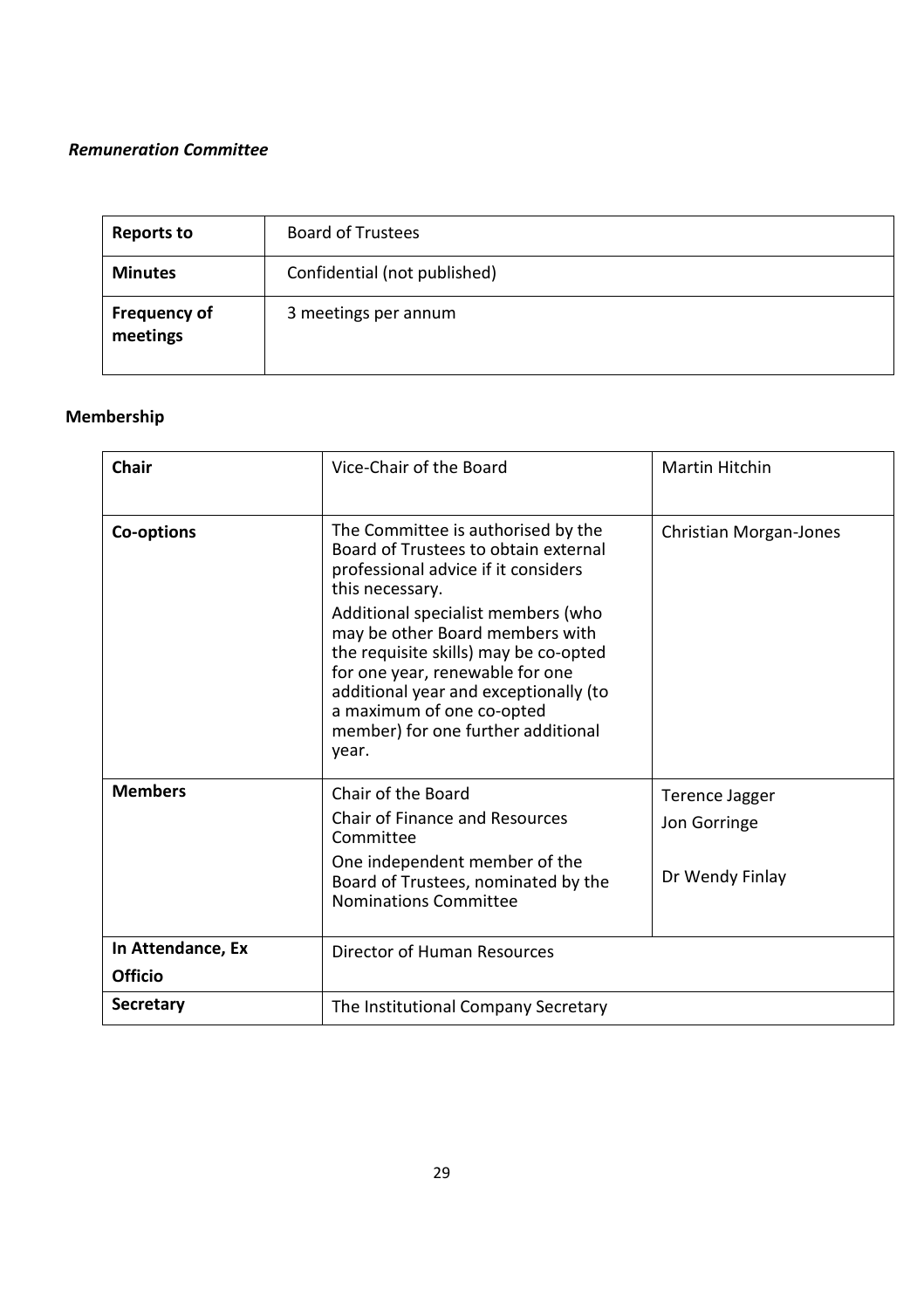#### *Remuneration Committee*

| <b>Reports to</b>               | <b>Board of Trustees</b>     |
|---------------------------------|------------------------------|
| <b>Minutes</b>                  | Confidential (not published) |
| <b>Frequency of</b><br>meetings | 3 meetings per annum         |

#### **Membership**

| <b>Chair</b>                        | Vice-Chair of the Board                                                                                                                                                                                                                                                                                                                                                                                        | <b>Martin Hitchin</b>                             |
|-------------------------------------|----------------------------------------------------------------------------------------------------------------------------------------------------------------------------------------------------------------------------------------------------------------------------------------------------------------------------------------------------------------------------------------------------------------|---------------------------------------------------|
| Co-options                          | The Committee is authorised by the<br>Board of Trustees to obtain external<br>professional advice if it considers<br>this necessary.<br>Additional specialist members (who<br>may be other Board members with<br>the requisite skills) may be co-opted<br>for one year, renewable for one<br>additional year and exceptionally (to<br>a maximum of one co-opted<br>member) for one further additional<br>year. | <b>Christian Morgan-Jones</b>                     |
| <b>Members</b>                      | Chair of the Board<br><b>Chair of Finance and Resources</b><br>Committee<br>One independent member of the<br>Board of Trustees, nominated by the<br>Nominations Committee                                                                                                                                                                                                                                      | Terence Jagger<br>Jon Gorringe<br>Dr Wendy Finlay |
| In Attendance, Ex<br><b>Officio</b> | Director of Human Resources                                                                                                                                                                                                                                                                                                                                                                                    |                                                   |
| <b>Secretary</b>                    | The Institutional Company Secretary                                                                                                                                                                                                                                                                                                                                                                            |                                                   |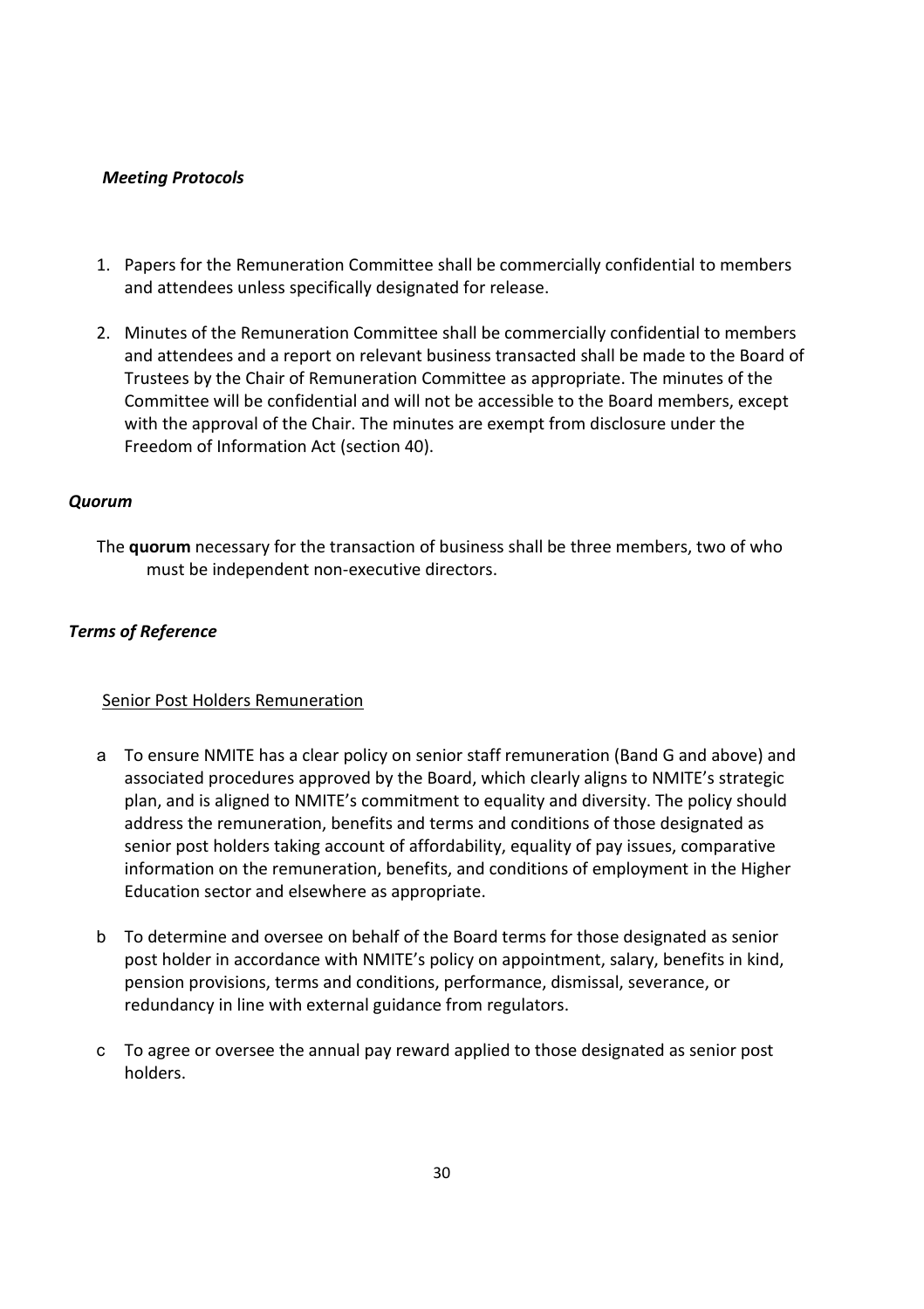#### *Meeting Protocols*

- 1. Papers for the Remuneration Committee shall be commercially confidential to members and attendees unless specifically designated for release.
- 2. Minutes of the Remuneration Committee shall be commercially confidential to members and attendees and a report on relevant business transacted shall be made to the Board of Trustees by the Chair of Remuneration Committee as appropriate. The minutes of the Committee will be confidential and will not be accessible to the Board members, except with the approval of the Chair. The minutes are exempt from disclosure under the Freedom of Information Act (section 40).

#### *Quorum*

The **quorum** necessary for the transaction of business shall be three members, two of who must be independent non-executive directors.

#### *Terms of Reference*

#### Senior Post Holders Remuneration

- a To ensure NMITE has a clear policy on senior staff remuneration (Band G and above) and associated procedures approved by the Board, which clearly aligns to NMITE's strategic plan, and is aligned to NMITE's commitment to equality and diversity. The policy should address the remuneration, benefits and terms and conditions of those designated as senior post holders taking account of affordability, equality of pay issues, comparative information on the remuneration, benefits, and conditions of employment in the Higher Education sector and elsewhere as appropriate.
- b To determine and oversee on behalf of the Board terms for those designated as senior post holder in accordance with NMITE's policy on appointment, salary, benefits in kind, pension provisions, terms and conditions, performance, dismissal, severance, or redundancy in line with external guidance from regulators.
- c To agree or oversee the annual pay reward applied to those designated as senior post holders.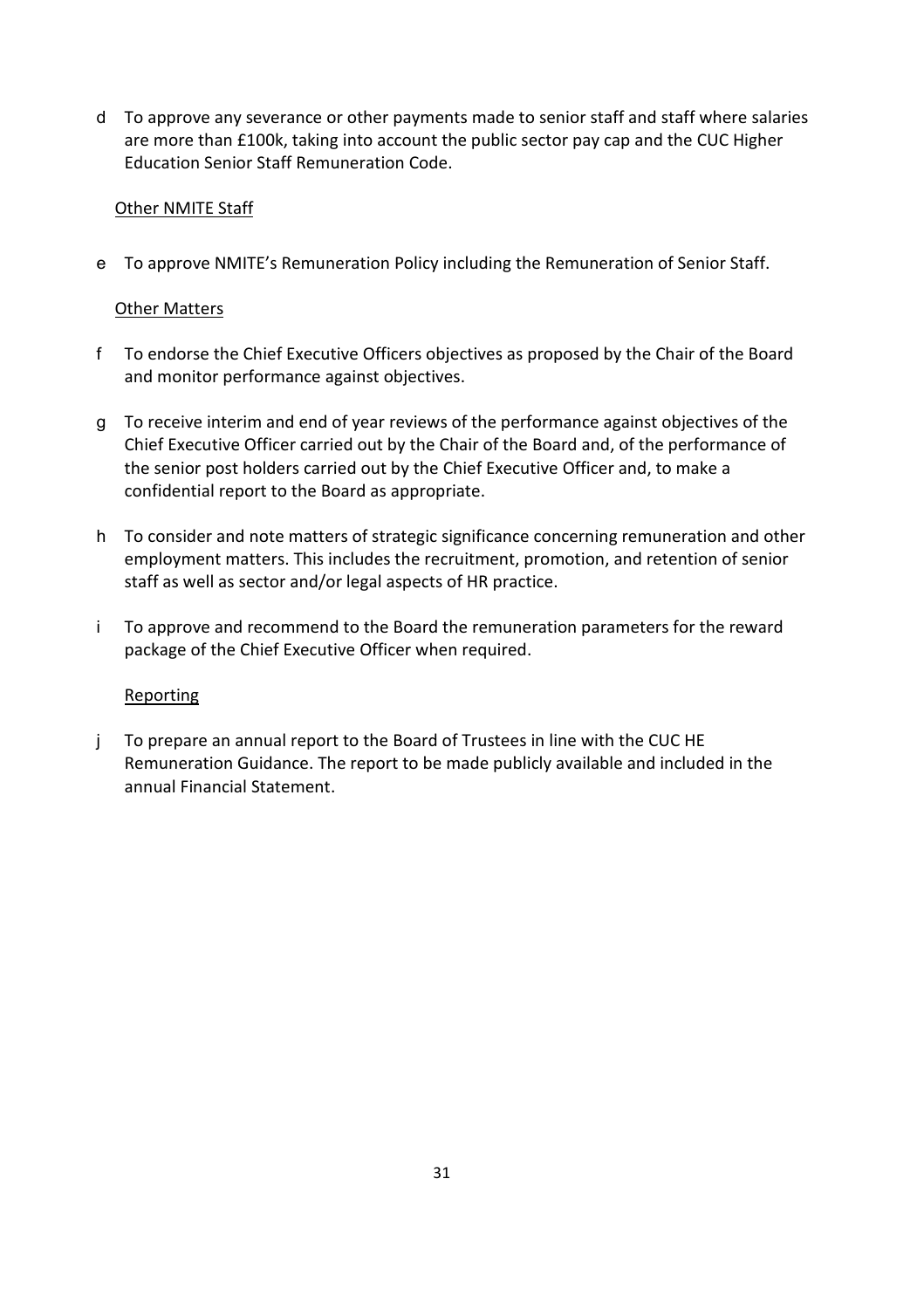d To approve any severance or other payments made to senior staff and staff where salaries are more than £100k, taking into account the public sector pay cap and the CUC Higher Education Senior Staff Remuneration Code.

#### Other NMITE Staff

e To approve NMITE's Remuneration Policy including the Remuneration of Senior Staff.

#### Other Matters

- f To endorse the Chief Executive Officers objectives as proposed by the Chair of the Board and monitor performance against objectives.
- g To receive interim and end of year reviews of the performance against objectives of the Chief Executive Officer carried out by the Chair of the Board and, of the performance of the senior post holders carried out by the Chief Executive Officer and, to make a confidential report to the Board as appropriate.
- h To consider and note matters of strategic significance concerning remuneration and other employment matters. This includes the recruitment, promotion, and retention of senior staff as well as sector and/or legal aspects of HR practice.
- i To approve and recommend to the Board the remuneration parameters for the reward package of the Chief Executive Officer when required.

#### **Reporting**

j To prepare an annual report to the Board of Trustees in line with the CUC HE Remuneration Guidance. The report to be made publicly available and included in the annual Financial Statement.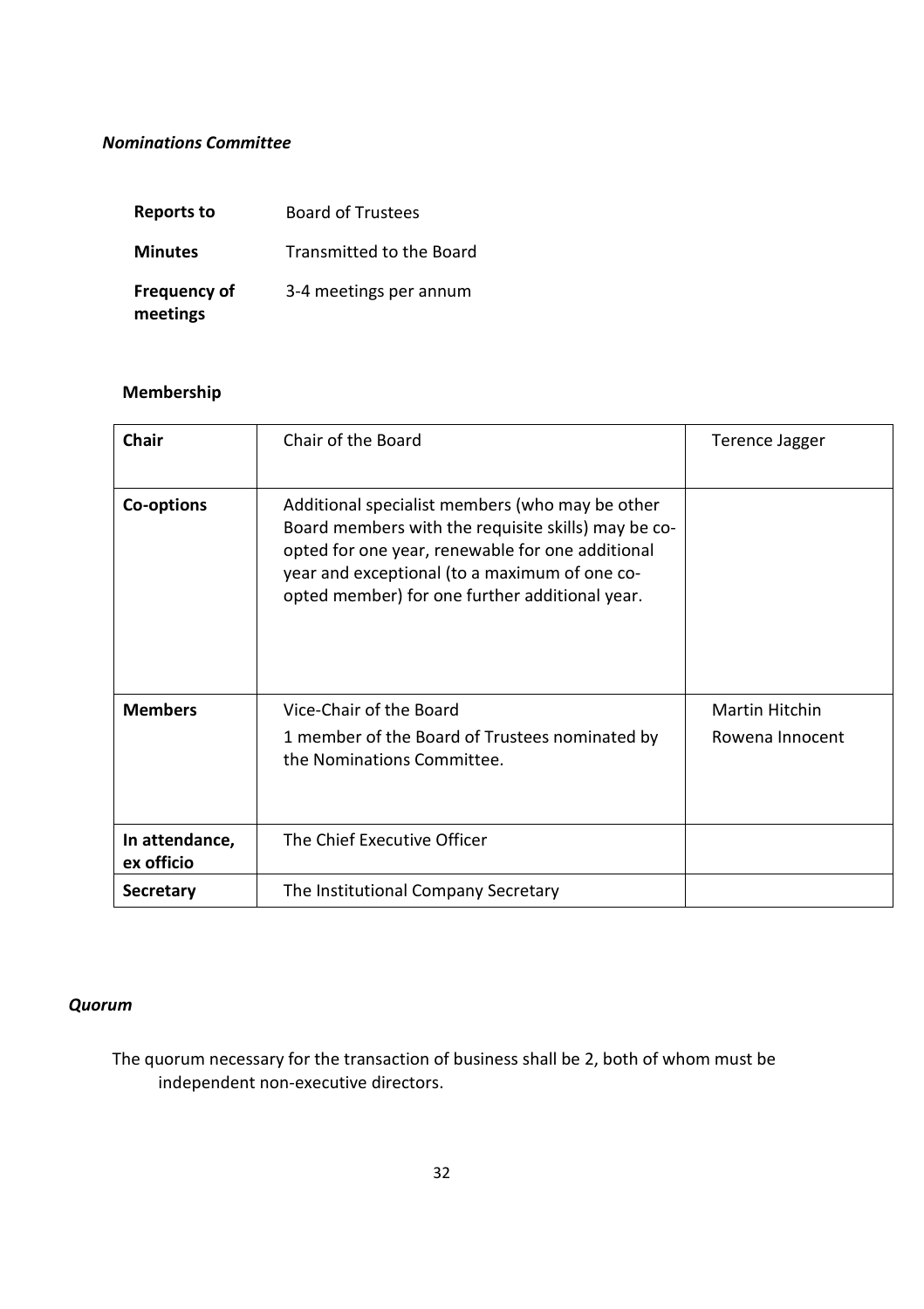#### <span id="page-31-0"></span>*Nominations Committee*

| <b>Reports to</b>               | <b>Board of Trustees</b> |
|---------------------------------|--------------------------|
| <b>Minutes</b>                  | Transmitted to the Board |
| <b>Frequency of</b><br>meetings | 3-4 meetings per annum   |

#### **Membership**

| <b>Chair</b>                 | Chair of the Board                                                                                                                                                                                                                                            | Terence Jagger                           |
|------------------------------|---------------------------------------------------------------------------------------------------------------------------------------------------------------------------------------------------------------------------------------------------------------|------------------------------------------|
| <b>Co-options</b>            | Additional specialist members (who may be other<br>Board members with the requisite skills) may be co-<br>opted for one year, renewable for one additional<br>year and exceptional (to a maximum of one co-<br>opted member) for one further additional year. |                                          |
| <b>Members</b>               | Vice-Chair of the Board<br>1 member of the Board of Trustees nominated by<br>the Nominations Committee.                                                                                                                                                       | <b>Martin Hitchin</b><br>Rowena Innocent |
| In attendance,<br>ex officio | The Chief Executive Officer                                                                                                                                                                                                                                   |                                          |
| <b>Secretary</b>             | The Institutional Company Secretary                                                                                                                                                                                                                           |                                          |

#### *Quorum*

The quorum necessary for the transaction of business shall be 2, both of whom must be independent non-executive directors.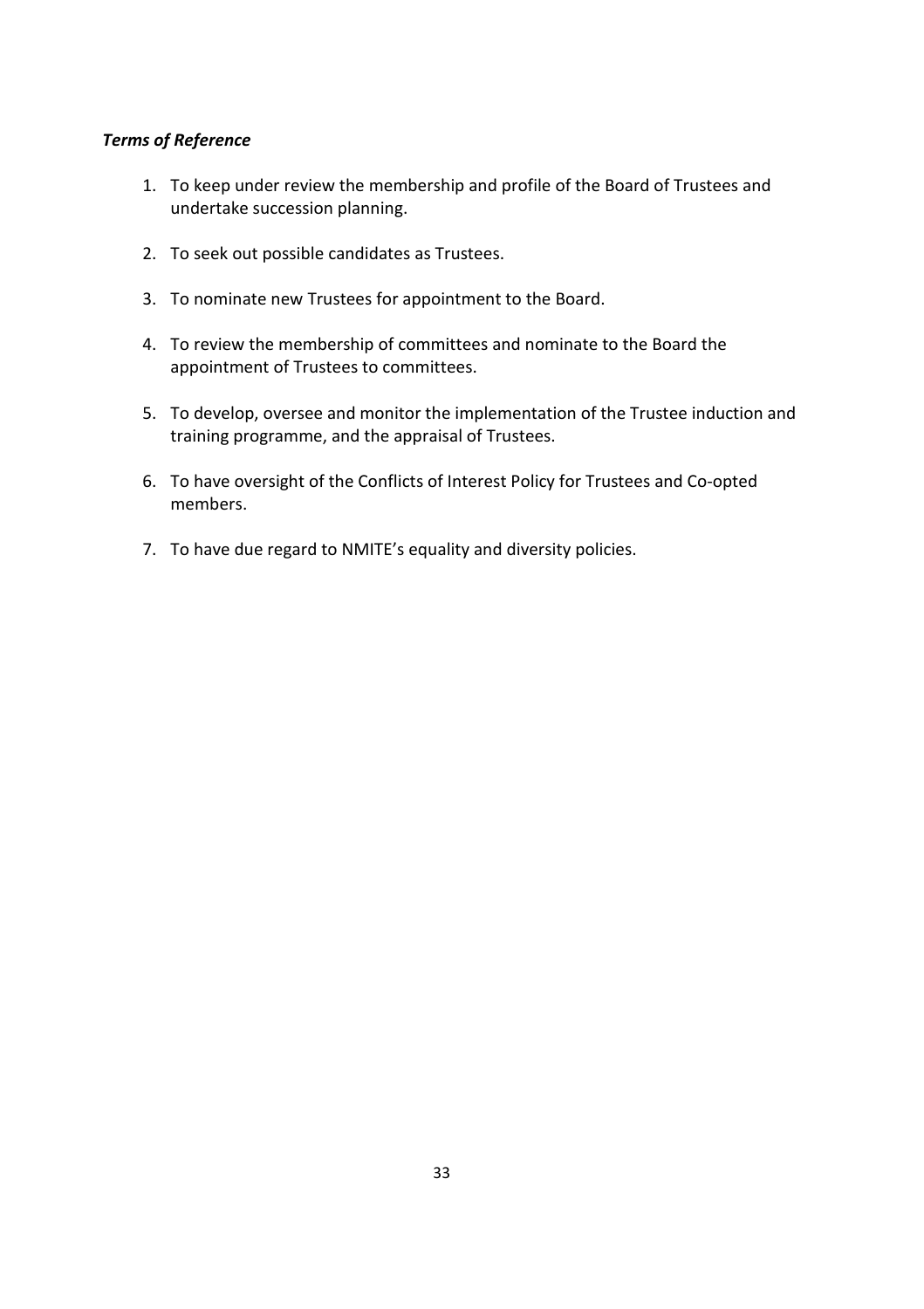#### *Terms of Reference*

- 1. To keep under review the membership and profile of the Board of Trustees and undertake succession planning.
- 2. To seek out possible candidates as Trustees.
- 3. To nominate new Trustees for appointment to the Board.
- 4. To review the membership of committees and nominate to the Board the appointment of Trustees to committees.
- 5. To develop, oversee and monitor the implementation of the Trustee induction and training programme, and the appraisal of Trustees.
- 6. To have oversight of the Conflicts of Interest Policy for Trustees and Co-opted members.
- 7. To have due regard to NMITE's equality and diversity policies.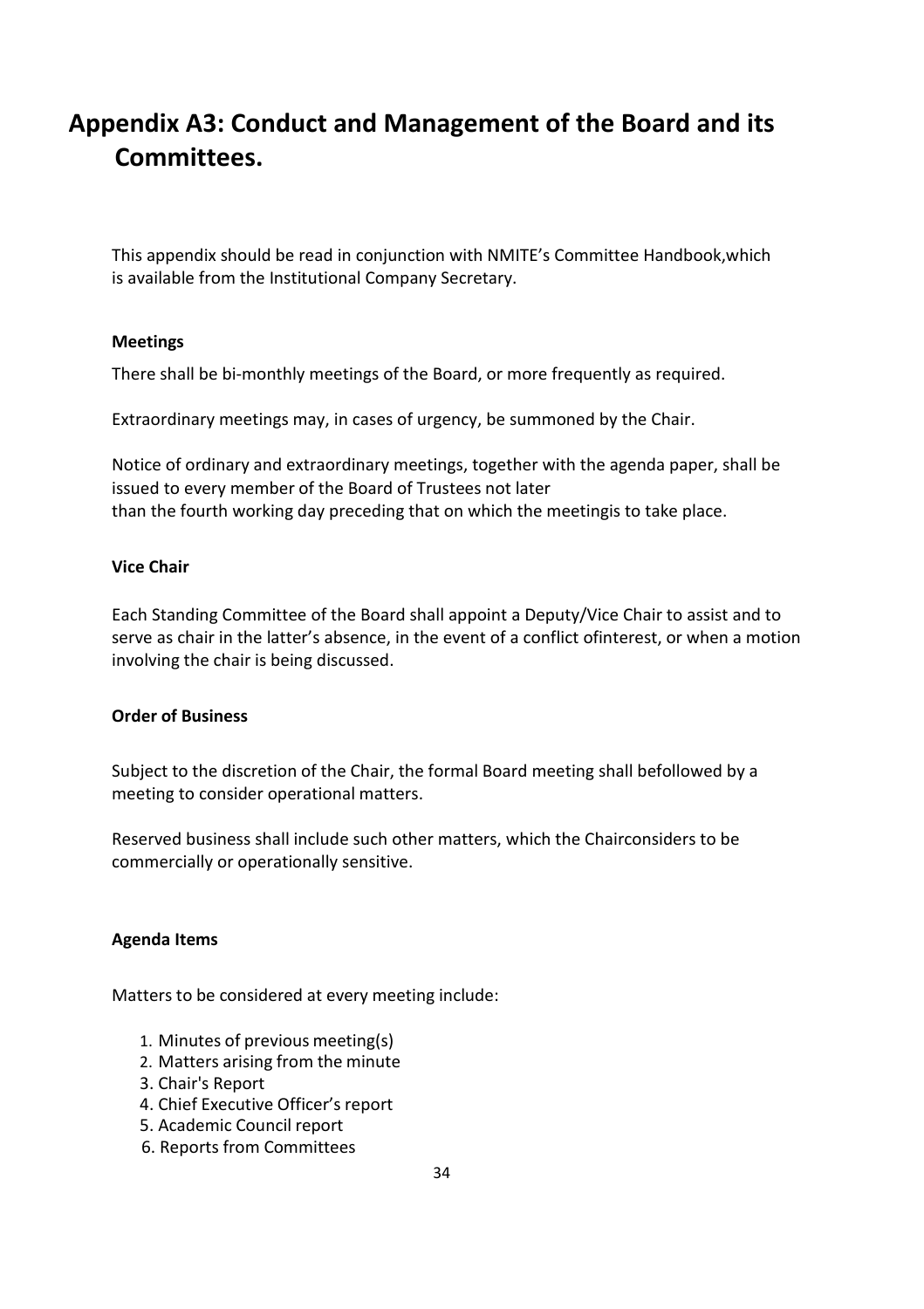## <span id="page-33-0"></span>**Appendix A3: Conduct and Management of the Board and its Committees.**

This appendix should be read in conjunction with NMITE's Committee Handbook,which is available from the Institutional Company Secretary.

#### **Meetings**

There shall be bi-monthly meetings of the Board, or more frequently as required.

Extraordinary meetings may, in cases of urgency, be summoned by the Chair.

Notice of ordinary and extraordinary meetings, together with the agenda paper, shall be issued to every member of the Board of Trustees not later than the fourth working day preceding that on which the meetingis to take place.

#### **Vice Chair**

Each Standing Committee of the Board shall appoint a Deputy/Vice Chair to assist and to serve as chair in the latter's absence, in the event of a conflict ofinterest, or when a motion involving the chair is being discussed.

#### **Order of Business**

Subject to the discretion of the Chair, the formal Board meeting shall befollowed by a meeting to consider operational matters.

Reserved business shall include such other matters, which the Chairconsiders to be commercially or operationally sensitive.

#### **Agenda Items**

Matters to be considered at every meeting include:

- 1. Minutes of previous meeting(s)
- 2. Matters arising from the minute
- 3. Chair's Report
- 4. Chief Executive Officer's report
- 5. Academic Council report
- 6. Reports from Committees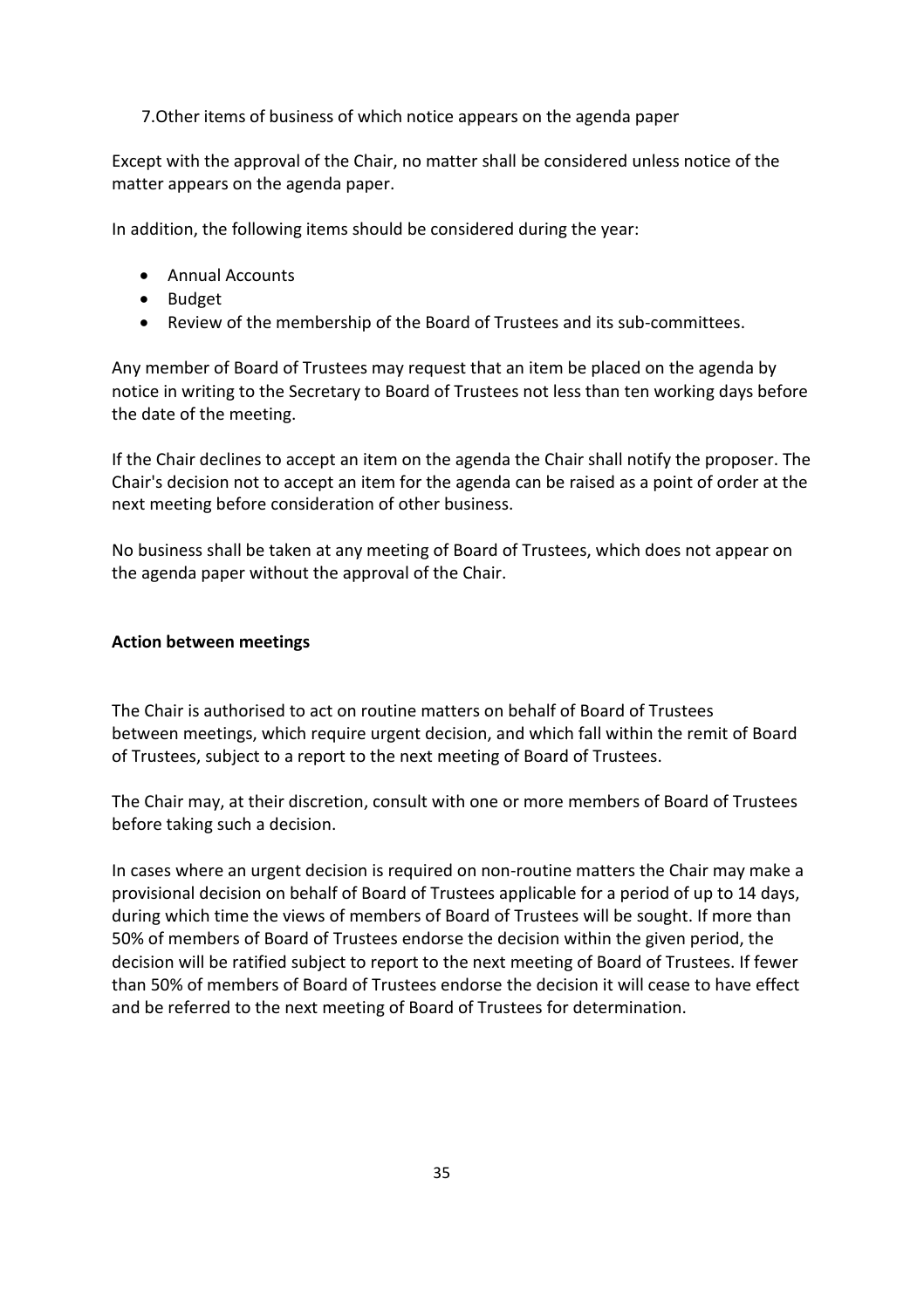7.Other items of business of which notice appears on the agenda paper

Except with the approval of the Chair, no matter shall be considered unless notice of the matter appears on the agenda paper.

In addition, the following items should be considered during the year:

- Annual Accounts
- Budget
- Review of the membership of the Board of Trustees and its sub-committees.

Any member of Board of Trustees may request that an item be placed on the agenda by notice in writing to the Secretary to Board of Trustees not less than ten working days before the date of the meeting.

If the Chair declines to accept an item on the agenda the Chair shall notify the proposer. The Chair's decision not to accept an item for the agenda can be raised as a point of order at the next meeting before consideration of other business.

No business shall be taken at any meeting of Board of Trustees, which does not appear on the agenda paper without the approval of the Chair.

#### **Action between meetings**

The Chair is authorised to act on routine matters on behalf of Board of Trustees between meetings, which require urgent decision, and which fall within the remit of Board of Trustees, subject to a report to the next meeting of Board of Trustees.

The Chair may, at their discretion, consult with one or more members of Board of Trustees before taking such a decision.

In cases where an urgent decision is required on non-routine matters the Chair may make a provisional decision on behalf of Board of Trustees applicable for a period of up to 14 days, during which time the views of members of Board of Trustees will be sought. If more than 50% of members of Board of Trustees endorse the decision within the given period, the decision will be ratified subject to report to the next meeting of Board of Trustees. If fewer than 50% of members of Board of Trustees endorse the decision it will cease to have effect and be referred to the next meeting of Board of Trustees for determination.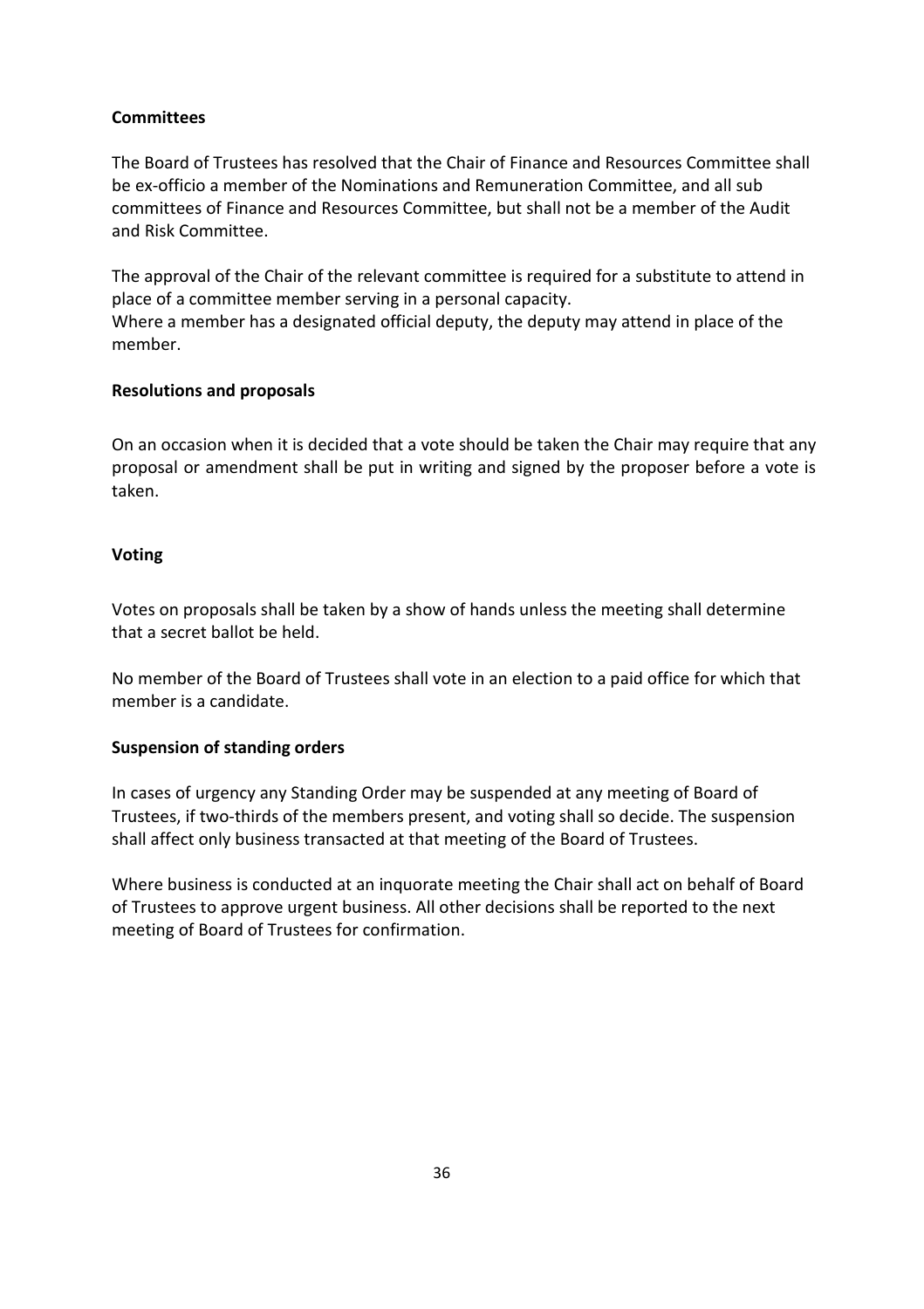#### **Committees**

The Board of Trustees has resolved that the Chair of Finance and Resources Committee shall be ex-officio a member of the Nominations and Remuneration Committee, and all sub committees of Finance and Resources Committee, but shall not be a member of the Audit and Risk Committee.

The approval of the Chair of the relevant committee is required for a substitute to attend in place of a committee member serving in a personal capacity. Where a member has a designated official deputy, the deputy may attend in place of the member.

#### **Resolutions and proposals**

On an occasion when it is decided that a vote should be taken the Chair may require that any proposal or amendment shall be put in writing and signed by the proposer before a vote is taken.

#### **Voting**

Votes on proposals shall be taken by a show of hands unless the meeting shall determine that a secret ballot be held.

No member of the Board of Trustees shall vote in an election to a paid office for which that member is a candidate.

#### **Suspension of standing orders**

In cases of urgency any Standing Order may be suspended at any meeting of Board of Trustees, if two-thirds of the members present, and voting shall so decide. The suspension shall affect only business transacted at that meeting of the Board of Trustees.

Where business is conducted at an inquorate meeting the Chair shall act on behalf of Board of Trustees to approve urgent business. All other decisions shall be reported to the next meeting of Board of Trustees for confirmation.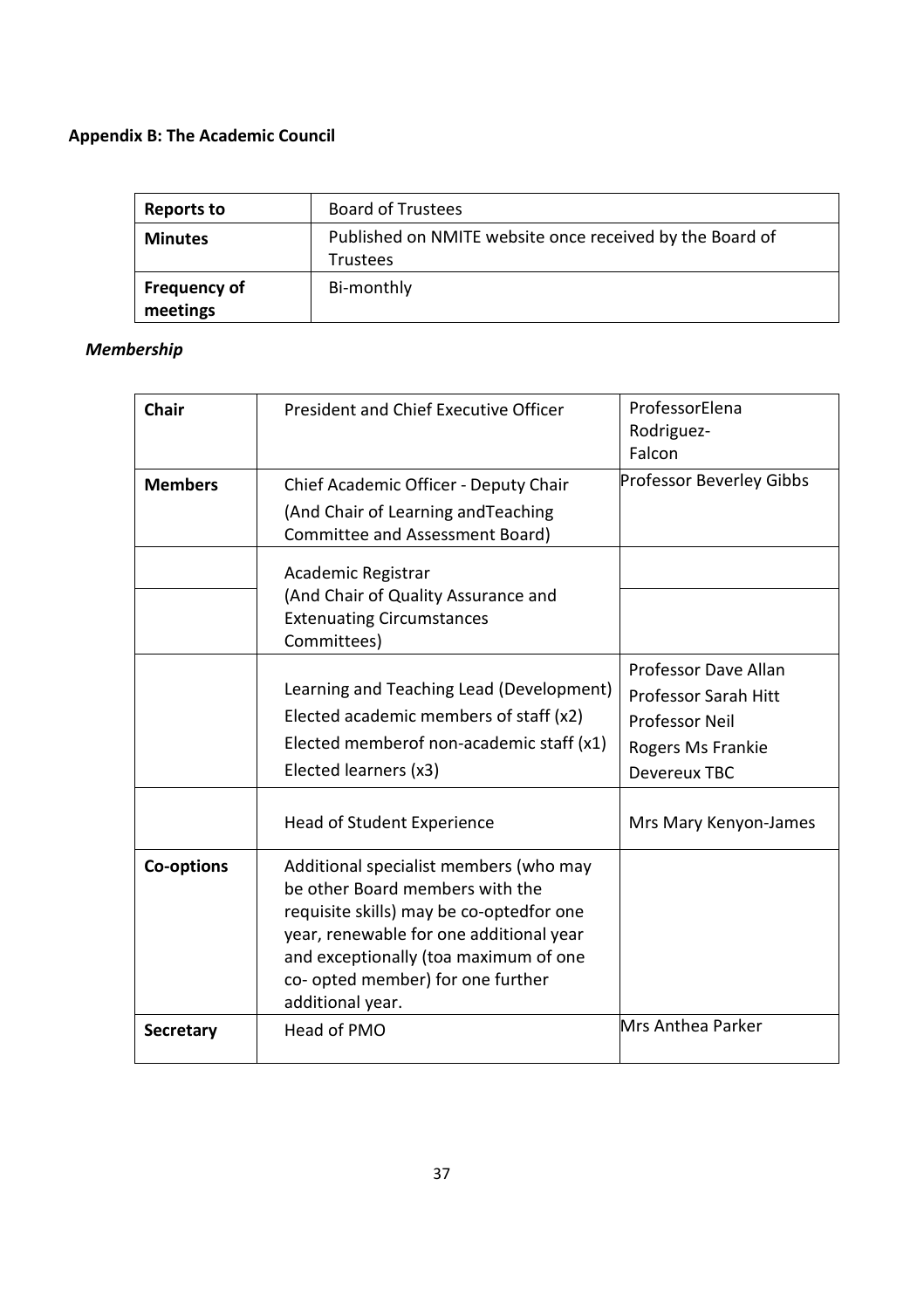# **Appendix B: The Academic Council**

| <b>Reports to</b>               | <b>Board of Trustees</b>                                                    |
|---------------------------------|-----------------------------------------------------------------------------|
| <b>Minutes</b>                  | Published on NMITE website once received by the Board of<br><b>Trustees</b> |
| <b>Frequency of</b><br>meetings | Bi-monthly                                                                  |

# *Membership*

| <b>Chair</b>      | <b>President and Chief Executive Officer</b>                                                                                                                                                                                                                       | ProfessorElena<br>Rodriguez-<br>Falcon                                                                     |
|-------------------|--------------------------------------------------------------------------------------------------------------------------------------------------------------------------------------------------------------------------------------------------------------------|------------------------------------------------------------------------------------------------------------|
| <b>Members</b>    | Chief Academic Officer - Deputy Chair<br>(And Chair of Learning and Teaching<br>Committee and Assessment Board)                                                                                                                                                    | <b>Professor Beverley Gibbs</b>                                                                            |
|                   | Academic Registrar<br>(And Chair of Quality Assurance and<br><b>Extenuating Circumstances</b><br>Committees)                                                                                                                                                       |                                                                                                            |
|                   | Learning and Teaching Lead (Development)<br>Elected academic members of staff (x2)<br>Elected memberof non-academic staff (x1)<br>Elected learners (x3)                                                                                                            | Professor Dave Allan<br><b>Professor Sarah Hitt</b><br>Professor Neil<br>Rogers Ms Frankie<br>Devereux TBC |
|                   | Head of Student Experience                                                                                                                                                                                                                                         | Mrs Mary Kenyon-James                                                                                      |
| <b>Co-options</b> | Additional specialist members (who may<br>be other Board members with the<br>requisite skills) may be co-optedfor one<br>year, renewable for one additional year<br>and exceptionally (toa maximum of one<br>co- opted member) for one further<br>additional year. |                                                                                                            |
| <b>Secretary</b>  | Head of PMO                                                                                                                                                                                                                                                        | Mrs Anthea Parker                                                                                          |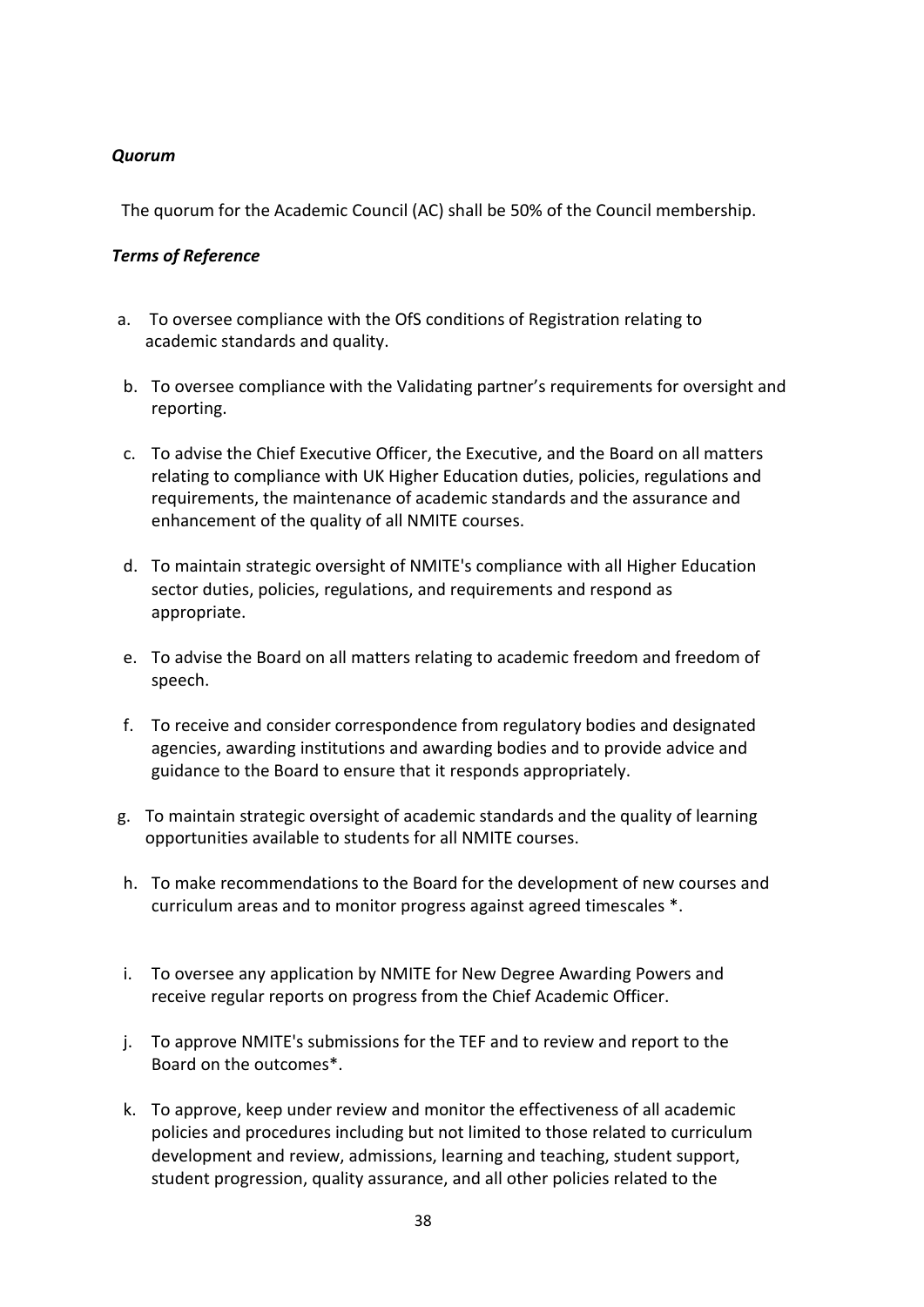### *Quorum*

The quorum for the Academic Council (AC) shall be 50% of the Council membership.

### *Terms of Reference*

- a. To oversee compliance with the OfS conditions of Registration relating to academic standards and quality.
- b. To oversee compliance with the Validating partner's requirements for oversight and reporting.
- c. To advise the Chief Executive Officer, the Executive, and the Board on all matters relating to compliance with UK Higher Education duties, policies, regulations and requirements, the maintenance of academic standards and the assurance and enhancement of the quality of all NMITE courses.
- d. To maintain strategic oversight of NMITE's compliance with all Higher Education sector duties, policies, regulations, and requirements and respond as appropriate.
- e. To advise the Board on all matters relating to academic freedom and freedom of speech.
- f. To receive and consider correspondence from regulatory bodies and designated agencies, awarding institutions and awarding bodies and to provide advice and guidance to the Board to ensure that it responds appropriately.
- g. To maintain strategic oversight of academic standards and the quality of learning opportunities available to students for all NMITE courses.
- h. To make recommendations to the Board for the development of new courses and curriculum areas and to monitor progress against agreed timescales \*.
- i. To oversee any application by NMITE for New Degree Awarding Powers and receive regular reports on progress from the Chief Academic Officer.
- j. To approve NMITE's submissions for the TEF and to review and report to the Board on the outcomes\*.
- k. To approve, keep under review and monitor the effectiveness of all academic policies and procedures including but not limited to those related to curriculum development and review, admissions, learning and teaching, student support, student progression, quality assurance, and all other policies related to the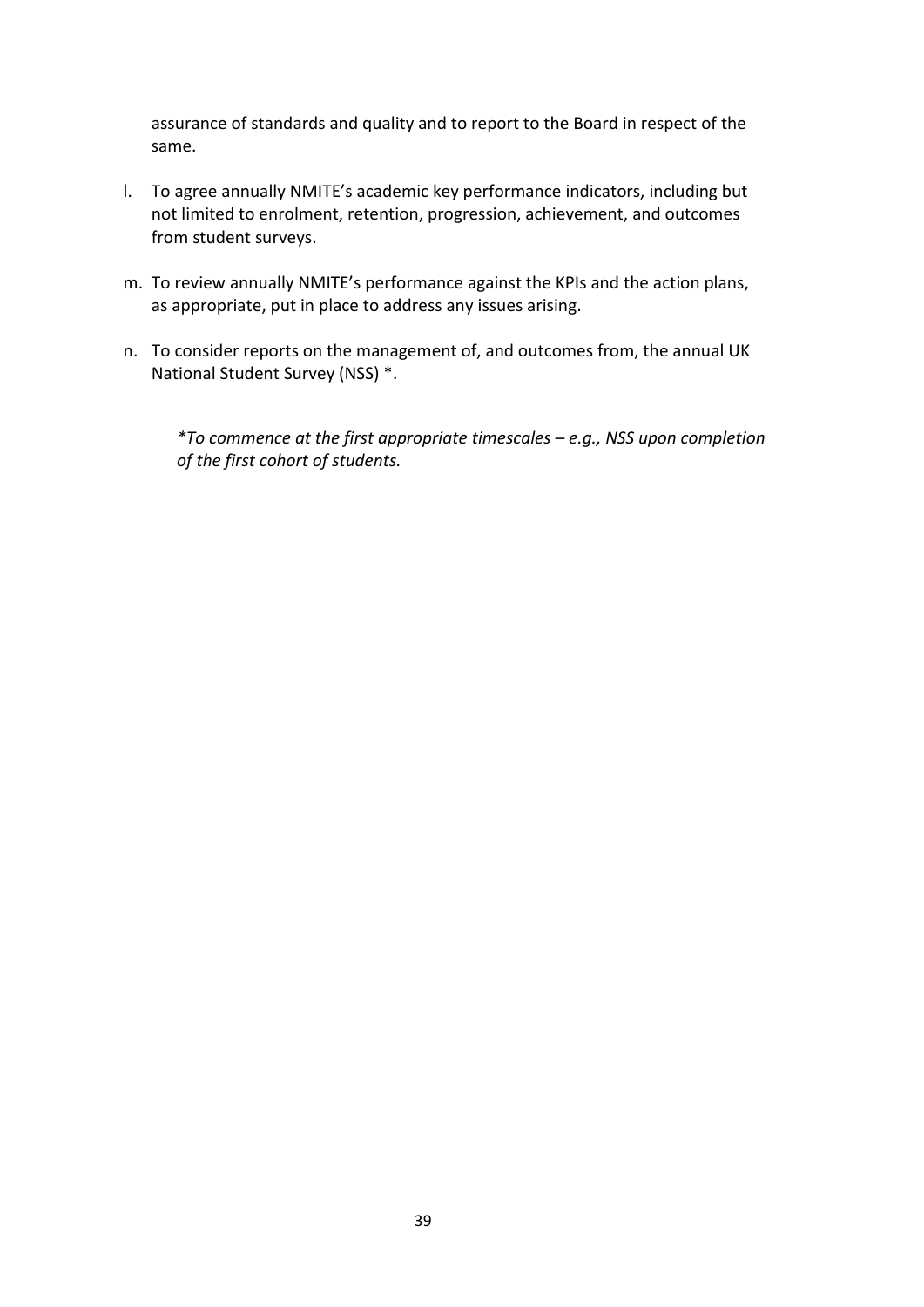assurance of standards and quality and to report to the Board in respect of the same.

- l. To agree annually NMITE's academic key performance indicators, including but not limited to enrolment, retention, progression, achievement, and outcomes from student surveys.
- m. To review annually NMITE's performance against the KPIs and the action plans, as appropriate, put in place to address any issues arising.
- n. To consider reports on the management of, and outcomes from, the annual UK National Student Survey (NSS) \*.

*\*To commence at the first appropriate timescales – e.g., NSS upon completion of the first cohort of students.*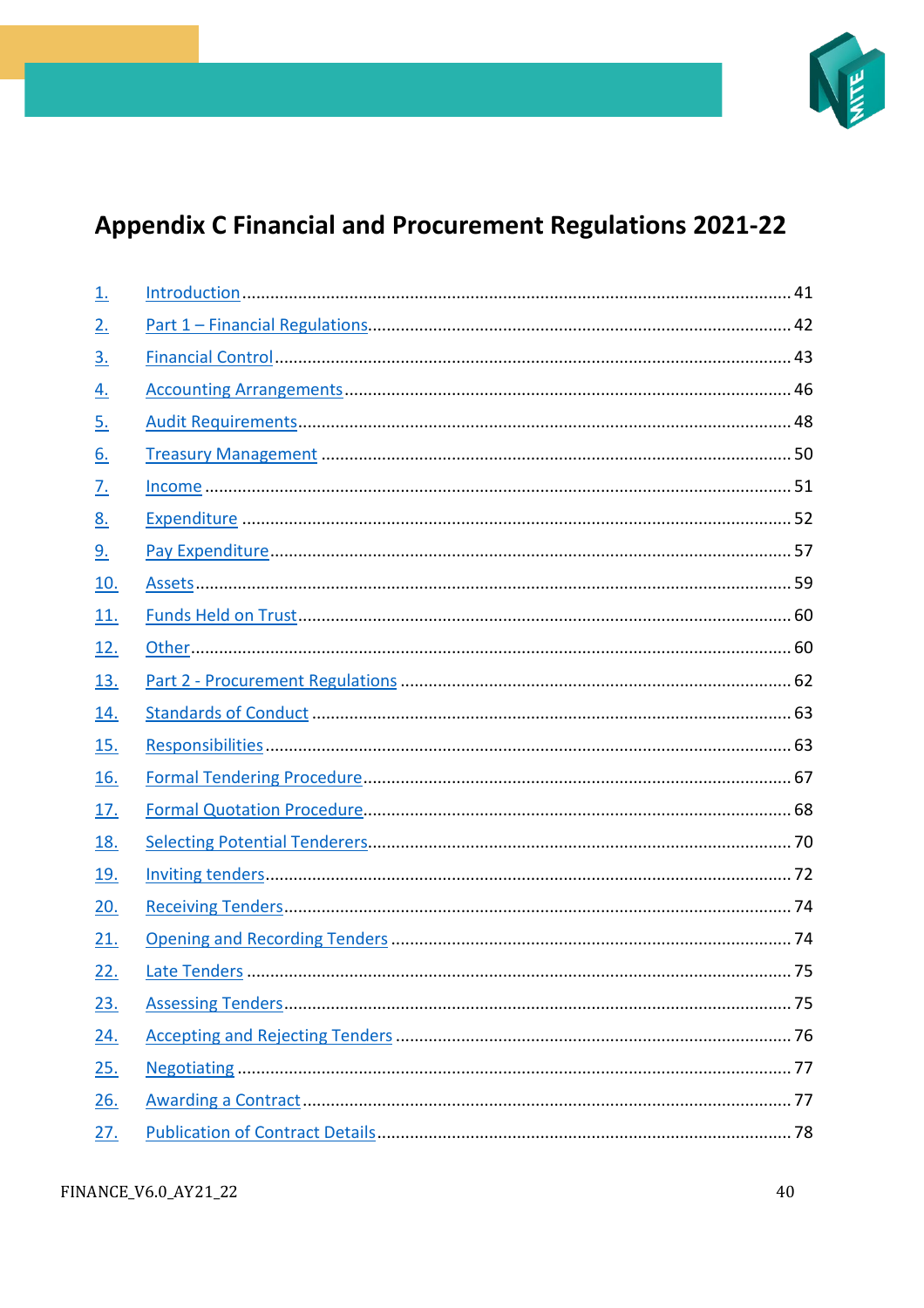

# **Appendix C Financial and Procurement Regulations 2021-22**

| 1.                |  |
|-------------------|--|
| <u>2.</u>         |  |
| $\underline{3}$ . |  |
| <u>4.</u>         |  |
| <u>5.</u>         |  |
| <u>6.</u>         |  |
| <u>7.</u>         |  |
| <u>8.</u>         |  |
| <u>و</u>          |  |
| <u>10.</u>        |  |
| <u>11.</u>        |  |
| <u>12.</u>        |  |
| <u>13.</u>        |  |
| <u>14.</u>        |  |
| <u>15.</u>        |  |
| <u>16.</u>        |  |
| <u>17.</u>        |  |
| <u>18.</u>        |  |
| <u>19.</u>        |  |
| 20.               |  |
| 21.               |  |
| 22.               |  |
| 23.               |  |
| <u>24.</u>        |  |
| 25.               |  |
| 26.               |  |
| 27.               |  |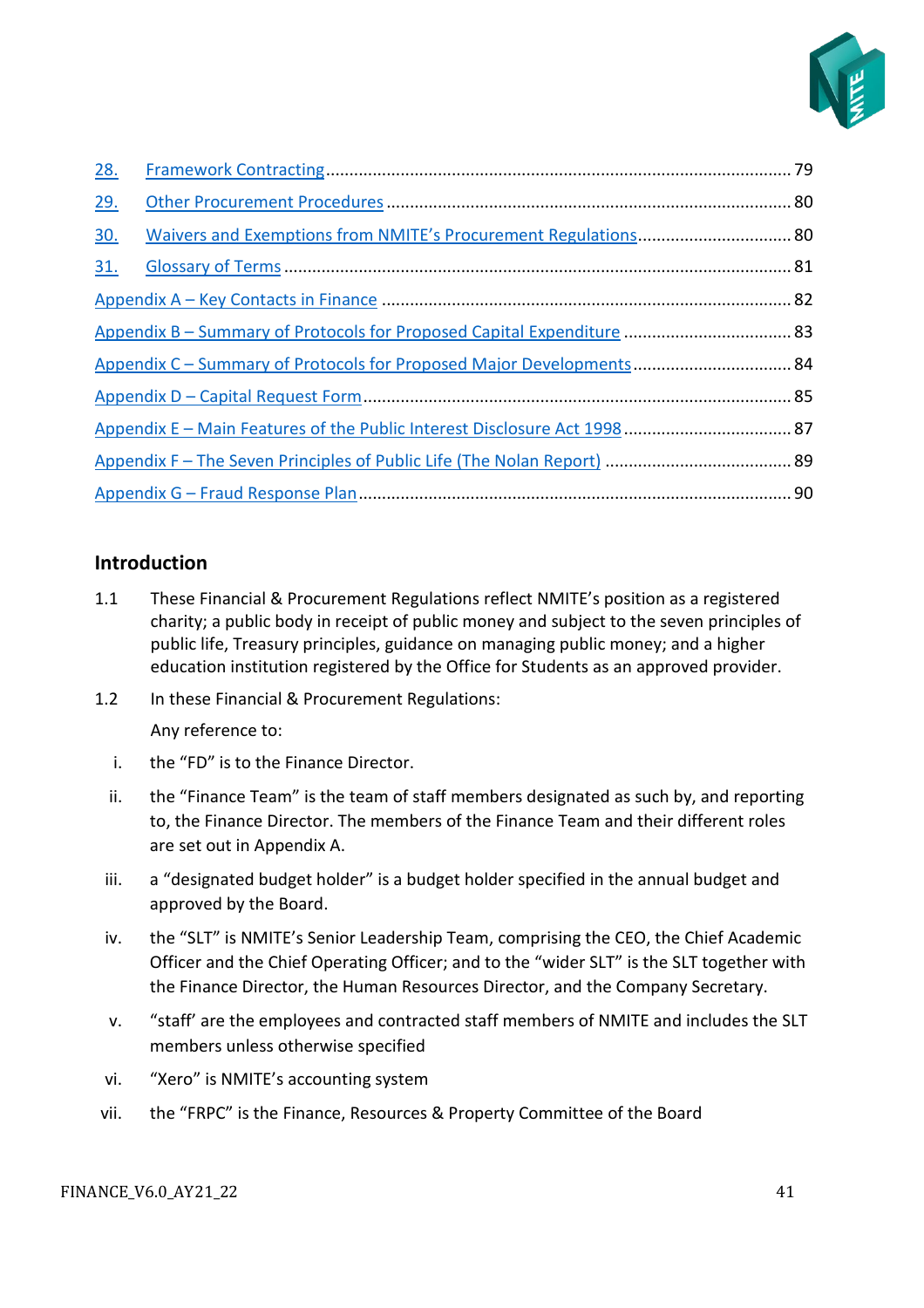

| 28.                                                                  |  |  |  |
|----------------------------------------------------------------------|--|--|--|
| 29.                                                                  |  |  |  |
| <u>30.</u>                                                           |  |  |  |
| <u>31.</u>                                                           |  |  |  |
|                                                                      |  |  |  |
|                                                                      |  |  |  |
| Appendix C - Summary of Protocols for Proposed Major Developments 84 |  |  |  |
|                                                                      |  |  |  |
|                                                                      |  |  |  |
|                                                                      |  |  |  |
|                                                                      |  |  |  |

# <span id="page-40-0"></span>**Introduction**

- 1.1 These Financial & Procurement Regulations reflect NMITE's position as a registered charity; a public body in receipt of public money and subject to the seven principles of public life, Treasury principles, guidance on managing public money; and a higher education institution registered by the Office for Students as an approved provider.
- 1.2 In these Financial & Procurement Regulations: Any reference to:
	- i. the "FD" is to the Finance Director.
	- ii. the "Finance Team" is the team of staff members designated as such by, and reporting to, the Finance Director. The members of the Finance Team and their different roles are set out in Appendix A.
	- iii. a "designated budget holder" is a budget holder specified in the annual budget and approved by the Board.
	- iv. the "SLT" is NMITE's Senior Leadership Team, comprising the CEO, the Chief Academic Officer and the Chief Operating Officer; and to the "wider SLT" is the SLT together with the Finance Director, the Human Resources Director, and the Company Secretary.
	- v. "staff' are the employees and contracted staff members of NMITE and includes the SLT members unless otherwise specified
	- vi. "Xero" is NMITE's accounting system
- vii. the "FRPC" is the Finance, Resources & Property Committee of the Board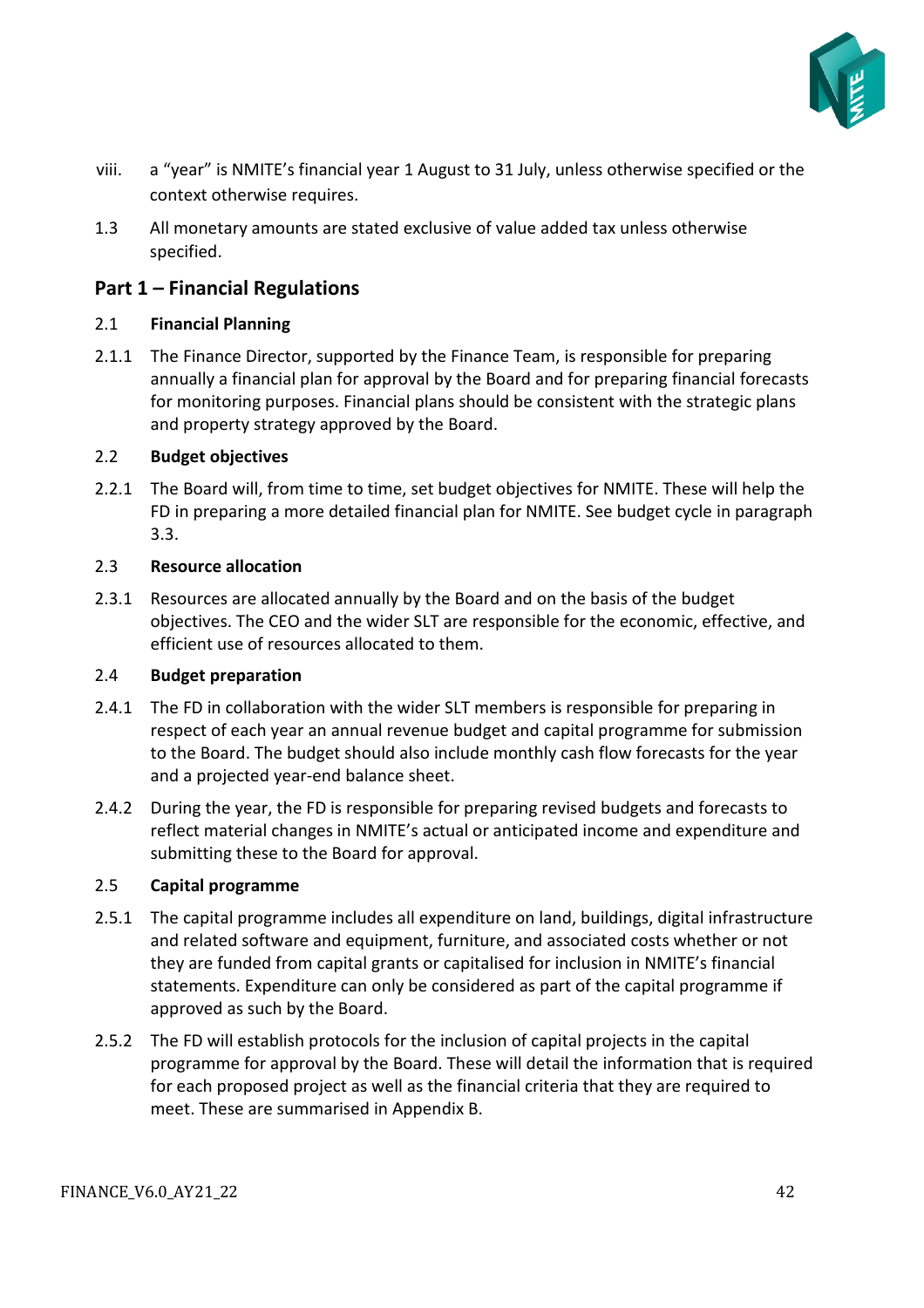

- viii. a "year" is NMITE's financial year 1 August to 31 July, unless otherwise specified or the context otherwise requires.
- 1.3 All monetary amounts are stated exclusive of value added tax unless otherwise specified.

# <span id="page-41-0"></span>**Part 1 – Financial Regulations**

### 2.1 **Financial Planning**

2.1.1 The Finance Director, supported by the Finance Team, is responsible for preparing annually a financial plan for approval by the Board and for preparing financial forecasts for monitoring purposes. Financial plans should be consistent with the strategic plans and property strategy approved by the Board.

### 2.2 **Budget objectives**

2.2.1 The Board will, from time to time, set budget objectives for NMITE. These will help the FD in preparing a more detailed financial plan for NMITE. See budget cycle in paragraph 3.3.

### 2.3 **Resource allocation**

2.3.1 Resources are allocated annually by the Board and on the basis of the budget objectives. The CEO and the wider SLT are responsible for the economic, effective, and efficient use of resources allocated to them.

### 2.4 **Budget preparation**

- 2.4.1 The FD in collaboration with the wider SLT members is responsible for preparing in respect of each year an annual revenue budget and capital programme for submission to the Board. The budget should also include monthly cash flow forecasts for the year and a projected year-end balance sheet.
- 2.4.2 During the year, the FD is responsible for preparing revised budgets and forecasts to reflect material changes in NMITE's actual or anticipated income and expenditure and submitting these to the Board for approval.

### 2.5 **Capital programme**

- 2.5.1 The capital programme includes all expenditure on land, buildings, digital infrastructure and related software and equipment, furniture, and associated costs whether or not they are funded from capital grants or capitalised for inclusion in NMITE's financial statements. Expenditure can only be considered as part of the capital programme if approved as such by the Board.
- 2.5.2 The FD will establish protocols for the inclusion of capital projects in the capital programme for approval by the Board. These will detail the information that is required for each proposed project as well as the financial criteria that they are required to meet. These are summarised in Appendix B.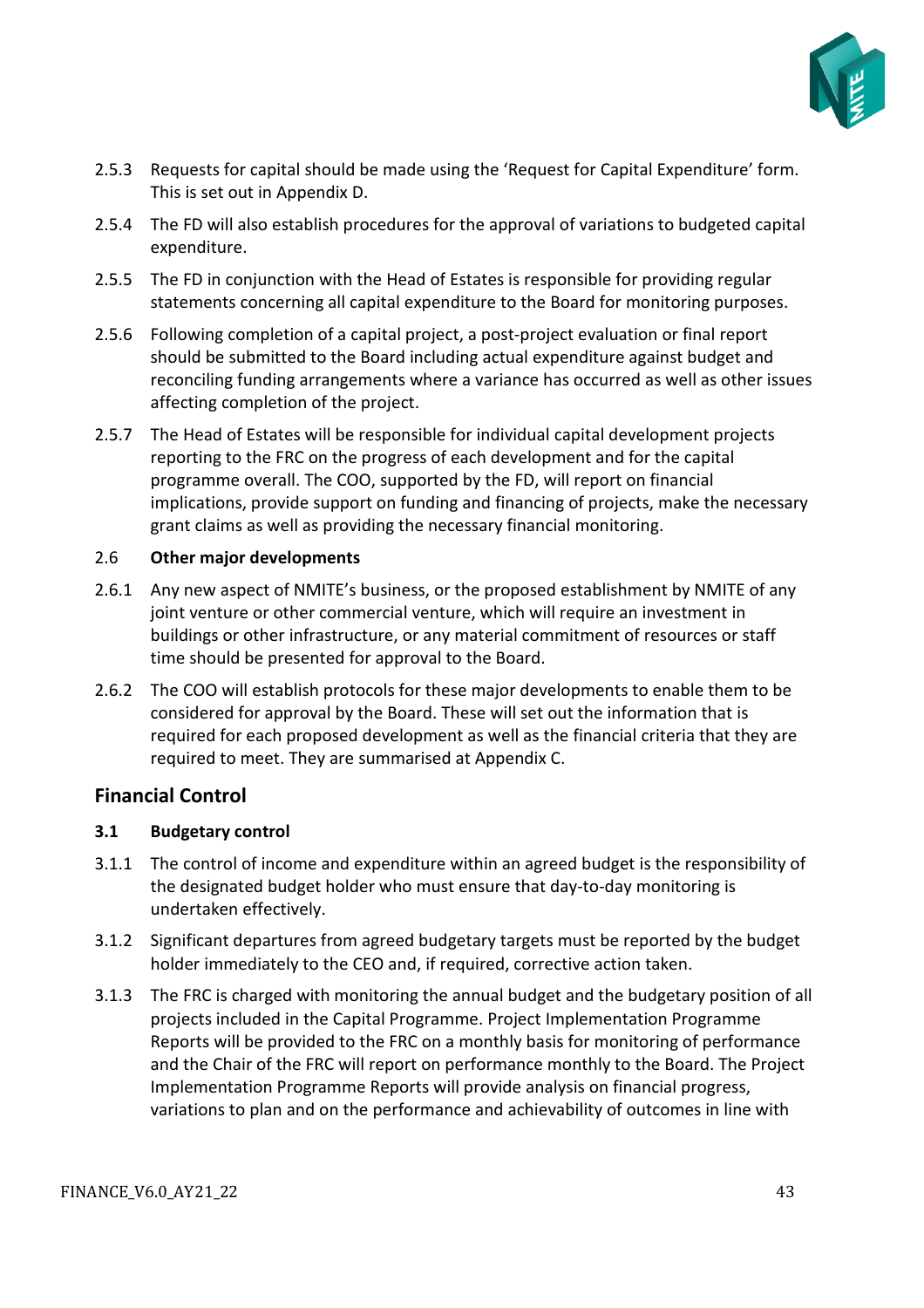

- 2.5.3 Requests for capital should be made using the 'Request for Capital Expenditure' form. This is set out in Appendix D.
- 2.5.4 The FD will also establish procedures for the approval of variations to budgeted capital expenditure.
- 2.5.5 The FD in conjunction with the Head of Estates is responsible for providing regular statements concerning all capital expenditure to the Board for monitoring purposes.
- 2.5.6 Following completion of a capital project, a post-project evaluation or final report should be submitted to the Board including actual expenditure against budget and reconciling funding arrangements where a variance has occurred as well as other issues affecting completion of the project.
- 2.5.7 The Head of Estates will be responsible for individual capital development projects reporting to the FRC on the progress of each development and for the capital programme overall. The COO, supported by the FD, will report on financial implications, provide support on funding and financing of projects, make the necessary grant claims as well as providing the necessary financial monitoring.

### 2.6 **Other major developments**

- 2.6.1 Any new aspect of NMITE's business, or the proposed establishment by NMITE of any joint venture or other commercial venture, which will require an investment in buildings or other infrastructure, or any material commitment of resources or staff time should be presented for approval to the Board.
- 2.6.2 The COO will establish protocols for these major developments to enable them to be considered for approval by the Board. These will set out the information that is required for each proposed development as well as the financial criteria that they are required to meet. They are summarised at Appendix C.

# <span id="page-42-0"></span>**Financial Control**

### **3.1 Budgetary control**

- 3.1.1 The control of income and expenditure within an agreed budget is the responsibility of the designated budget holder who must ensure that day-to-day monitoring is undertaken effectively.
- 3.1.2 Significant departures from agreed budgetary targets must be reported by the budget holder immediately to the CEO and, if required, corrective action taken.
- 3.1.3 The FRC is charged with monitoring the annual budget and the budgetary position of all projects included in the Capital Programme. Project Implementation Programme Reports will be provided to the FRC on a monthly basis for monitoring of performance and the Chair of the FRC will report on performance monthly to the Board. The Project Implementation Programme Reports will provide analysis on financial progress, variations to plan and on the performance and achievability of outcomes in line with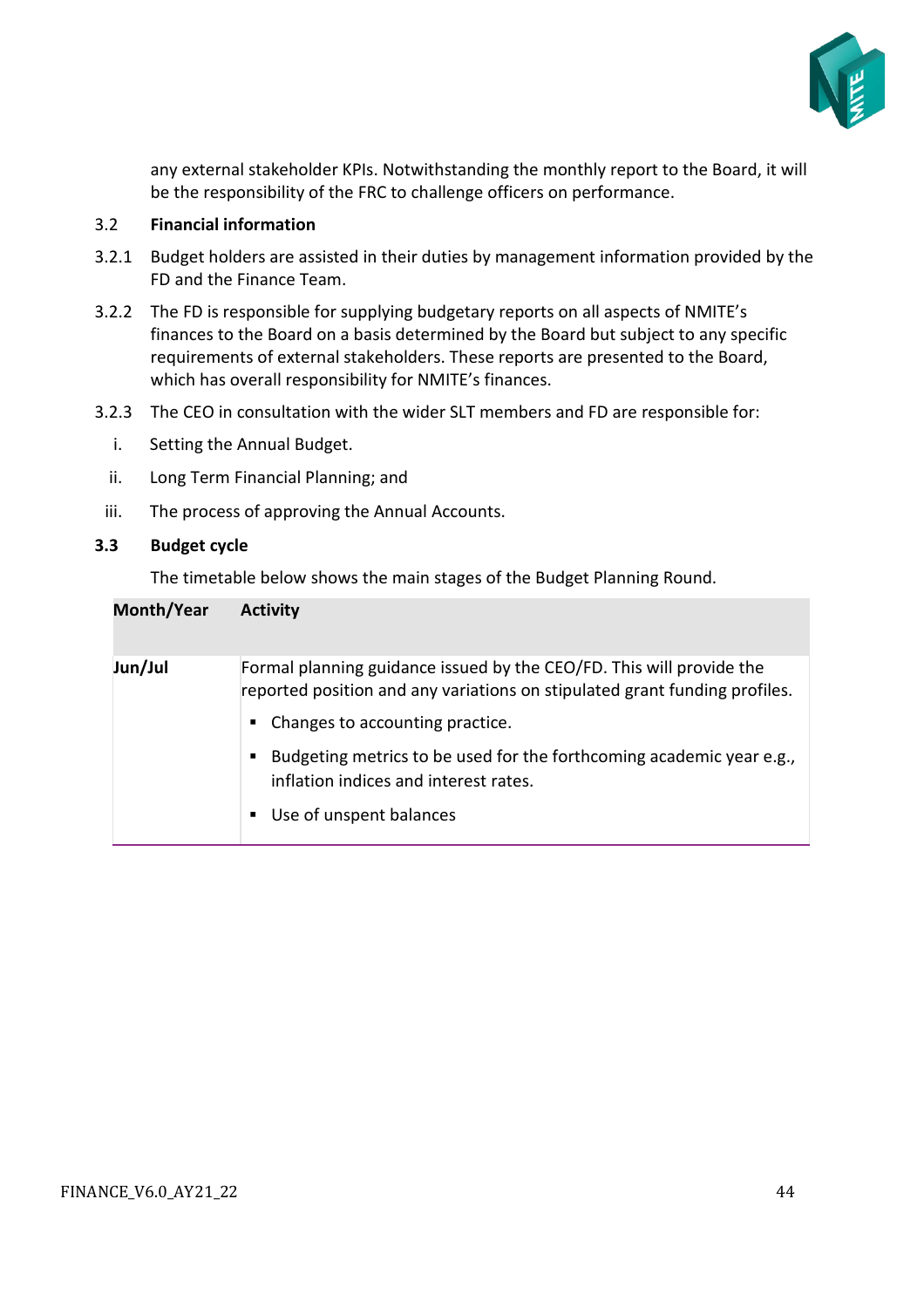

any external stakeholder KPIs. Notwithstanding the monthly report to the Board, it will be the responsibility of the FRC to challenge officers on performance.

### 3.2 **Financial information**

- 3.2.1 Budget holders are assisted in their duties by management information provided by the FD and the Finance Team.
- 3.2.2 The FD is responsible for supplying budgetary reports on all aspects of NMITE's finances to the Board on a basis determined by the Board but subject to any specific requirements of external stakeholders. These reports are presented to the Board, which has overall responsibility for NMITE's finances.
- 3.2.3 The CEO in consultation with the wider SLT members and FD are responsible for:
	- i. Setting the Annual Budget.
	- ii. Long Term Financial Planning; and
- iii. The process of approving the Annual Accounts.

### **3.3 Budget cycle**

The timetable below shows the main stages of the Budget Planning Round.

| <b>Month/Year</b> | <b>Activity</b>                                                                                                                                                                                                                                                                                                                           |
|-------------------|-------------------------------------------------------------------------------------------------------------------------------------------------------------------------------------------------------------------------------------------------------------------------------------------------------------------------------------------|
| Jun/Jul           | Formal planning guidance issued by the CEO/FD. This will provide the<br>reported position and any variations on stipulated grant funding profiles.<br>• Changes to accounting practice.<br>Budgeting metrics to be used for the forthcoming academic year e.g.,<br>inflation indices and interest rates.<br>Use of unspent balances<br>п. |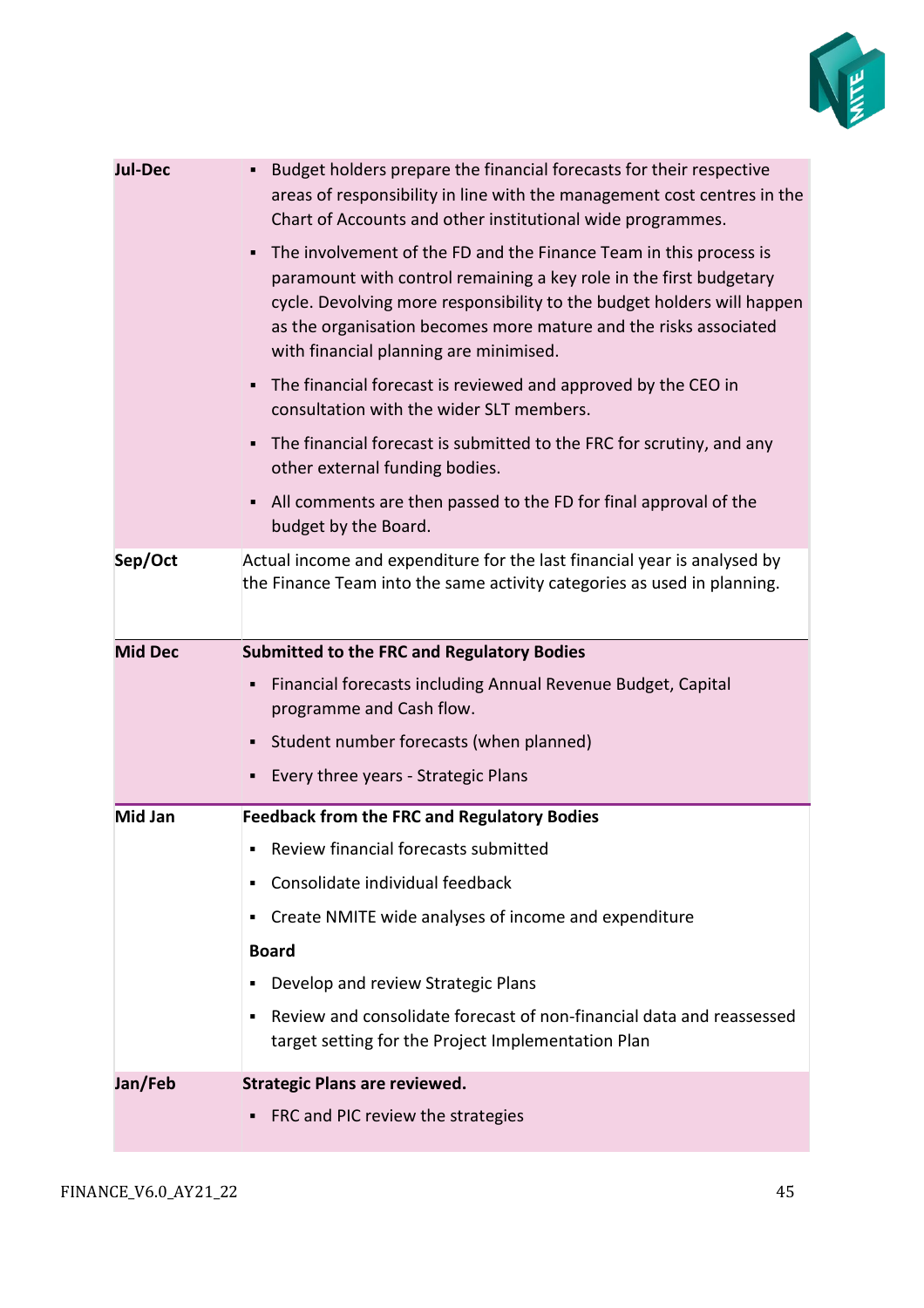

| <b>Jul-Dec</b> | Budget holders prepare the financial forecasts for their respective<br>areas of responsibility in line with the management cost centres in the<br>Chart of Accounts and other institutional wide programmes.                                                                                                                    |
|----------------|---------------------------------------------------------------------------------------------------------------------------------------------------------------------------------------------------------------------------------------------------------------------------------------------------------------------------------|
|                | The involvement of the FD and the Finance Team in this process is<br>paramount with control remaining a key role in the first budgetary<br>cycle. Devolving more responsibility to the budget holders will happen<br>as the organisation becomes more mature and the risks associated<br>with financial planning are minimised. |
|                | The financial forecast is reviewed and approved by the CEO in<br>consultation with the wider SLT members.                                                                                                                                                                                                                       |
|                | The financial forecast is submitted to the FRC for scrutiny, and any<br>other external funding bodies.                                                                                                                                                                                                                          |
|                | All comments are then passed to the FD for final approval of the<br>budget by the Board.                                                                                                                                                                                                                                        |
| Sep/Oct        | Actual income and expenditure for the last financial year is analysed by<br>the Finance Team into the same activity categories as used in planning.                                                                                                                                                                             |
| <b>Mid Dec</b> | <b>Submitted to the FRC and Regulatory Bodies</b>                                                                                                                                                                                                                                                                               |
|                | Financial forecasts including Annual Revenue Budget, Capital<br>programme and Cash flow.                                                                                                                                                                                                                                        |
|                | Student number forecasts (when planned)                                                                                                                                                                                                                                                                                         |
|                | Every three years - Strategic Plans                                                                                                                                                                                                                                                                                             |
| Mid Jan        | <b>Feedback from the FRC and Regulatory Bodies</b>                                                                                                                                                                                                                                                                              |
|                | Review financial forecasts submitted                                                                                                                                                                                                                                                                                            |
|                | Consolidate individual feedback                                                                                                                                                                                                                                                                                                 |
|                | Create NMITE wide analyses of income and expenditure<br>٠                                                                                                                                                                                                                                                                       |
|                | <b>Board</b>                                                                                                                                                                                                                                                                                                                    |
|                | Develop and review Strategic Plans                                                                                                                                                                                                                                                                                              |
|                | Review and consolidate forecast of non-financial data and reassessed<br>target setting for the Project Implementation Plan                                                                                                                                                                                                      |
| Jan/Feb        | <b>Strategic Plans are reviewed.</b>                                                                                                                                                                                                                                                                                            |
|                | FRC and PIC review the strategies                                                                                                                                                                                                                                                                                               |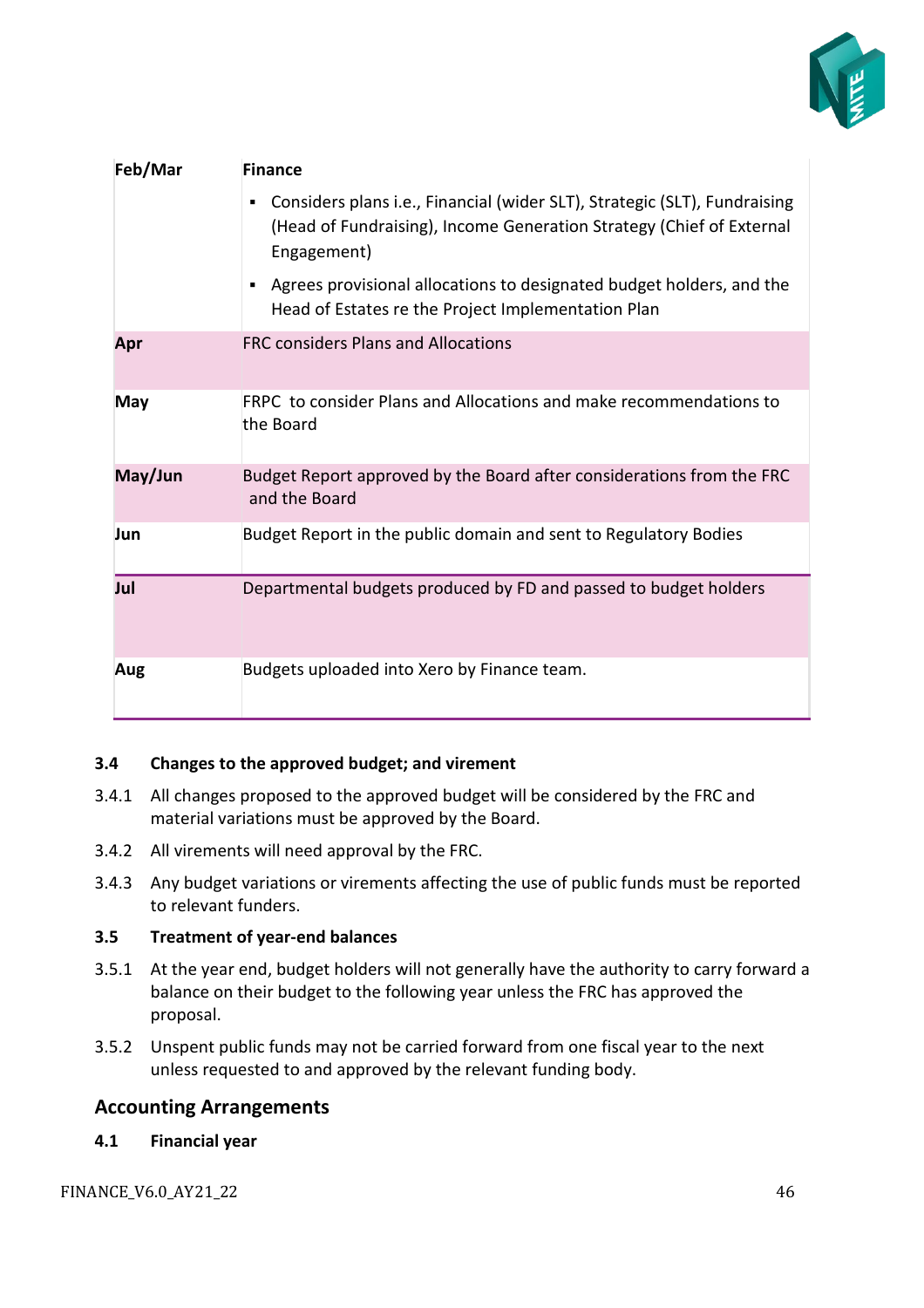

| Feb/Mar    | <b>Finance</b>                                                                                                                                                   |
|------------|------------------------------------------------------------------------------------------------------------------------------------------------------------------|
|            | Considers plans i.e., Financial (wider SLT), Strategic (SLT), Fundraising<br>(Head of Fundraising), Income Generation Strategy (Chief of External<br>Engagement) |
|            | Agrees provisional allocations to designated budget holders, and the<br>Head of Estates re the Project Implementation Plan                                       |
| Apr        | <b>FRC considers Plans and Allocations</b>                                                                                                                       |
| <b>May</b> | FRPC to consider Plans and Allocations and make recommendations to<br>the Board                                                                                  |
| May/Jun    | Budget Report approved by the Board after considerations from the FRC<br>and the Board                                                                           |
| Jun        | Budget Report in the public domain and sent to Regulatory Bodies                                                                                                 |
| Jul        | Departmental budgets produced by FD and passed to budget holders                                                                                                 |
| Aug        | Budgets uploaded into Xero by Finance team.                                                                                                                      |

### **3.4 Changes to the approved budget; and virement**

- 3.4.1 All changes proposed to the approved budget will be considered by the FRC and material variations must be approved by the Board.
- 3.4.2 All virements will need approval by the FRC.
- 3.4.3 Any budget variations or virements affecting the use of public funds must be reported to relevant funders.

### **3.5 Treatment of year-end balances**

- 3.5.1 At the year end, budget holders will not generally have the authority to carry forward a balance on their budget to the following year unless the FRC has approved the proposal.
- 3.5.2 Unspent public funds may not be carried forward from one fiscal year to the next unless requested to and approved by the relevant funding body.

### <span id="page-45-0"></span>**Accounting Arrangements**

**4.1 Financial year**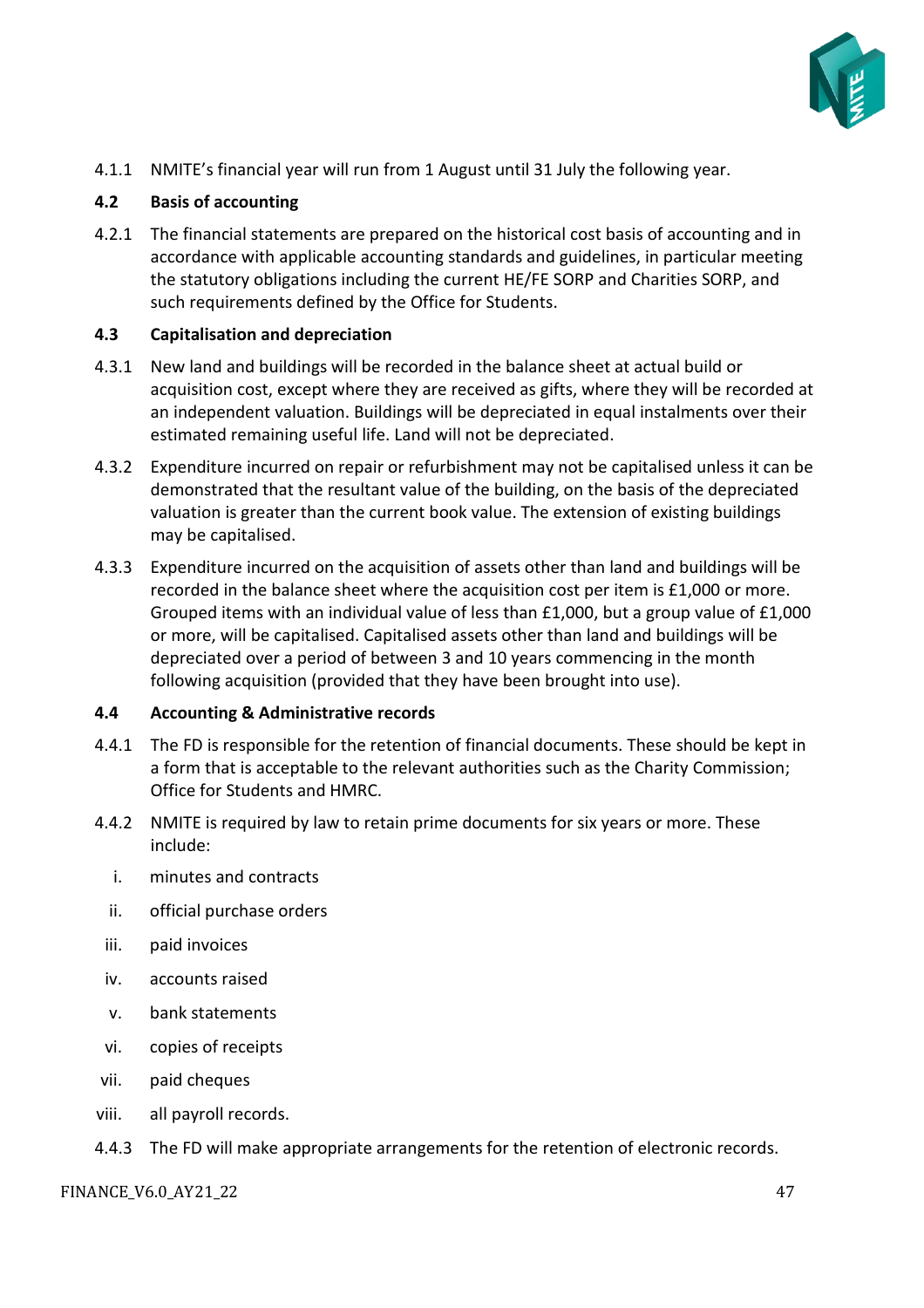

4.1.1 NMITE's financial year will run from 1 August until 31 July the following year.

### **4.2 Basis of accounting**

4.2.1 The financial statements are prepared on the historical cost basis of accounting and in accordance with applicable accounting standards and guidelines, in particular meeting the statutory obligations including the current HE/FE SORP and Charities SORP, and such requirements defined by the Office for Students.

### **4.3 Capitalisation and depreciation**

- 4.3.1 New land and buildings will be recorded in the balance sheet at actual build or acquisition cost, except where they are received as gifts, where they will be recorded at an independent valuation. Buildings will be depreciated in equal instalments over their estimated remaining useful life. Land will not be depreciated.
- 4.3.2 Expenditure incurred on repair or refurbishment may not be capitalised unless it can be demonstrated that the resultant value of the building, on the basis of the depreciated valuation is greater than the current book value. The extension of existing buildings may be capitalised.
- 4.3.3 Expenditure incurred on the acquisition of assets other than land and buildings will be recorded in the balance sheet where the acquisition cost per item is £1,000 or more. Grouped items with an individual value of less than  $£1,000$ , but a group value of  $£1,000$ or more, will be capitalised. Capitalised assets other than land and buildings will be depreciated over a period of between 3 and 10 years commencing in the month following acquisition (provided that they have been brought into use).

### **4.4 Accounting & Administrative records**

- 4.4.1 The FD is responsible for the retention of financial documents. These should be kept in a form that is acceptable to the relevant authorities such as the Charity Commission; Office for Students and HMRC.
- 4.4.2 NMITE is required by law to retain prime documents for six years or more. These include:
	- i. minutes and contracts
	- ii. official purchase orders
	- iii. paid invoices
	- iv. accounts raised
	- v. bank statements
	- vi. copies of receipts
- vii. paid cheques
- viii. all payroll records.
- 4.4.3 The FD will make appropriate arrangements for the retention of electronic records.

FINANCE\_V6.0\_AY21\_22 47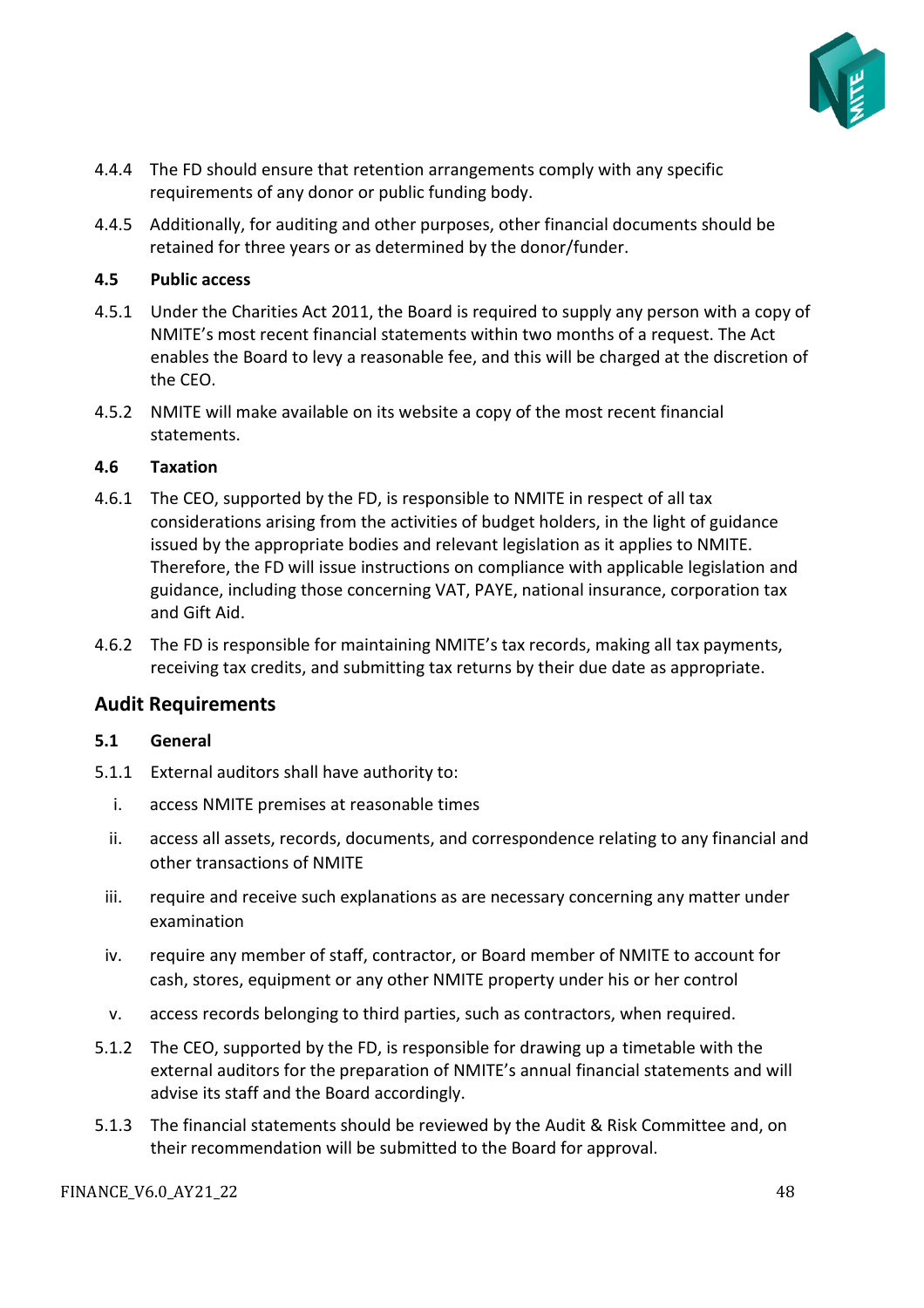

- 4.4.4 The FD should ensure that retention arrangements comply with any specific requirements of any donor or public funding body.
- 4.4.5 Additionally, for auditing and other purposes, other financial documents should be retained for three years or as determined by the donor/funder.

### **4.5 Public access**

- 4.5.1 Under the Charities Act 2011, the Board is required to supply any person with a copy of NMITE's most recent financial statements within two months of a request. The Act enables the Board to levy a reasonable fee, and this will be charged at the discretion of the CEO.
- 4.5.2 NMITE will make available on its website a copy of the most recent financial statements.

### **4.6 Taxation**

- 4.6.1 The CEO, supported by the FD, is responsible to NMITE in respect of all tax considerations arising from the activities of budget holders, in the light of guidance issued by the appropriate bodies and relevant legislation as it applies to NMITE. Therefore, the FD will issue instructions on compliance with applicable legislation and guidance, including those concerning VAT, PAYE, national insurance, corporation tax and Gift Aid.
- 4.6.2 The FD is responsible for maintaining NMITE's tax records, making all tax payments, receiving tax credits, and submitting tax returns by their due date as appropriate.

### <span id="page-47-0"></span>**Audit Requirements**

### **5.1 General**

- 5.1.1 External auditors shall have authority to:
	- i. access NMITE premises at reasonable times
	- ii. access all assets, records, documents, and correspondence relating to any financial and other transactions of NMITE
	- iii. require and receive such explanations as are necessary concerning any matter under examination
	- iv. require any member of staff, contractor, or Board member of NMITE to account for cash, stores, equipment or any other NMITE property under his or her control
	- v. access records belonging to third parties, such as contractors, when required.
- 5.1.2 The CEO, supported by the FD, is responsible for drawing up a timetable with the external auditors for the preparation of NMITE's annual financial statements and will advise its staff and the Board accordingly.
- 5.1.3 The financial statements should be reviewed by the Audit & Risk Committee and, on their recommendation will be submitted to the Board for approval.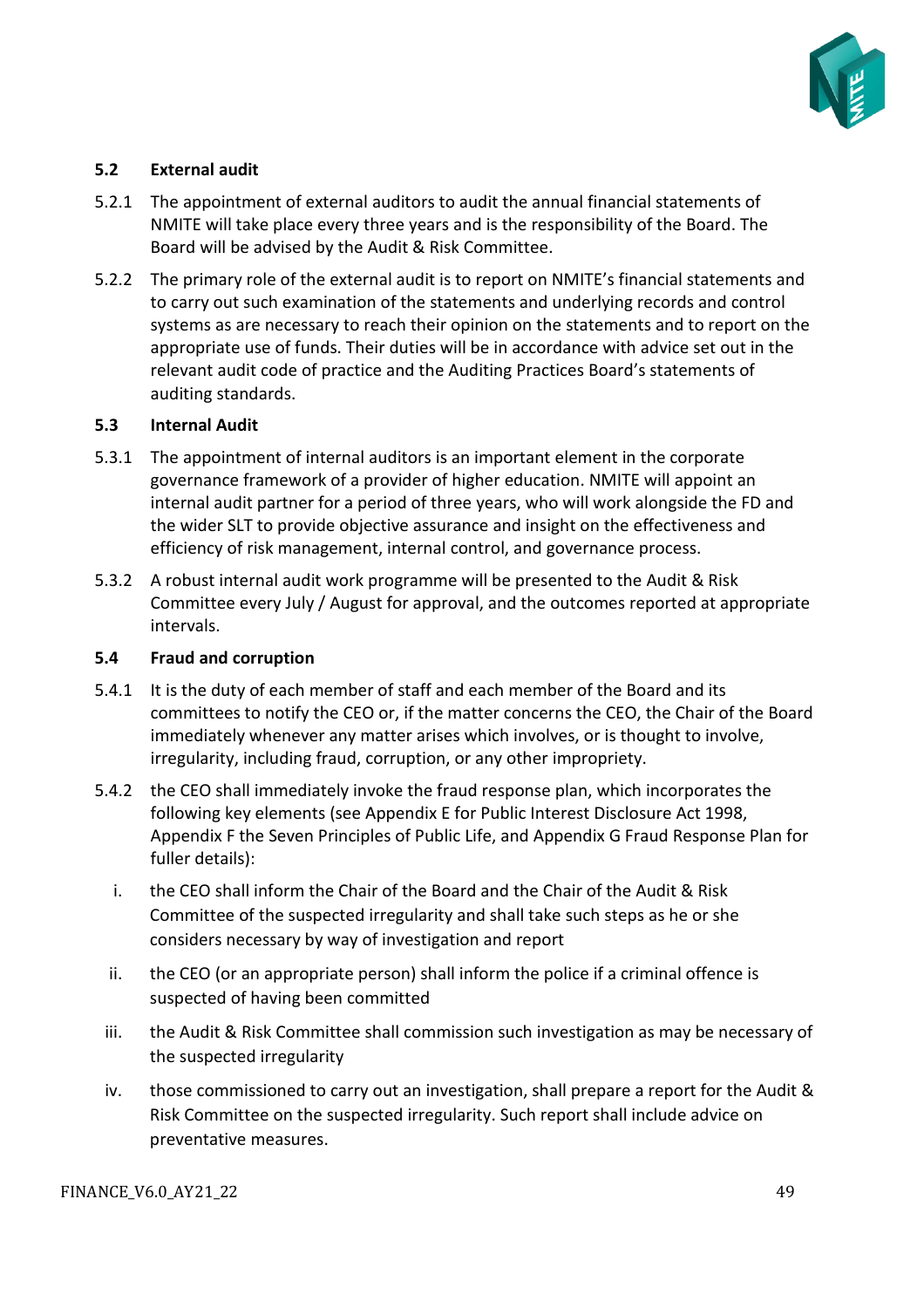

### **5.2 External audit**

- 5.2.1 The appointment of external auditors to audit the annual financial statements of NMITE will take place every three years and is the responsibility of the Board. The Board will be advised by the Audit & Risk Committee.
- 5.2.2 The primary role of the external audit is to report on NMITE's financial statements and to carry out such examination of the statements and underlying records and control systems as are necessary to reach their opinion on the statements and to report on the appropriate use of funds. Their duties will be in accordance with advice set out in the relevant audit code of practice and the Auditing Practices Board's statements of auditing standards.

### **5.3 Internal Audit**

- 5.3.1 The appointment of internal auditors is an important element in the corporate governance framework of a provider of higher education. NMITE will appoint an internal audit partner for a period of three years, who will work alongside the FD and the wider SLT to provide objective assurance and insight on the effectiveness and efficiency of risk management, internal control, and governance process.
- 5.3.2 A robust internal audit work programme will be presented to the Audit & Risk Committee every July / August for approval, and the outcomes reported at appropriate intervals.

### **5.4 Fraud and corruption**

- 5.4.1 It is the duty of each member of staff and each member of the Board and its committees to notify the CEO or, if the matter concerns the CEO, the Chair of the Board immediately whenever any matter arises which involves, or is thought to involve, irregularity, including fraud, corruption, or any other impropriety.
- 5.4.2 the CEO shall immediately invoke the fraud response plan, which incorporates the following key elements (see Appendix E for Public Interest Disclosure Act 1998, Appendix F the Seven Principles of Public Life, and Appendix G Fraud Response Plan for fuller details):
	- i. the CEO shall inform the Chair of the Board and the Chair of the Audit & Risk Committee of the suspected irregularity and shall take such steps as he or she considers necessary by way of investigation and report
	- ii. the CEO (or an appropriate person) shall inform the police if a criminal offence is suspected of having been committed
	- iii. the Audit & Risk Committee shall commission such investigation as may be necessary of the suspected irregularity
	- iv. those commissioned to carry out an investigation, shall prepare a report for the Audit & Risk Committee on the suspected irregularity. Such report shall include advice on preventative measures.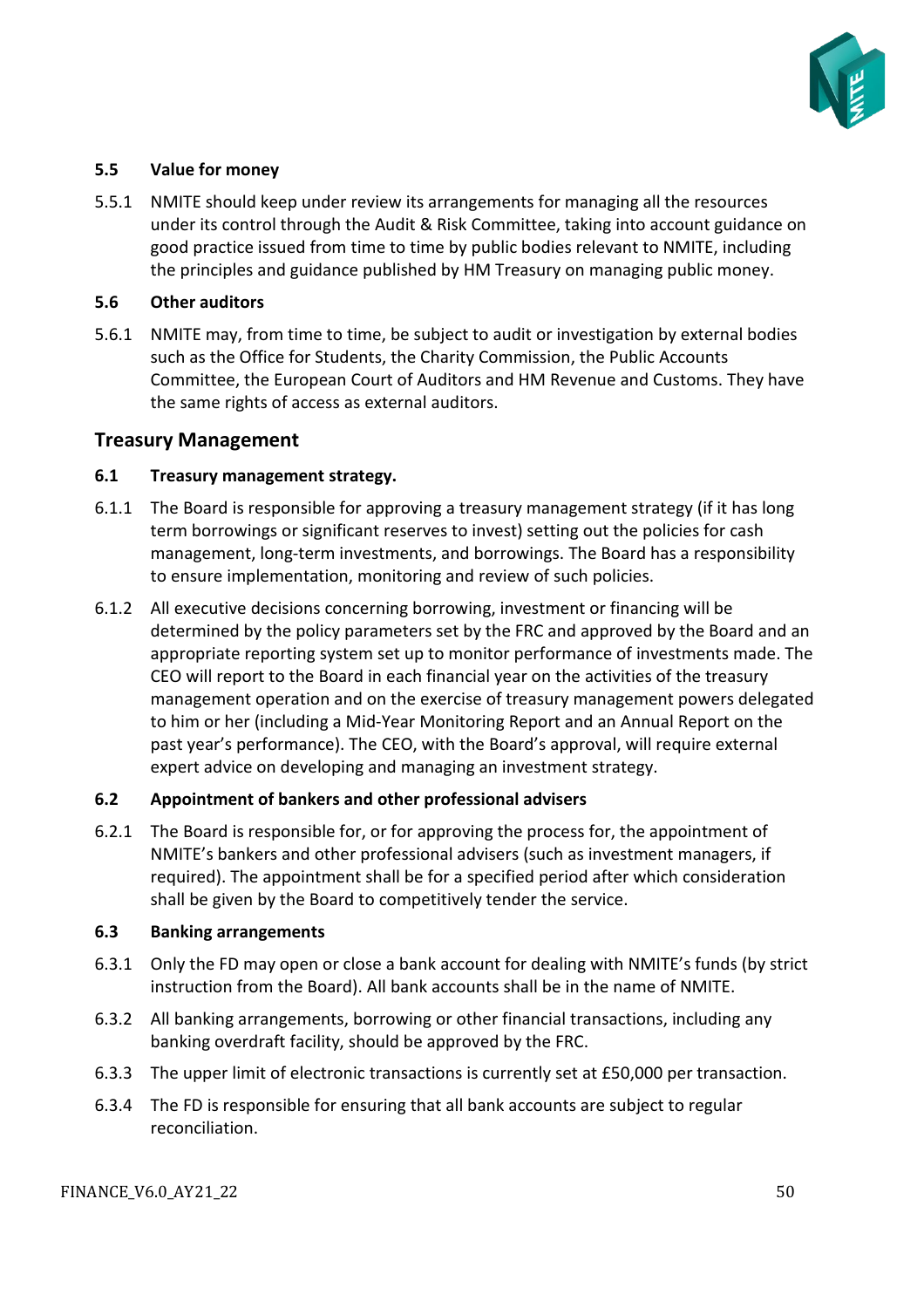

### **5.5 Value for money**

5.5.1 NMITE should keep under review its arrangements for managing all the resources under its control through the Audit & Risk Committee, taking into account guidance on good practice issued from time to time by public bodies relevant to NMITE, including the principles and guidance published by HM Treasury on managing public money.

### **5.6 Other auditors**

5.6.1 NMITE may, from time to time, be subject to audit or investigation by external bodies such as the Office for Students, the Charity Commission, the Public Accounts Committee, the European Court of Auditors and HM Revenue and Customs. They have the same rights of access as external auditors.

### <span id="page-49-0"></span>**Treasury Management**

### **6.1 Treasury management strategy.**

- 6.1.1 The Board is responsible for approving a treasury management strategy (if it has long term borrowings or significant reserves to invest) setting out the policies for cash management, long-term investments, and borrowings. The Board has a responsibility to ensure implementation, monitoring and review of such policies.
- 6.1.2 All executive decisions concerning borrowing, investment or financing will be determined by the policy parameters set by the FRC and approved by the Board and an appropriate reporting system set up to monitor performance of investments made. The CEO will report to the Board in each financial year on the activities of the treasury management operation and on the exercise of treasury management powers delegated to him or her (including a Mid-Year Monitoring Report and an Annual Report on the past year's performance). The CEO, with the Board's approval, will require external expert advice on developing and managing an investment strategy.

### **6.2 Appointment of bankers and other professional advisers**

6.2.1 The Board is responsible for, or for approving the process for, the appointment of NMITE's bankers and other professional advisers (such as investment managers, if required). The appointment shall be for a specified period after which consideration shall be given by the Board to competitively tender the service.

#### **6.3 Banking arrangements**

- 6.3.1 Only the FD may open or close a bank account for dealing with NMITE's funds (by strict instruction from the Board). All bank accounts shall be in the name of NMITE.
- 6.3.2 All banking arrangements, borrowing or other financial transactions, including any banking overdraft facility, should be approved by the FRC.
- 6.3.3 The upper limit of electronic transactions is currently set at £50,000 per transaction.
- 6.3.4 The FD is responsible for ensuring that all bank accounts are subject to regular reconciliation.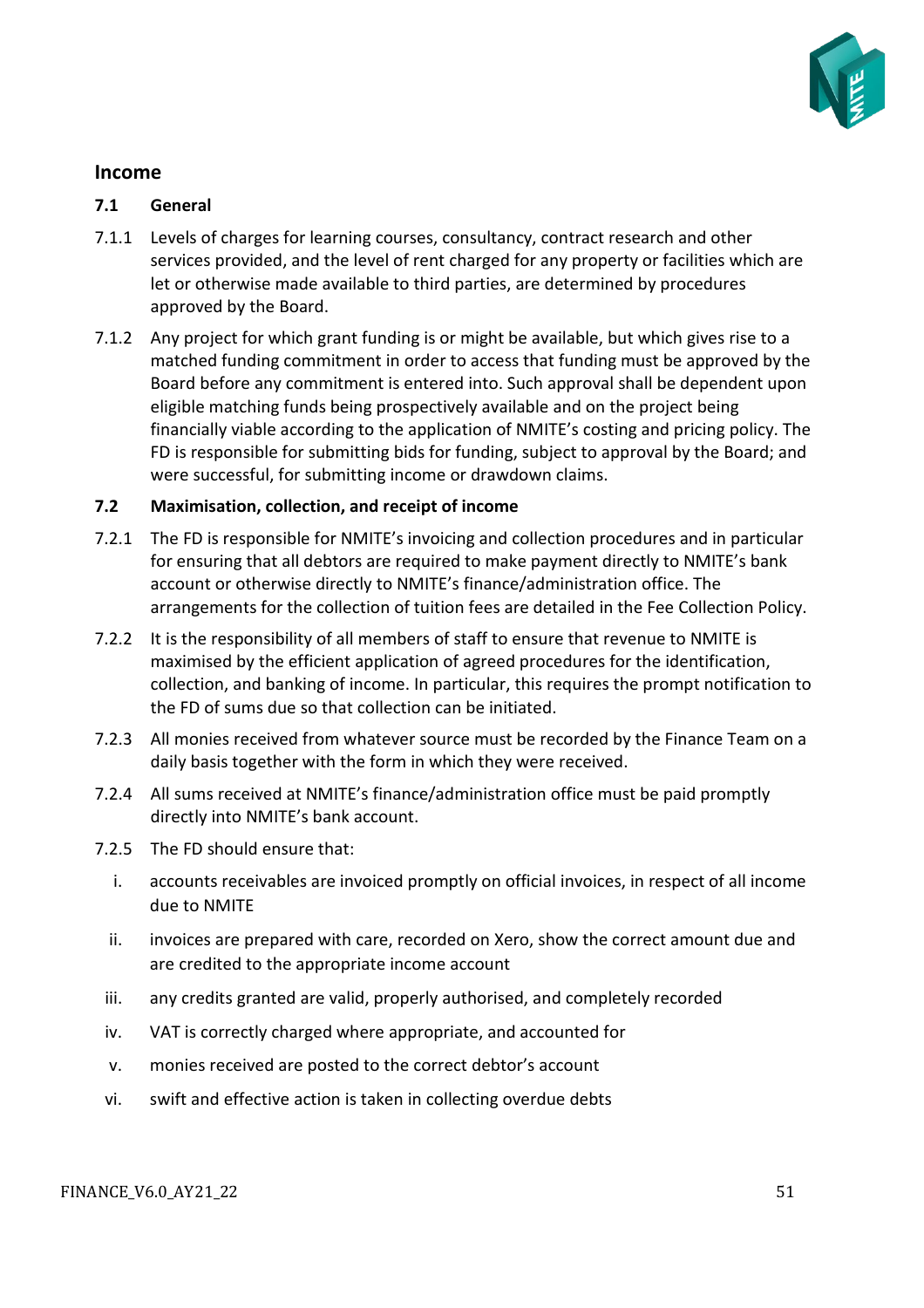

### <span id="page-50-0"></span>**Income**

### **7.1 General**

- 7.1.1 Levels of charges for learning courses, consultancy, contract research and other services provided, and the level of rent charged for any property or facilities which are let or otherwise made available to third parties, are determined by procedures approved by the Board.
- 7.1.2 Any project for which grant funding is or might be available, but which gives rise to a matched funding commitment in order to access that funding must be approved by the Board before any commitment is entered into. Such approval shall be dependent upon eligible matching funds being prospectively available and on the project being financially viable according to the application of NMITE's costing and pricing policy. The FD is responsible for submitting bids for funding, subject to approval by the Board; and were successful, for submitting income or drawdown claims.

### **7.2 Maximisation, collection, and receipt of income**

- 7.2.1 The FD is responsible for NMITE's invoicing and collection procedures and in particular for ensuring that all debtors are required to make payment directly to NMITE's bank account or otherwise directly to NMITE's finance/administration office. The arrangements for the collection of tuition fees are detailed in the Fee Collection Policy.
- 7.2.2 It is the responsibility of all members of staff to ensure that revenue to NMITE is maximised by the efficient application of agreed procedures for the identification, collection, and banking of income. In particular, this requires the prompt notification to the FD of sums due so that collection can be initiated.
- 7.2.3 All monies received from whatever source must be recorded by the Finance Team on a daily basis together with the form in which they were received.
- 7.2.4 All sums received at NMITE's finance/administration office must be paid promptly directly into NMITE's bank account.
- 7.2.5 The FD should ensure that:
	- i. accounts receivables are invoiced promptly on official invoices, in respect of all income due to NMITE
	- ii. invoices are prepared with care, recorded on Xero, show the correct amount due and are credited to the appropriate income account
	- iii. any credits granted are valid, properly authorised, and completely recorded
	- iv. VAT is correctly charged where appropriate, and accounted for
	- v. monies received are posted to the correct debtor's account
	- vi. swift and effective action is taken in collecting overdue debts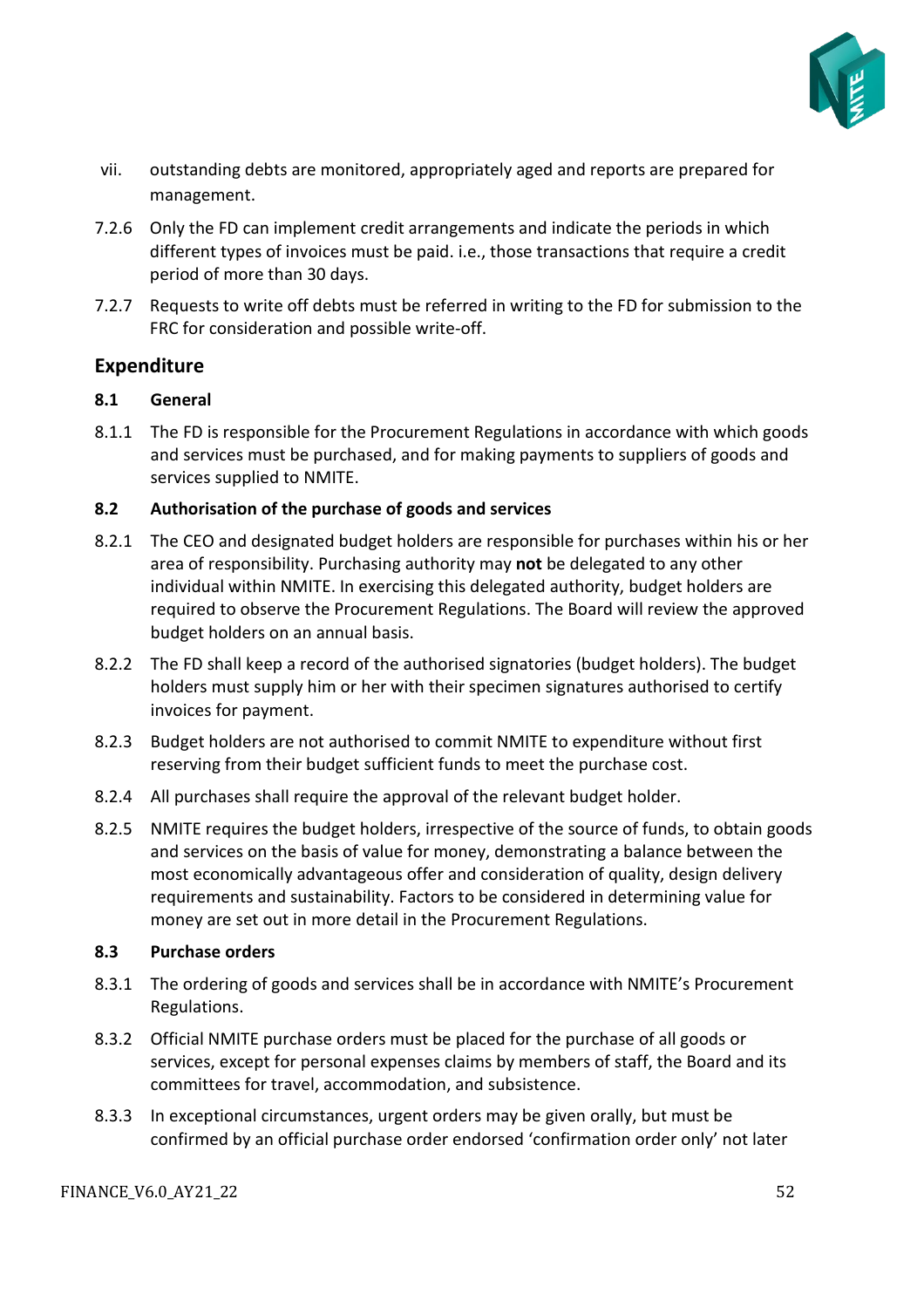

- vii. outstanding debts are monitored, appropriately aged and reports are prepared for management.
- 7.2.6 Only the FD can implement credit arrangements and indicate the periods in which different types of invoices must be paid. i.e., those transactions that require a credit period of more than 30 days.
- 7.2.7 Requests to write off debts must be referred in writing to the FD for submission to the FRC for consideration and possible write-off.

# <span id="page-51-0"></span>**Expenditure**

### **8.1 General**

8.1.1 The FD is responsible for the Procurement Regulations in accordance with which goods and services must be purchased, and for making payments to suppliers of goods and services supplied to NMITE.

### **8.2 Authorisation of the purchase of goods and services**

- 8.2.1 The CEO and designated budget holders are responsible for purchases within his or her area of responsibility. Purchasing authority may **not** be delegated to any other individual within NMITE. In exercising this delegated authority, budget holders are required to observe the Procurement Regulations. The Board will review the approved budget holders on an annual basis.
- 8.2.2 The FD shall keep a record of the authorised signatories (budget holders). The budget holders must supply him or her with their specimen signatures authorised to certify invoices for payment.
- 8.2.3 Budget holders are not authorised to commit NMITE to expenditure without first reserving from their budget sufficient funds to meet the purchase cost.
- 8.2.4 All purchases shall require the approval of the relevant budget holder.
- 8.2.5 NMITE requires the budget holders, irrespective of the source of funds, to obtain goods and services on the basis of value for money, demonstrating a balance between the most economically advantageous offer and consideration of quality, design delivery requirements and sustainability. Factors to be considered in determining value for money are set out in more detail in the Procurement Regulations.

### **8.3 Purchase orders**

- 8.3.1 The ordering of goods and services shall be in accordance with NMITE's Procurement Regulations.
- 8.3.2 Official NMITE purchase orders must be placed for the purchase of all goods or services, except for personal expenses claims by members of staff, the Board and its committees for travel, accommodation, and subsistence.
- 8.3.3 In exceptional circumstances, urgent orders may be given orally, but must be confirmed by an official purchase order endorsed 'confirmation order only' not later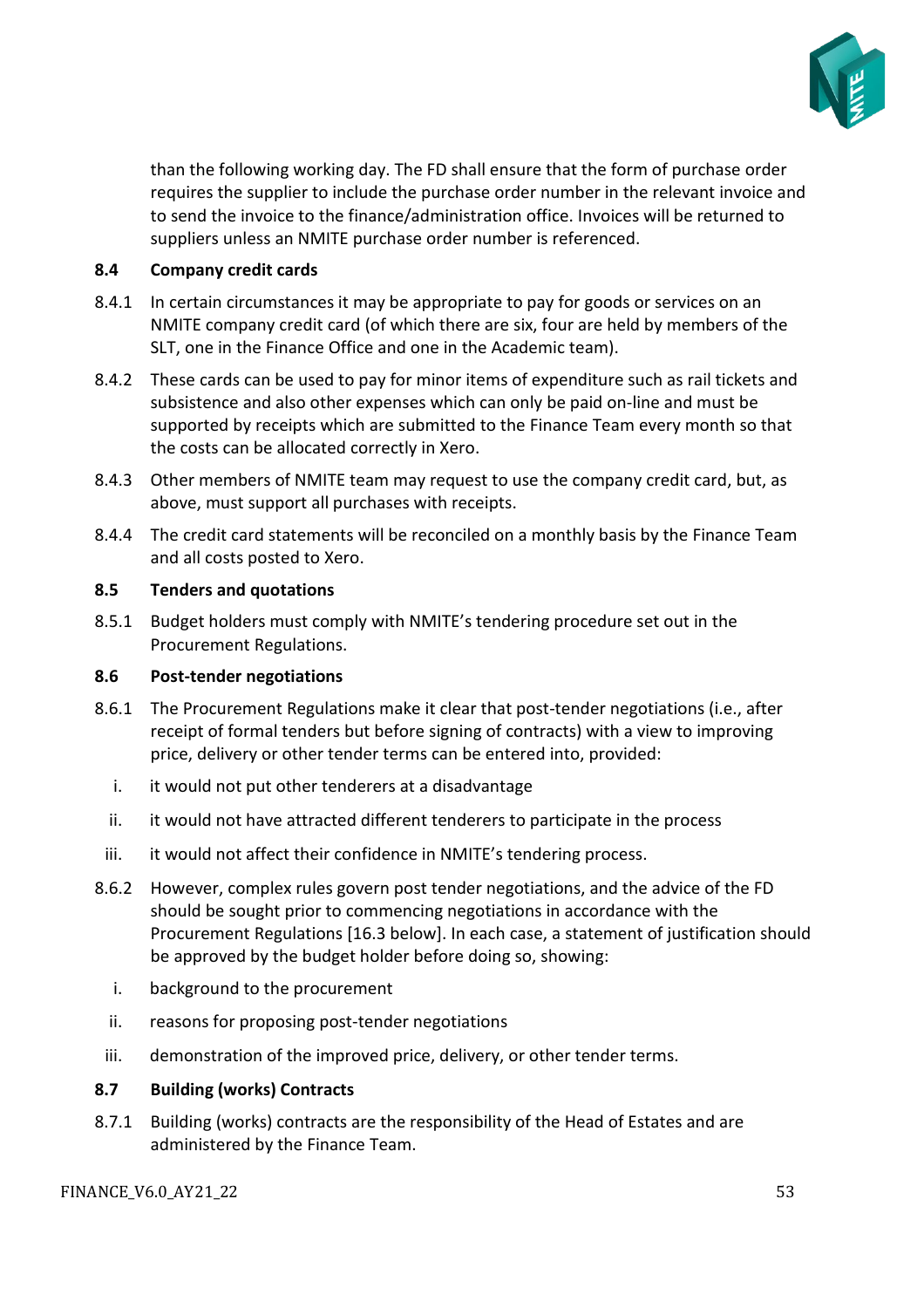

than the following working day. The FD shall ensure that the form of purchase order requires the supplier to include the purchase order number in the relevant invoice and to send the invoice to the finance/administration office. Invoices will be returned to suppliers unless an NMITE purchase order number is referenced.

### **8.4 Company credit cards**

- 8.4.1 In certain circumstances it may be appropriate to pay for goods or services on an NMITE company credit card (of which there are six, four are held by members of the SLT, one in the Finance Office and one in the Academic team).
- 8.4.2 These cards can be used to pay for minor items of expenditure such as rail tickets and subsistence and also other expenses which can only be paid on-line and must be supported by receipts which are submitted to the Finance Team every month so that the costs can be allocated correctly in Xero.
- 8.4.3 Other members of NMITE team may request to use the company credit card, but, as above, must support all purchases with receipts.
- 8.4.4 The credit card statements will be reconciled on a monthly basis by the Finance Team and all costs posted to Xero.

### **8.5 Tenders and quotations**

8.5.1 Budget holders must comply with NMITE's tendering procedure set out in the Procurement Regulations.

### **8.6 Post-tender negotiations**

- 8.6.1 The Procurement Regulations make it clear that post-tender negotiations (i.e., after receipt of formal tenders but before signing of contracts) with a view to improving price, delivery or other tender terms can be entered into, provided:
	- i. it would not put other tenderers at a disadvantage
	- ii. it would not have attracted different tenderers to participate in the process
- iii. it would not affect their confidence in NMITE's tendering process.
- 8.6.2 However, complex rules govern post tender negotiations, and the advice of the FD should be sought prior to commencing negotiations in accordance with the Procurement Regulations [16.3 below]. In each case, a statement of justification should be approved by the budget holder before doing so, showing:
	- i. background to the procurement
	- ii. reasons for proposing post-tender negotiations
- iii. demonstration of the improved price, delivery, or other tender terms.

### **8.7 Building (works) Contracts**

8.7.1 Building (works) contracts are the responsibility of the Head of Estates and are administered by the Finance Team.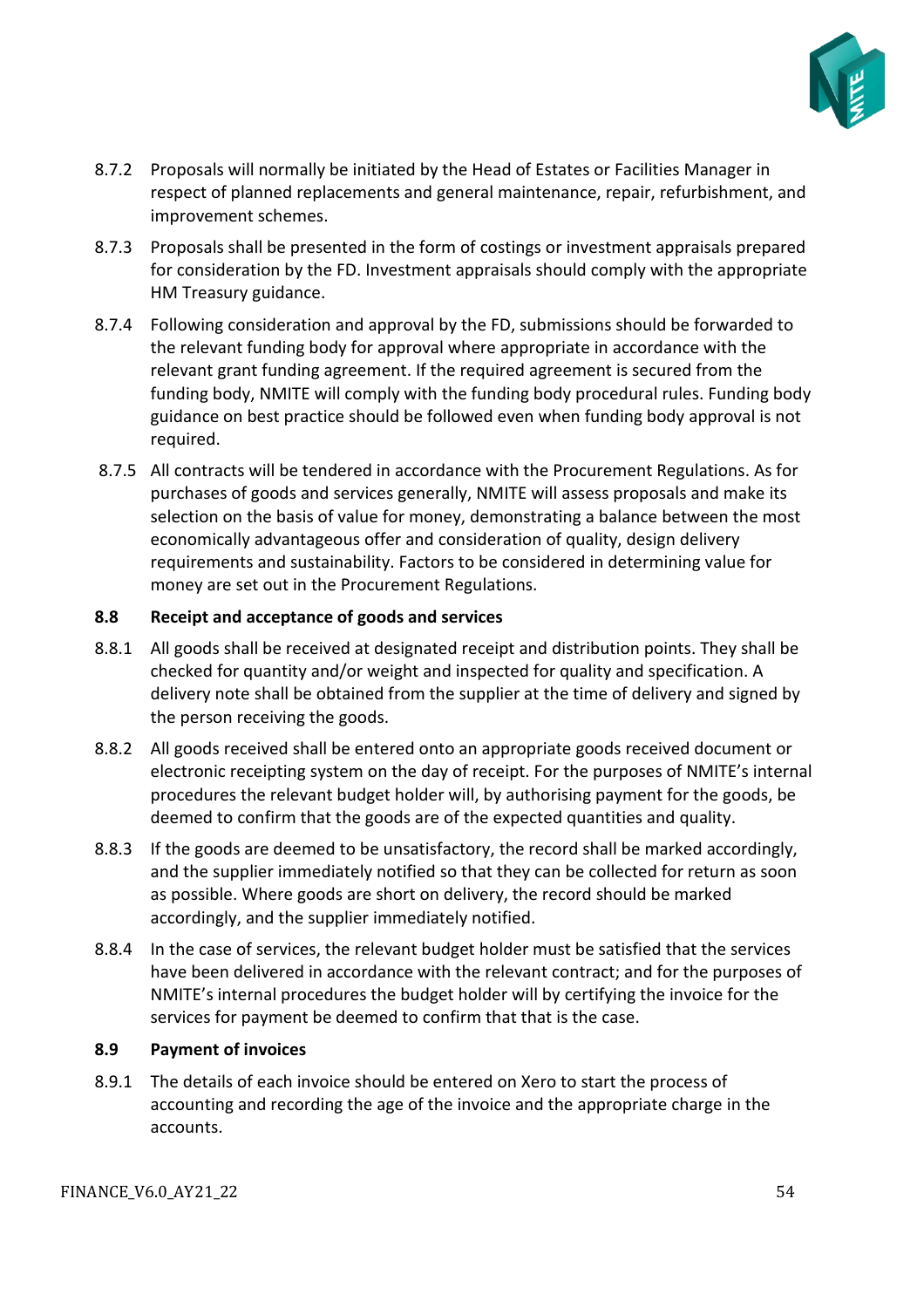

- 8.7.2 Proposals will normally be initiated by the Head of Estates or Facilities Manager in respect of planned replacements and general maintenance, repair, refurbishment, and improvement schemes.
- 8.7.3 Proposals shall be presented in the form of costings or investment appraisals prepared for consideration by the FD. Investment appraisals should comply with the appropriate HM Treasury guidance.
- 8.7.4 Following consideration and approval by the FD, submissions should be forwarded to the relevant funding body for approval where appropriate in accordance with the relevant grant funding agreement. If the required agreement is secured from the funding body, NMITE will comply with the funding body procedural rules. Funding body guidance on best practice should be followed even when funding body approval is not required.
- 8.7.5 All contracts will be tendered in accordance with the Procurement Regulations. As for purchases of goods and services generally, NMITE will assess proposals and make its selection on the basis of value for money, demonstrating a balance between the most economically advantageous offer and consideration of quality, design delivery requirements and sustainability. Factors to be considered in determining value for money are set out in the Procurement Regulations.

### **8.8 Receipt and acceptance of goods and services**

- 8.8.1 All goods shall be received at designated receipt and distribution points. They shall be checked for quantity and/or weight and inspected for quality and specification. A delivery note shall be obtained from the supplier at the time of delivery and signed by the person receiving the goods.
- 8.8.2 All goods received shall be entered onto an appropriate goods received document or electronic receipting system on the day of receipt. For the purposes of NMITE's internal procedures the relevant budget holder will, by authorising payment for the goods, be deemed to confirm that the goods are of the expected quantities and quality.
- 8.8.3 If the goods are deemed to be unsatisfactory, the record shall be marked accordingly, and the supplier immediately notified so that they can be collected for return as soon as possible. Where goods are short on delivery, the record should be marked accordingly, and the supplier immediately notified.
- 8.8.4 In the case of services, the relevant budget holder must be satisfied that the services have been delivered in accordance with the relevant contract; and for the purposes of NMITE's internal procedures the budget holder will by certifying the invoice for the services for payment be deemed to confirm that that is the case.

### **8.9 Payment of invoices**

8.9.1 The details of each invoice should be entered on Xero to start the process of accounting and recording the age of the invoice and the appropriate charge in the accounts.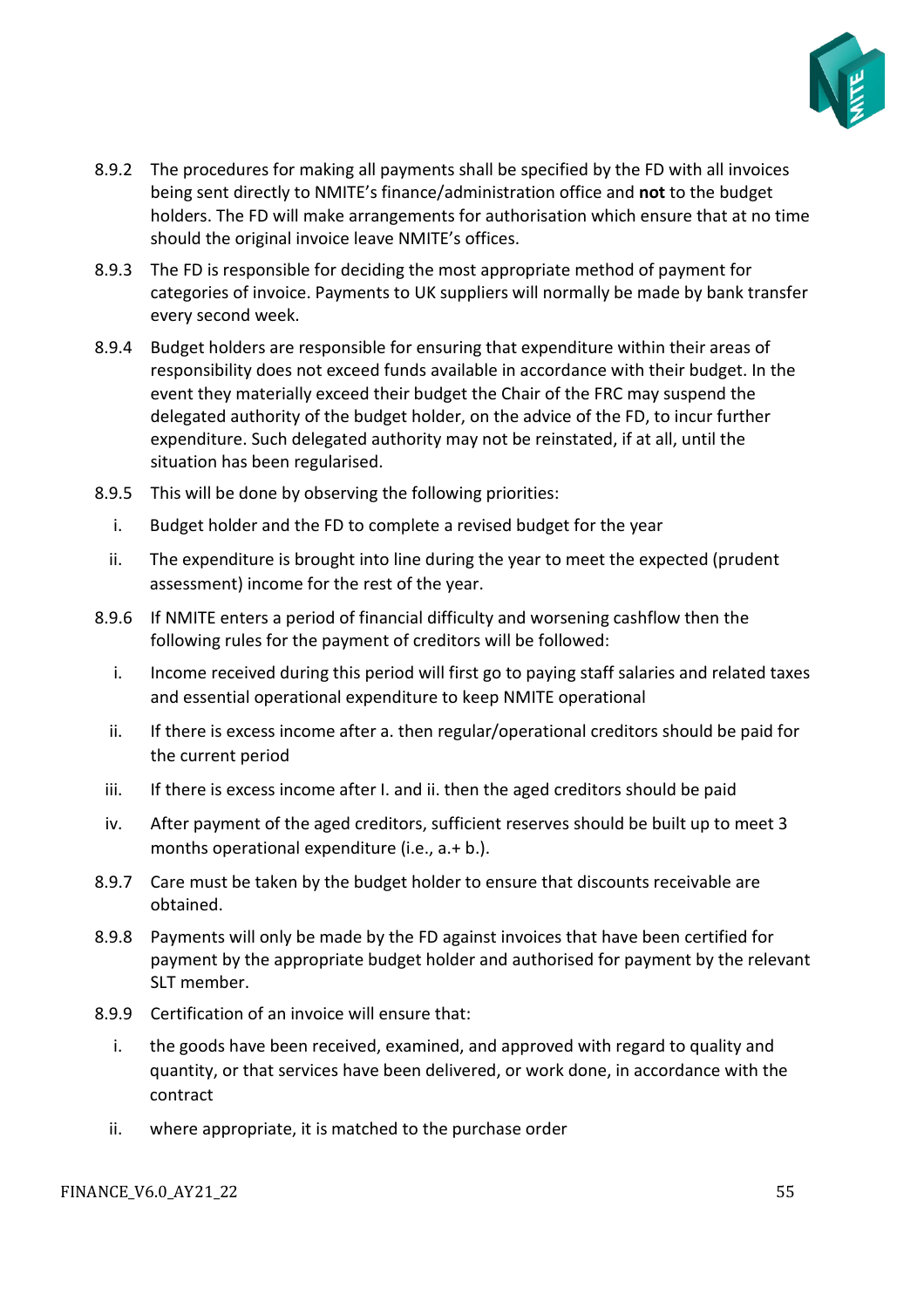

- 8.9.2 The procedures for making all payments shall be specified by the FD with all invoices being sent directly to NMITE's finance/administration office and **not** to the budget holders. The FD will make arrangements for authorisation which ensure that at no time should the original invoice leave NMITE's offices.
- 8.9.3 The FD is responsible for deciding the most appropriate method of payment for categories of invoice. Payments to UK suppliers will normally be made by bank transfer every second week.
- 8.9.4 Budget holders are responsible for ensuring that expenditure within their areas of responsibility does not exceed funds available in accordance with their budget. In the event they materially exceed their budget the Chair of the FRC may suspend the delegated authority of the budget holder, on the advice of the FD, to incur further expenditure. Such delegated authority may not be reinstated, if at all, until the situation has been regularised.
- 8.9.5 This will be done by observing the following priorities:
	- i. Budget holder and the FD to complete a revised budget for the year
	- ii. The expenditure is brought into line during the year to meet the expected (prudent assessment) income for the rest of the year.
- 8.9.6 If NMITE enters a period of financial difficulty and worsening cashflow then the following rules for the payment of creditors will be followed:
	- i. Income received during this period will first go to paying staff salaries and related taxes and essential operational expenditure to keep NMITE operational
	- ii. If there is excess income after a. then regular/operational creditors should be paid for the current period
	- iii. If there is excess income after I. and ii. then the aged creditors should be paid
	- iv. After payment of the aged creditors, sufficient reserves should be built up to meet 3 months operational expenditure (i.e., a.+ b.).
- 8.9.7 Care must be taken by the budget holder to ensure that discounts receivable are obtained.
- 8.9.8 Payments will only be made by the FD against invoices that have been certified for payment by the appropriate budget holder and authorised for payment by the relevant SLT member.
- 8.9.9 Certification of an invoice will ensure that:
	- i. the goods have been received, examined, and approved with regard to quality and quantity, or that services have been delivered, or work done, in accordance with the contract
	- ii. where appropriate, it is matched to the purchase order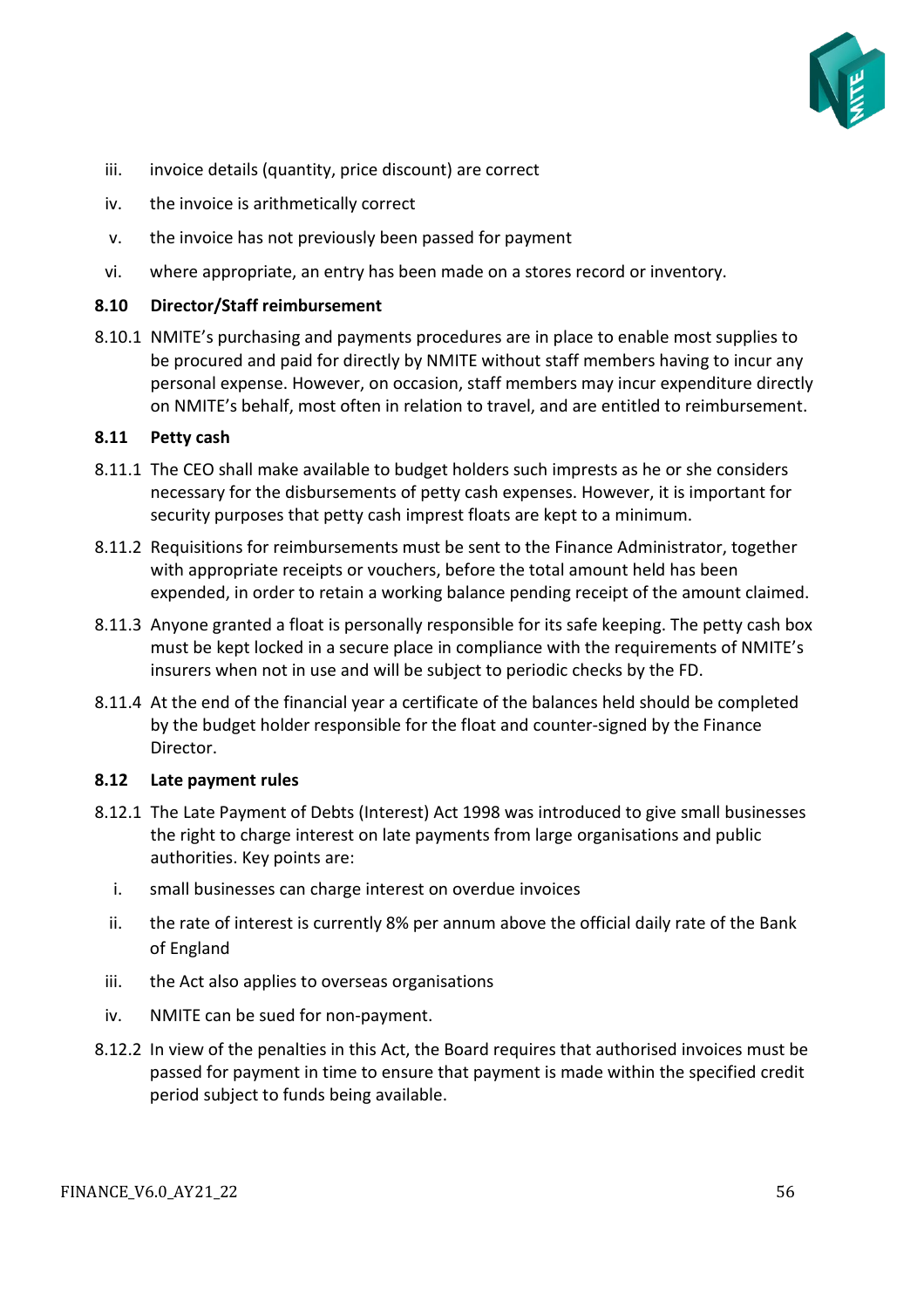

- iii. invoice details (quantity, price discount) are correct
- iv. the invoice is arithmetically correct
- v. the invoice has not previously been passed for payment
- vi. where appropriate, an entry has been made on a stores record or inventory.

#### **8.10 Director/Staff reimbursement**

8.10.1 NMITE's purchasing and payments procedures are in place to enable most supplies to be procured and paid for directly by NMITE without staff members having to incur any personal expense. However, on occasion, staff members may incur expenditure directly on NMITE's behalf, most often in relation to travel, and are entitled to reimbursement.

#### **8.11 Petty cash**

- 8.11.1 The CEO shall make available to budget holders such imprests as he or she considers necessary for the disbursements of petty cash expenses. However, it is important for security purposes that petty cash imprest floats are kept to a minimum.
- 8.11.2 Requisitions for reimbursements must be sent to the Finance Administrator, together with appropriate receipts or vouchers, before the total amount held has been expended, in order to retain a working balance pending receipt of the amount claimed.
- 8.11.3 Anyone granted a float is personally responsible for its safe keeping. The petty cash box must be kept locked in a secure place in compliance with the requirements of NMITE's insurers when not in use and will be subject to periodic checks by the FD.
- 8.11.4 At the end of the financial year a certificate of the balances held should be completed by the budget holder responsible for the float and counter-signed by the Finance Director.

#### **8.12 Late payment rules**

- 8.12.1 The Late Payment of Debts (Interest) Act 1998 was introduced to give small businesses the right to charge interest on late payments from large organisations and public authorities. Key points are:
	- i. small businesses can charge interest on overdue invoices
	- ii. the rate of interest is currently 8% per annum above the official daily rate of the Bank of England
	- iii. the Act also applies to overseas organisations
	- iv. NMITE can be sued for non-payment.
- 8.12.2 In view of the penalties in this Act, the Board requires that authorised invoices must be passed for payment in time to ensure that payment is made within the specified credit period subject to funds being available.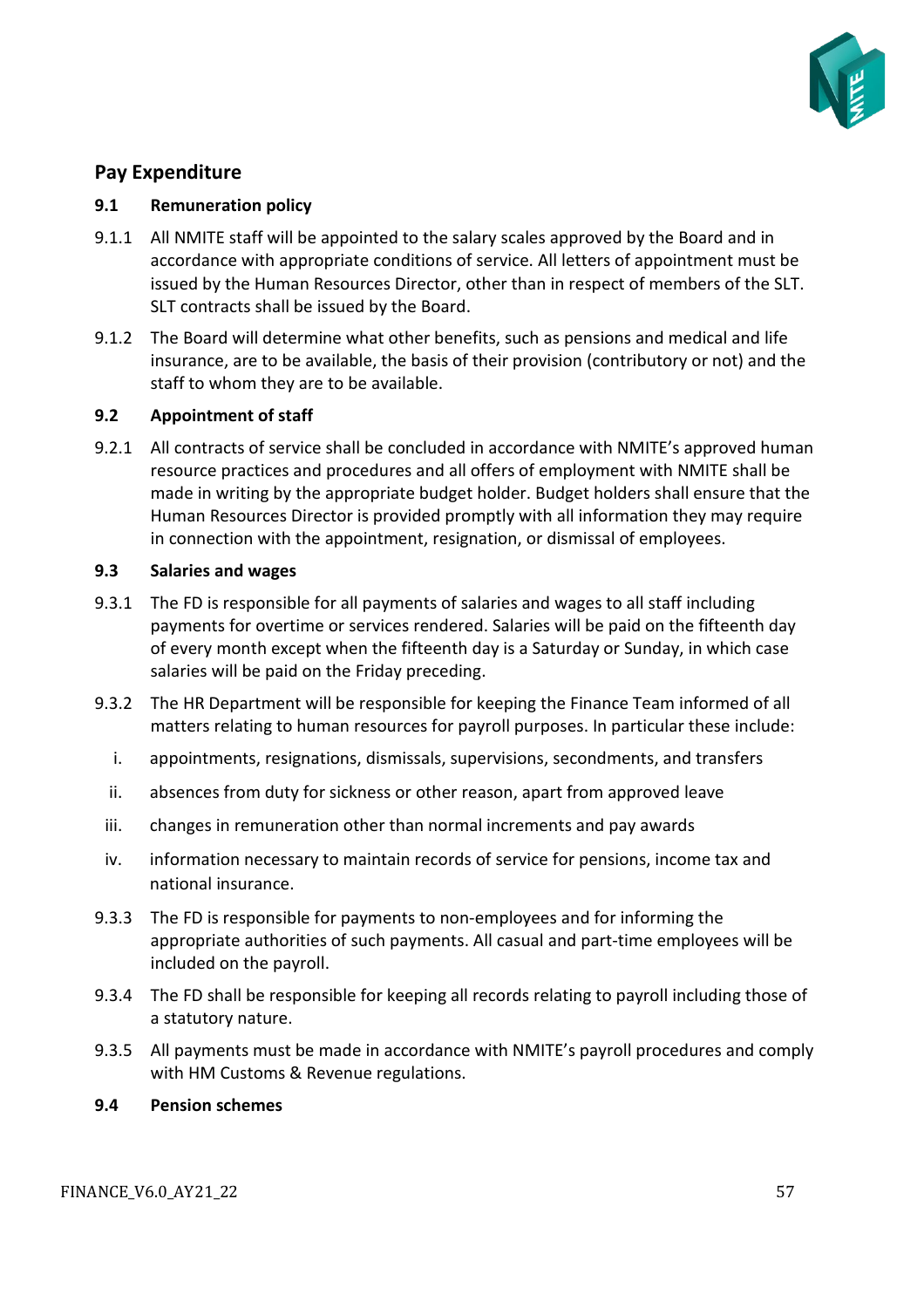

# <span id="page-56-0"></span>**Pay Expenditure**

### **9.1 Remuneration policy**

- 9.1.1 All NMITE staff will be appointed to the salary scales approved by the Board and in accordance with appropriate conditions of service. All letters of appointment must be issued by the Human Resources Director, other than in respect of members of the SLT. SLT contracts shall be issued by the Board.
- 9.1.2 The Board will determine what other benefits, such as pensions and medical and life insurance, are to be available, the basis of their provision (contributory or not) and the staff to whom they are to be available.

### **9.2 Appointment of staff**

9.2.1 All contracts of service shall be concluded in accordance with NMITE's approved human resource practices and procedures and all offers of employment with NMITE shall be made in writing by the appropriate budget holder. Budget holders shall ensure that the Human Resources Director is provided promptly with all information they may require in connection with the appointment, resignation, or dismissal of employees.

### **9.3 Salaries and wages**

- 9.3.1 The FD is responsible for all payments of salaries and wages to all staff including payments for overtime or services rendered. Salaries will be paid on the fifteenth day of every month except when the fifteenth day is a Saturday or Sunday, in which case salaries will be paid on the Friday preceding.
- 9.3.2 The HR Department will be responsible for keeping the Finance Team informed of all matters relating to human resources for payroll purposes. In particular these include:
	- i. appointments, resignations, dismissals, supervisions, secondments, and transfers
	- ii. absences from duty for sickness or other reason, apart from approved leave
	- iii. changes in remuneration other than normal increments and pay awards
	- iv. information necessary to maintain records of service for pensions, income tax and national insurance.
- 9.3.3 The FD is responsible for payments to non-employees and for informing the appropriate authorities of such payments. All casual and part-time employees will be included on the payroll.
- 9.3.4 The FD shall be responsible for keeping all records relating to payroll including those of a statutory nature.
- 9.3.5 All payments must be made in accordance with NMITE's payroll procedures and comply with HM Customs & Revenue regulations.

#### **9.4 Pension schemes**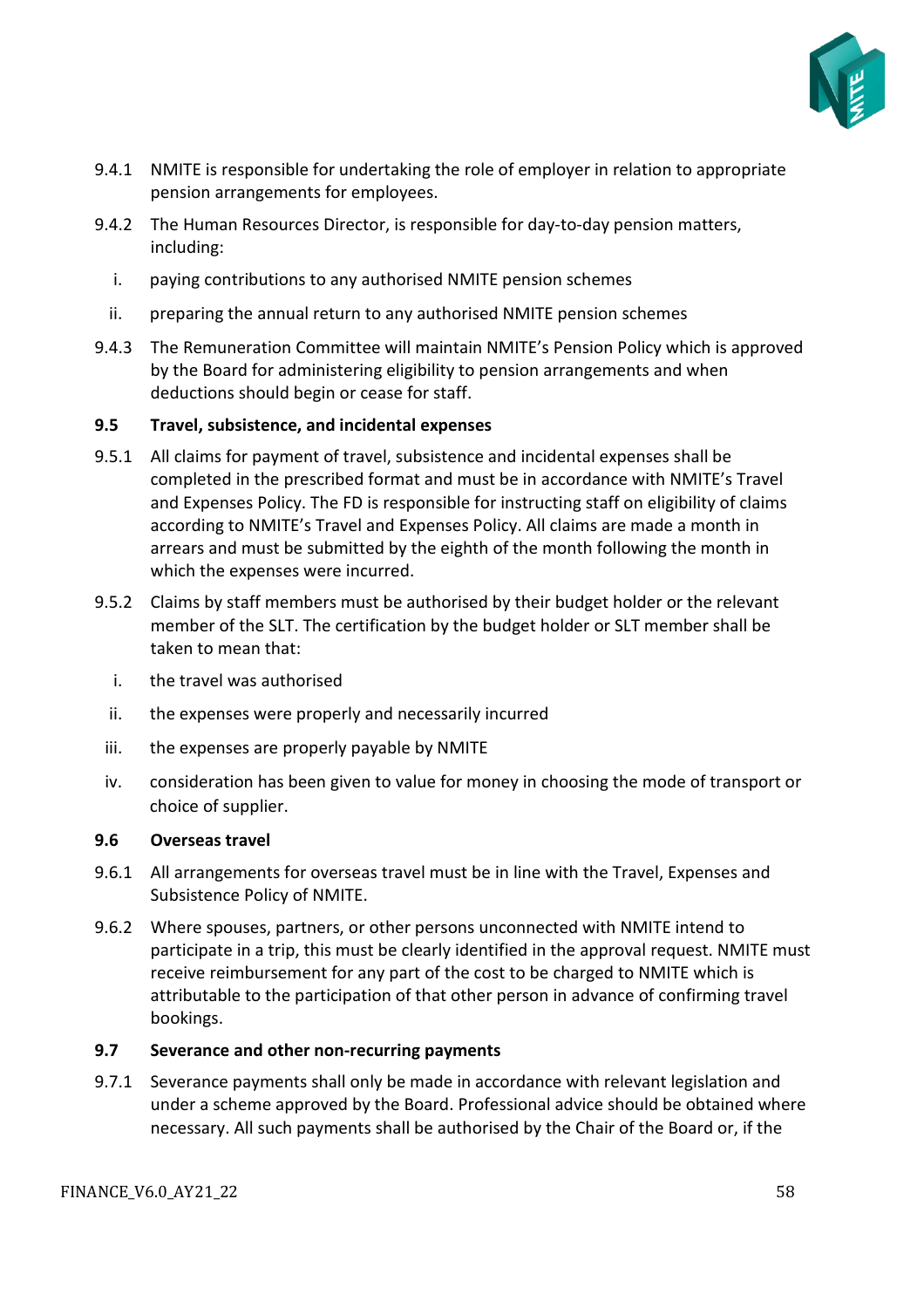

- 9.4.1 NMITE is responsible for undertaking the role of employer in relation to appropriate pension arrangements for employees.
- 9.4.2 The Human Resources Director, is responsible for day-to-day pension matters, including:
	- i. paying contributions to any authorised NMITE pension schemes
	- ii. preparing the annual return to any authorised NMITE pension schemes
- 9.4.3 The Remuneration Committee will maintain NMITE's Pension Policy which is approved by the Board for administering eligibility to pension arrangements and when deductions should begin or cease for staff.

### **9.5 Travel, subsistence, and incidental expenses**

- 9.5.1 All claims for payment of travel, subsistence and incidental expenses shall be completed in the prescribed format and must be in accordance with NMITE's Travel and Expenses Policy. The FD is responsible for instructing staff on eligibility of claims according to NMITE's Travel and Expenses Policy. All claims are made a month in arrears and must be submitted by the eighth of the month following the month in which the expenses were incurred.
- 9.5.2 Claims by staff members must be authorised by their budget holder or the relevant member of the SLT. The certification by the budget holder or SLT member shall be taken to mean that:
	- i. the travel was authorised
	- ii. the expenses were properly and necessarily incurred
	- iii. the expenses are properly payable by NMITE
- iv. consideration has been given to value for money in choosing the mode of transport or choice of supplier.

#### **9.6 Overseas travel**

- 9.6.1 All arrangements for overseas travel must be in line with the Travel, Expenses and Subsistence Policy of NMITE.
- 9.6.2 Where spouses, partners, or other persons unconnected with NMITE intend to participate in a trip, this must be clearly identified in the approval request. NMITE must receive reimbursement for any part of the cost to be charged to NMITE which is attributable to the participation of that other person in advance of confirming travel bookings.

### **9.7 Severance and other non-recurring payments**

9.7.1 Severance payments shall only be made in accordance with relevant legislation and under a scheme approved by the Board. Professional advice should be obtained where necessary. All such payments shall be authorised by the Chair of the Board or, if the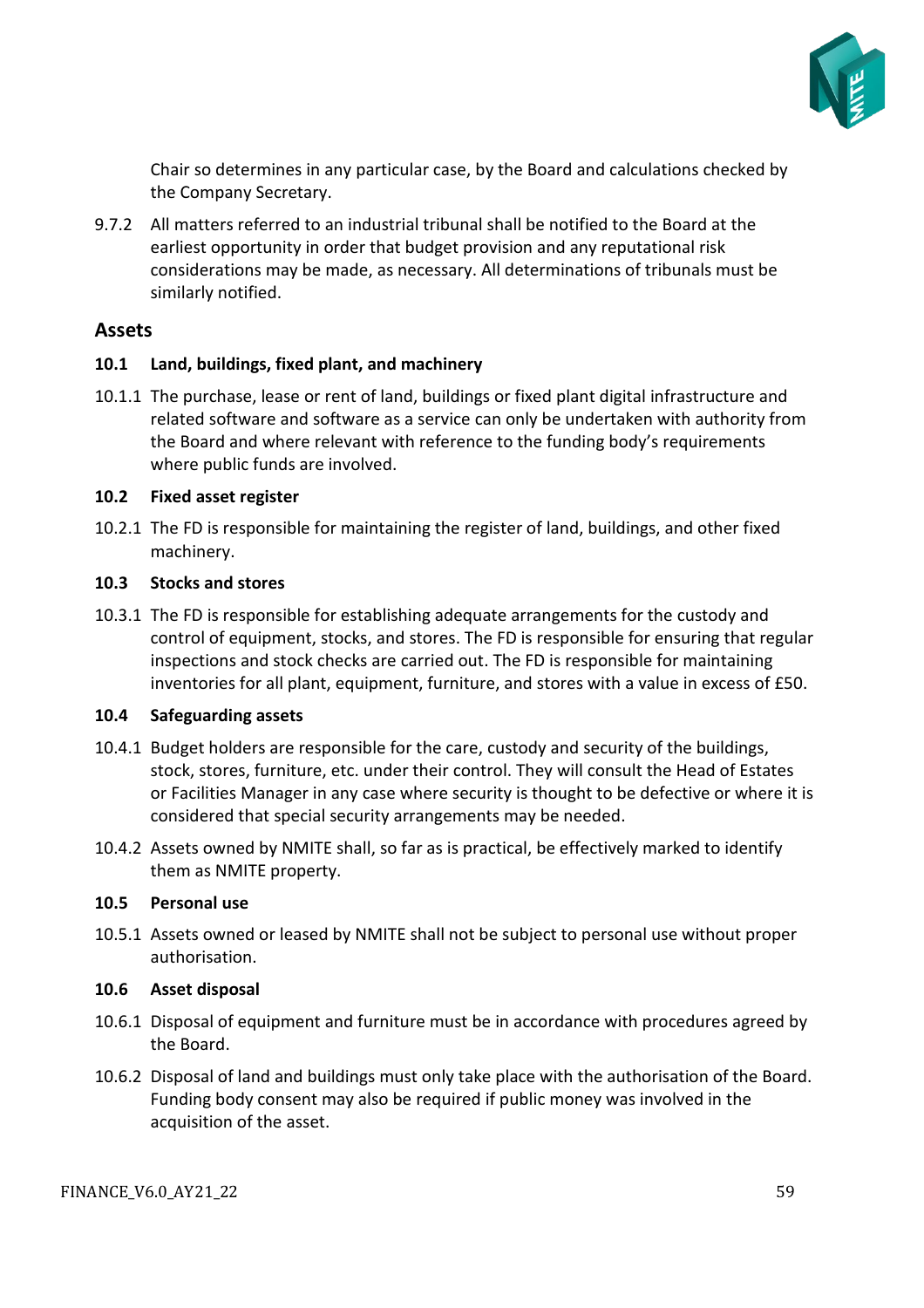

Chair so determines in any particular case, by the Board and calculations checked by the Company Secretary.

9.7.2 All matters referred to an industrial tribunal shall be notified to the Board at the earliest opportunity in order that budget provision and any reputational risk considerations may be made, as necessary. All determinations of tribunals must be similarly notified.

### <span id="page-58-0"></span>**Assets**

### **10.1 Land, buildings, fixed plant, and machinery**

10.1.1 The purchase, lease or rent of land, buildings or fixed plant digital infrastructure and related software and software as a service can only be undertaken with authority from the Board and where relevant with reference to the funding body's requirements where public funds are involved.

### **10.2 Fixed asset register**

10.2.1 The FD is responsible for maintaining the register of land, buildings, and other fixed machinery.

#### **10.3 Stocks and stores**

10.3.1 The FD is responsible for establishing adequate arrangements for the custody and control of equipment, stocks, and stores. The FD is responsible for ensuring that regular inspections and stock checks are carried out. The FD is responsible for maintaining inventories for all plant, equipment, furniture, and stores with a value in excess of £50.

### **10.4 Safeguarding assets**

- 10.4.1 Budget holders are responsible for the care, custody and security of the buildings, stock, stores, furniture, etc. under their control. They will consult the Head of Estates or Facilities Manager in any case where security is thought to be defective or where it is considered that special security arrangements may be needed.
- 10.4.2 Assets owned by NMITE shall, so far as is practical, be effectively marked to identify them as NMITE property.

### **10.5 Personal use**

10.5.1 Assets owned or leased by NMITE shall not be subject to personal use without proper authorisation.

### **10.6 Asset disposal**

- 10.6.1 Disposal of equipment and furniture must be in accordance with procedures agreed by the Board.
- 10.6.2 Disposal of land and buildings must only take place with the authorisation of the Board. Funding body consent may also be required if public money was involved in the acquisition of the asset.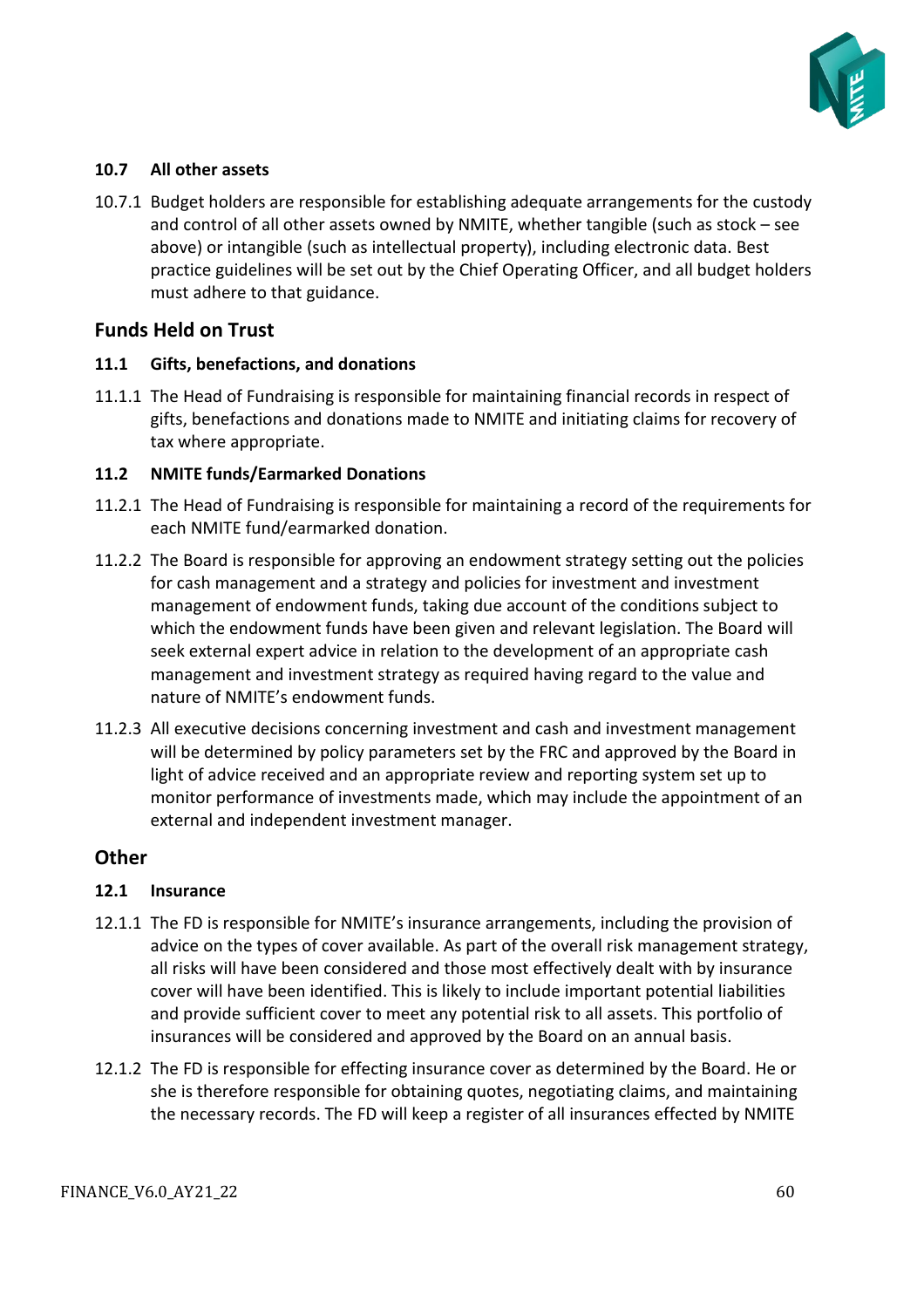

### **10.7 All other assets**

10.7.1 Budget holders are responsible for establishing adequate arrangements for the custody and control of all other assets owned by NMITE, whether tangible (such as stock – see above) or intangible (such as intellectual property), including electronic data. Best practice guidelines will be set out by the Chief Operating Officer, and all budget holders must adhere to that guidance.

### <span id="page-59-0"></span>**Funds Held on Trust**

#### **11.1 Gifts, benefactions, and donations**

11.1.1 The Head of Fundraising is responsible for maintaining financial records in respect of gifts, benefactions and donations made to NMITE and initiating claims for recovery of tax where appropriate.

### **11.2 NMITE funds/Earmarked Donations**

- 11.2.1 The Head of Fundraising is responsible for maintaining a record of the requirements for each NMITE fund/earmarked donation.
- 11.2.2 The Board is responsible for approving an endowment strategy setting out the policies for cash management and a strategy and policies for investment and investment management of endowment funds, taking due account of the conditions subject to which the endowment funds have been given and relevant legislation. The Board will seek external expert advice in relation to the development of an appropriate cash management and investment strategy as required having regard to the value and nature of NMITE's endowment funds.
- 11.2.3 All executive decisions concerning investment and cash and investment management will be determined by policy parameters set by the FRC and approved by the Board in light of advice received and an appropriate review and reporting system set up to monitor performance of investments made, which may include the appointment of an external and independent investment manager.

### <span id="page-59-1"></span>**Other**

### **12.1 Insurance**

- 12.1.1 The FD is responsible for NMITE's insurance arrangements, including the provision of advice on the types of cover available. As part of the overall risk management strategy, all risks will have been considered and those most effectively dealt with by insurance cover will have been identified. This is likely to include important potential liabilities and provide sufficient cover to meet any potential risk to all assets. This portfolio of insurances will be considered and approved by the Board on an annual basis.
- 12.1.2 The FD is responsible for effecting insurance cover as determined by the Board. He or she is therefore responsible for obtaining quotes, negotiating claims, and maintaining the necessary records. The FD will keep a register of all insurances effected by NMITE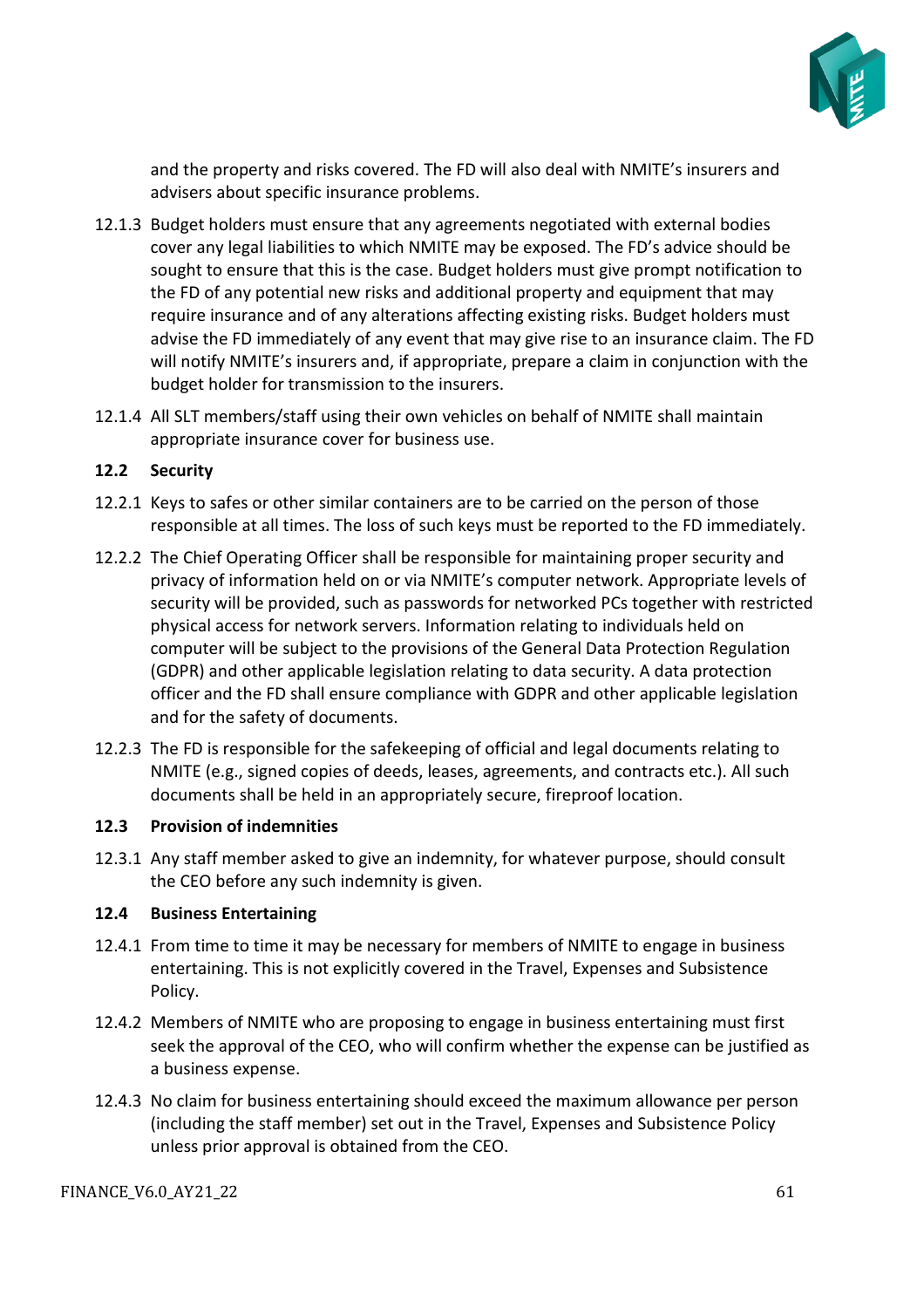

and the property and risks covered. The FD will also deal with NMITE's insurers and advisers about specific insurance problems.

- 12.1.3 Budget holders must ensure that any agreements negotiated with external bodies cover any legal liabilities to which NMITE may be exposed. The FD's advice should be sought to ensure that this is the case. Budget holders must give prompt notification to the FD of any potential new risks and additional property and equipment that may require insurance and of any alterations affecting existing risks. Budget holders must advise the FD immediately of any event that may give rise to an insurance claim. The FD will notify NMITE's insurers and, if appropriate, prepare a claim in conjunction with the budget holder for transmission to the insurers.
- 12.1.4 All SLT members/staff using their own vehicles on behalf of NMITE shall maintain appropriate insurance cover for business use.

### **12.2 Security**

- 12.2.1 Keys to safes or other similar containers are to be carried on the person of those responsible at all times. The loss of such keys must be reported to the FD immediately.
- 12.2.2 The Chief Operating Officer shall be responsible for maintaining proper security and privacy of information held on or via NMITE's computer network. Appropriate levels of security will be provided, such as passwords for networked PCs together with restricted physical access for network servers. Information relating to individuals held on computer will be subject to the provisions of the General Data Protection Regulation (GDPR) and other applicable legislation relating to data security. A data protection officer and the FD shall ensure compliance with GDPR and other applicable legislation and for the safety of documents.
- 12.2.3 The FD is responsible for the safekeeping of official and legal documents relating to NMITE (e.g., signed copies of deeds, leases, agreements, and contracts etc.). All such documents shall be held in an appropriately secure, fireproof location.

### **12.3 Provision of indemnities**

12.3.1 Any staff member asked to give an indemnity, for whatever purpose, should consult the CEO before any such indemnity is given.

### **12.4 Business Entertaining**

- 12.4.1 From time to time it may be necessary for members of NMITE to engage in business entertaining. This is not explicitly covered in the Travel, Expenses and Subsistence Policy.
- 12.4.2 Members of NMITE who are proposing to engage in business entertaining must first seek the approval of the CEO, who will confirm whether the expense can be justified as a business expense.
- 12.4.3 No claim for business entertaining should exceed the maximum allowance per person (including the staff member) set out in the Travel, Expenses and Subsistence Policy unless prior approval is obtained from the CEO.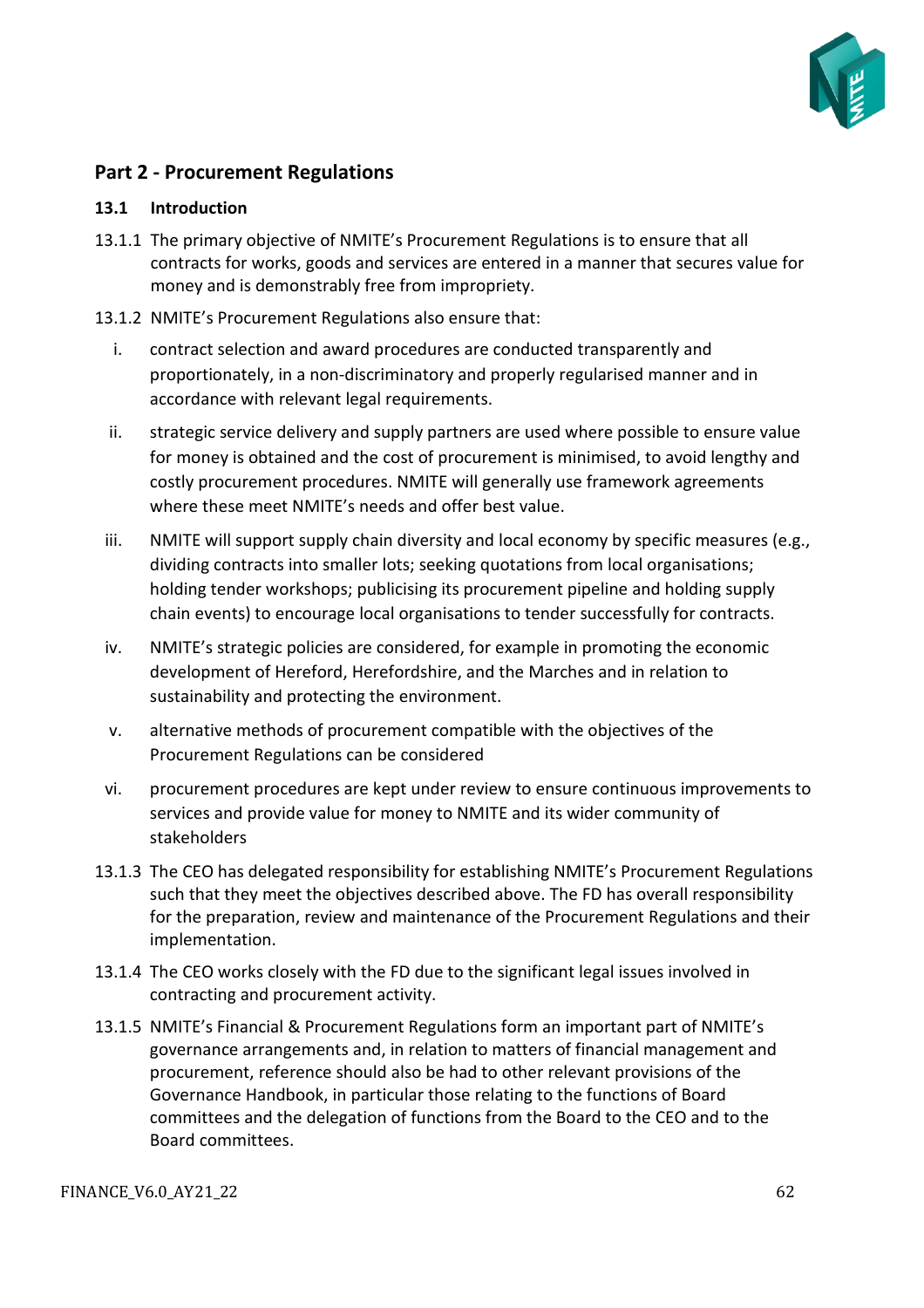

# <span id="page-61-0"></span>**Part 2 - Procurement Regulations**

#### **13.1 Introduction**

- 13.1.1 The primary objective of NMITE's Procurement Regulations is to ensure that all contracts for works, goods and services are entered in a manner that secures value for money and is demonstrably free from impropriety.
- 13.1.2 NMITE's Procurement Regulations also ensure that:
	- i. contract selection and award procedures are conducted transparently and proportionately, in a non-discriminatory and properly regularised manner and in accordance with relevant legal requirements.
	- ii. strategic service delivery and supply partners are used where possible to ensure value for money is obtained and the cost of procurement is minimised, to avoid lengthy and costly procurement procedures. NMITE will generally use framework agreements where these meet NMITE's needs and offer best value.
	- iii. NMITE will support supply chain diversity and local economy by specific measures (e.g., dividing contracts into smaller lots; seeking quotations from local organisations; holding tender workshops; publicising its procurement pipeline and holding supply chain events) to encourage local organisations to tender successfully for contracts.
	- iv. NMITE's strategic policies are considered, for example in promoting the economic development of Hereford, Herefordshire, and the Marches and in relation to sustainability and protecting the environment.
	- v. alternative methods of procurement compatible with the objectives of the Procurement Regulations can be considered
- vi. procurement procedures are kept under review to ensure continuous improvements to services and provide value for money to NMITE and its wider community of stakeholders
- 13.1.3 The CEO has delegated responsibility for establishing NMITE's Procurement Regulations such that they meet the objectives described above. The FD has overall responsibility for the preparation, review and maintenance of the Procurement Regulations and their implementation.
- 13.1.4 The CEO works closely with the FD due to the significant legal issues involved in contracting and procurement activity.
- 13.1.5 NMITE's Financial & Procurement Regulations form an important part of NMITE's governance arrangements and, in relation to matters of financial management and procurement, reference should also be had to other relevant provisions of the Governance Handbook, in particular those relating to the functions of Board committees and the delegation of functions from the Board to the CEO and to the Board committees.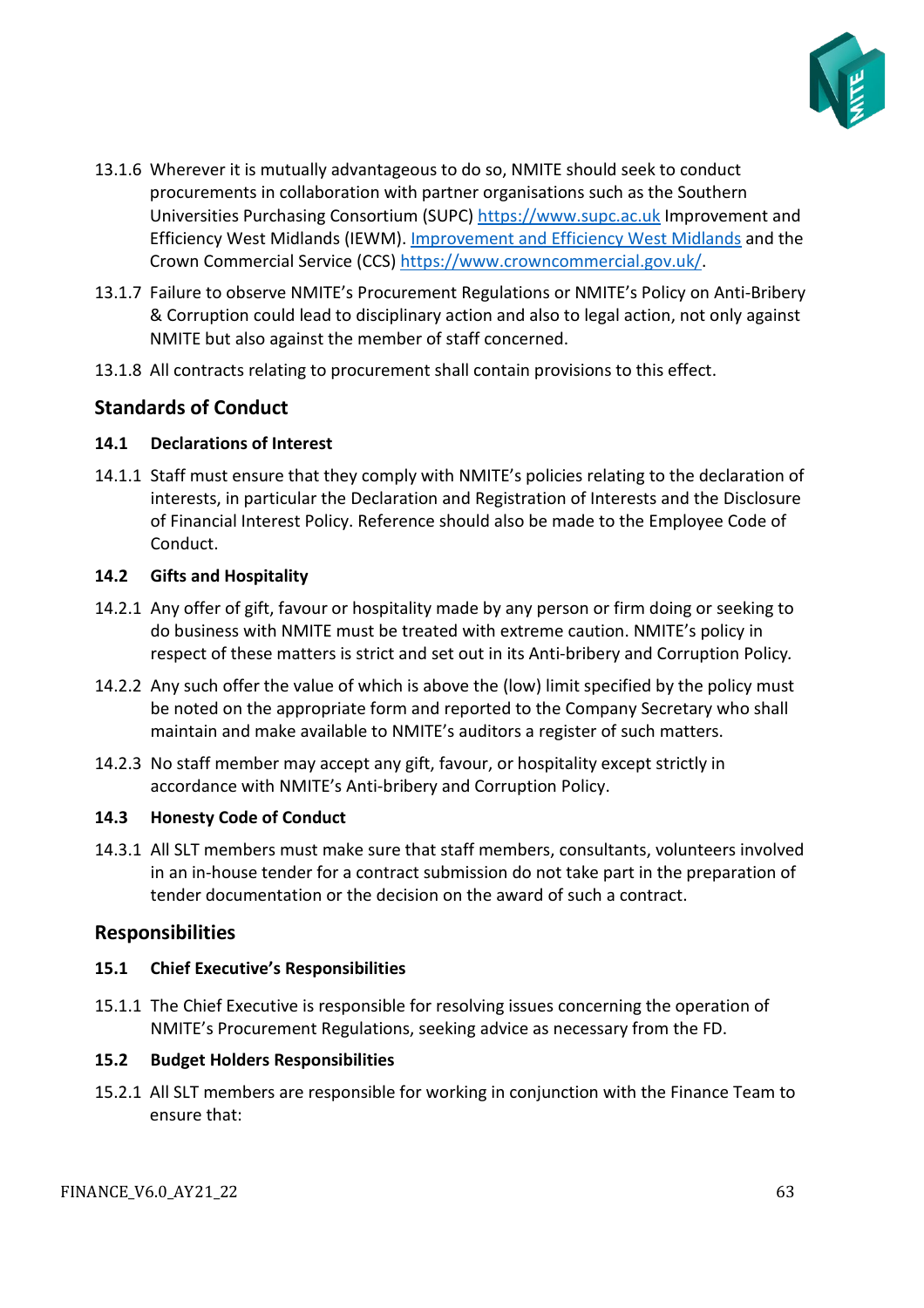

- 13.1.6 Wherever it is mutually advantageous to do so, NMITE should seek to conduct procurements in collaboration with partner organisations such as the Southern Universities Purchasing Consortium (SUPC) [https://www.supc.ac.uk](https://www.supc.ac.uk/) Improvement and Efficiency West Midlands (IEWM). [Improvement and Efficiency West Midlands](http://www.westmidlandsiep.gov.uk/what-we-do/commissioning-and-procurement/) and the Crown Commercial Service (CCS) [https://www.crowncommercial.gov.uk/.](https://gbr01.safelinks.protection.outlook.com/?url=https%3A%2F%2Fwww.crowncommercial.gov.uk%2F&data=04%7C01%7Ctina.benson%40nmite.ac.uk%7Cc48a4b8a016e4833a95108d8bd3c480d%7C18cdf9a89ae448ddaaf9edeb937bb22a%7C0%7C0%7C637467413894208272%7CUnknown%7CTWFpbGZsb3d8eyJWIjoiMC4wLjAwMDAiLCJQIjoiV2luMzIiLCJBTiI6Ik1haWwiLCJXVCI6Mn0%3D%7C1000&sdata=rSWc%2FF%2FPPbj89WAFwenft%2BKUAJR6dzp4tYC2G96DjKc%3D&reserved=0)
- 13.1.7 Failure to observe NMITE's Procurement Regulations or NMITE's Policy on Anti-Bribery & Corruption could lead to disciplinary action and also to legal action, not only against NMITE but also against the member of staff concerned.
- 13.1.8 All contracts relating to procurement shall contain provisions to this effect.

# <span id="page-62-0"></span>**Standards of Conduct**

# **14.1 Declarations of Interest**

14.1.1 Staff must ensure that they comply with NMITE's policies relating to the declaration of interests, in particular the Declaration and Registration of Interests and the Disclosure of Financial Interest Policy. Reference should also be made to the Employee Code of Conduct.

# **14.2 Gifts and Hospitality**

- 14.2.1 Any offer of gift, favour or hospitality made by any person or firm doing or seeking to do business with NMITE must be treated with extreme caution. NMITE's policy in respect of these matters is strict and set out in its Anti-bribery and Corruption Policy*.*
- 14.2.2 Any such offer the value of which is above the (low) limit specified by the policy must be noted on the appropriate form and reported to the Company Secretary who shall maintain and make available to NMITE's auditors a register of such matters.
- 14.2.3 No staff member may accept any gift, favour, or hospitality except strictly in accordance with NMITE's Anti-bribery and Corruption Policy.

### **14.3 Honesty Code of Conduct**

14.3.1 All SLT members must make sure that staff members, consultants, volunteers involved in an in-house tender for a contract submission do not take part in the preparation of tender documentation or the decision on the award of such a contract.

# <span id="page-62-1"></span>**Responsibilities**

### **15.1 Chief Executive's Responsibilities**

15.1.1 The Chief Executive is responsible for resolving issues concerning the operation of NMITE's Procurement Regulations, seeking advice as necessary from the FD.

### **15.2 Budget Holders Responsibilities**

15.2.1 All SLT members are responsible for working in conjunction with the Finance Team to ensure that: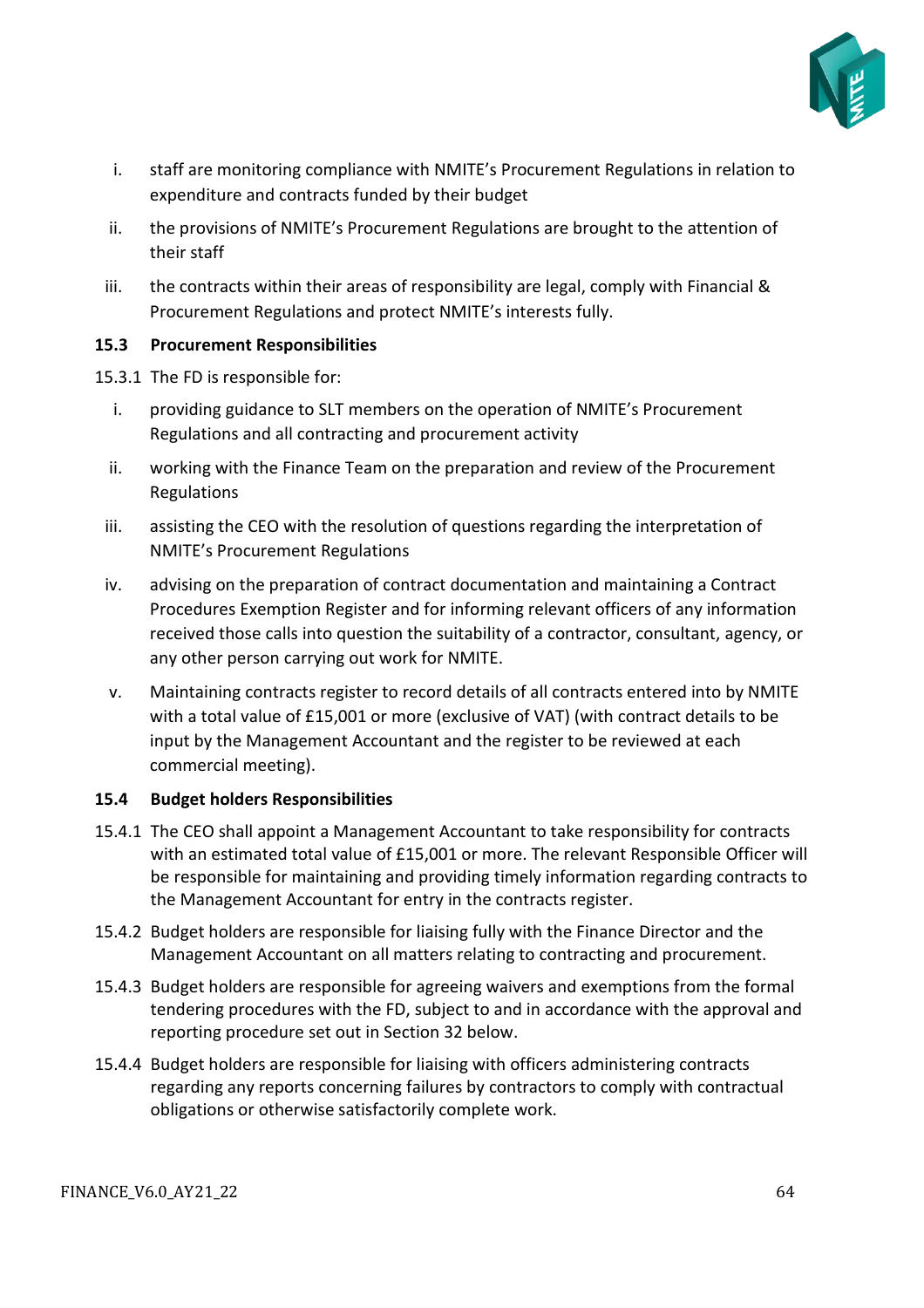

- i. staff are monitoring compliance with NMITE's Procurement Regulations in relation to expenditure and contracts funded by their budget
- ii. the provisions of NMITE's Procurement Regulations are brought to the attention of their staff
- iii. the contracts within their areas of responsibility are legal, comply with Financial & Procurement Regulations and protect NMITE's interests fully.

### **15.3 Procurement Responsibilities**

- 15.3.1 The FD is responsible for:
	- i. providing guidance to SLT members on the operation of NMITE's Procurement Regulations and all contracting and procurement activity
	- ii. working with the Finance Team on the preparation and review of the Procurement Regulations
	- iii. assisting the CEO with the resolution of questions regarding the interpretation of NMITE's Procurement Regulations
	- iv. advising on the preparation of contract documentation and maintaining a Contract Procedures Exemption Register and for informing relevant officers of any information received those calls into question the suitability of a contractor, consultant, agency, or any other person carrying out work for NMITE.
	- v. Maintaining contracts register to record details of all contracts entered into by NMITE with a total value of £15,001 or more (exclusive of VAT) (with contract details to be input by the Management Accountant and the register to be reviewed at each commercial meeting).

### **15.4 Budget holders Responsibilities**

- 15.4.1 The CEO shall appoint a Management Accountant to take responsibility for contracts with an estimated total value of £15,001 or more. The relevant Responsible Officer will be responsible for maintaining and providing timely information regarding contracts to the Management Accountant for entry in the contracts register.
- 15.4.2 Budget holders are responsible for liaising fully with the Finance Director and the Management Accountant on all matters relating to contracting and procurement.
- 15.4.3 Budget holders are responsible for agreeing waivers and exemptions from the formal tendering procedures with the FD, subject to and in accordance with the approval and reporting procedure set out in Section 32 below.
- 15.4.4 Budget holders are responsible for liaising with officers administering contracts regarding any reports concerning failures by contractors to comply with contractual obligations or otherwise satisfactorily complete work.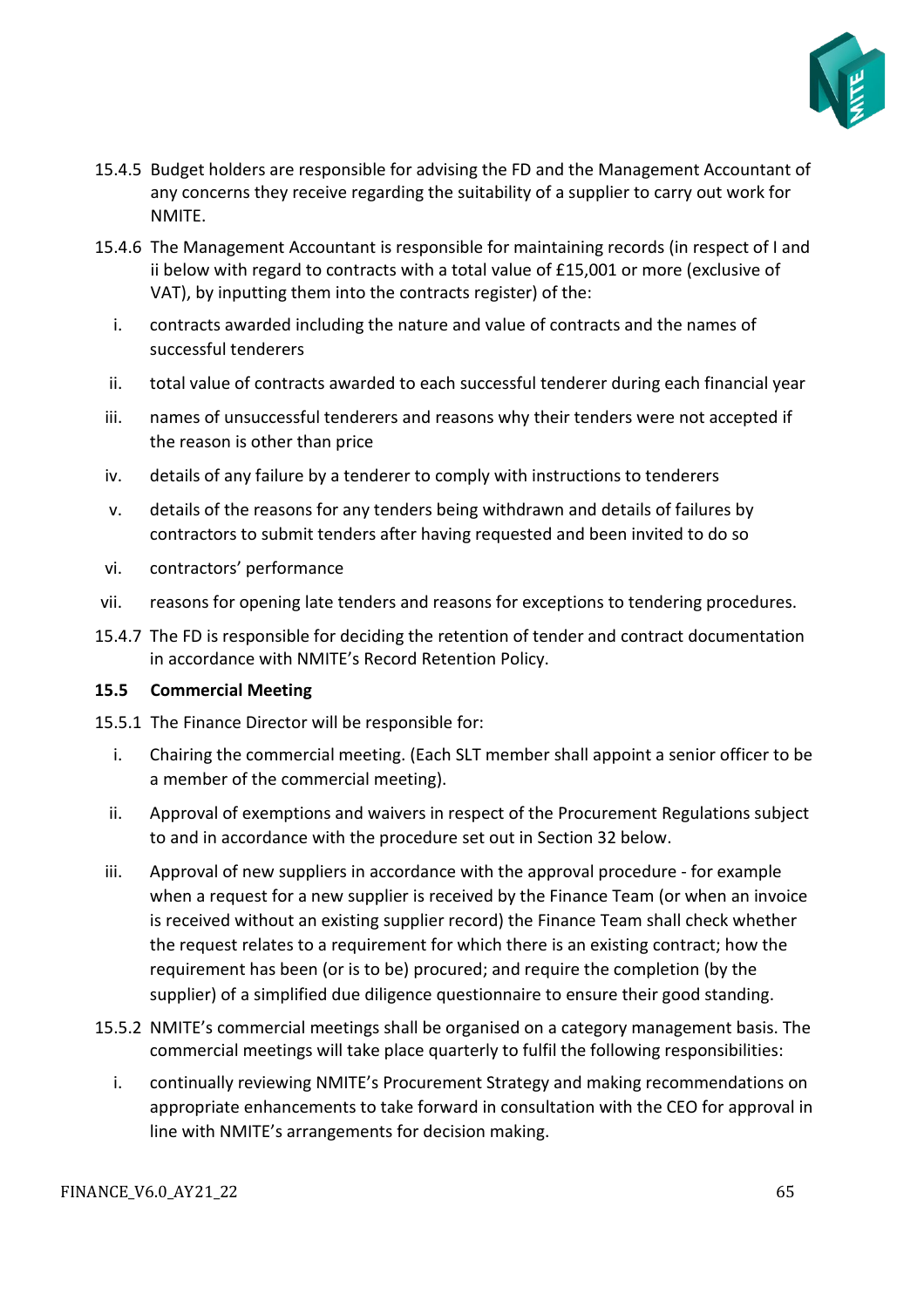

- 15.4.5 Budget holders are responsible for advising the FD and the Management Accountant of any concerns they receive regarding the suitability of a supplier to carry out work for NMITE.
- 15.4.6 The Management Accountant is responsible for maintaining records (in respect of I and ii below with regard to contracts with a total value of £15,001 or more (exclusive of VAT), by inputting them into the contracts register) of the:
	- i. contracts awarded including the nature and value of contracts and the names of successful tenderers
	- ii. total value of contracts awarded to each successful tenderer during each financial year
- iii. names of unsuccessful tenderers and reasons why their tenders were not accepted if the reason is other than price
- iv. details of any failure by a tenderer to comply with instructions to tenderers
- v. details of the reasons for any tenders being withdrawn and details of failures by contractors to submit tenders after having requested and been invited to do so
- vi. contractors' performance
- vii. reasons for opening late tenders and reasons for exceptions to tendering procedures.
- 15.4.7 The FD is responsible for deciding the retention of tender and contract documentation in accordance with NMITE's Record Retention Policy.

### **15.5 Commercial Meeting**

- 15.5.1 The Finance Director will be responsible for:
	- i. Chairing the commercial meeting. (Each SLT member shall appoint a senior officer to be a member of the commercial meeting).
	- ii. Approval of exemptions and waivers in respect of the Procurement Regulations subject to and in accordance with the procedure set out in Section 32 below.
- iii. Approval of new suppliers in accordance with the approval procedure for example when a request for a new supplier is received by the Finance Team (or when an invoice is received without an existing supplier record) the Finance Team shall check whether the request relates to a requirement for which there is an existing contract; how the requirement has been (or is to be) procured; and require the completion (by the supplier) of a simplified due diligence questionnaire to ensure their good standing.
- 15.5.2 NMITE's commercial meetings shall be organised on a category management basis. The commercial meetings will take place quarterly to fulfil the following responsibilities:
	- i. continually reviewing NMITE's Procurement Strategy and making recommendations on appropriate enhancements to take forward in consultation with the CEO for approval in line with NMITE's arrangements for decision making.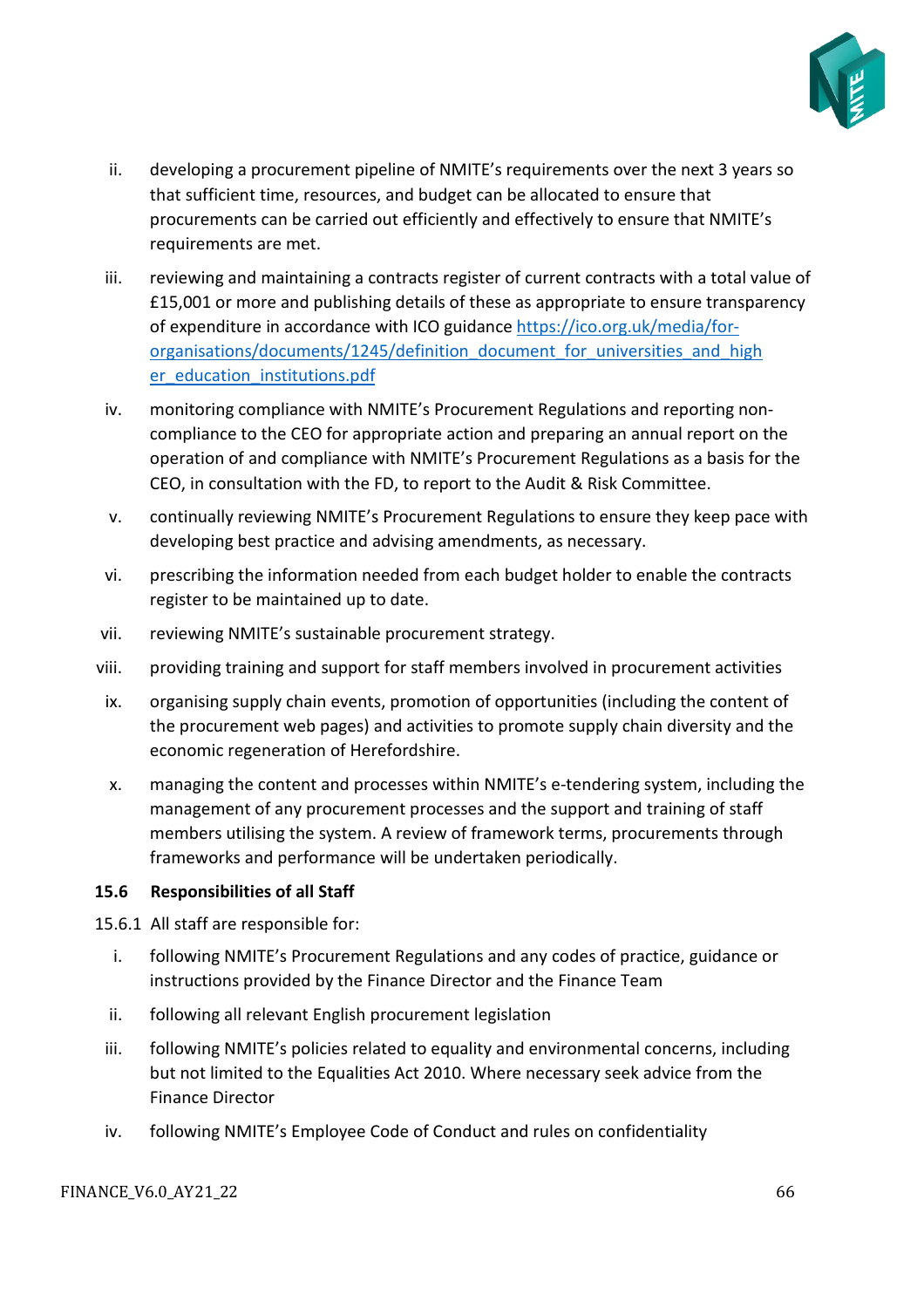

- ii. developing a procurement pipeline of NMITE's requirements over the next 3 years so that sufficient time, resources, and budget can be allocated to ensure that procurements can be carried out efficiently and effectively to ensure that NMITE's requirements are met.
- iii. reviewing and maintaining a contracts register of current contracts with a total value of £15,001 or more and publishing details of these as appropriate to ensure transparency of expenditure in accordance with ICO guidance [https://ico.org.uk/media/for](https://ico.org.uk/media/for-organisations/documents/1245/definition_document_for_universities_and_higher_education_institutions.pdf)organisations/documents/1245/definition document for universities and high [er\\_education\\_institutions.pdf](https://ico.org.uk/media/for-organisations/documents/1245/definition_document_for_universities_and_higher_education_institutions.pdf)
- iv. monitoring compliance with NMITE's Procurement Regulations and reporting noncompliance to the CEO for appropriate action and preparing an annual report on the operation of and compliance with NMITE's Procurement Regulations as a basis for the CEO, in consultation with the FD, to report to the Audit & Risk Committee.
- v. continually reviewing NMITE's Procurement Regulations to ensure they keep pace with developing best practice and advising amendments, as necessary.
- vi. prescribing the information needed from each budget holder to enable the contracts register to be maintained up to date.
- vii. reviewing NMITE's sustainable procurement strategy.
- viii. providing training and support for staff members involved in procurement activities
- ix. organising supply chain events, promotion of opportunities (including the content of the procurement web pages) and activities to promote supply chain diversity and the economic regeneration of Herefordshire.
- x. managing the content and processes within NMITE's e-tendering system, including the management of any procurement processes and the support and training of staff members utilising the system. A review of framework terms, procurements through frameworks and performance will be undertaken periodically.

### **15.6 Responsibilities of all Staff**

- 15.6.1 All staff are responsible for:
	- i. following NMITE's Procurement Regulations and any codes of practice, guidance or instructions provided by the Finance Director and the Finance Team
	- ii. following all relevant English procurement legislation
	- iii. following NMITE's policies related to equality and environmental concerns, including but not limited to the Equalities Act 2010. Where necessary seek advice from the Finance Director
	- iv. following NMITE's Employee Code of Conduct and rules on confidentiality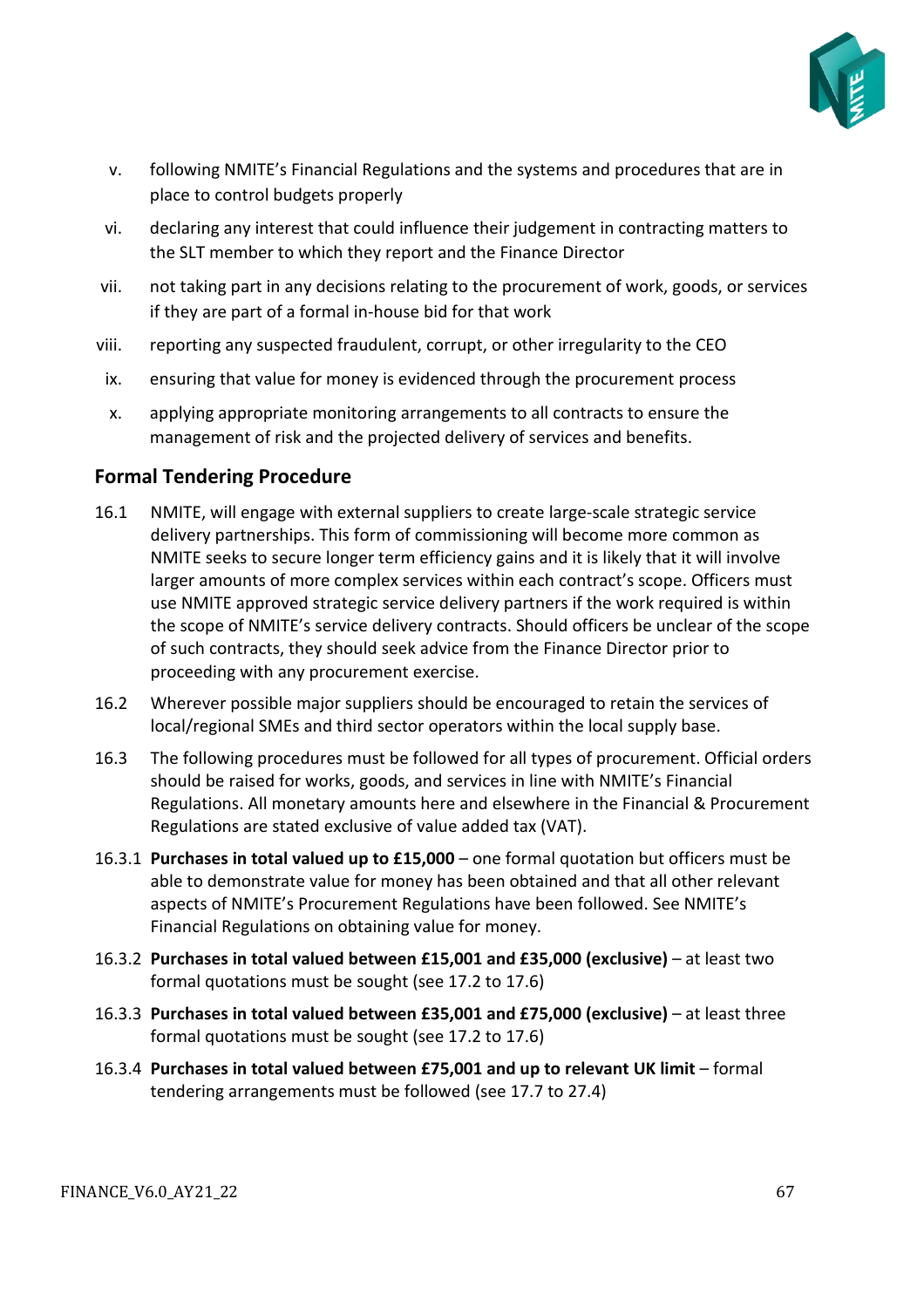

- v. following NMITE's Financial Regulations and the systems and procedures that are in place to control budgets properly
- vi. declaring any interest that could influence their judgement in contracting matters to the SLT member to which they report and the Finance Director
- vii. not taking part in any decisions relating to the procurement of work, goods, or services if they are part of a formal in-house bid for that work
- viii. reporting any suspected fraudulent, corrupt, or other irregularity to the CEO
- ix. ensuring that value for money is evidenced through the procurement process
- x. applying appropriate monitoring arrangements to all contracts to ensure the management of risk and the projected delivery of services and benefits.

# <span id="page-66-0"></span>**Formal Tendering Procedure**

- 16.1 NMITE, will engage with external suppliers to create large-scale strategic service delivery partnerships. This form of commissioning will become more common as NMITE seeks to secure longer term efficiency gains and it is likely that it will involve larger amounts of more complex services within each contract's scope. Officers must use NMITE approved strategic service delivery partners if the work required is within the scope of NMITE's service delivery contracts. Should officers be unclear of the scope of such contracts, they should seek advice from the Finance Director prior to proceeding with any procurement exercise.
- 16.2 Wherever possible major suppliers should be encouraged to retain the services of local/regional SMEs and third sector operators within the local supply base.
- 16.3 The following procedures must be followed for all types of procurement. Official orders should be raised for works, goods, and services in line with NMITE's Financial Regulations. All monetary amounts here and elsewhere in the Financial & Procurement Regulations are stated exclusive of value added tax (VAT).
- 16.3.1 **Purchases in total valued up to £15,000**  one formal quotation but officers must be able to demonstrate value for money has been obtained and that all other relevant aspects of NMITE's Procurement Regulations have been followed. See NMITE's Financial Regulations on obtaining value for money.
- 16.3.2 **Purchases in total valued between £15,001 and £35,000 (exclusive)**  at least two formal quotations must be sought (see 17.2 to 17.6)
- 16.3.3 **Purchases in total valued between £35,001 and £75,000 (exclusive)**  at least three formal quotations must be sought (see 17.2 to 17.6)
- 16.3.4 **Purchases in total valued between £75,001 and up to relevant UK limit**  formal tendering arrangements must be followed (see 17.7 to 27.4)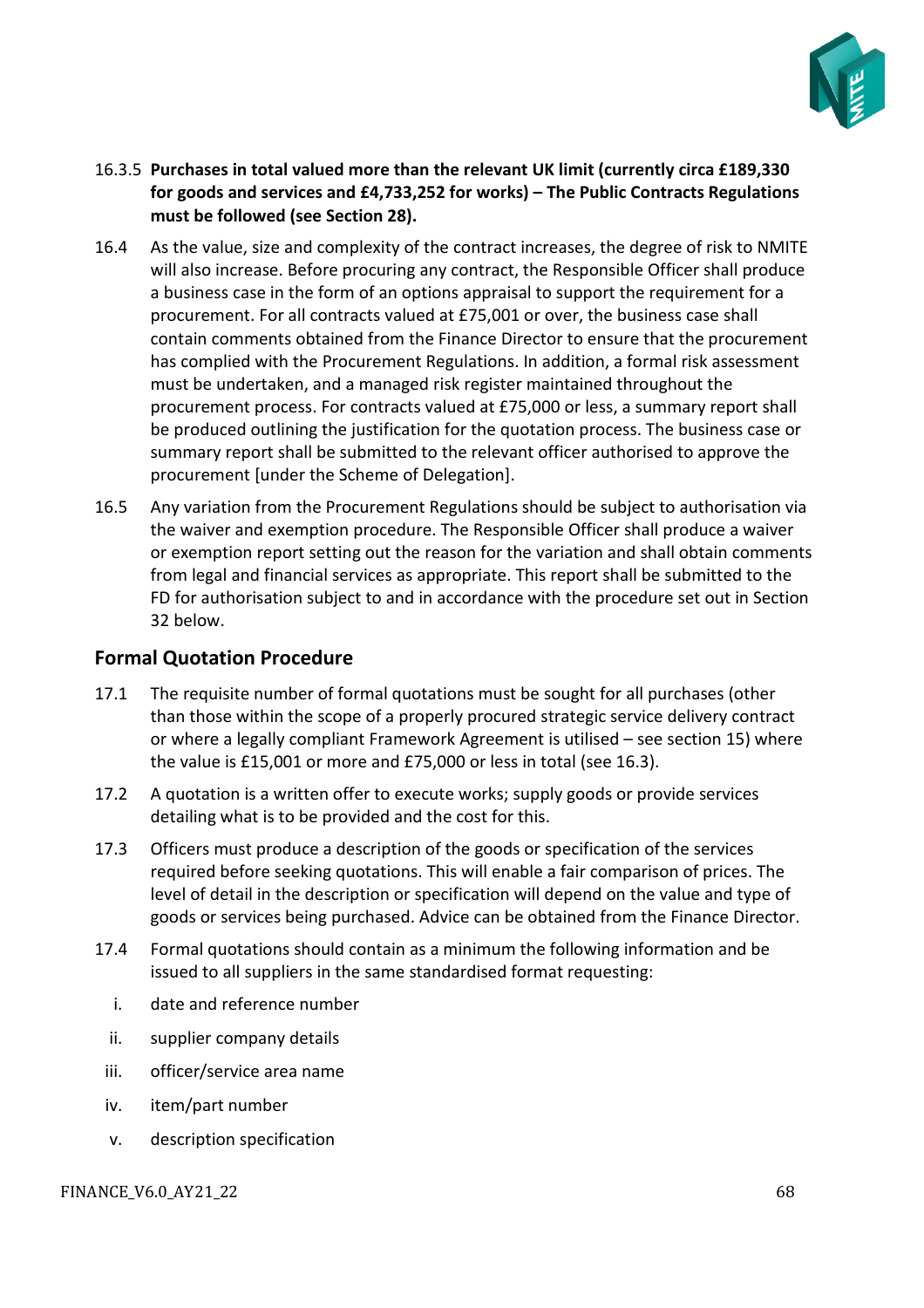

- 16.3.5 **Purchases in total valued more than the relevant UK limit (currently circa £189,330 for goods and services and £4,733,252 for works) – The Public Contracts Regulations must be followed (see Section 28).**
- 16.4 As the value, size and complexity of the contract increases, the degree of risk to NMITE will also increase. Before procuring any contract, the Responsible Officer shall produce a business case in the form of an options appraisal to support the requirement for a procurement. For all contracts valued at £75,001 or over, the business case shall contain comments obtained from the Finance Director to ensure that the procurement has complied with the Procurement Regulations. In addition, a formal risk assessment must be undertaken, and a managed risk register maintained throughout the procurement process. For contracts valued at £75,000 or less, a summary report shall be produced outlining the justification for the quotation process. The business case or summary report shall be submitted to the relevant officer authorised to approve the procurement [under the Scheme of Delegation].
- 16.5 Any variation from the Procurement Regulations should be subject to authorisation via the waiver and exemption procedure. The Responsible Officer shall produce a waiver or exemption report setting out the reason for the variation and shall obtain comments from legal and financial services as appropriate. This report shall be submitted to the FD for authorisation subject to and in accordance with the procedure set out in Section 32 below.

# <span id="page-67-0"></span>**Formal Quotation Procedure**

- 17.1 The requisite number of formal quotations must be sought for all purchases (other than those within the scope of a properly procured strategic service delivery contract or where a legally compliant Framework Agreement is utilised – see section 15) where the value is £15,001 or more and £75,000 or less in total (see 16.3).
- 17.2 A quotation is a written offer to execute works; supply goods or provide services detailing what is to be provided and the cost for this.
- 17.3 Officers must produce a description of the goods or specification of the services required before seeking quotations. This will enable a fair comparison of prices. The level of detail in the description or specification will depend on the value and type of goods or services being purchased. Advice can be obtained from the Finance Director.
- 17.4 Formal quotations should contain as a minimum the following information and be issued to all suppliers in the same standardised format requesting:
	- i. date and reference number
	- ii. supplier company details
	- iii. officer/service area name
	- iv. item/part number
	- v. description specification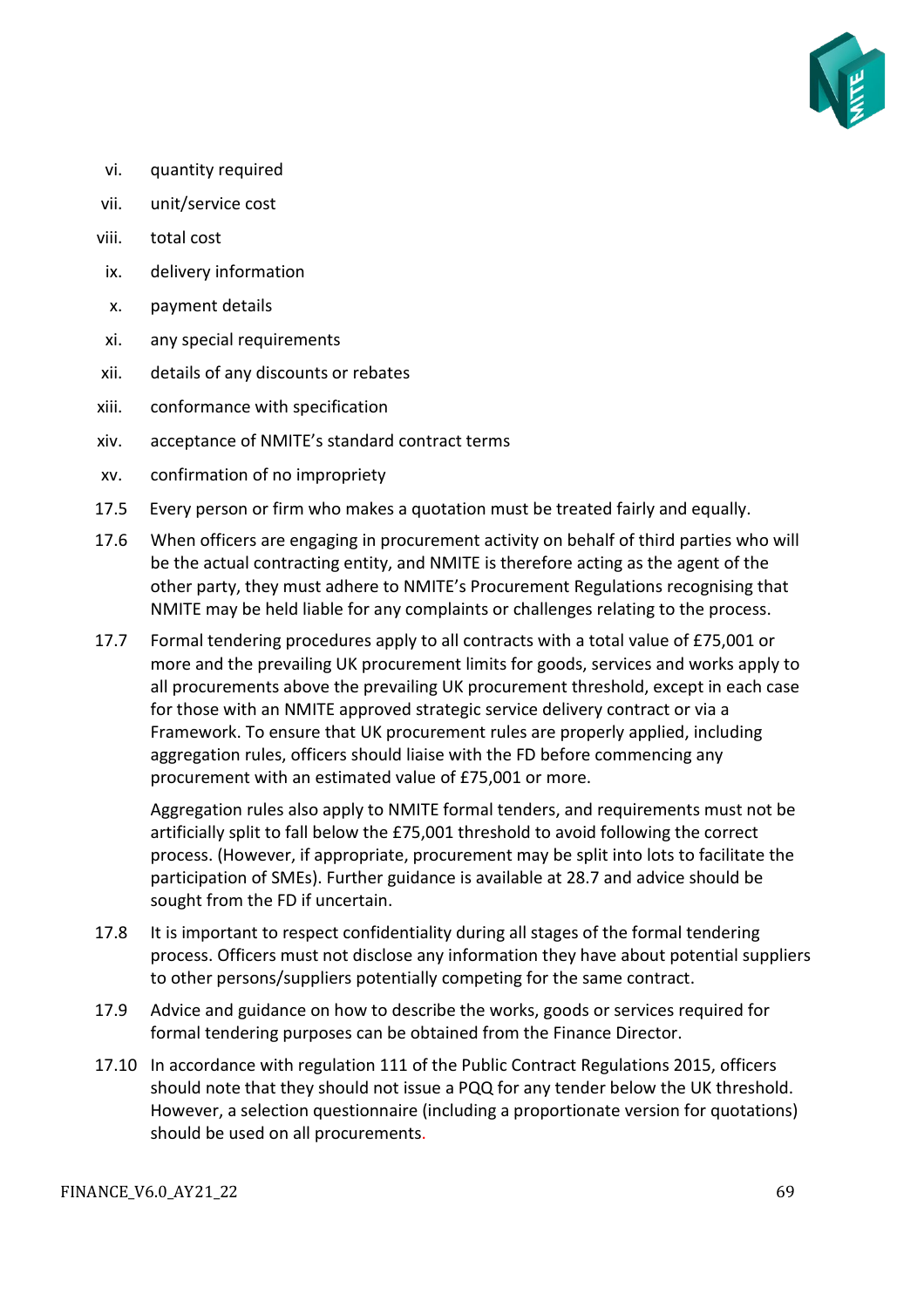

- vi. quantity required
- vii. unit/service cost
- viii. total cost
- ix. delivery information
- x. payment details
- xi. any special requirements
- xii. details of any discounts or rebates
- xiii. conformance with specification
- xiv. acceptance of NMITE's standard contract terms
- xv. confirmation of no impropriety
- 17.5 Every person or firm who makes a quotation must be treated fairly and equally.
- 17.6 When officers are engaging in procurement activity on behalf of third parties who will be the actual contracting entity, and NMITE is therefore acting as the agent of the other party, they must adhere to NMITE's Procurement Regulations recognising that NMITE may be held liable for any complaints or challenges relating to the process.
- 17.7 Formal tendering procedures apply to all contracts with a total value of £75,001 or more and the prevailing UK procurement limits for goods, services and works apply to all procurements above the prevailing UK procurement threshold, except in each case for those with an NMITE approved strategic service delivery contract or via a Framework. To ensure that UK procurement rules are properly applied, including aggregation rules, officers should liaise with the FD before commencing any procurement with an estimated value of £75,001 or more.

Aggregation rules also apply to NMITE formal tenders, and requirements must not be artificially split to fall below the £75,001 threshold to avoid following the correct process. (However, if appropriate, procurement may be split into lots to facilitate the participation of SMEs). Further guidance is available at 28.7 and advice should be sought from the FD if uncertain.

- 17.8 It is important to respect confidentiality during all stages of the formal tendering process. Officers must not disclose any information they have about potential suppliers to other persons/suppliers potentially competing for the same contract.
- 17.9 Advice and guidance on how to describe the works, goods or services required for formal tendering purposes can be obtained from the Finance Director.
- 17.10 In accordance with regulation 111 of the Public Contract Regulations 2015, officers should note that they should not issue a PQQ for any tender below the UK threshold. However, a selection questionnaire (including a proportionate version for quotations) should be used on all procurements[.](https://www.gov.uk/government/uploads/system/uploads/attachment_data/file/558531/PPN_8_16_StandardSQ_Template_v3.pdf)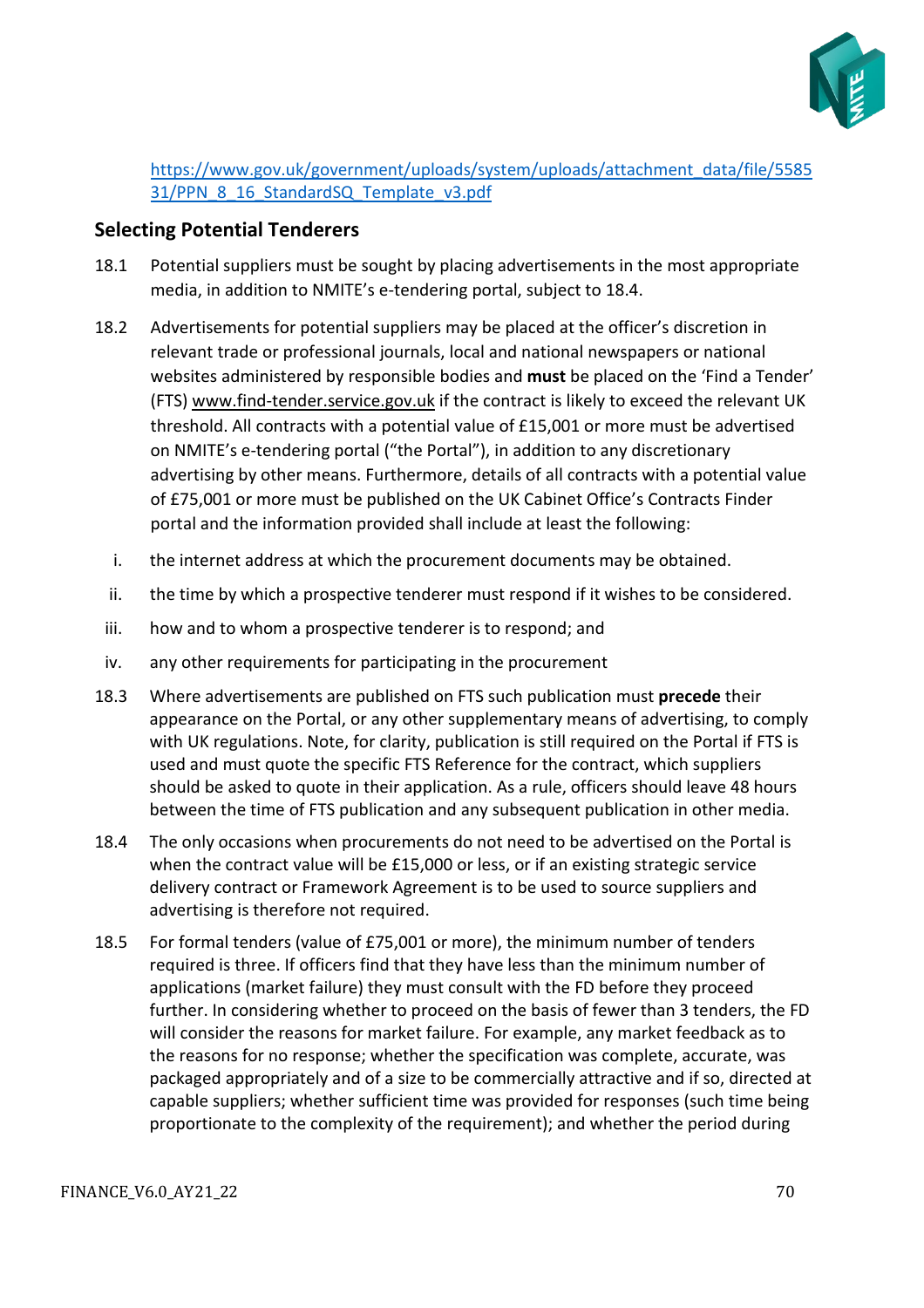

[https://www.gov.uk/government/uploads/system/uploads/attachment\\_data/file/5585](https://www.gov.uk/government/uploads/system/uploads/attachment_data/file/558531/PPN_8_16_StandardSQ_Template_v3.pdf) 31/PPN 8 16 StandardSQ Template v3.pdf

# <span id="page-69-0"></span>**Selecting Potential Tenderers**

- 18.1 Potential suppliers must be sought by placing advertisements in the most appropriate media, in addition to NMITE's e-tendering portal, subject to 18.4.
- 18.2 Advertisements for potential suppliers may be placed at the officer's discretion in relevant trade or professional journals, local and national newspapers or national websites administered by responsible bodies and **must** be placed on the 'Find a Tender' (FTS) [www.find-tender.service.gov.uk](https://nmite.sharepoint.com/Academic%20Registry/Policy%20Framework/Policy%20Framework_21-22_under%20review/Policies%20AY20_21/Finance%20Policies%20and%20procedures/www.find-tender.service.gov.uk) if the contract is likely to exceed the relevant UK threshold. All contracts with a potential value of £15,001 or more must be advertised on NMITE's e-tendering portal ("the Portal"), in addition to any discretionary advertising by other means. Furthermore, details of all contracts with a potential value of £75,001 or more must be published on the UK Cabinet Office's Contracts Finder portal and the information provided shall include at least the following:
	- i. the internet address at which the procurement documents may be obtained.
	- ii. the time by which a prospective tenderer must respond if it wishes to be considered.
- iii. how and to whom a prospective tenderer is to respond; and
- iv. any other requirements for participating in the procurement
- 18.3 Where advertisements are published on FTS such publication must **precede** their appearance on the Portal, or any other supplementary means of advertising, to comply with UK regulations. Note, for clarity, publication is still required on the Portal if FTS is used and must quote the specific FTS Reference for the contract, which suppliers should be asked to quote in their application. As a rule, officers should leave 48 hours between the time of FTS publication and any subsequent publication in other media.
- 18.4 The only occasions when procurements do not need to be advertised on the Portal is when the contract value will be £15,000 or less, or if an existing strategic service delivery contract or Framework Agreement is to be used to source suppliers and advertising is therefore not required.
- 18.5 For formal tenders (value of £75,001 or more), the minimum number of tenders required is three. If officers find that they have less than the minimum number of applications (market failure) they must consult with the FD before they proceed further. In considering whether to proceed on the basis of fewer than 3 tenders, the FD will consider the reasons for market failure. For example, any market feedback as to the reasons for no response; whether the specification was complete, accurate, was packaged appropriately and of a size to be commercially attractive and if so, directed at capable suppliers; whether sufficient time was provided for responses (such time being proportionate to the complexity of the requirement); and whether the period during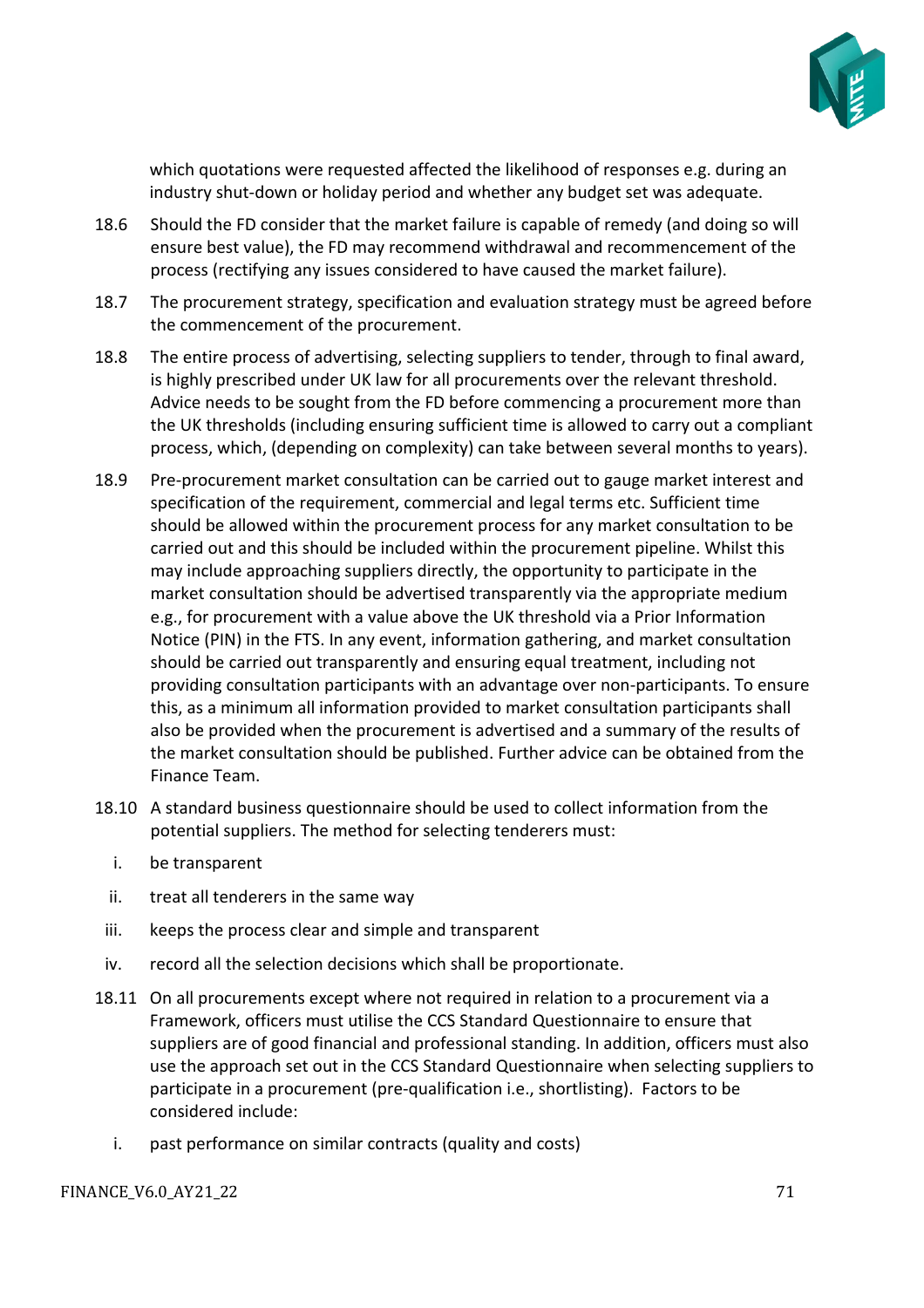

which quotations were requested affected the likelihood of responses e.g. during an industry shut-down or holiday period and whether any budget set was adequate.

- 18.6 Should the FD consider that the market failure is capable of remedy (and doing so will ensure best value), the FD may recommend withdrawal and recommencement of the process (rectifying any issues considered to have caused the market failure).
- 18.7 The procurement strategy, specification and evaluation strategy must be agreed before the commencement of the procurement.
- 18.8 The entire process of advertising, selecting suppliers to tender, through to final award, is highly prescribed under UK law for all procurements over the relevant threshold. Advice needs to be sought from the FD before commencing a procurement more than the UK thresholds (including ensuring sufficient time is allowed to carry out a compliant process, which, (depending on complexity) can take between several months to years).
- 18.9 Pre-procurement market consultation can be carried out to gauge market interest and specification of the requirement, commercial and legal terms etc. Sufficient time should be allowed within the procurement process for any market consultation to be carried out and this should be included within the procurement pipeline. Whilst this may include approaching suppliers directly, the opportunity to participate in the market consultation should be advertised transparently via the appropriate medium e.g., for procurement with a value above the UK threshold via a Prior Information Notice (PIN) in the FTS. In any event, information gathering, and market consultation should be carried out transparently and ensuring equal treatment, including not providing consultation participants with an advantage over non-participants. To ensure this, as a minimum all information provided to market consultation participants shall also be provided when the procurement is advertised and a summary of the results of the market consultation should be published. Further advice can be obtained from the Finance Team.
- 18.10 A standard business questionnaire should be used to collect information from the potential suppliers. The method for selecting tenderers must:
	- i. be transparent
	- ii. treat all tenderers in the same way
	- iii. keeps the process clear and simple and transparent
	- iv. record all the selection decisions which shall be proportionate.
- 18.11 On all procurements except where not required in relation to a procurement via a Framework, officers must utilise the CCS Standard Questionnaire to ensure that suppliers are of good financial and professional standing. In addition, officers must also use the approach set out in the CCS Standard Questionnaire when selecting suppliers to participate in a procurement (pre-qualification i.e., shortlisting). Factors to be considered include:
	- i. past performance on similar contracts (quality and costs)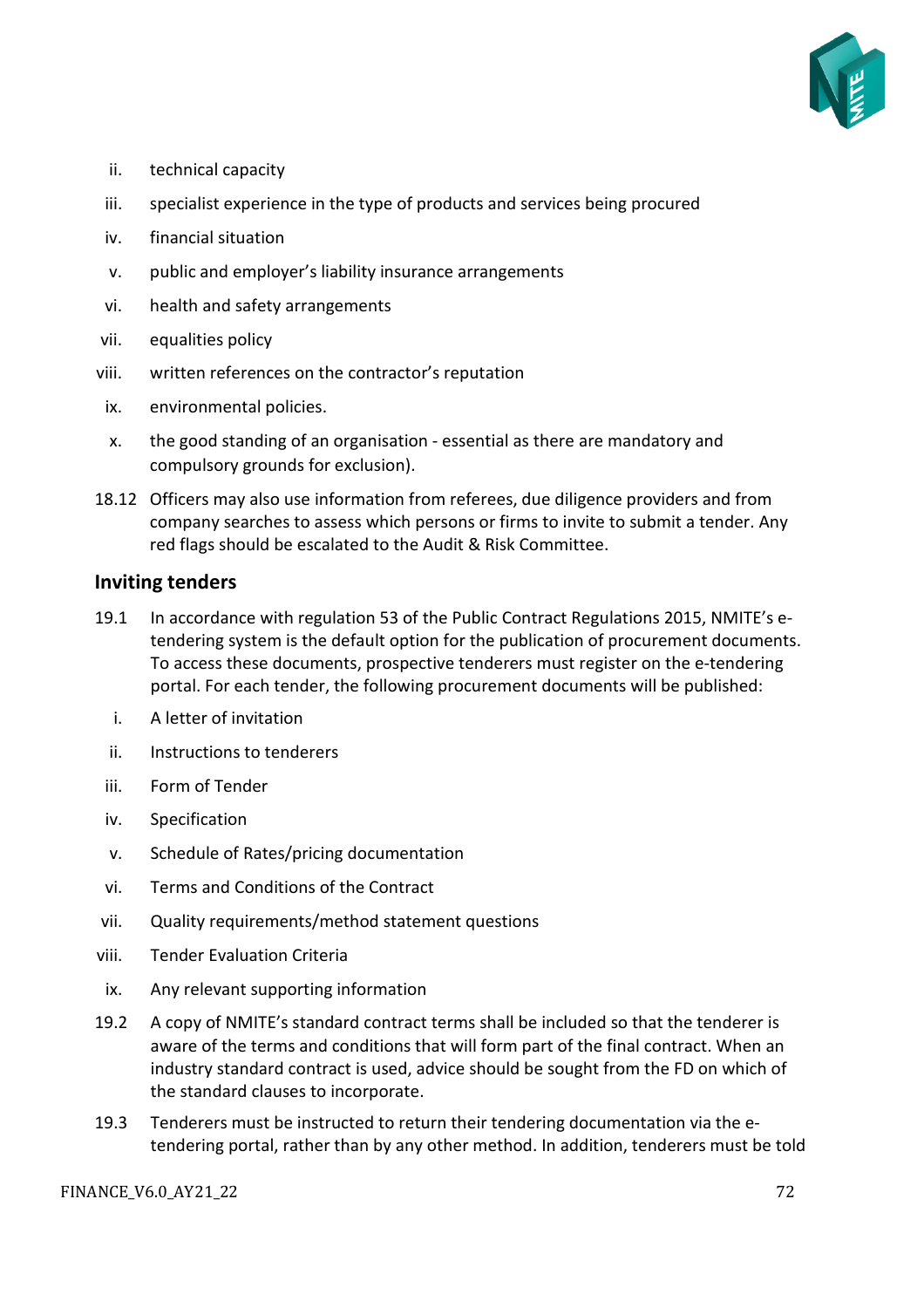

- ii. technical capacity
- iii. specialist experience in the type of products and services being procured
- iv. financial situation
- v. public and employer's liability insurance arrangements
- vi. health and safety arrangements
- vii. equalities policy
- viii. written references on the contractor's reputation
- ix. environmental policies.
- x. the good standing of an organisation essential as there are mandatory and compulsory grounds for exclusion).
- 18.12 Officers may also use information from referees, due diligence providers and from company searches to assess which persons or firms to invite to submit a tender. Any red flags should be escalated to the Audit & Risk Committee.

### <span id="page-71-0"></span>**Inviting tenders**

- 19.1 In accordance with regulation 53 of the Public Contract Regulations 2015, NMITE's etendering system is the default option for the publication of procurement documents. To access these documents, prospective tenderers must register on the e-tendering portal. For each tender, the following procurement documents will be published:
	- i. A letter of invitation
	- ii. Instructions to tenderers
	- iii. Form of Tender
	- iv. Specification
	- v. Schedule of Rates/pricing documentation
- vi. Terms and Conditions of the Contract
- vii. Quality requirements/method statement questions
- viii. Tender Evaluation Criteria
- ix. Any relevant supporting information
- 19.2 A copy of NMITE's standard contract terms shall be included so that the tenderer is aware of the terms and conditions that will form part of the final contract. When an industry standard contract is used, advice should be sought from the FD on which of the standard clauses to incorporate.
- 19.3 Tenderers must be instructed to return their tendering documentation via the etendering portal, rather than by any other method. In addition, tenderers must be told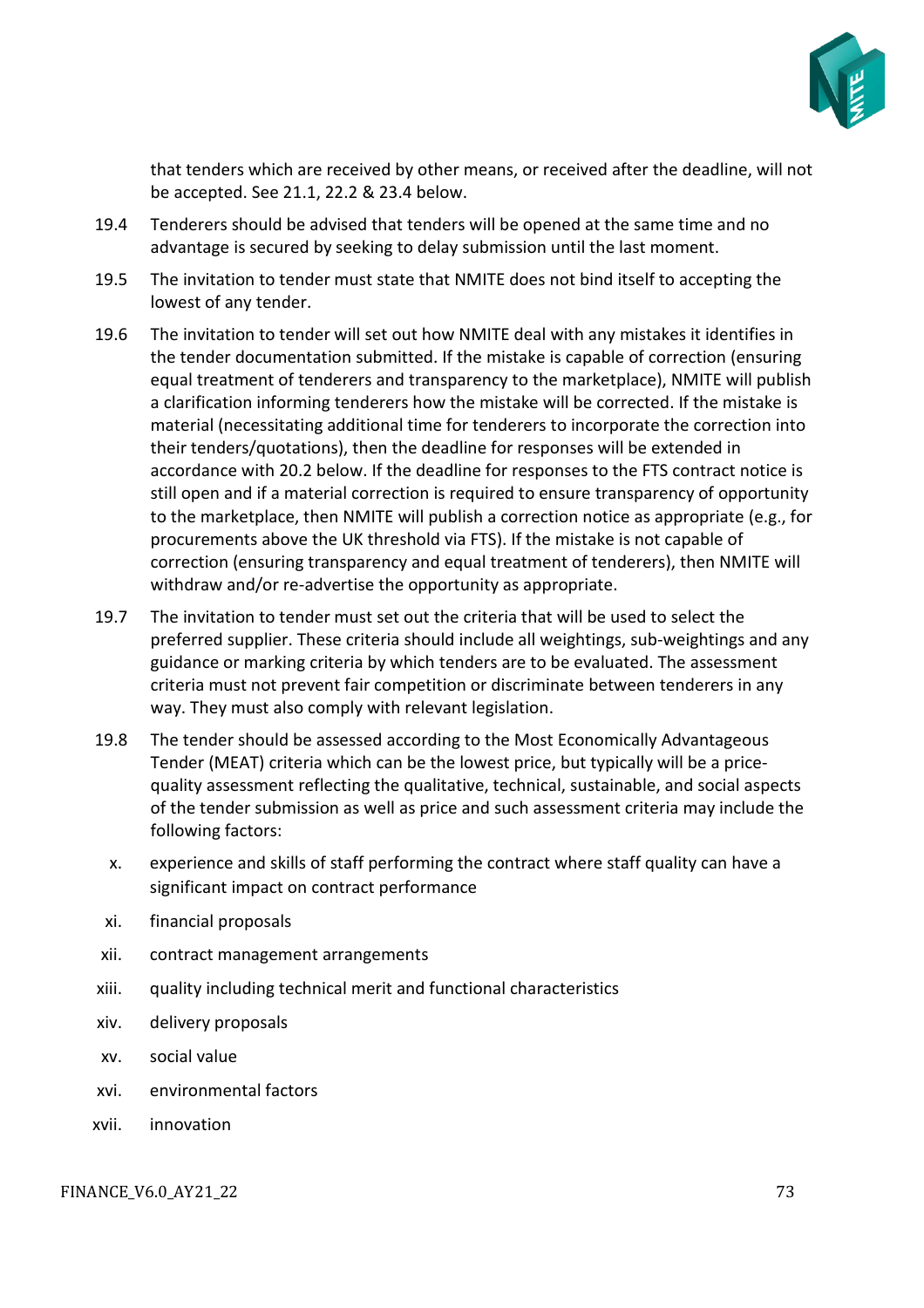

that tenders which are received by other means, or received after the deadline, will not be accepted. See 21.1, 22.2 & 23.4 below.

- 19.4 Tenderers should be advised that tenders will be opened at the same time and no advantage is secured by seeking to delay submission until the last moment.
- 19.5 The invitation to tender must state that NMITE does not bind itself to accepting the lowest of any tender.
- 19.6 The invitation to tender will set out how NMITE deal with any mistakes it identifies in the tender documentation submitted. If the mistake is capable of correction (ensuring equal treatment of tenderers and transparency to the marketplace), NMITE will publish a clarification informing tenderers how the mistake will be corrected. If the mistake is material (necessitating additional time for tenderers to incorporate the correction into their tenders/quotations), then the deadline for responses will be extended in accordance with 20.2 below. If the deadline for responses to the FTS contract notice is still open and if a material correction is required to ensure transparency of opportunity to the marketplace, then NMITE will publish a correction notice as appropriate (e.g., for procurements above the UK threshold via FTS). If the mistake is not capable of correction (ensuring transparency and equal treatment of tenderers), then NMITE will withdraw and/or re-advertise the opportunity as appropriate.
- 19.7 The invitation to tender must set out the criteria that will be used to select the preferred supplier. These criteria should include all weightings, sub-weightings and any guidance or marking criteria by which tenders are to be evaluated. The assessment criteria must not prevent fair competition or discriminate between tenderers in any way. They must also comply with relevant legislation.
- 19.8 The tender should be assessed according to the Most Economically Advantageous Tender (MEAT) criteria which can be the lowest price, but typically will be a pricequality assessment reflecting the qualitative, technical, sustainable, and social aspects of the tender submission as well as price and such assessment criteria may include the following factors:
	- x. experience and skills of staff performing the contract where staff quality can have a significant impact on contract performance
- xi. financial proposals
- xii. contract management arrangements
- xiii. quality including technical merit and functional characteristics
- xiv. delivery proposals
- xv. social value
- xvi. environmental factors
- xvii. innovation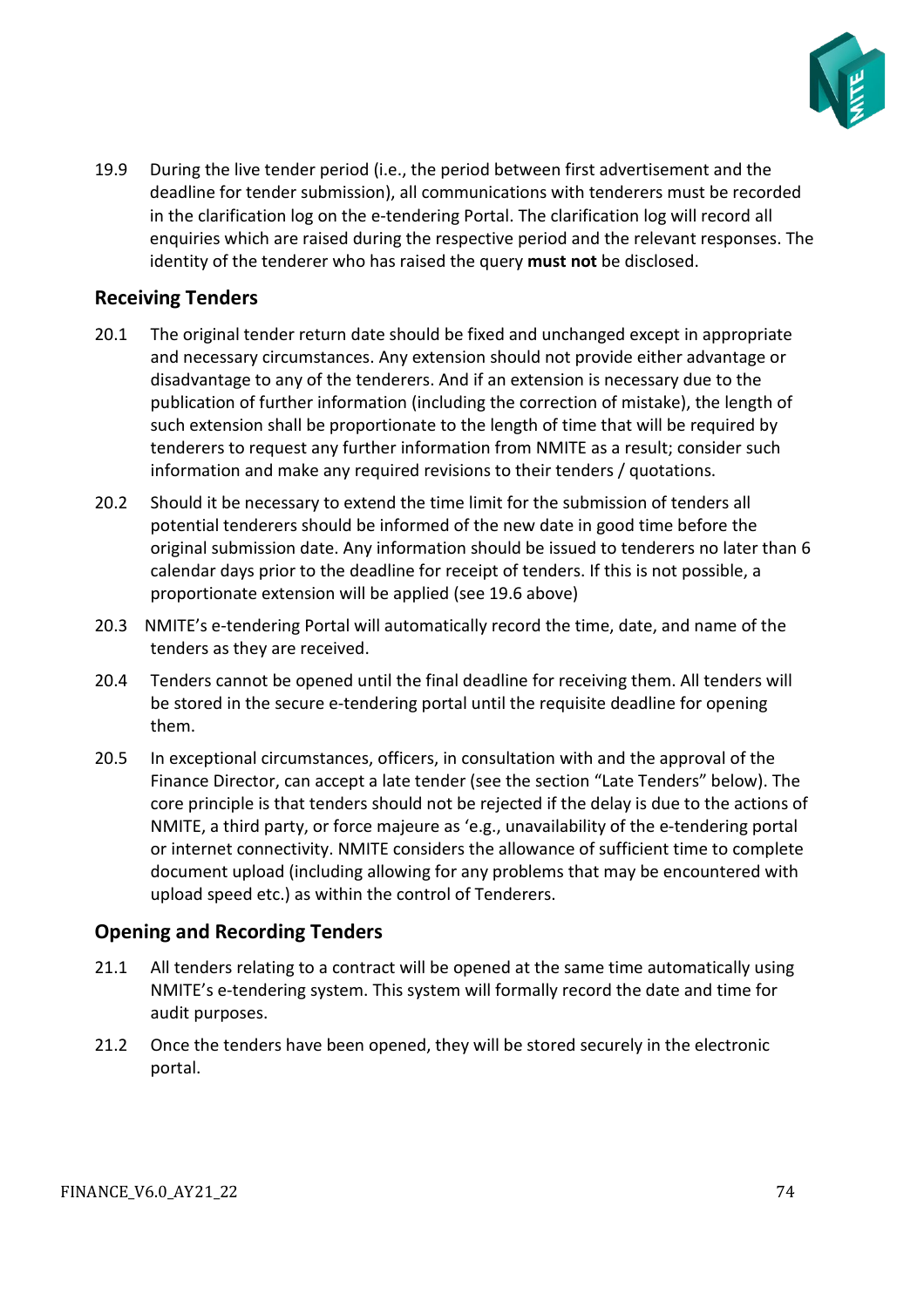

19.9 During the live tender period (i.e., the period between first advertisement and the deadline for tender submission), all communications with tenderers must be recorded in the clarification log on the e-tendering Portal. The clarification log will record all enquiries which are raised during the respective period and the relevant responses. The identity of the tenderer who has raised the query **must not** be disclosed.

# **Receiving Tenders**

- 20.1 The original tender return date should be fixed and unchanged except in appropriate and necessary circumstances. Any extension should not provide either advantage or disadvantage to any of the tenderers. And if an extension is necessary due to the publication of further information (including the correction of mistake), the length of such extension shall be proportionate to the length of time that will be required by tenderers to request any further information from NMITE as a result; consider such information and make any required revisions to their tenders / quotations.
- 20.2 Should it be necessary to extend the time limit for the submission of tenders all potential tenderers should be informed of the new date in good time before the original submission date. Any information should be issued to tenderers no later than 6 calendar days prior to the deadline for receipt of tenders. If this is not possible, a proportionate extension will be applied (see 19.6 above)
- 20.3 NMITE's e-tendering Portal will automatically record the time, date, and name of the tenders as they are received.
- 20.4 Tenders cannot be opened until the final deadline for receiving them. All tenders will be stored in the secure e-tendering portal until the requisite deadline for opening them.
- 20.5 In exceptional circumstances, officers, in consultation with and the approval of the Finance Director, can accept a late tender (see the section "Late Tenders" below). The core principle is that tenders should not be rejected if the delay is due to the actions of NMITE, a third party, or force majeure as 'e.g., unavailability of the e-tendering portal or internet connectivity. NMITE considers the allowance of sufficient time to complete document upload (including allowing for any problems that may be encountered with upload speed etc.) as within the control of Tenderers.

# **Opening and Recording Tenders**

- 21.1 All tenders relating to a contract will be opened at the same time automatically using NMITE's e-tendering system. This system will formally record the date and time for audit purposes.
- 21.2 Once the tenders have been opened, they will be stored securely in the electronic portal.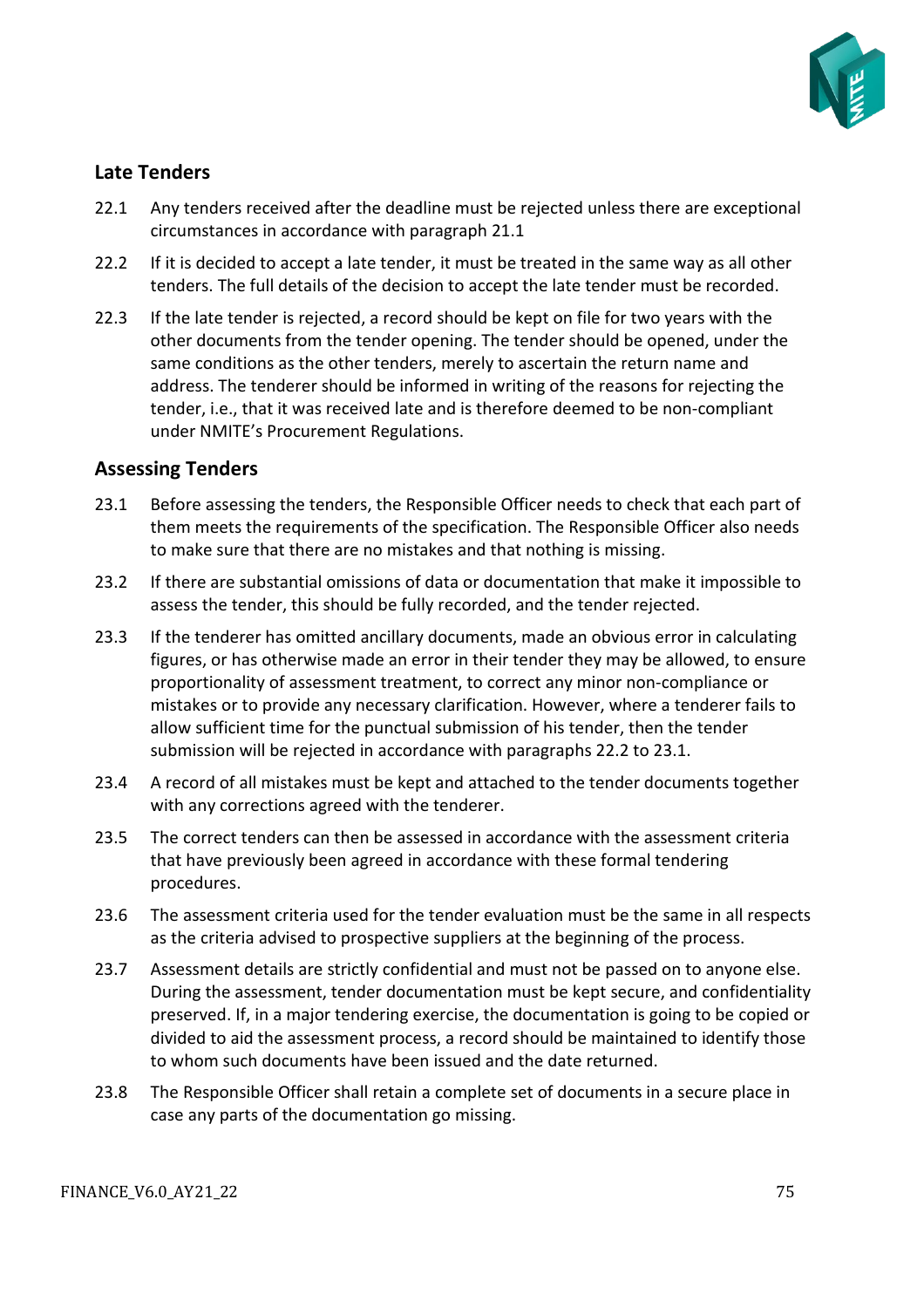

# **Late Tenders**

- 22.1 Any tenders received after the deadline must be rejected unless there are exceptional circumstances in accordance with paragraph 21.1
- 22.2 If it is decided to accept a late tender, it must be treated in the same way as all other tenders. The full details of the decision to accept the late tender must be recorded.
- 22.3 If the late tender is rejected, a record should be kept on file for two years with the other documents from the tender opening. The tender should be opened, under the same conditions as the other tenders, merely to ascertain the return name and address. The tenderer should be informed in writing of the reasons for rejecting the tender, i.e., that it was received late and is therefore deemed to be non-compliant under NMITE's Procurement Regulations.

### **Assessing Tenders**

- 23.1 Before assessing the tenders, the Responsible Officer needs to check that each part of them meets the requirements of the specification. The Responsible Officer also needs to make sure that there are no mistakes and that nothing is missing.
- 23.2 If there are substantial omissions of data or documentation that make it impossible to assess the tender, this should be fully recorded, and the tender rejected.
- 23.3 If the tenderer has omitted ancillary documents, made an obvious error in calculating figures, or has otherwise made an error in their tender they may be allowed, to ensure proportionality of assessment treatment, to correct any minor non-compliance or mistakes or to provide any necessary clarification. However, where a tenderer fails to allow sufficient time for the punctual submission of his tender, then the tender submission will be rejected in accordance with paragraphs 22.2 to 23.1.
- 23.4 A record of all mistakes must be kept and attached to the tender documents together with any corrections agreed with the tenderer.
- 23.5 The correct tenders can then be assessed in accordance with the assessment criteria that have previously been agreed in accordance with these formal tendering procedures.
- 23.6 The assessment criteria used for the tender evaluation must be the same in all respects as the criteria advised to prospective suppliers at the beginning of the process.
- 23.7 Assessment details are strictly confidential and must not be passed on to anyone else. During the assessment, tender documentation must be kept secure, and confidentiality preserved. If, in a major tendering exercise, the documentation is going to be copied or divided to aid the assessment process, a record should be maintained to identify those to whom such documents have been issued and the date returned.
- 23.8 The Responsible Officer shall retain a complete set of documents in a secure place in case any parts of the documentation go missing.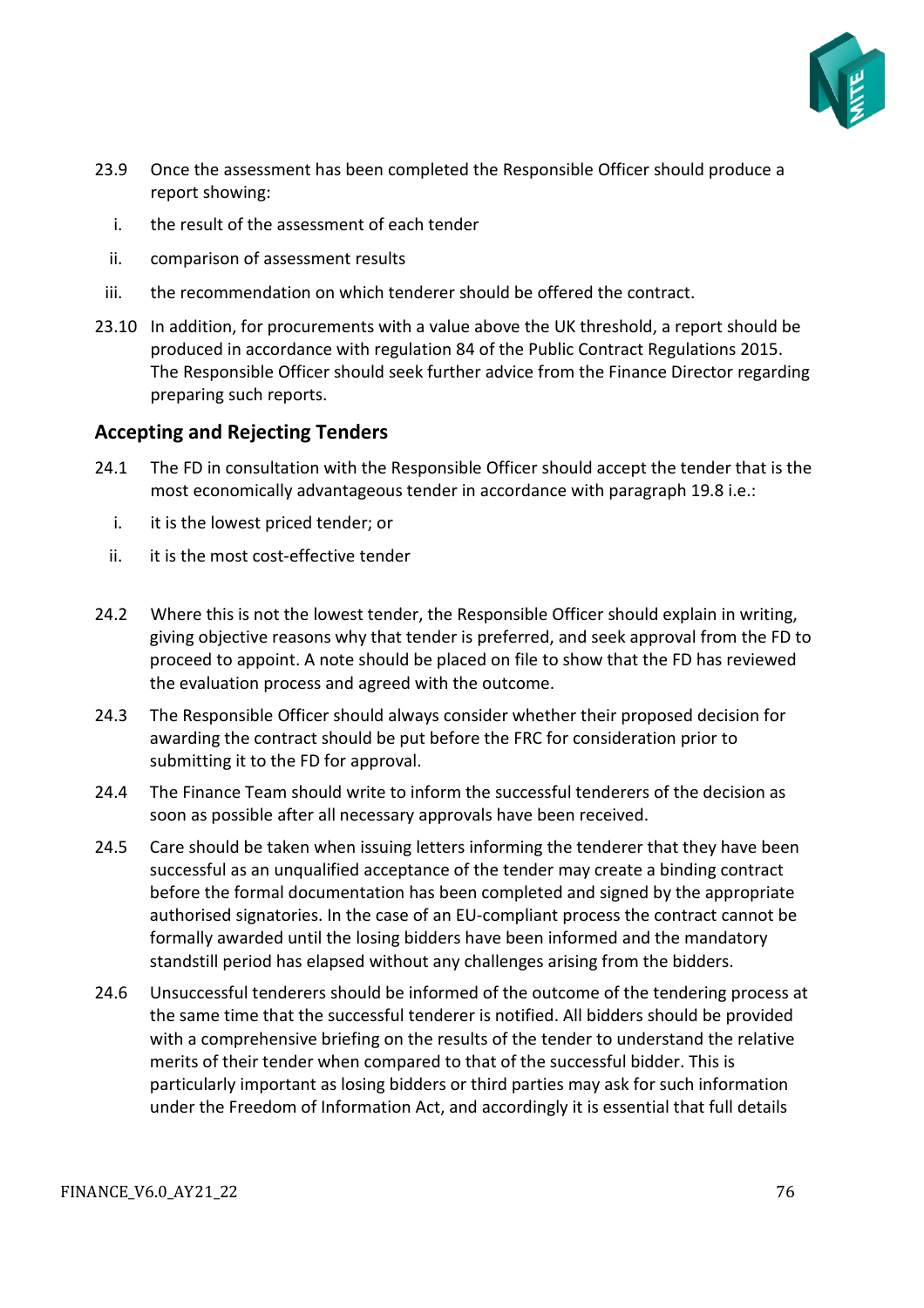

- 23.9 Once the assessment has been completed the Responsible Officer should produce a report showing:
	- i. the result of the assessment of each tender
	- ii. comparison of assessment results
- iii. the recommendation on which tenderer should be offered the contract.
- 23.10 In addition, for procurements with a value above the UK threshold, a report should be produced in accordance with regulation 84 of the Public Contract Regulations 2015. The Responsible Officer should seek further advice from the Finance Director regarding preparing such reports.

## **Accepting and Rejecting Tenders**

- 24.1 The FD in consultation with the Responsible Officer should accept the tender that is the most economically advantageous tender in accordance with paragraph 19.8 i.e.:
	- i. it is the lowest priced tender; or
	- ii. it is the most cost-effective tender
- 24.2 Where this is not the lowest tender, the Responsible Officer should explain in writing, giving objective reasons why that tender is preferred, and seek approval from the FD to proceed to appoint. A note should be placed on file to show that the FD has reviewed the evaluation process and agreed with the outcome.
- 24.3 The Responsible Officer should always consider whether their proposed decision for awarding the contract should be put before the FRC for consideration prior to submitting it to the FD for approval.
- 24.4 The Finance Team should write to inform the successful tenderers of the decision as soon as possible after all necessary approvals have been received.
- 24.5 Care should be taken when issuing letters informing the tenderer that they have been successful as an unqualified acceptance of the tender may create a binding contract before the formal documentation has been completed and signed by the appropriate authorised signatories. In the case of an EU-compliant process the contract cannot be formally awarded until the losing bidders have been informed and the mandatory standstill period has elapsed without any challenges arising from the bidders.
- 24.6 Unsuccessful tenderers should be informed of the outcome of the tendering process at the same time that the successful tenderer is notified. All bidders should be provided with a comprehensive briefing on the results of the tender to understand the relative merits of their tender when compared to that of the successful bidder. This is particularly important as losing bidders or third parties may ask for such information under the Freedom of Information Act, and accordingly it is essential that full details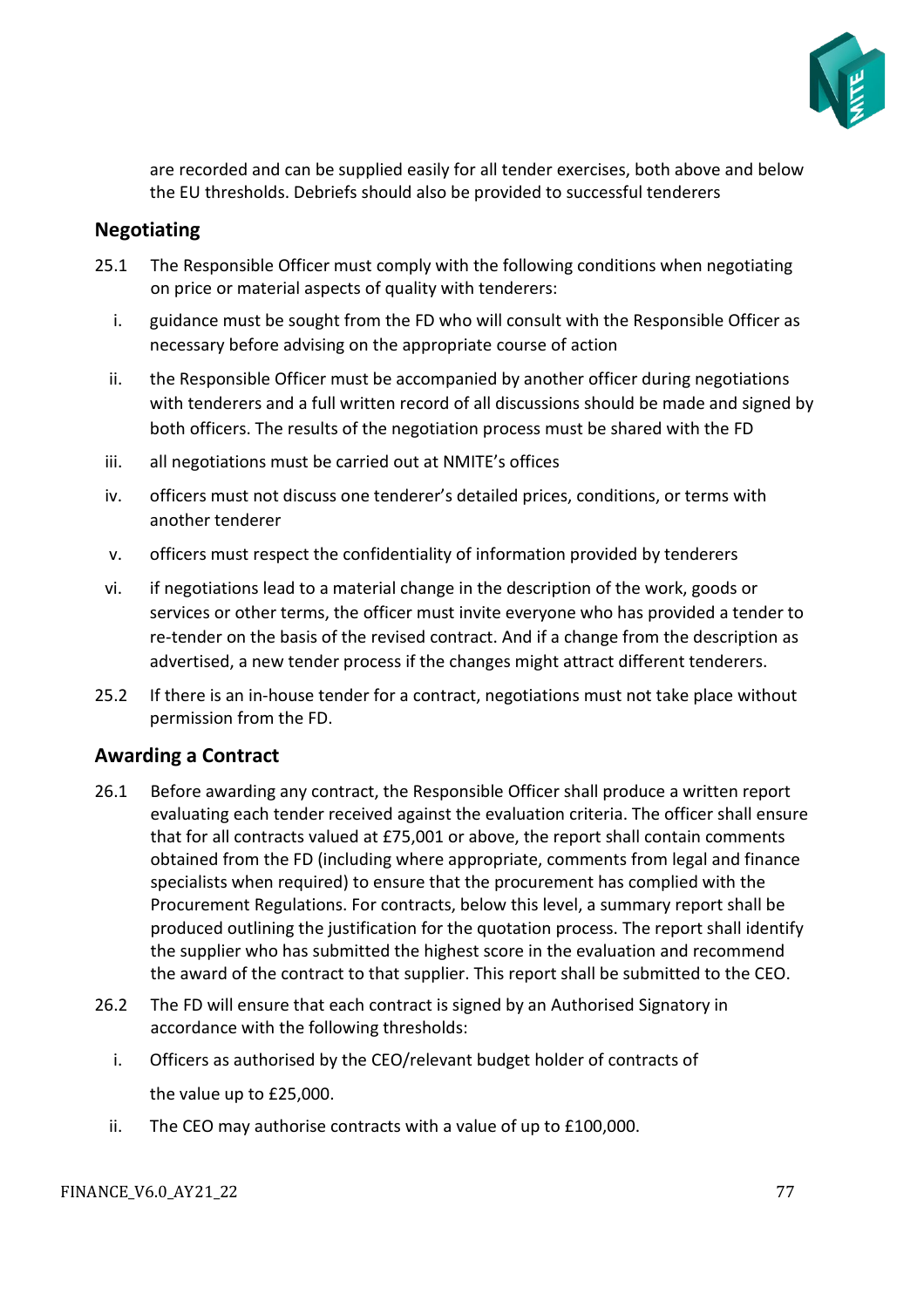

are recorded and can be supplied easily for all tender exercises, both above and below the EU thresholds. Debriefs should also be provided to successful tenderers

# **Negotiating**

- 25.1 The Responsible Officer must comply with the following conditions when negotiating on price or material aspects of quality with tenderers:
	- i. guidance must be sought from the FD who will consult with the Responsible Officer as necessary before advising on the appropriate course of action
	- ii. the Responsible Officer must be accompanied by another officer during negotiations with tenderers and a full written record of all discussions should be made and signed by both officers. The results of the negotiation process must be shared with the FD
	- iii. all negotiations must be carried out at NMITE's offices
	- iv. officers must not discuss one tenderer's detailed prices, conditions, or terms with another tenderer
	- v. officers must respect the confidentiality of information provided by tenderers
- vi. if negotiations lead to a material change in the description of the work, goods or services or other terms, the officer must invite everyone who has provided a tender to re-tender on the basis of the revised contract. And if a change from the description as advertised, a new tender process if the changes might attract different tenderers.
- 25.2 If there is an in-house tender for a contract, negotiations must not take place without permission from the FD.

# **Awarding a Contract**

- 26.1 Before awarding any contract, the Responsible Officer shall produce a written report evaluating each tender received against the evaluation criteria. The officer shall ensure that for all contracts valued at £75,001 or above, the report shall contain comments obtained from the FD (including where appropriate, comments from legal and finance specialists when required) to ensure that the procurement has complied with the Procurement Regulations. For contracts, below this level, a summary report shall be produced outlining the justification for the quotation process. The report shall identify the supplier who has submitted the highest score in the evaluation and recommend the award of the contract to that supplier. This report shall be submitted to the CEO.
- 26.2 The FD will ensure that each contract is signed by an Authorised Signatory in accordance with the following thresholds:
	- i. Officers as authorised by the CEO/relevant budget holder of contracts of the value up to £25,000.
	- ii. The CEO may authorise contracts with a value of up to £100,000.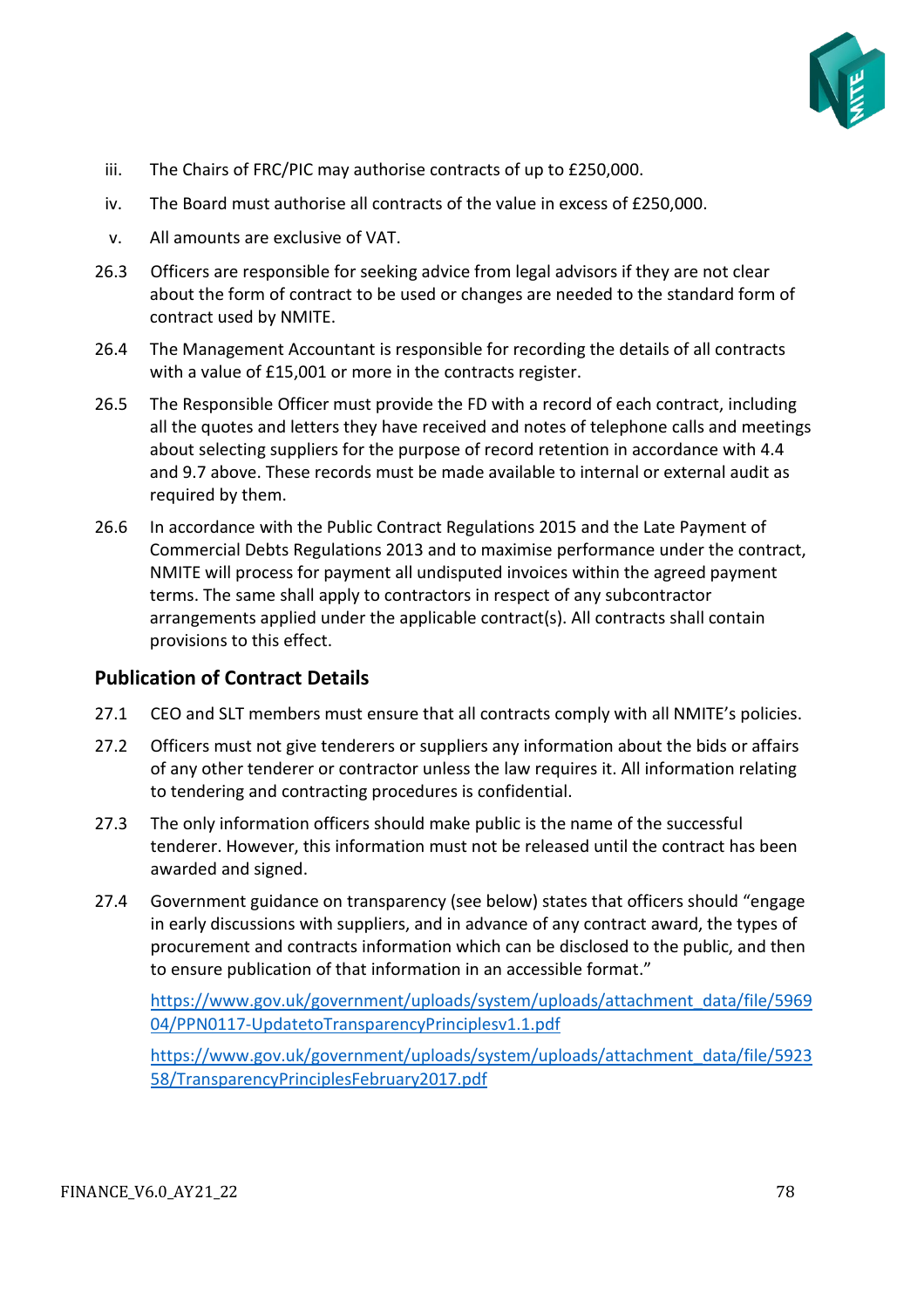

- iii. The Chairs of FRC/PIC may authorise contracts of up to £250,000.
- iv. The Board must authorise all contracts of the value in excess of £250,000.
- v. All amounts are exclusive of VAT.
- 26.3 Officers are responsible for seeking advice from legal advisors if they are not clear about the form of contract to be used or changes are needed to the standard form of contract used by NMITE.
- 26.4 The Management Accountant is responsible for recording the details of all contracts with a value of £15,001 or more in the contracts register.
- 26.5 The Responsible Officer must provide the FD with a record of each contract, including all the quotes and letters they have received and notes of telephone calls and meetings about selecting suppliers for the purpose of record retention in accordance with 4.4 and 9.7 above. These records must be made available to internal or external audit as required by them.
- 26.6 In accordance with the Public Contract Regulations 2015 and the Late Payment of Commercial Debts Regulations 2013 and to maximise performance under the contract, NMITE will process for payment all undisputed invoices within the agreed payment terms. The same shall apply to contractors in respect of any subcontractor arrangements applied under the applicable contract(s). All contracts shall contain provisions to this effect.

# **Publication of Contract Details**

- 27.1 CEO and SLT members must ensure that all contracts comply with all NMITE's policies.
- 27.2 Officers must not give tenderers or suppliers any information about the bids or affairs of any other tenderer or contractor unless the law requires it. All information relating to tendering and contracting procedures is confidential.
- 27.3 The only information officers should make public is the name of the successful tenderer. However, this information must not be released until the contract has been awarded and signed.
- 27.4 Government guidance on transparency (see below) states that officers should "engage in early discussions with suppliers, and in advance of any contract award, the types of procurement and contracts information which can be disclosed to the public, and then to ensure publication of that information in an accessible format."

[https://www.gov.uk/government/uploads/system/uploads/attachment\\_data/file/5969](https://www.gov.uk/government/uploads/system/uploads/attachment_data/file/5969) [04/PPN0117-UpdatetoTransparencyPrinciplesv1.1.pdf](https://www.gov.uk/government/uploads/system/uploads/attachment_data/file/596904/PPN0117-UpdatetoTransparencyPrinciplesv1.1.pdf)

[https://www.gov.uk/government/uploads/system/uploads/attachment\\_data/file/5923](https://www.gov.uk/government/uploads/system/uploads/attachment_data/file/592358/TransparencyPrinciplesFebruary2017.pdf) [58/TransparencyPrinciplesFebruary2017.pdf](https://www.gov.uk/government/uploads/system/uploads/attachment_data/file/592358/TransparencyPrinciplesFebruary2017.pdf)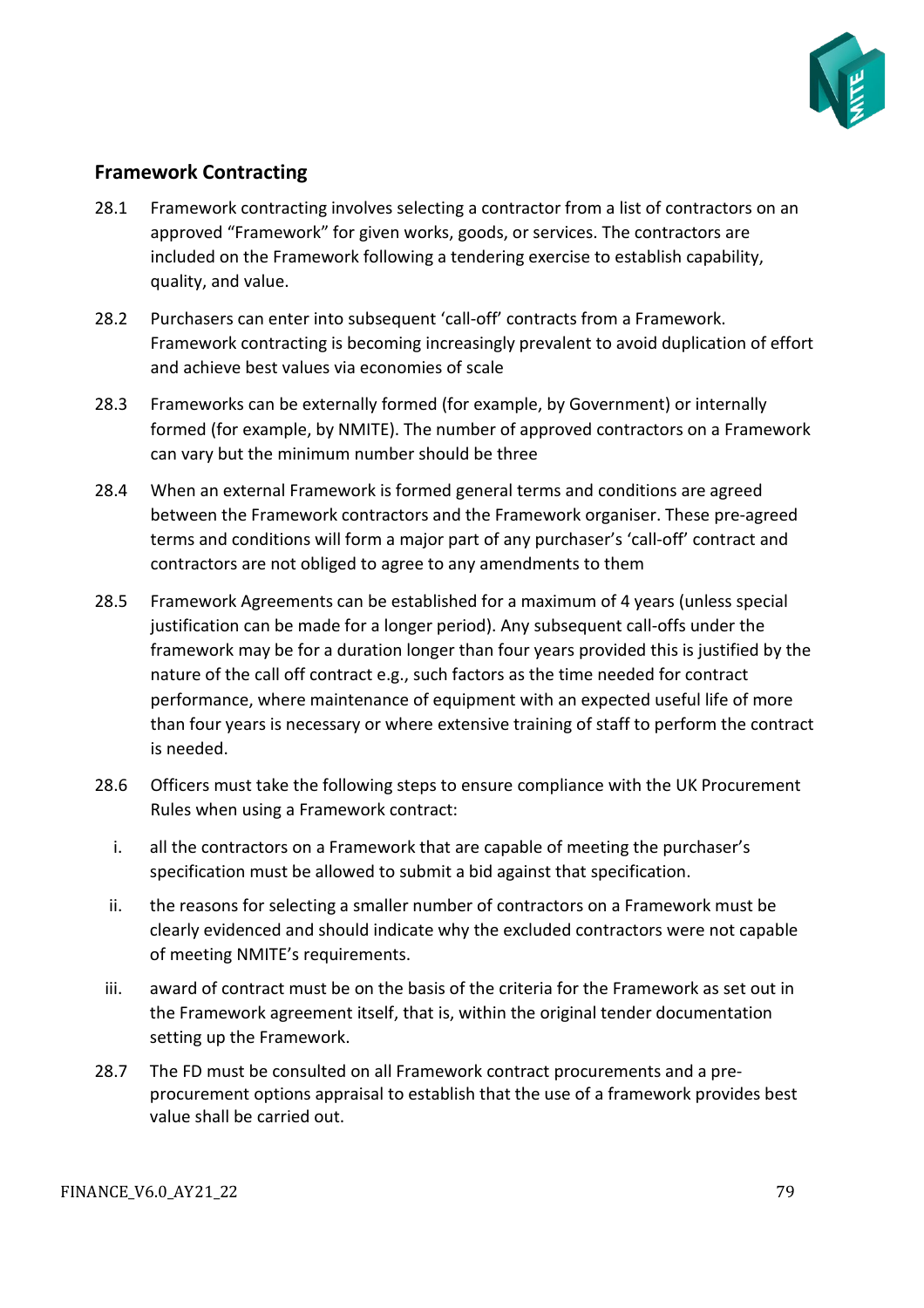

# **Framework Contracting**

- 28.1 Framework contracting involves selecting a contractor from a list of contractors on an approved "Framework" for given works, goods, or services. The contractors are included on the Framework following a tendering exercise to establish capability, quality, and value.
- 28.2 Purchasers can enter into subsequent 'call-off' contracts from a Framework. Framework contracting is becoming increasingly prevalent to avoid duplication of effort and achieve best values via economies of scale
- 28.3 Frameworks can be externally formed (for example, by Government) or internally formed (for example, by NMITE). The number of approved contractors on a Framework can vary but the minimum number should be three
- 28.4 When an external Framework is formed general terms and conditions are agreed between the Framework contractors and the Framework organiser. These pre-agreed terms and conditions will form a major part of any purchaser's 'call-off' contract and contractors are not obliged to agree to any amendments to them
- 28.5 Framework Agreements can be established for a maximum of 4 years (unless special justification can be made for a longer period). Any subsequent call-offs under the framework may be for a duration longer than four years provided this is justified by the nature of the call off contract e.g., such factors as the time needed for contract performance, where maintenance of equipment with an expected useful life of more than four years is necessary or where extensive training of staff to perform the contract is needed.
- 28.6 Officers must take the following steps to ensure compliance with the UK Procurement Rules when using a Framework contract:
	- i. all the contractors on a Framework that are capable of meeting the purchaser's specification must be allowed to submit a bid against that specification.
	- ii. the reasons for selecting a smaller number of contractors on a Framework must be clearly evidenced and should indicate why the excluded contractors were not capable of meeting NMITE's requirements.
	- iii. award of contract must be on the basis of the criteria for the Framework as set out in the Framework agreement itself, that is, within the original tender documentation setting up the Framework.
- 28.7 The FD must be consulted on all Framework contract procurements and a preprocurement options appraisal to establish that the use of a framework provides best value shall be carried out.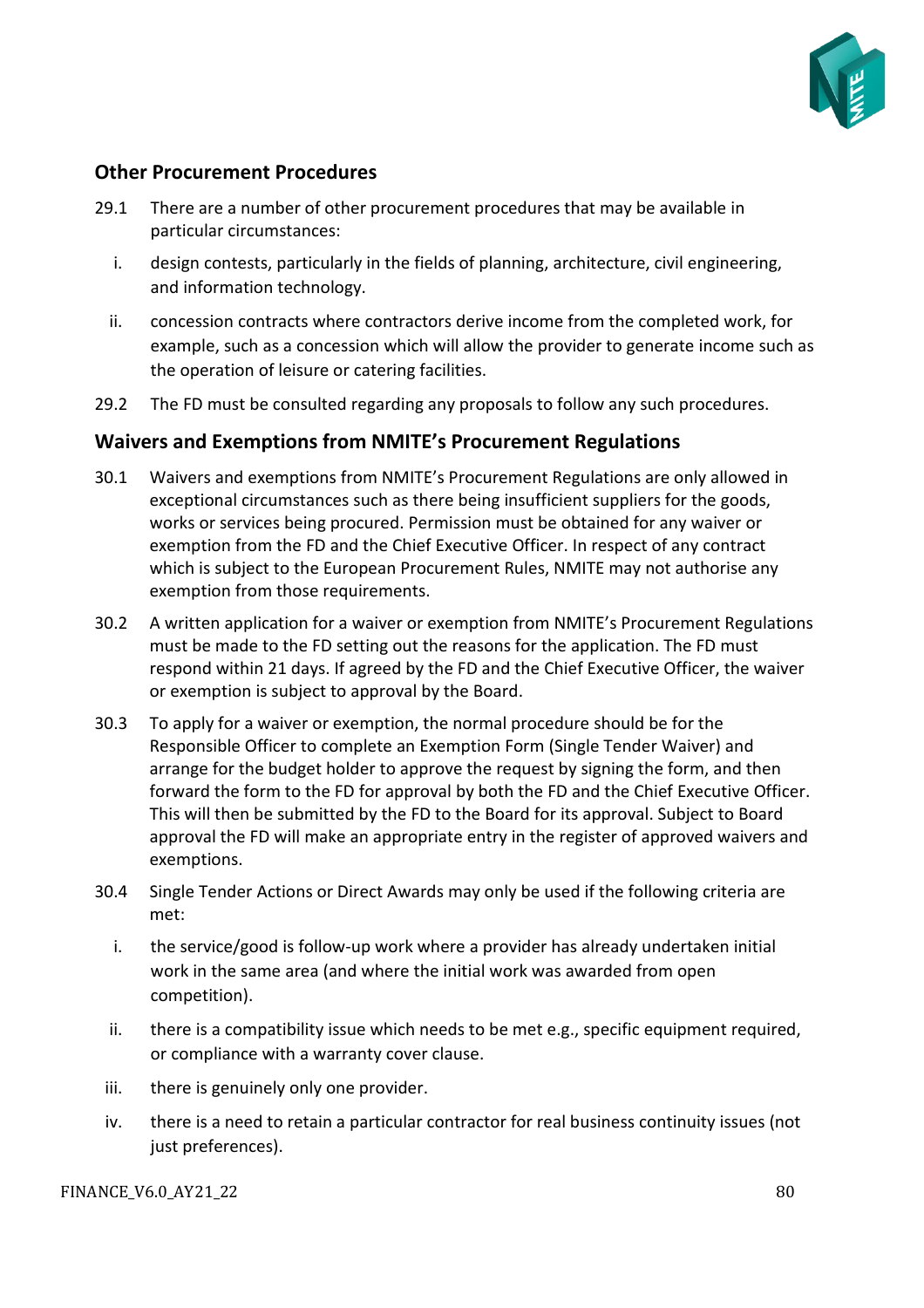

# **Other Procurement Procedures**

- 29.1 There are a number of other procurement procedures that may be available in particular circumstances:
	- i. design contests, particularly in the fields of planning, architecture, civil engineering, and information technology.
	- ii. concession contracts where contractors derive income from the completed work, for example, such as a concession which will allow the provider to generate income such as the operation of leisure or catering facilities.
- 29.2 The FD must be consulted regarding any proposals to follow any such procedures.

### **Waivers and Exemptions from NMITE's Procurement Regulations**

- 30.1 Waivers and exemptions from NMITE's Procurement Regulations are only allowed in exceptional circumstances such as there being insufficient suppliers for the goods, works or services being procured. Permission must be obtained for any waiver or exemption from the FD and the Chief Executive Officer. In respect of any contract which is subject to the European Procurement Rules, NMITE may not authorise any exemption from those requirements.
- 30.2 A written application for a waiver or exemption from NMITE's Procurement Regulations must be made to the FD setting out the reasons for the application. The FD must respond within 21 days. If agreed by the FD and the Chief Executive Officer, the waiver or exemption is subject to approval by the Board.
- 30.3 To apply for a waiver or exemption, the normal procedure should be for the Responsible Officer to complete an Exemption Form (Single Tender Waiver) and arrange for the budget holder to approve the request by signing the form, and then forward the form to the FD for approval by both the FD and the Chief Executive Officer. This will then be submitted by the FD to the Board for its approval. Subject to Board approval the FD will make an appropriate entry in the register of approved waivers and exemptions.
- 30.4 Single Tender Actions or Direct Awards may only be used if the following criteria are met:
	- i. the service/good is follow-up work where a provider has already undertaken initial work in the same area (and where the initial work was awarded from open competition).
	- ii. there is a compatibility issue which needs to be met e.g., specific equipment required, or compliance with a warranty cover clause.
	- iii. there is genuinely only one provider.
	- iv. there is a need to retain a particular contractor for real business continuity issues (not just preferences).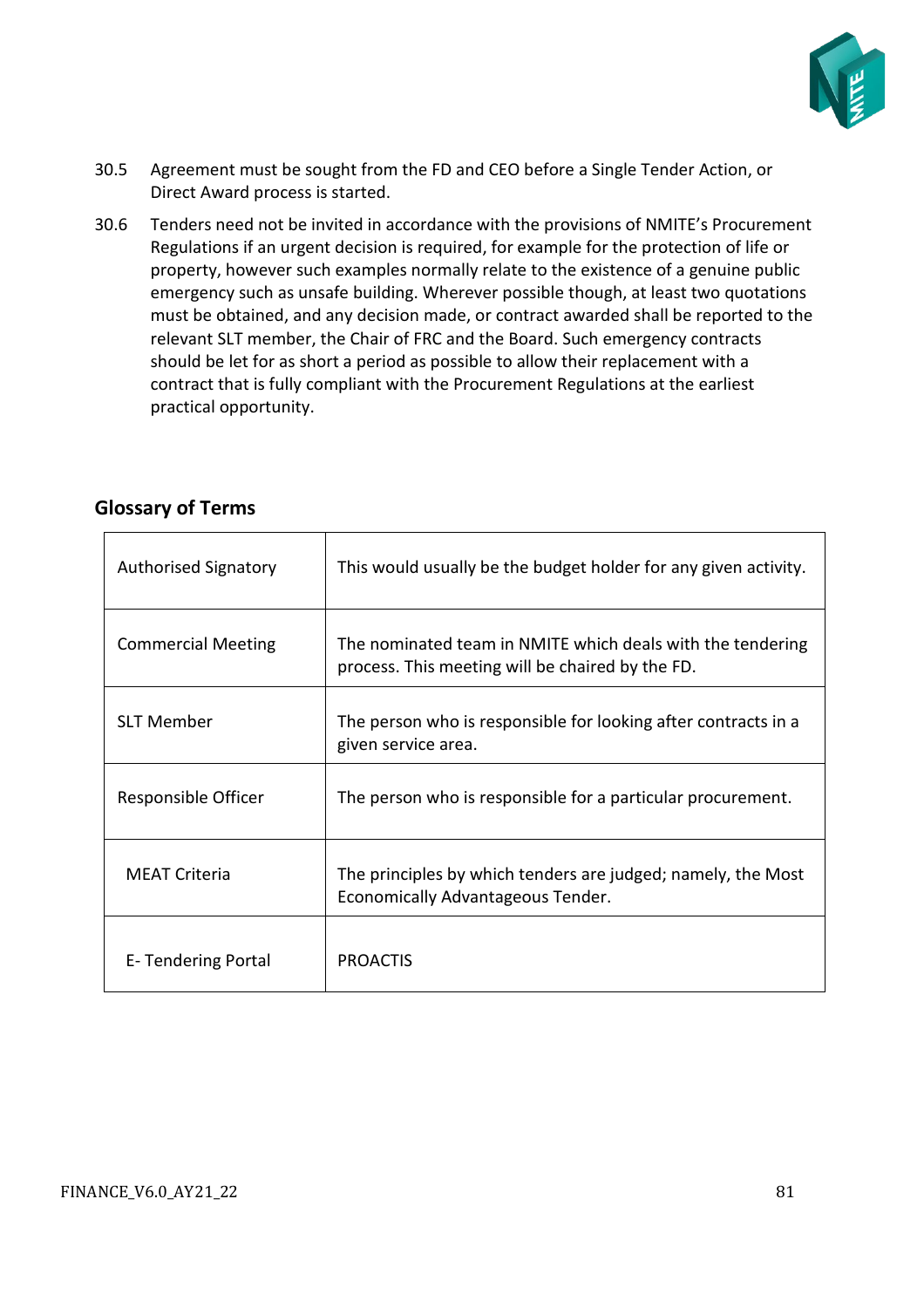

- 30.5 Agreement must be sought from the FD and CEO before a Single Tender Action, or Direct Award process is started.
- 30.6 Tenders need not be invited in accordance with the provisions of NMITE's Procurement Regulations if an urgent decision is required, for example for the protection of life or property, however such examples normally relate to the existence of a genuine public emergency such as unsafe building. Wherever possible though, at least two quotations must be obtained, and any decision made, or contract awarded shall be reported to the relevant SLT member, the Chair of FRC and the Board. Such emergency contracts should be let for as short a period as possible to allow their replacement with a contract that is fully compliant with the Procurement Regulations at the earliest practical opportunity.

| <b>Authorised Signatory</b> | This would usually be the budget holder for any given activity.                                                |
|-----------------------------|----------------------------------------------------------------------------------------------------------------|
| <b>Commercial Meeting</b>   | The nominated team in NMITE which deals with the tendering<br>process. This meeting will be chaired by the FD. |
| <b>SLT Member</b>           | The person who is responsible for looking after contracts in a<br>given service area.                          |
| Responsible Officer         | The person who is responsible for a particular procurement.                                                    |
| <b>MEAT Criteria</b>        | The principles by which tenders are judged; namely, the Most<br>Economically Advantageous Tender.              |
| E-Tendering Portal          | <b>PROACTIS</b>                                                                                                |

# **Glossary of Terms**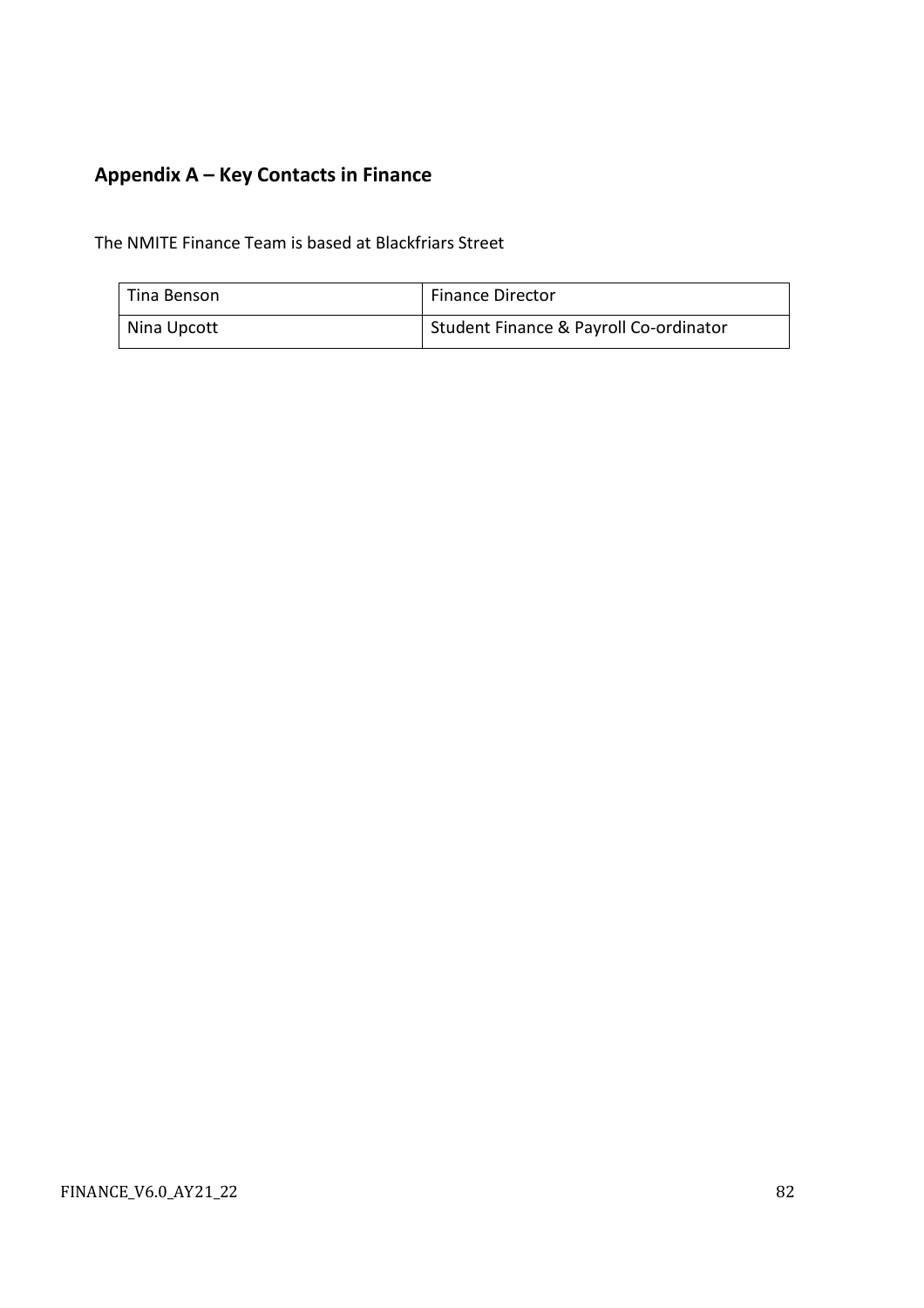# **Appendix A – Key Contacts in Finance**

The NMITE Finance Team is based at Blackfriars Street

| Tina Benson | <b>Finance Director</b>                |
|-------------|----------------------------------------|
| Nina Upcott | Student Finance & Payroll Co-ordinator |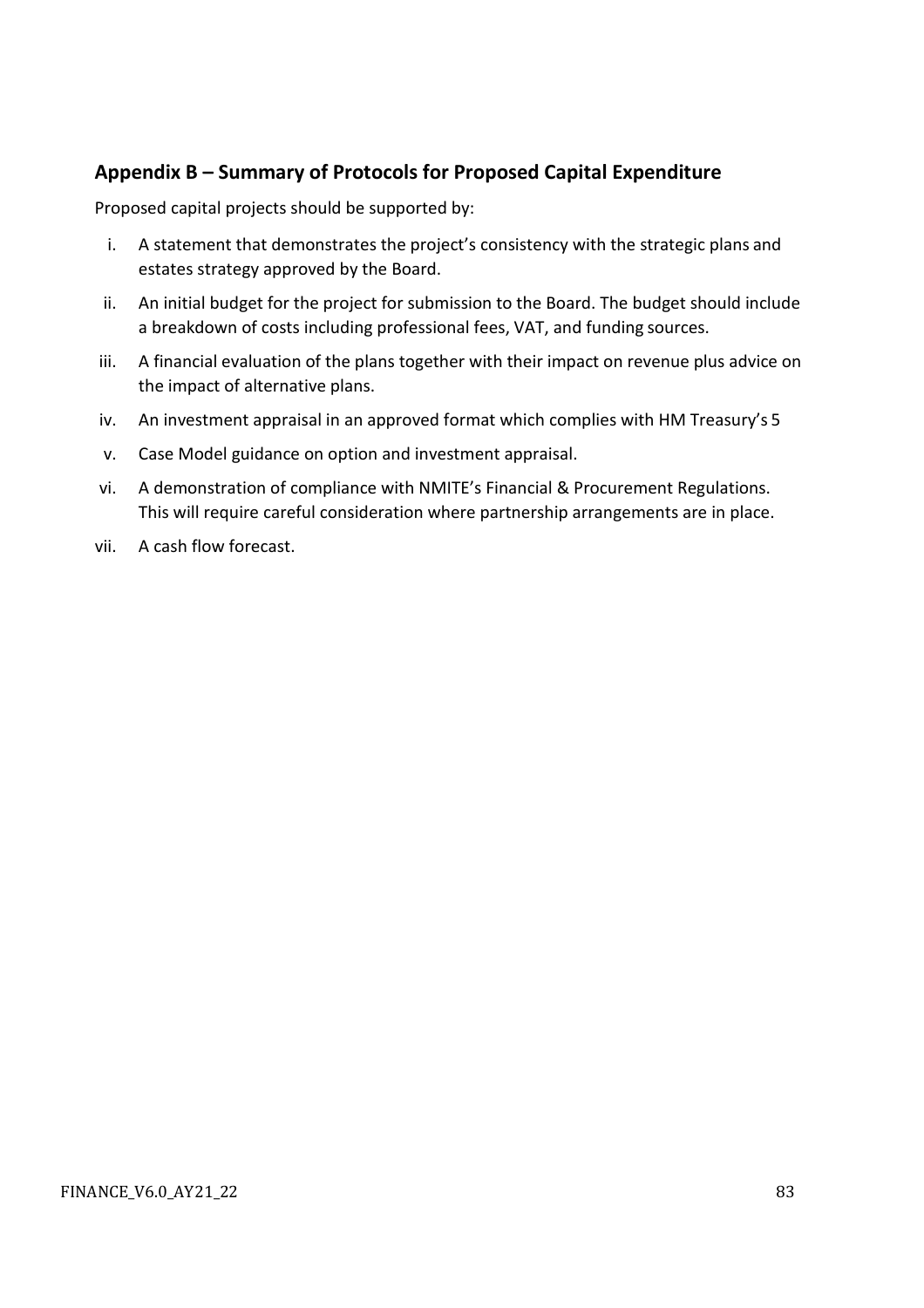# **Appendix B – Summary of Protocols for Proposed Capital Expenditure**

Proposed capital projects should be supported by:

- i. A statement that demonstrates the project's consistency with the strategic plans and estates strategy approved by the Board.
- ii. An initial budget for the project for submission to the Board. The budget should include a breakdown of costs including professional fees, VAT, and funding sources.
- iii. A financial evaluation of the plans together with their impact on revenue plus advice on the impact of alternative plans.
- iv. An investment appraisal in an approved format which complies with HM Treasury's 5
- v. Case Model guidance on option and investment appraisal.
- vi. A demonstration of compliance with NMITE's Financial & Procurement Regulations. This will require careful consideration where partnership arrangements are in place.
- vii. A cash flow forecast.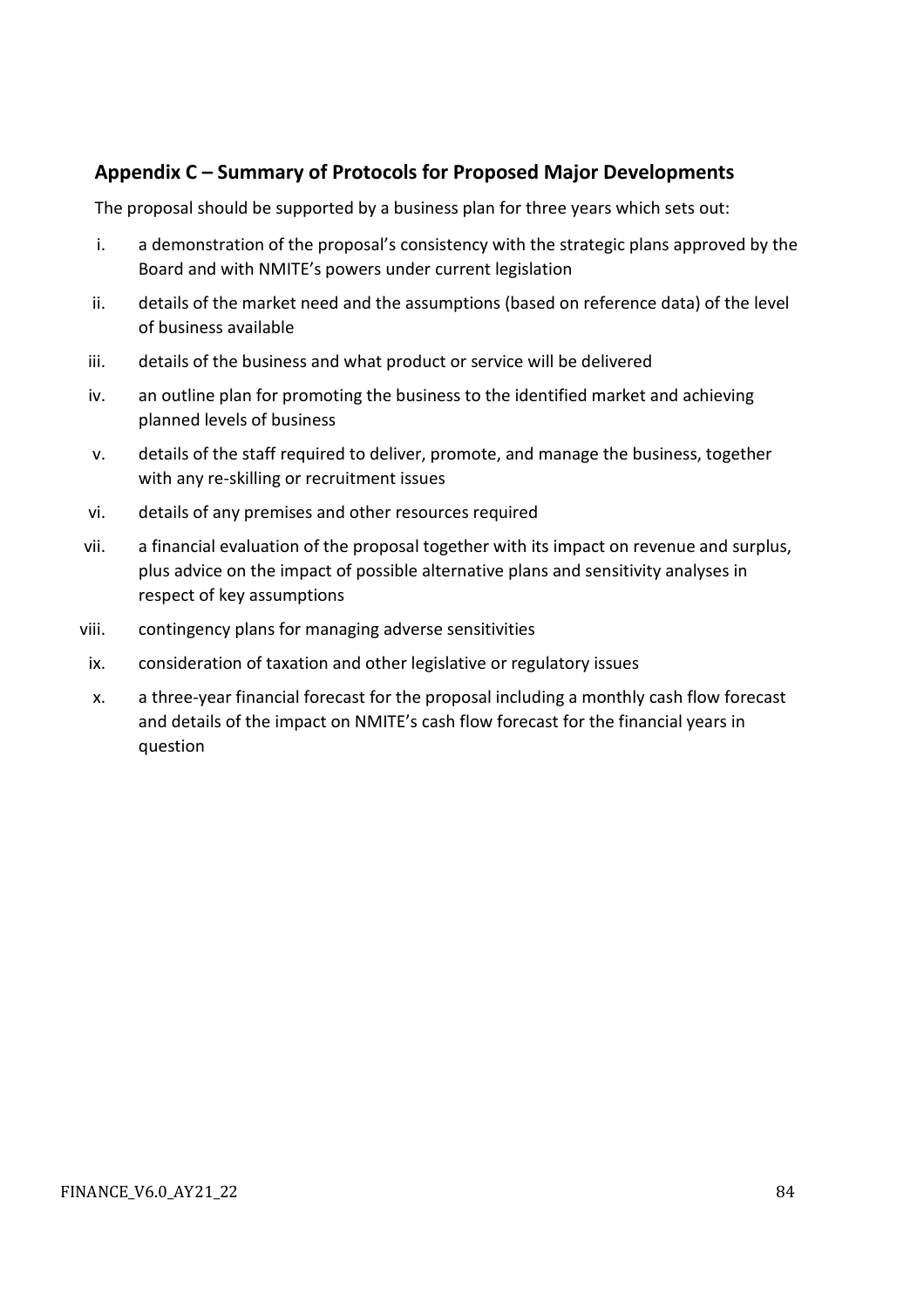# **Appendix C – Summary of Protocols for Proposed Major Developments**

The proposal should be supported by a business plan for three years which sets out:

- i. a demonstration of the proposal's consistency with the strategic plans approved by the Board and with NMITE's powers under current legislation
- ii. details of the market need and the assumptions (based on reference data) of the level of business available
- iii. details of the business and what product or service will be delivered
- iv. an outline plan for promoting the business to the identified market and achieving planned levels of business
- v. details of the staff required to deliver, promote, and manage the business, together with any re-skilling or recruitment issues
- vi. details of any premises and other resources required
- vii. a financial evaluation of the proposal together with its impact on revenue and surplus, plus advice on the impact of possible alternative plans and sensitivity analyses in respect of key assumptions
- viii. contingency plans for managing adverse sensitivities
- ix. consideration of taxation and other legislative or regulatory issues
- x. a three-year financial forecast for the proposal including a monthly cash flow forecast and details of the impact on NMITE's cash flow forecast for the financial years in question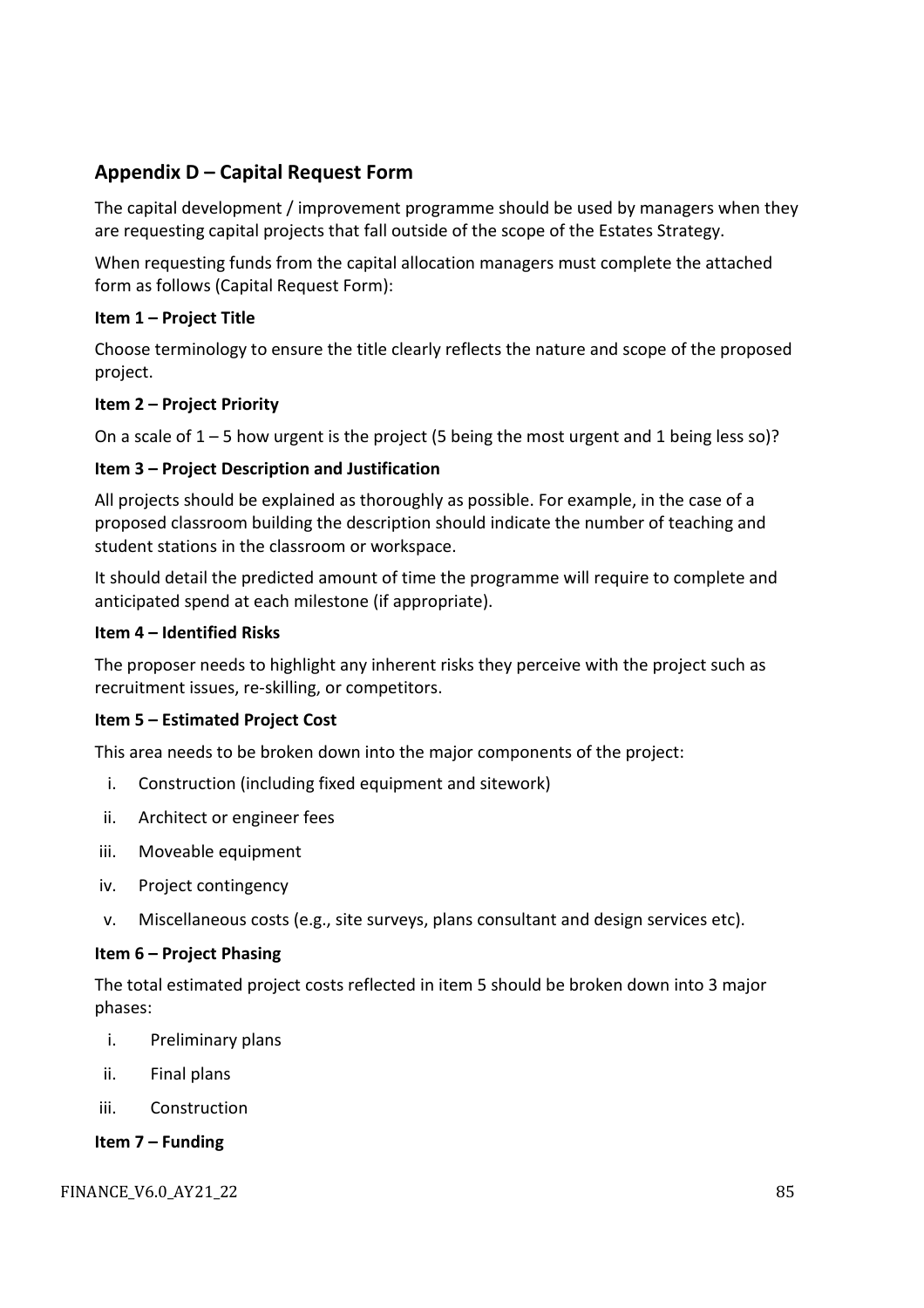# **Appendix D – Capital Request Form**

The capital development / improvement programme should be used by managers when they are requesting capital projects that fall outside of the scope of the Estates Strategy.

When requesting funds from the capital allocation managers must complete the attached form as follows (Capital Request Form):

### **Item 1 – Project Title**

Choose terminology to ensure the title clearly reflects the nature and scope of the proposed project.

### **Item 2 – Project Priority**

On a scale of  $1 - 5$  how urgent is the project (5 being the most urgent and 1 being less so)?

### **Item 3 – Project Description and Justification**

All projects should be explained as thoroughly as possible. For example, in the case of a proposed classroom building the description should indicate the number of teaching and student stations in the classroom or workspace.

It should detail the predicted amount of time the programme will require to complete and anticipated spend at each milestone (if appropriate).

### **Item 4 – Identified Risks**

The proposer needs to highlight any inherent risks they perceive with the project such as recruitment issues, re-skilling, or competitors.

### **Item 5 – Estimated Project Cost**

This area needs to be broken down into the major components of the project:

- i. Construction (including fixed equipment and sitework)
- ii. Architect or engineer fees
- iii. Moveable equipment
- iv. Project contingency
- v. Miscellaneous costs (e.g., site surveys, plans consultant and design services etc).

#### **Item 6 – Project Phasing**

The total estimated project costs reflected in item 5 should be broken down into 3 major phases:

- i. Preliminary plans
- ii. Final plans
- iii. Construction

#### **Item 7 – Funding**

#### FINANCE\_V6.0\_AY21\_22 85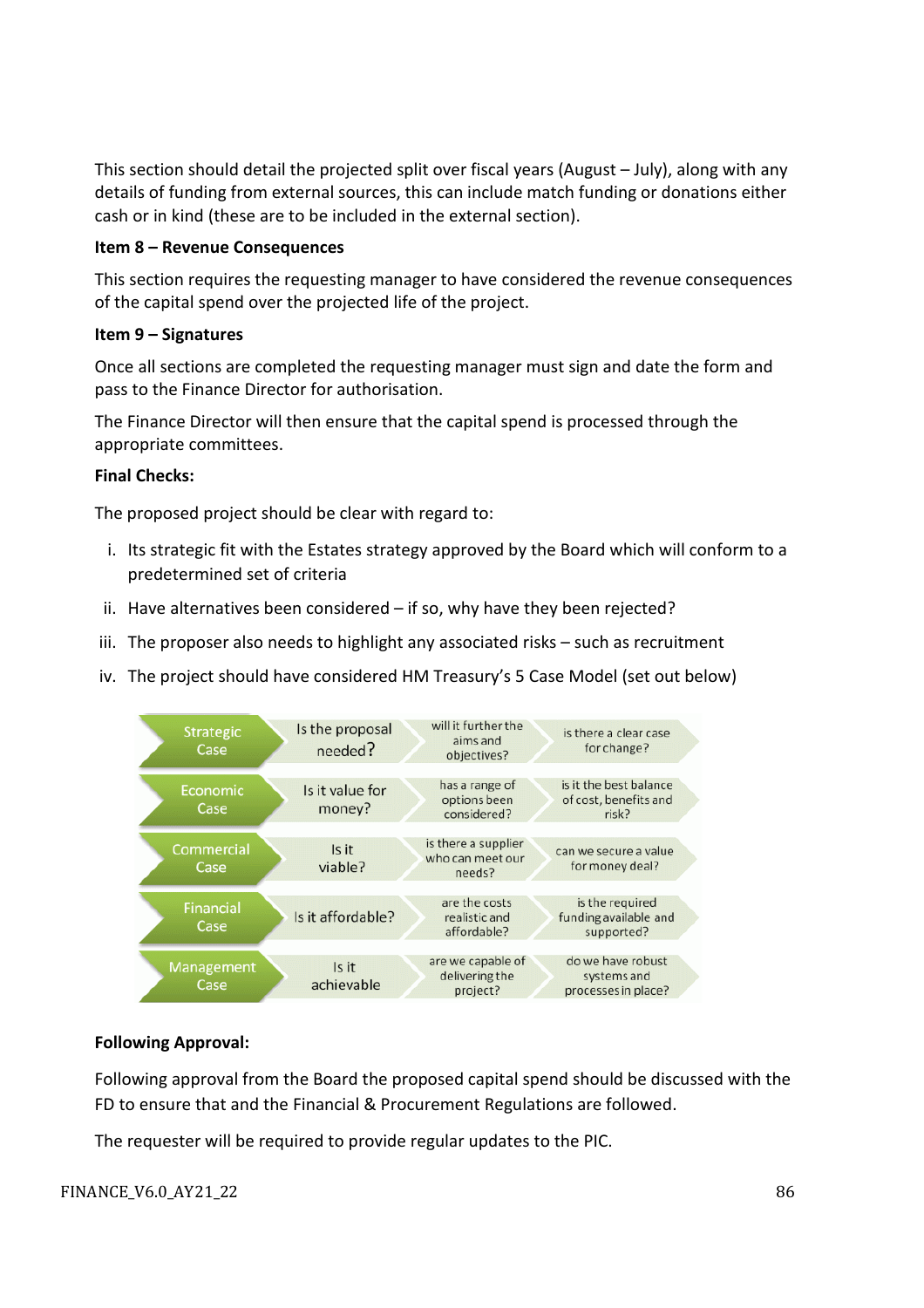This section should detail the projected split over fiscal years (August – July), along with any details of funding from external sources, this can include match funding or donations either cash or in kind (these are to be included in the external section).

#### **Item 8 – Revenue Consequences**

This section requires the requesting manager to have considered the revenue consequences of the capital spend over the projected life of the project.

#### **Item 9 – Signatures**

Once all sections are completed the requesting manager must sign and date the form and pass to the Finance Director for authorisation.

The Finance Director will then ensure that the capital spend is processed through the appropriate committees.

#### **Final Checks:**

The proposed project should be clear with regard to:

- i. Its strategic fit with the Estates strategy approved by the Board which will conform to a predetermined set of criteria
- ii. Have alternatives been considered if so, why have they been rejected?
- iii. The proposer also needs to highlight any associated risks such as recruitment
- iv. The project should have considered HM Treasury's 5 Case Model (set out below)



#### **Following Approval:**

Following approval from the Board the proposed capital spend should be discussed with the FD to ensure that and the Financial & Procurement Regulations are followed.

The requester will be required to provide regular updates to the PIC.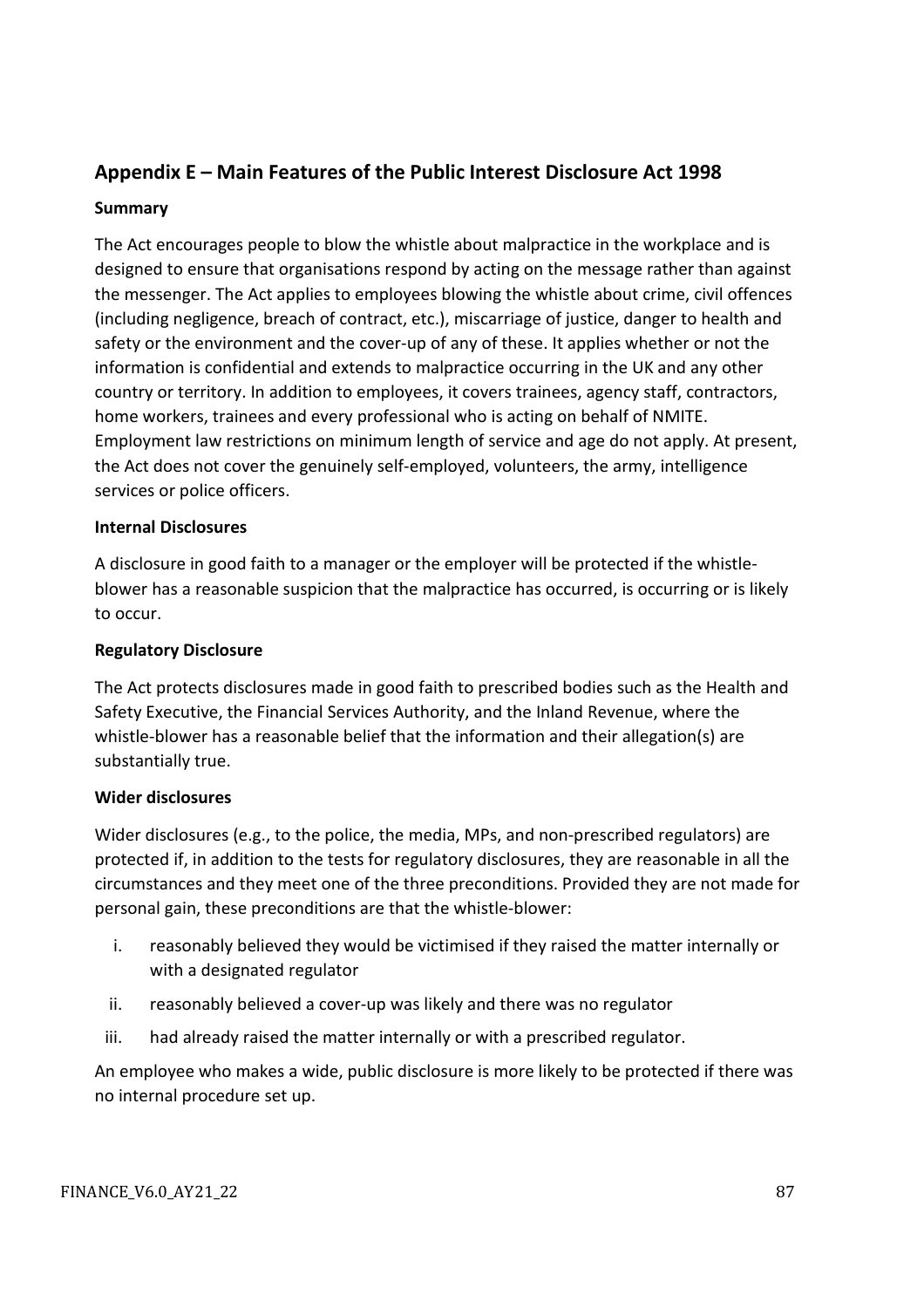# **Appendix E – Main Features of the Public Interest Disclosure Act 1998**

### **Summary**

The Act encourages people to blow the whistle about malpractice in the workplace and is designed to ensure that organisations respond by acting on the message rather than against the messenger. The Act applies to employees blowing the whistle about crime, civil offences (including negligence, breach of contract, etc.), miscarriage of justice, danger to health and safety or the environment and the cover-up of any of these. It applies whether or not the information is confidential and extends to malpractice occurring in the UK and any other country or territory. In addition to employees, it covers trainees, agency staff, contractors, home workers, trainees and every professional who is acting on behalf of NMITE. Employment law restrictions on minimum length of service and age do not apply. At present, the Act does not cover the genuinely self-employed, volunteers, the army, intelligence services or police officers.

#### **Internal Disclosures**

A disclosure in good faith to a manager or the employer will be protected if the whistleblower has a reasonable suspicion that the malpractice has occurred, is occurring or is likely to occur.

#### **Regulatory Disclosure**

The Act protects disclosures made in good faith to prescribed bodies such as the Health and Safety Executive, the Financial Services Authority, and the Inland Revenue, where the whistle-blower has a reasonable belief that the information and their allegation(s) are substantially true.

#### **Wider disclosures**

Wider disclosures (e.g., to the police, the media, MPs, and non-prescribed regulators) are protected if, in addition to the tests for regulatory disclosures, they are reasonable in all the circumstances and they meet one of the three preconditions. Provided they are not made for personal gain, these preconditions are that the whistle-blower:

- i. reasonably believed they would be victimised if they raised the matter internally or with a designated regulator
- ii. reasonably believed a cover-up was likely and there was no regulator
- iii. had already raised the matter internally or with a prescribed regulator.

An employee who makes a wide, public disclosure is more likely to be protected if there was no internal procedure set up.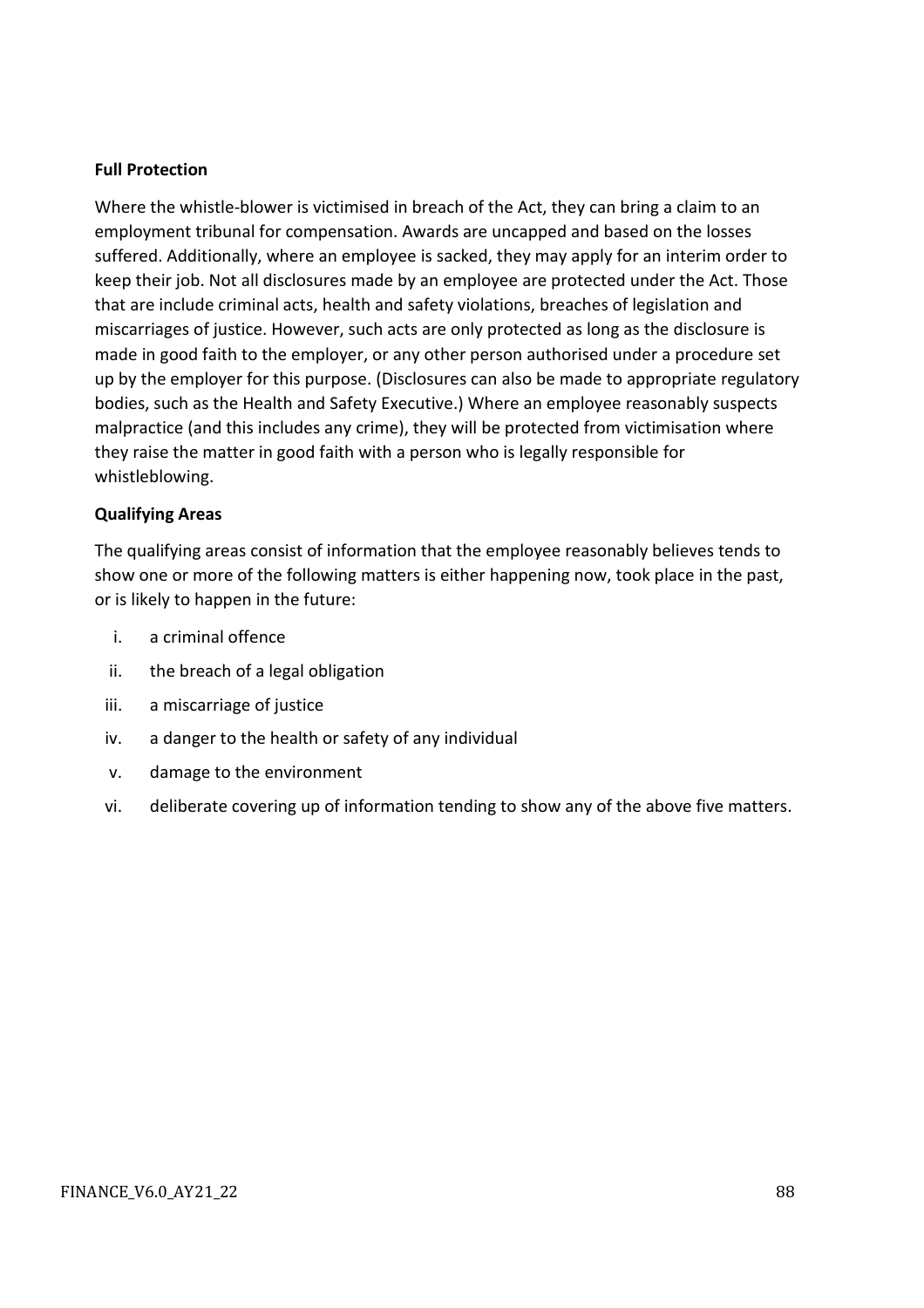#### **Full Protection**

Where the whistle-blower is victimised in breach of the Act, they can bring a claim to an employment tribunal for compensation. Awards are uncapped and based on the losses suffered. Additionally, where an employee is sacked, they may apply for an interim order to keep their job. Not all disclosures made by an employee are protected under the Act. Those that are include criminal acts, health and safety violations, breaches of legislation and miscarriages of justice. However, such acts are only protected as long as the disclosure is made in good faith to the employer, or any other person authorised under a procedure set up by the employer for this purpose. (Disclosures can also be made to appropriate regulatory bodies, such as the Health and Safety Executive.) Where an employee reasonably suspects malpractice (and this includes any crime), they will be protected from victimisation where they raise the matter in good faith with a person who is legally responsible for whistleblowing.

### **Qualifying Areas**

The qualifying areas consist of information that the employee reasonably believes tends to show one or more of the following matters is either happening now, took place in the past, or is likely to happen in the future:

- i. a criminal offence
- ii. the breach of a legal obligation
- iii. a miscarriage of justice
- iv. a danger to the health or safety of any individual
- v. damage to the environment
- vi. deliberate covering up of information tending to show any of the above five matters.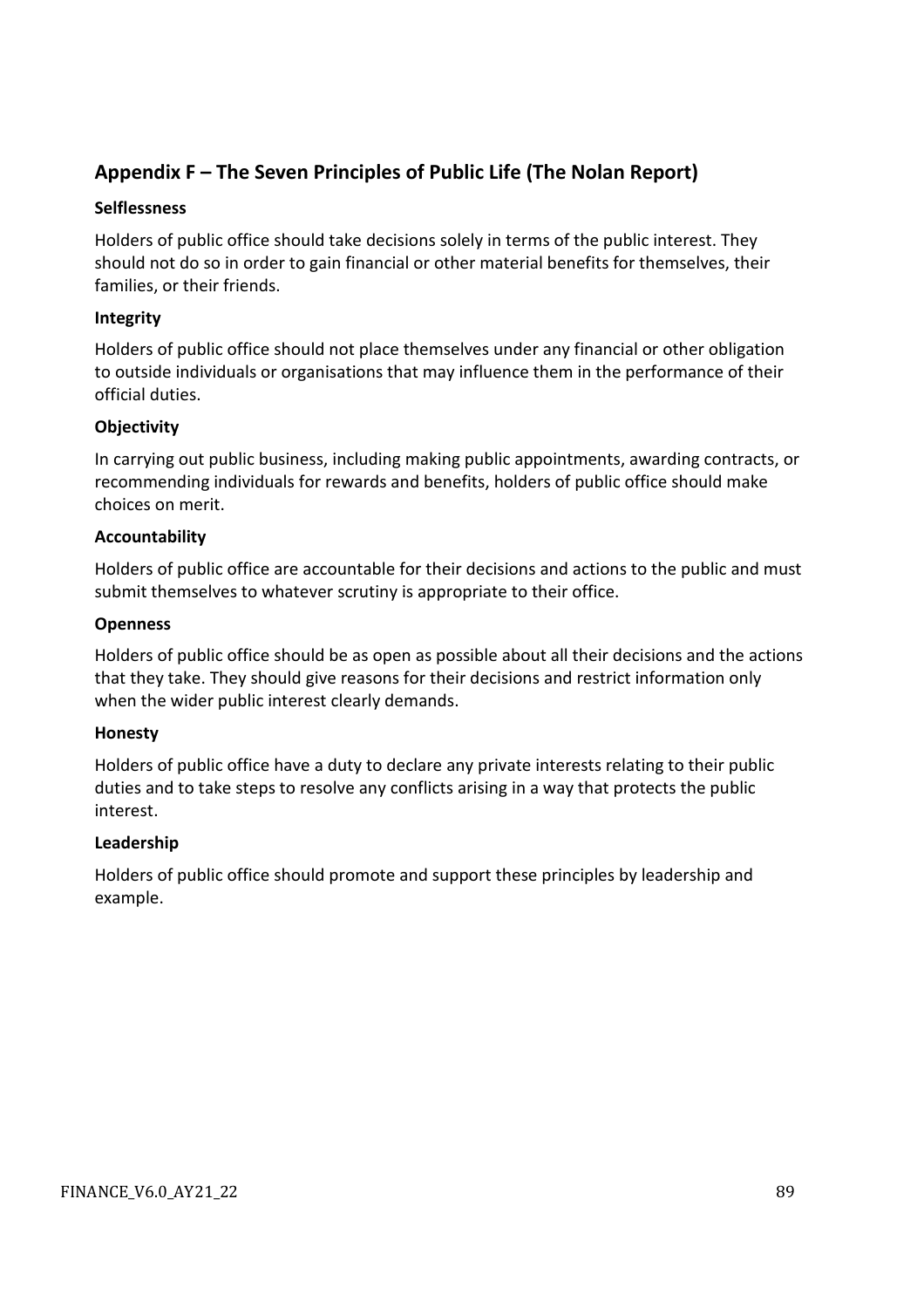# **Appendix F – The Seven Principles of Public Life (The Nolan Report)**

### **Selflessness**

Holders of public office should take decisions solely in terms of the public interest. They should not do so in order to gain financial or other material benefits for themselves, their families, or their friends.

### **Integrity**

Holders of public office should not place themselves under any financial or other obligation to outside individuals or organisations that may influence them in the performance of their official duties.

## **Objectivity**

In carrying out public business, including making public appointments, awarding contracts, or recommending individuals for rewards and benefits, holders of public office should make choices on merit.

### **Accountability**

Holders of public office are accountable for their decisions and actions to the public and must submit themselves to whatever scrutiny is appropriate to their office.

### **Openness**

Holders of public office should be as open as possible about all their decisions and the actions that they take. They should give reasons for their decisions and restrict information only when the wider public interest clearly demands.

### **Honesty**

Holders of public office have a duty to declare any private interests relating to their public duties and to take steps to resolve any conflicts arising in a way that protects the public interest.

### **Leadership**

Holders of public office should promote and support these principles by leadership and example.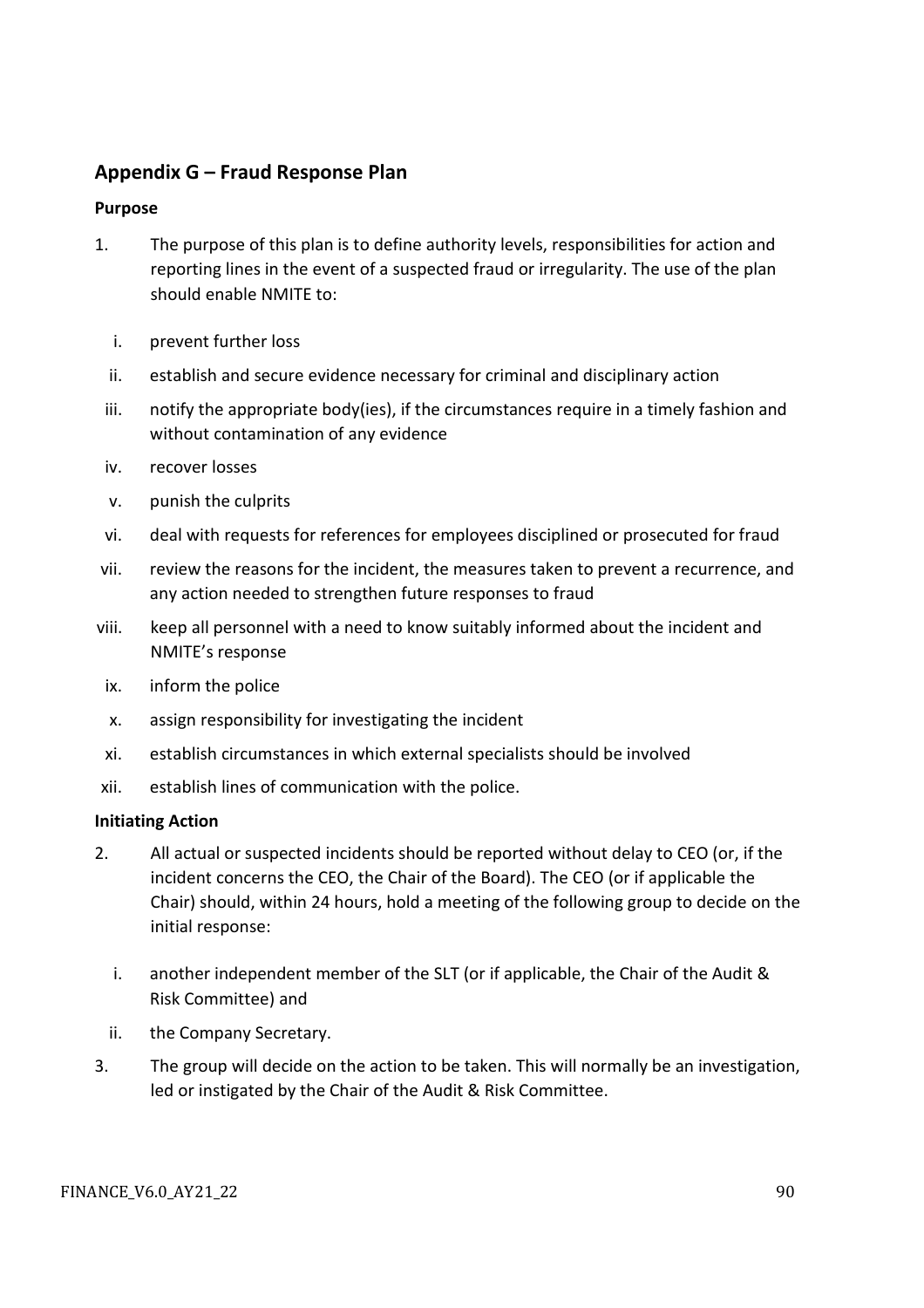# **Appendix G – Fraud Response Plan**

### **Purpose**

- 1. The purpose of this plan is to define authority levels, responsibilities for action and reporting lines in the event of a suspected fraud or irregularity. The use of the plan should enable NMITE to:
	- i. prevent further loss
	- ii. establish and secure evidence necessary for criminal and disciplinary action
	- iii. notify the appropriate body(ies), if the circumstances require in a timely fashion and without contamination of any evidence
	- iv. recover losses
	- v. punish the culprits
- vi. deal with requests for references for employees disciplined or prosecuted for fraud
- vii. review the reasons for the incident, the measures taken to prevent a recurrence, and any action needed to strengthen future responses to fraud
- viii. keep all personnel with a need to know suitably informed about the incident and NMITE's response
	- ix. inform the police
	- x. assign responsibility for investigating the incident
- xi. establish circumstances in which external specialists should be involved
- xii. establish lines of communication with the police.

#### **Initiating Action**

- 2. All actual or suspected incidents should be reported without delay to CEO (or, if the incident concerns the CEO, the Chair of the Board). The CEO (or if applicable the Chair) should, within 24 hours, hold a meeting of the following group to decide on the initial response:
	- i. another independent member of the SLT (or if applicable, the Chair of the Audit & Risk Committee) and
	- ii. the Company Secretary.
- 3. The group will decide on the action to be taken. This will normally be an investigation, led or instigated by the Chair of the Audit & Risk Committee.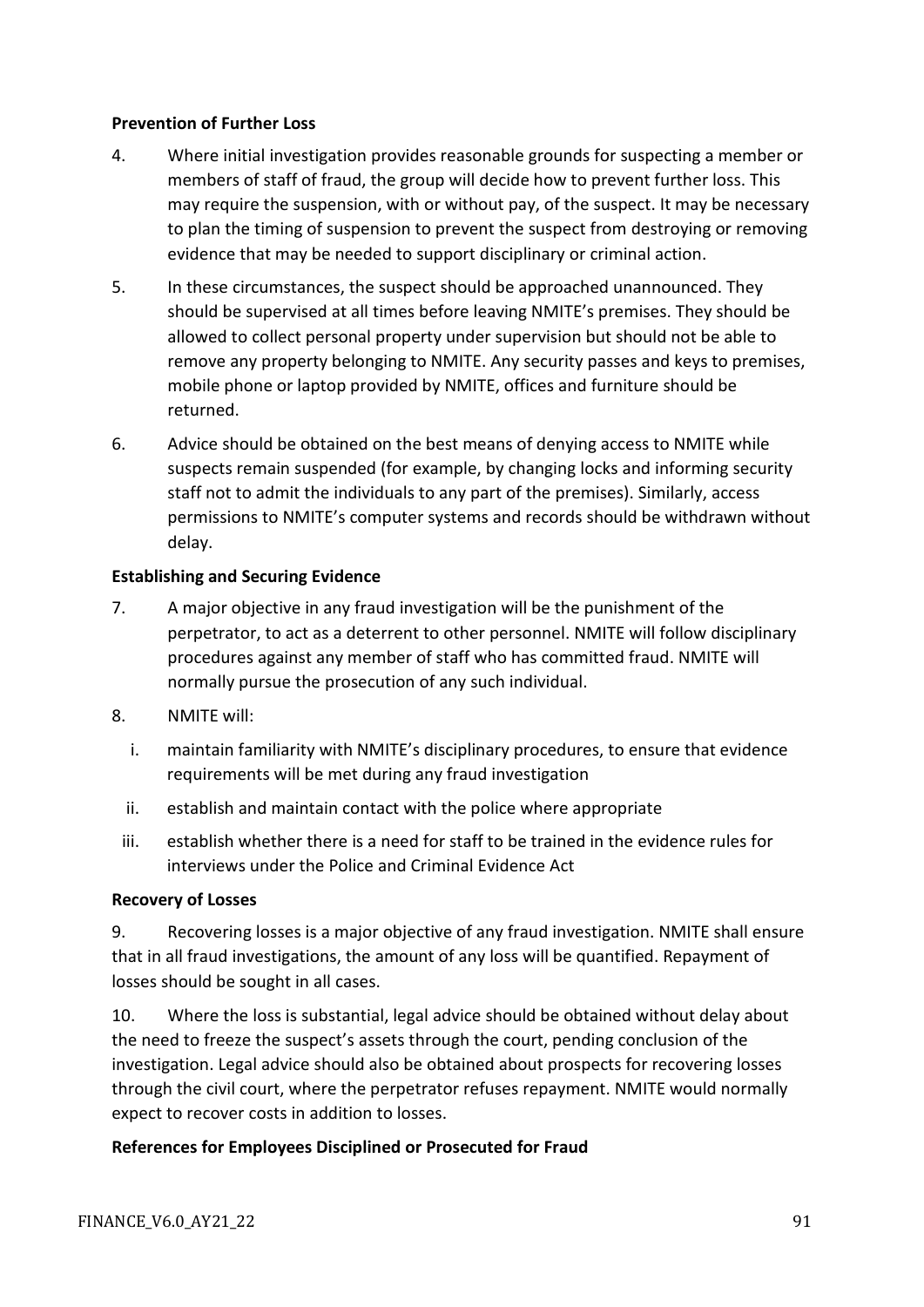### **Prevention of Further Loss**

- 4. Where initial investigation provides reasonable grounds for suspecting a member or members of staff of fraud, the group will decide how to prevent further loss. This may require the suspension, with or without pay, of the suspect. It may be necessary to plan the timing of suspension to prevent the suspect from destroying or removing evidence that may be needed to support disciplinary or criminal action.
- 5. In these circumstances, the suspect should be approached unannounced. They should be supervised at all times before leaving NMITE's premises. They should be allowed to collect personal property under supervision but should not be able to remove any property belonging to NMITE. Any security passes and keys to premises, mobile phone or laptop provided by NMITE, offices and furniture should be returned.
- 6. Advice should be obtained on the best means of denying access to NMITE while suspects remain suspended (for example, by changing locks and informing security staff not to admit the individuals to any part of the premises). Similarly, access permissions to NMITE's computer systems and records should be withdrawn without delay.

### **Establishing and Securing Evidence**

- 7. A major objective in any fraud investigation will be the punishment of the perpetrator, to act as a deterrent to other personnel. NMITE will follow disciplinary procedures against any member of staff who has committed fraud. NMITE will normally pursue the prosecution of any such individual.
- 8. NMITE will:
	- i. maintain familiarity with NMITE's disciplinary procedures, to ensure that evidence requirements will be met during any fraud investigation
	- ii. establish and maintain contact with the police where appropriate
	- iii. establish whether there is a need for staff to be trained in the evidence rules for interviews under the Police and Criminal Evidence Act

#### **Recovery of Losses**

9. Recovering losses is a major objective of any fraud investigation. NMITE shall ensure that in all fraud investigations, the amount of any loss will be quantified. Repayment of losses should be sought in all cases.

10. Where the loss is substantial, legal advice should be obtained without delay about the need to freeze the suspect's assets through the court, pending conclusion of the investigation. Legal advice should also be obtained about prospects for recovering losses through the civil court, where the perpetrator refuses repayment. NMITE would normally expect to recover costs in addition to losses.

#### **References for Employees Disciplined or Prosecuted for Fraud**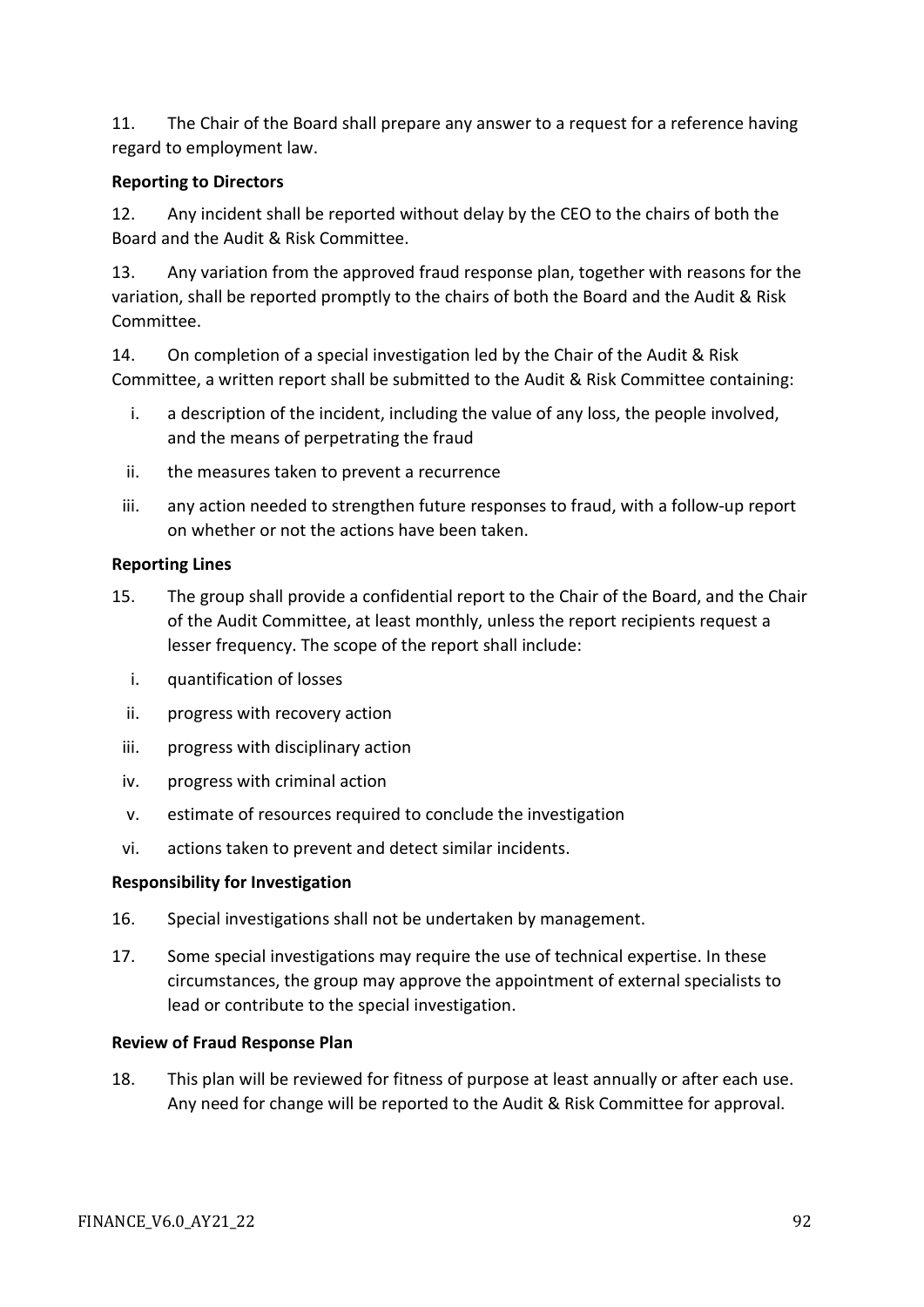11. The Chair of the Board shall prepare any answer to a request for a reference having regard to employment law.

### **Reporting to Directors**

12. Any incident shall be reported without delay by the CEO to the chairs of both the Board and the Audit & Risk Committee.

13. Any variation from the approved fraud response plan, together with reasons for the variation, shall be reported promptly to the chairs of both the Board and the Audit & Risk Committee.

14. On completion of a special investigation led by the Chair of the Audit & Risk Committee, a written report shall be submitted to the Audit & Risk Committee containing:

- i. a description of the incident, including the value of any loss, the people involved, and the means of perpetrating the fraud
- ii. the measures taken to prevent a recurrence
- iii. any action needed to strengthen future responses to fraud, with a follow-up report on whether or not the actions have been taken.

### **Reporting Lines**

- 15. The group shall provide a confidential report to the Chair of the Board, and the Chair of the Audit Committee, at least monthly, unless the report recipients request a lesser frequency. The scope of the report shall include:
	- i. quantification of losses
	- ii. progress with recovery action
	- iii. progress with disciplinary action
	- iv. progress with criminal action
	- v. estimate of resources required to conclude the investigation
	- vi. actions taken to prevent and detect similar incidents.

#### **Responsibility for Investigation**

- 16. Special investigations shall not be undertaken by management.
- 17. Some special investigations may require the use of technical expertise. In these circumstances, the group may approve the appointment of external specialists to lead or contribute to the special investigation.

#### **Review of Fraud Response Plan**

18. This plan will be reviewed for fitness of purpose at least annually or after each use. Any need for change will be reported to the Audit & Risk Committee for approval.